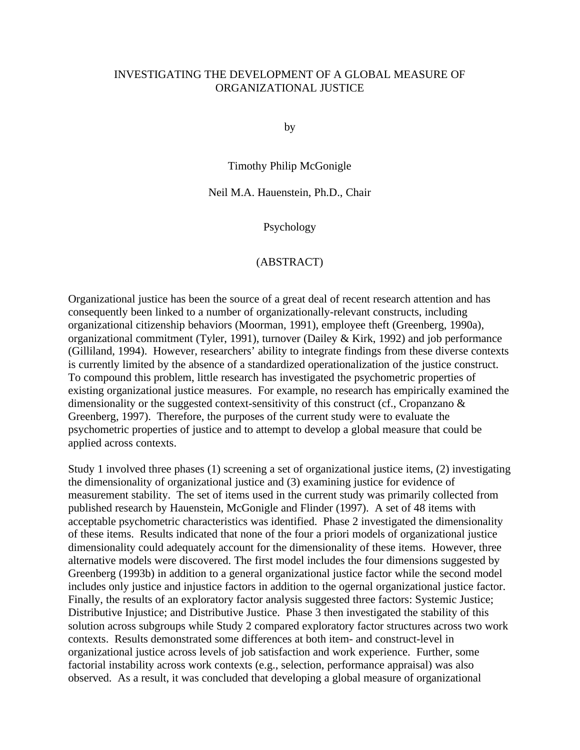# INVESTIGATING THE DEVELOPMENT OF A GLOBAL MEASURE OF ORGANIZATIONAL JUSTICE

by

Timothy Philip McGonigle

# Neil M.A. Hauenstein, Ph.D., Chair

Psychology

# (ABSTRACT)

Organizational justice has been the source of a great deal of recent research attention and has consequently been linked to a number of organizationally-relevant constructs, including organizational citizenship behaviors (Moorman, 1991), employee theft (Greenberg, 1990a), organizational commitment (Tyler, 1991), turnover (Dailey & Kirk, 1992) and job performance (Gilliland, 1994). However, researchers' ability to integrate findings from these diverse contexts is currently limited by the absence of a standardized operationalization of the justice construct. To compound this problem, little research has investigated the psychometric properties of existing organizational justice measures. For example, no research has empirically examined the dimensionality or the suggested context-sensitivity of this construct (cf., Cropanzano & Greenberg, 1997). Therefore, the purposes of the current study were to evaluate the psychometric properties of justice and to attempt to develop a global measure that could be applied across contexts.

Study 1 involved three phases (1) screening a set of organizational justice items, (2) investigating the dimensionality of organizational justice and (3) examining justice for evidence of measurement stability. The set of items used in the current study was primarily collected from published research by Hauenstein, McGonigle and Flinder (1997). A set of 48 items with acceptable psychometric characteristics was identified. Phase 2 investigated the dimensionality of these items. Results indicated that none of the four a priori models of organizational justice dimensionality could adequately account for the dimensionality of these items. However, three alternative models were discovered. The first model includes the four dimensions suggested by Greenberg (1993b) in addition to a general organizational justice factor while the second model includes only justice and injustice factors in addition to the ogernal organizational justice factor. Finally, the results of an exploratory factor analysis suggested three factors: Systemic Justice; Distributive Injustice; and Distributive Justice. Phase 3 then investigated the stability of this solution across subgroups while Study 2 compared exploratory factor structures across two work contexts. Results demonstrated some differences at both item- and construct-level in organizational justice across levels of job satisfaction and work experience. Further, some factorial instability across work contexts (e.g., selection, performance appraisal) was also observed. As a result, it was concluded that developing a global measure of organizational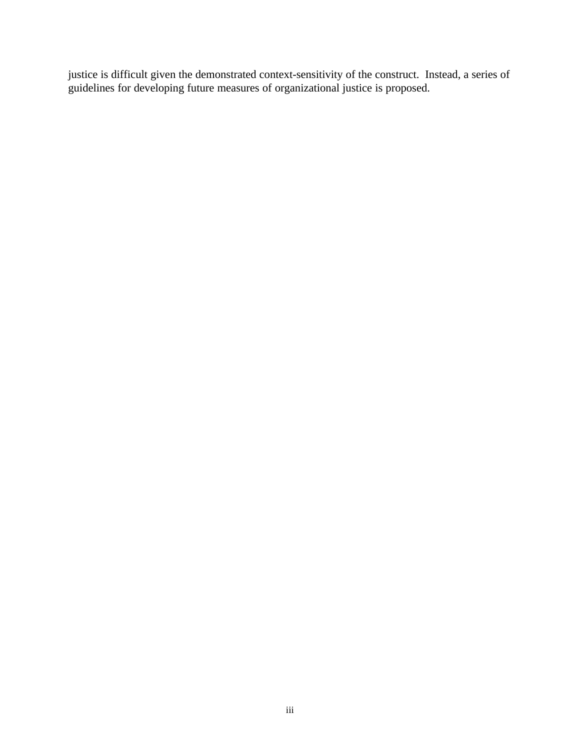justice is difficult given the demonstrated context-sensitivity of the construct. Instead, a series of guidelines for developing future measures of organizational justice is proposed.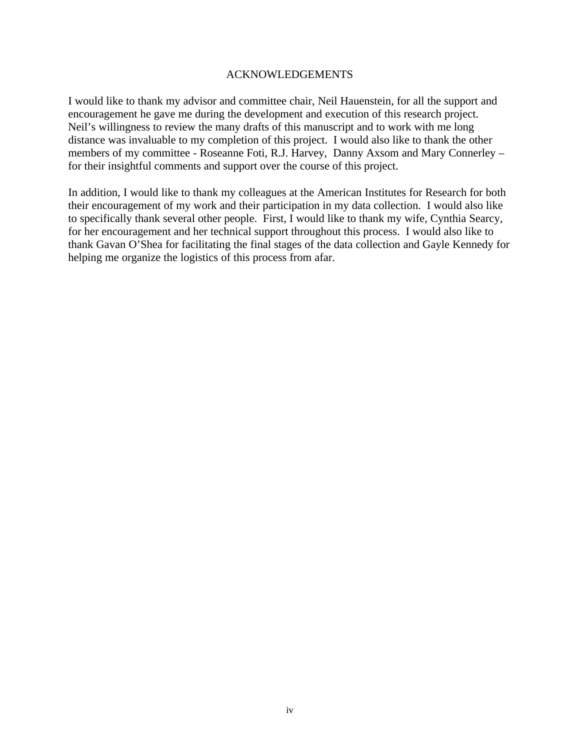# ACKNOWLEDGEMENTS

I would like to thank my advisor and committee chair, Neil Hauenstein, for all the support and encouragement he gave me during the development and execution of this research project. Neil's willingness to review the many drafts of this manuscript and to work with me long distance was invaluable to my completion of this project. I would also like to thank the other members of my committee - Roseanne Foti, R.J. Harvey, Danny Axsom and Mary Connerley – for their insightful comments and support over the course of this project.

In addition, I would like to thank my colleagues at the American Institutes for Research for both their encouragement of my work and their participation in my data collection. I would also like to specifically thank several other people. First, I would like to thank my wife, Cynthia Searcy, for her encouragement and her technical support throughout this process. I would also like to thank Gavan O'Shea for facilitating the final stages of the data collection and Gayle Kennedy for helping me organize the logistics of this process from afar.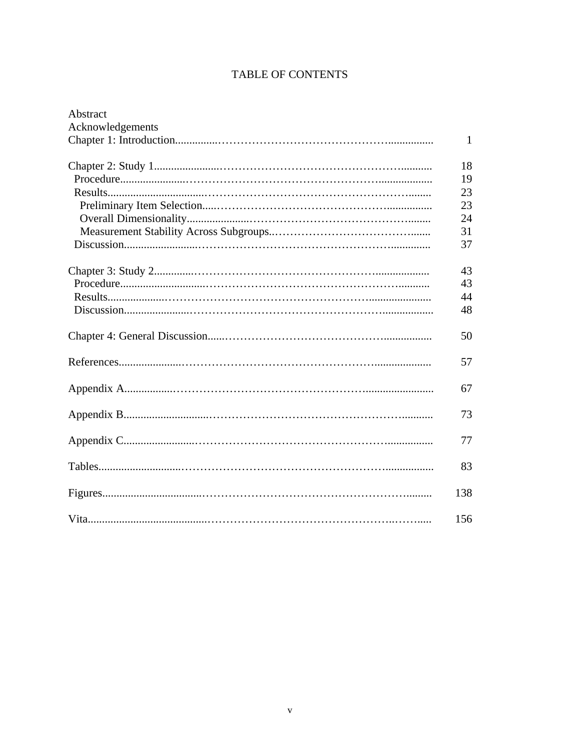# **TABLE OF CONTENTS**

| Abstract         |     |
|------------------|-----|
| Acknowledgements |     |
|                  | 1   |
|                  | 18  |
|                  | 19  |
|                  | 23  |
|                  | 23  |
|                  | 24  |
|                  | 31  |
|                  | 37  |
|                  | 43  |
|                  | 43  |
|                  | 44  |
|                  | 48  |
|                  | 50  |
|                  | 57  |
|                  | 67  |
|                  | 73  |
|                  | 77  |
|                  | 83  |
|                  | 138 |
|                  | 156 |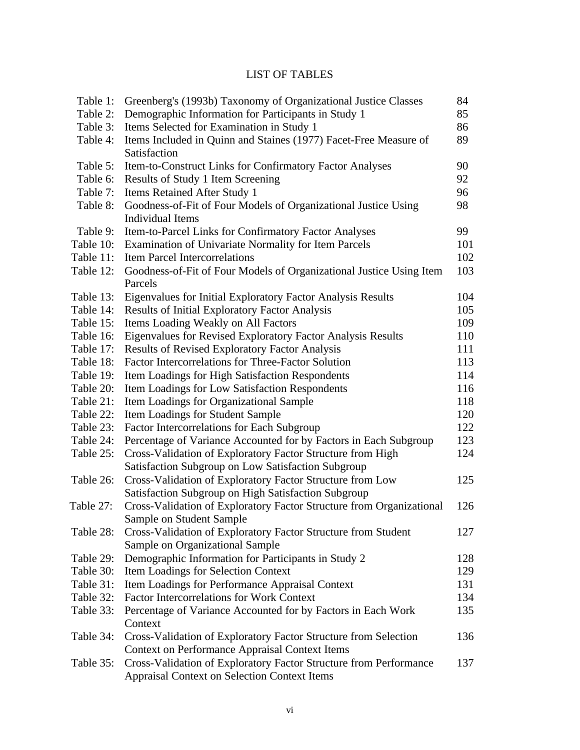# LIST OF TABLES

| Table 1:  | Greenberg's (1993b) Taxonomy of Organizational Justice Classes       | 84  |
|-----------|----------------------------------------------------------------------|-----|
| Table 2:  | Demographic Information for Participants in Study 1                  | 85  |
| Table 3:  | Items Selected for Examination in Study 1                            | 86  |
| Table 4:  | Items Included in Quinn and Staines (1977) Facet-Free Measure of     | 89  |
|           | Satisfaction                                                         |     |
| Table 5:  | Item-to-Construct Links for Confirmatory Factor Analyses             | 90  |
| Table 6:  | Results of Study 1 Item Screening                                    | 92  |
| Table 7:  | Items Retained After Study 1                                         | 96  |
| Table 8:  | Goodness-of-Fit of Four Models of Organizational Justice Using       | 98  |
|           | <b>Individual Items</b>                                              |     |
| Table 9:  | Item-to-Parcel Links for Confirmatory Factor Analyses                | 99  |
| Table 10: | Examination of Univariate Normality for Item Parcels                 | 101 |
| Table 11: | <b>Item Parcel Intercorrelations</b>                                 | 102 |
| Table 12: | Goodness-of-Fit of Four Models of Organizational Justice Using Item  | 103 |
|           | Parcels                                                              |     |
| Table 13: | Eigenvalues for Initial Exploratory Factor Analysis Results          | 104 |
| Table 14: | <b>Results of Initial Exploratory Factor Analysis</b>                | 105 |
| Table 15: | Items Loading Weakly on All Factors                                  | 109 |
| Table 16: | Eigenvalues for Revised Exploratory Factor Analysis Results          | 110 |
| Table 17: | <b>Results of Revised Exploratory Factor Analysis</b>                | 111 |
| Table 18: | Factor Intercorrelations for Three-Factor Solution                   | 113 |
| Table 19: | Item Loadings for High Satisfaction Respondents                      | 114 |
| Table 20: | Item Loadings for Low Satisfaction Respondents                       | 116 |
| Table 21: | Item Loadings for Organizational Sample                              | 118 |
| Table 22: | Item Loadings for Student Sample                                     | 120 |
| Table 23: | Factor Intercorrelations for Each Subgroup                           | 122 |
| Table 24: | Percentage of Variance Accounted for by Factors in Each Subgroup     | 123 |
| Table 25: | Cross-Validation of Exploratory Factor Structure from High           | 124 |
|           | Satisfaction Subgroup on Low Satisfaction Subgroup                   |     |
| Table 26: | Cross-Validation of Exploratory Factor Structure from Low            | 125 |
|           | Satisfaction Subgroup on High Satisfaction Subgroup                  |     |
| Table 27: | Cross-Validation of Exploratory Factor Structure from Organizational | 126 |
|           | Sample on Student Sample                                             |     |
| Table 28: | Cross-Validation of Exploratory Factor Structure from Student        | 127 |
|           | Sample on Organizational Sample                                      |     |
| Table 29: | Demographic Information for Participants in Study 2                  | 128 |
| Table 30: | Item Loadings for Selection Context                                  | 129 |
| Table 31: | Item Loadings for Performance Appraisal Context                      | 131 |
| Table 32: | <b>Factor Intercorrelations for Work Context</b>                     | 134 |
| Table 33: | Percentage of Variance Accounted for by Factors in Each Work         | 135 |
|           | Context                                                              |     |
| Table 34: | Cross-Validation of Exploratory Factor Structure from Selection      | 136 |
|           | <b>Context on Performance Appraisal Context Items</b>                |     |
| Table 35: | Cross-Validation of Exploratory Factor Structure from Performance    | 137 |
|           | <b>Appraisal Context on Selection Context Items</b>                  |     |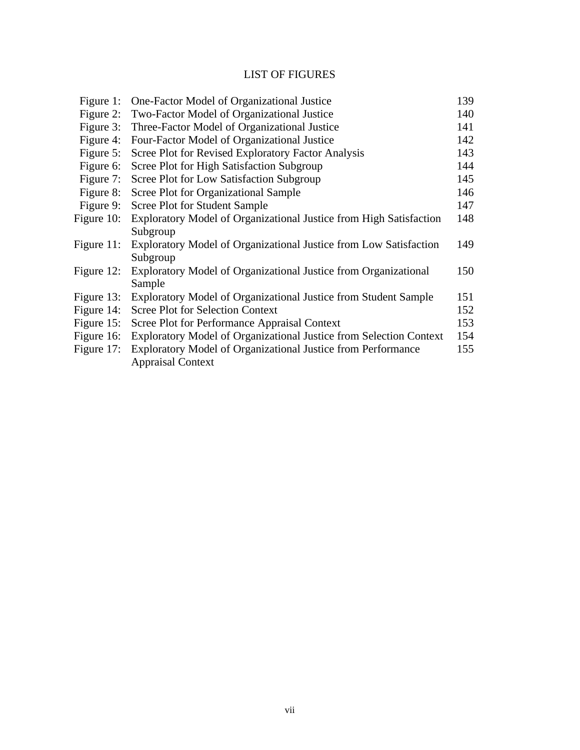# LIST OF FIGURES

| Figure 1:     | One-Factor Model of Organizational Justice                         | 139 |
|---------------|--------------------------------------------------------------------|-----|
| Figure 2:     | Two-Factor Model of Organizational Justice                         | 140 |
| Figure 3:     | Three-Factor Model of Organizational Justice                       | 141 |
| Figure 4:     | Four-Factor Model of Organizational Justice                        | 142 |
| Figure 5:     | Scree Plot for Revised Exploratory Factor Analysis                 | 143 |
| Figure 6:     | Scree Plot for High Satisfaction Subgroup                          | 144 |
| Figure 7:     | Scree Plot for Low Satisfaction Subgroup                           | 145 |
| Figure 8:     | Scree Plot for Organizational Sample                               | 146 |
| Figure 9:     | <b>Scree Plot for Student Sample</b>                               | 147 |
| Figure 10:    | Exploratory Model of Organizational Justice from High Satisfaction | 148 |
|               | Subgroup                                                           |     |
| Figure $11$ : | Exploratory Model of Organizational Justice from Low Satisfaction  | 149 |
|               | Subgroup                                                           |     |
| Figure $12$ : | Exploratory Model of Organizational Justice from Organizational    | 150 |
|               | Sample                                                             |     |
| Figure 13:    | Exploratory Model of Organizational Justice from Student Sample    | 151 |
| Figure 14:    | <b>Scree Plot for Selection Context</b>                            | 152 |
| Figure $15$ : | Scree Plot for Performance Appraisal Context                       | 153 |
| Figure 16:    | Exploratory Model of Organizational Justice from Selection Context | 154 |
| Figure 17:    | Exploratory Model of Organizational Justice from Performance       | 155 |
|               | <b>Appraisal Context</b>                                           |     |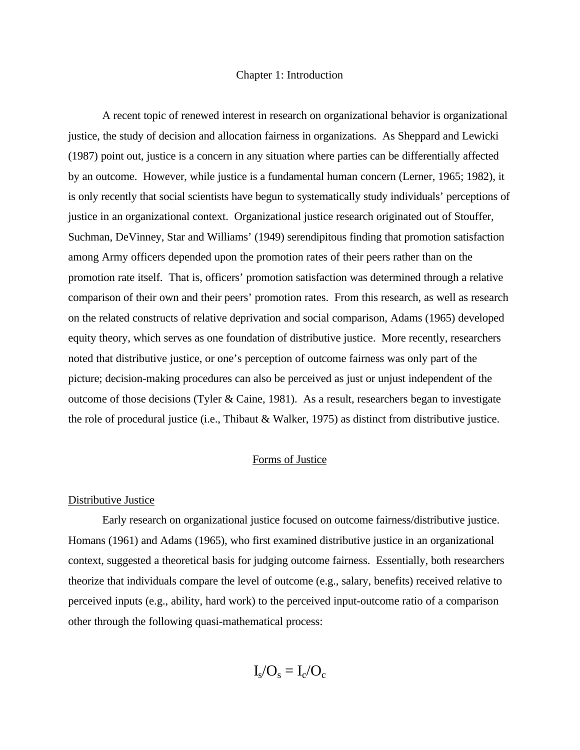#### Chapter 1: Introduction

A recent topic of renewed interest in research on organizational behavior is organizational justice, the study of decision and allocation fairness in organizations. As Sheppard and Lewicki (1987) point out, justice is a concern in any situation where parties can be differentially affected by an outcome. However, while justice is a fundamental human concern (Lerner, 1965; 1982), it is only recently that social scientists have begun to systematically study individuals' perceptions of justice in an organizational context. Organizational justice research originated out of Stouffer, Suchman, DeVinney, Star and Williams' (1949) serendipitous finding that promotion satisfaction among Army officers depended upon the promotion rates of their peers rather than on the promotion rate itself. That is, officers' promotion satisfaction was determined through a relative comparison of their own and their peers' promotion rates. From this research, as well as research on the related constructs of relative deprivation and social comparison, Adams (1965) developed equity theory, which serves as one foundation of distributive justice. More recently, researchers noted that distributive justice, or one's perception of outcome fairness was only part of the picture; decision-making procedures can also be perceived as just or unjust independent of the outcome of those decisions (Tyler & Caine, 1981). As a result, researchers began to investigate the role of procedural justice (i.e., Thibaut & Walker, 1975) as distinct from distributive justice.

## Forms of Justice

#### Distributive Justice

Early research on organizational justice focused on outcome fairness/distributive justice. Homans (1961) and Adams (1965), who first examined distributive justice in an organizational context, suggested a theoretical basis for judging outcome fairness. Essentially, both researchers theorize that individuals compare the level of outcome (e.g., salary, benefits) received relative to perceived inputs (e.g., ability, hard work) to the perceived input-outcome ratio of a comparison other through the following quasi-mathematical process:

 $I_s/O_s = I_c/O_c$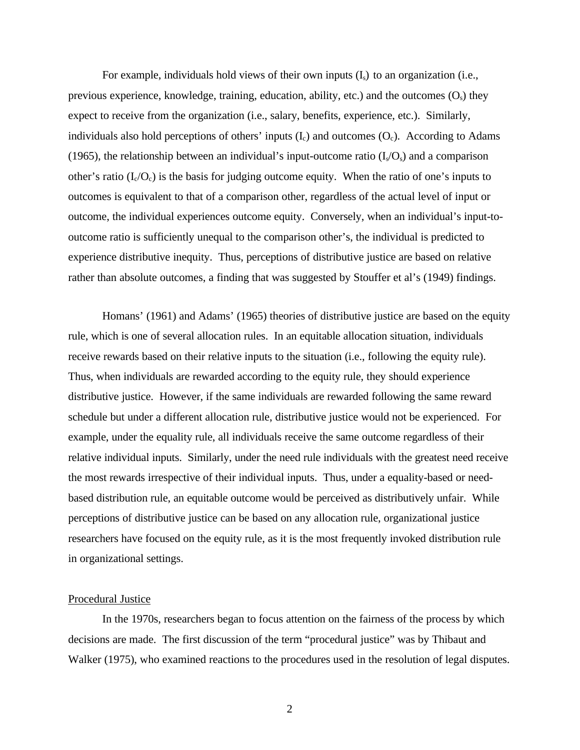For example, individuals hold views of their own inputs  $(I_s)$  to an organization (i.e., previous experience, knowledge, training, education, ability, etc.) and the outcomes  $(O_s)$  they expect to receive from the organization (i.e., salary, benefits, experience, etc.). Similarly, individuals also hold perceptions of others' inputs  $(I_c)$  and outcomes  $(O_c)$ . According to Adams (1965), the relationship between an individual's input-outcome ratio  $(I_s/O_s)$  and a comparison other's ratio  $(I_c/O_c)$  is the basis for judging outcome equity. When the ratio of one's inputs to outcomes is equivalent to that of a comparison other, regardless of the actual level of input or outcome, the individual experiences outcome equity. Conversely, when an individual's input-tooutcome ratio is sufficiently unequal to the comparison other's, the individual is predicted to experience distributive inequity. Thus, perceptions of distributive justice are based on relative rather than absolute outcomes, a finding that was suggested by Stouffer et al's (1949) findings.

Homans' (1961) and Adams' (1965) theories of distributive justice are based on the equity rule, which is one of several allocation rules. In an equitable allocation situation, individuals receive rewards based on their relative inputs to the situation (i.e., following the equity rule). Thus, when individuals are rewarded according to the equity rule, they should experience distributive justice. However, if the same individuals are rewarded following the same reward schedule but under a different allocation rule, distributive justice would not be experienced. For example, under the equality rule, all individuals receive the same outcome regardless of their relative individual inputs. Similarly, under the need rule individuals with the greatest need receive the most rewards irrespective of their individual inputs. Thus, under a equality-based or needbased distribution rule, an equitable outcome would be perceived as distributively unfair. While perceptions of distributive justice can be based on any allocation rule, organizational justice researchers have focused on the equity rule, as it is the most frequently invoked distribution rule in organizational settings.

## Procedural Justice

In the 1970s, researchers began to focus attention on the fairness of the process by which decisions are made. The first discussion of the term "procedural justice" was by Thibaut and Walker (1975), who examined reactions to the procedures used in the resolution of legal disputes.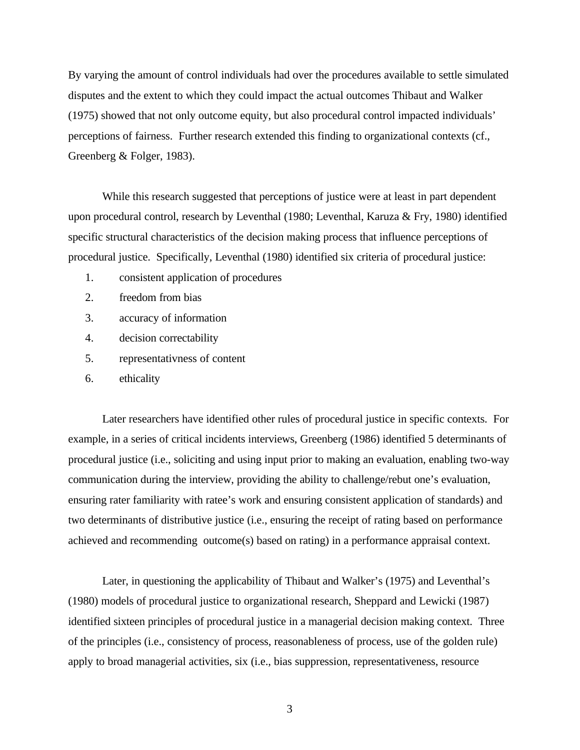By varying the amount of control individuals had over the procedures available to settle simulated disputes and the extent to which they could impact the actual outcomes Thibaut and Walker (1975) showed that not only outcome equity, but also procedural control impacted individuals' perceptions of fairness. Further research extended this finding to organizational contexts (cf., Greenberg & Folger, 1983).

While this research suggested that perceptions of justice were at least in part dependent upon procedural control, research by Leventhal (1980; Leventhal, Karuza & Fry, 1980) identified specific structural characteristics of the decision making process that influence perceptions of procedural justice. Specifically, Leventhal (1980) identified six criteria of procedural justice:

- 1. consistent application of procedures
- 2. freedom from bias
- 3. accuracy of information
- 4. decision correctability
- 5. representativness of content
- 6. ethicality

Later researchers have identified other rules of procedural justice in specific contexts. For example, in a series of critical incidents interviews, Greenberg (1986) identified 5 determinants of procedural justice (i.e., soliciting and using input prior to making an evaluation, enabling two-way communication during the interview, providing the ability to challenge/rebut one's evaluation, ensuring rater familiarity with ratee's work and ensuring consistent application of standards) and two determinants of distributive justice (i.e., ensuring the receipt of rating based on performance achieved and recommending outcome(s) based on rating) in a performance appraisal context.

Later, in questioning the applicability of Thibaut and Walker's (1975) and Leventhal's (1980) models of procedural justice to organizational research, Sheppard and Lewicki (1987) identified sixteen principles of procedural justice in a managerial decision making context. Three of the principles (i.e., consistency of process, reasonableness of process, use of the golden rule) apply to broad managerial activities, six (i.e., bias suppression, representativeness, resource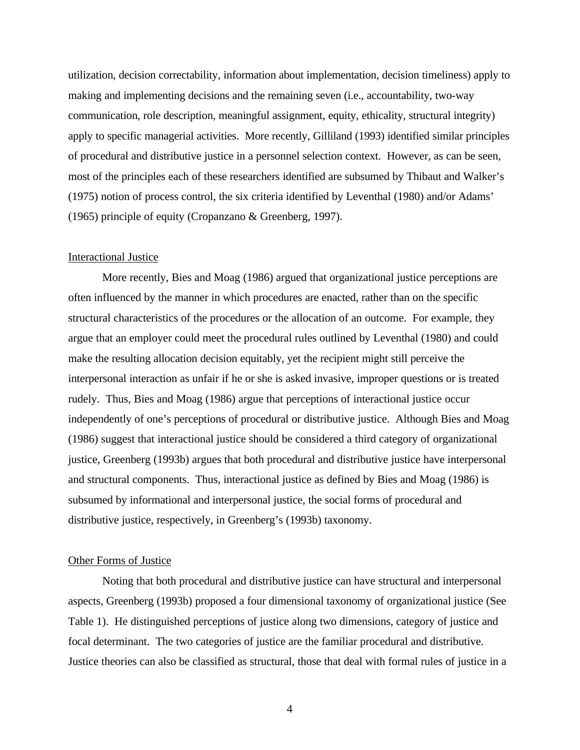utilization, decision correctability, information about implementation, decision timeliness) apply to making and implementing decisions and the remaining seven (i.e., accountability, two-way communication, role description, meaningful assignment, equity, ethicality, structural integrity) apply to specific managerial activities. More recently, Gilliland (1993) identified similar principles of procedural and distributive justice in a personnel selection context. However, as can be seen, most of the principles each of these researchers identified are subsumed by Thibaut and Walker's (1975) notion of process control, the six criteria identified by Leventhal (1980) and/or Adams' (1965) principle of equity (Cropanzano & Greenberg, 1997).

## Interactional Justice

More recently, Bies and Moag (1986) argued that organizational justice perceptions are often influenced by the manner in which procedures are enacted, rather than on the specific structural characteristics of the procedures or the allocation of an outcome. For example, they argue that an employer could meet the procedural rules outlined by Leventhal (1980) and could make the resulting allocation decision equitably, yet the recipient might still perceive the interpersonal interaction as unfair if he or she is asked invasive, improper questions or is treated rudely. Thus, Bies and Moag (1986) argue that perceptions of interactional justice occur independently of one's perceptions of procedural or distributive justice. Although Bies and Moag (1986) suggest that interactional justice should be considered a third category of organizational justice, Greenberg (1993b) argues that both procedural and distributive justice have interpersonal and structural components. Thus, interactional justice as defined by Bies and Moag (1986) is subsumed by informational and interpersonal justice, the social forms of procedural and distributive justice, respectively, in Greenberg's (1993b) taxonomy.

## Other Forms of Justice

Noting that both procedural and distributive justice can have structural and interpersonal aspects, Greenberg (1993b) proposed a four dimensional taxonomy of organizational justice (See Table 1). He distinguished perceptions of justice along two dimensions, category of justice and focal determinant. The two categories of justice are the familiar procedural and distributive. Justice theories can also be classified as structural, those that deal with formal rules of justice in a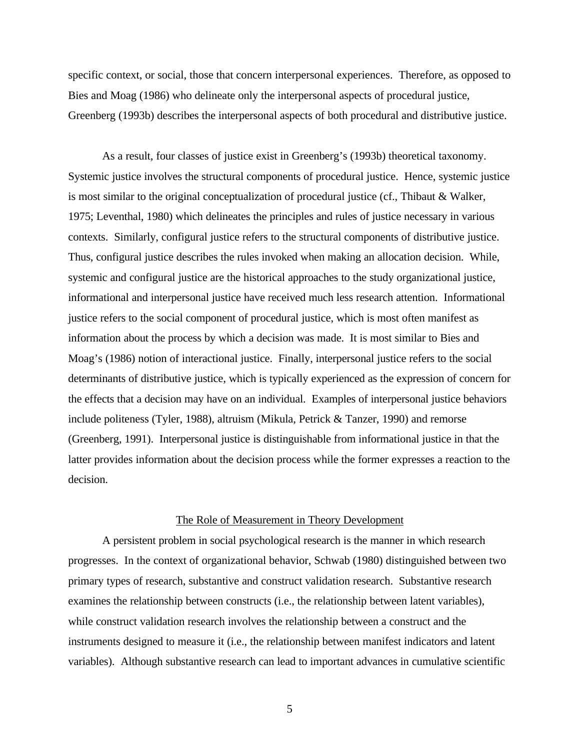specific context, or social, those that concern interpersonal experiences. Therefore, as opposed to Bies and Moag (1986) who delineate only the interpersonal aspects of procedural justice, Greenberg (1993b) describes the interpersonal aspects of both procedural and distributive justice.

As a result, four classes of justice exist in Greenberg's (1993b) theoretical taxonomy. Systemic justice involves the structural components of procedural justice. Hence, systemic justice is most similar to the original conceptualization of procedural justice (cf., Thibaut & Walker, 1975; Leventhal, 1980) which delineates the principles and rules of justice necessary in various contexts. Similarly, configural justice refers to the structural components of distributive justice. Thus, configural justice describes the rules invoked when making an allocation decision. While, systemic and configural justice are the historical approaches to the study organizational justice, informational and interpersonal justice have received much less research attention. Informational justice refers to the social component of procedural justice, which is most often manifest as information about the process by which a decision was made. It is most similar to Bies and Moag's (1986) notion of interactional justice. Finally, interpersonal justice refers to the social determinants of distributive justice, which is typically experienced as the expression of concern for the effects that a decision may have on an individual. Examples of interpersonal justice behaviors include politeness (Tyler, 1988), altruism (Mikula, Petrick & Tanzer, 1990) and remorse (Greenberg, 1991). Interpersonal justice is distinguishable from informational justice in that the latter provides information about the decision process while the former expresses a reaction to the decision.

## The Role of Measurement in Theory Development

A persistent problem in social psychological research is the manner in which research progresses. In the context of organizational behavior, Schwab (1980) distinguished between two primary types of research, substantive and construct validation research. Substantive research examines the relationship between constructs (i.e., the relationship between latent variables), while construct validation research involves the relationship between a construct and the instruments designed to measure it (i.e., the relationship between manifest indicators and latent variables). Although substantive research can lead to important advances in cumulative scientific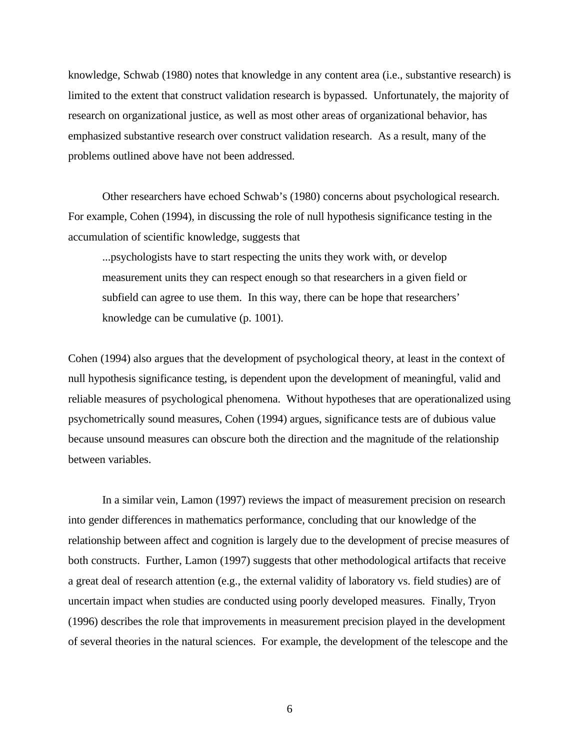knowledge, Schwab (1980) notes that knowledge in any content area (i.e., substantive research) is limited to the extent that construct validation research is bypassed. Unfortunately, the majority of research on organizational justice, as well as most other areas of organizational behavior, has emphasized substantive research over construct validation research. As a result, many of the problems outlined above have not been addressed.

Other researchers have echoed Schwab's (1980) concerns about psychological research. For example, Cohen (1994), in discussing the role of null hypothesis significance testing in the accumulation of scientific knowledge, suggests that

...psychologists have to start respecting the units they work with, or develop measurement units they can respect enough so that researchers in a given field or subfield can agree to use them. In this way, there can be hope that researchers' knowledge can be cumulative (p. 1001).

Cohen (1994) also argues that the development of psychological theory, at least in the context of null hypothesis significance testing, is dependent upon the development of meaningful, valid and reliable measures of psychological phenomena. Without hypotheses that are operationalized using psychometrically sound measures, Cohen (1994) argues, significance tests are of dubious value because unsound measures can obscure both the direction and the magnitude of the relationship between variables.

In a similar vein, Lamon (1997) reviews the impact of measurement precision on research into gender differences in mathematics performance, concluding that our knowledge of the relationship between affect and cognition is largely due to the development of precise measures of both constructs. Further, Lamon (1997) suggests that other methodological artifacts that receive a great deal of research attention (e.g., the external validity of laboratory vs. field studies) are of uncertain impact when studies are conducted using poorly developed measures. Finally, Tryon (1996) describes the role that improvements in measurement precision played in the development of several theories in the natural sciences. For example, the development of the telescope and the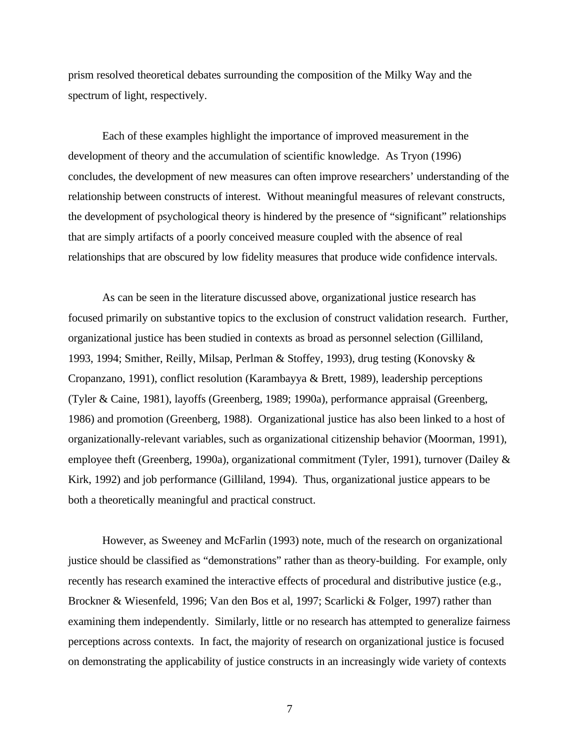prism resolved theoretical debates surrounding the composition of the Milky Way and the spectrum of light, respectively.

Each of these examples highlight the importance of improved measurement in the development of theory and the accumulation of scientific knowledge. As Tryon (1996) concludes, the development of new measures can often improve researchers' understanding of the relationship between constructs of interest. Without meaningful measures of relevant constructs, the development of psychological theory is hindered by the presence of "significant" relationships that are simply artifacts of a poorly conceived measure coupled with the absence of real relationships that are obscured by low fidelity measures that produce wide confidence intervals.

As can be seen in the literature discussed above, organizational justice research has focused primarily on substantive topics to the exclusion of construct validation research. Further, organizational justice has been studied in contexts as broad as personnel selection (Gilliland, 1993, 1994; Smither, Reilly, Milsap, Perlman & Stoffey, 1993), drug testing (Konovsky & Cropanzano, 1991), conflict resolution (Karambayya & Brett, 1989), leadership perceptions (Tyler & Caine, 1981), layoffs (Greenberg, 1989; 1990a), performance appraisal (Greenberg, 1986) and promotion (Greenberg, 1988). Organizational justice has also been linked to a host of organizationally-relevant variables, such as organizational citizenship behavior (Moorman, 1991), employee theft (Greenberg, 1990a), organizational commitment (Tyler, 1991), turnover (Dailey & Kirk, 1992) and job performance (Gilliland, 1994). Thus, organizational justice appears to be both a theoretically meaningful and practical construct.

However, as Sweeney and McFarlin (1993) note, much of the research on organizational justice should be classified as "demonstrations" rather than as theory-building. For example, only recently has research examined the interactive effects of procedural and distributive justice (e.g., Brockner & Wiesenfeld, 1996; Van den Bos et al, 1997; Scarlicki & Folger, 1997) rather than examining them independently. Similarly, little or no research has attempted to generalize fairness perceptions across contexts. In fact, the majority of research on organizational justice is focused on demonstrating the applicability of justice constructs in an increasingly wide variety of contexts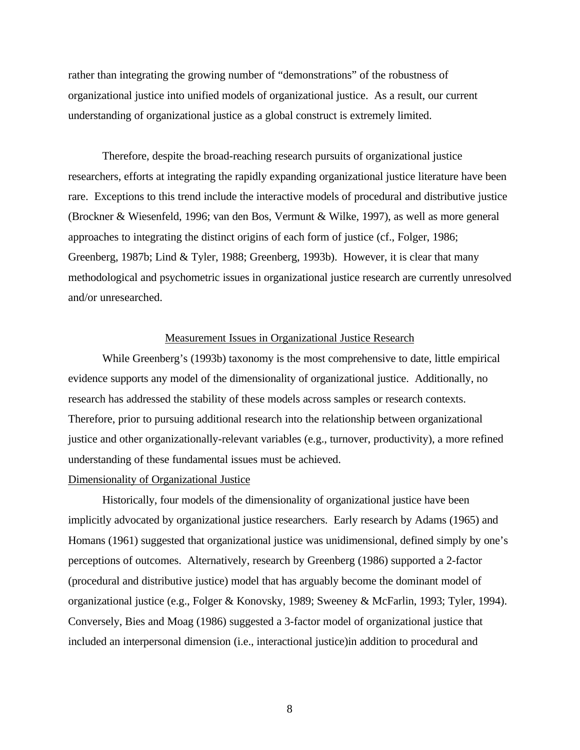rather than integrating the growing number of "demonstrations" of the robustness of organizational justice into unified models of organizational justice. As a result, our current understanding of organizational justice as a global construct is extremely limited.

Therefore, despite the broad-reaching research pursuits of organizational justice researchers, efforts at integrating the rapidly expanding organizational justice literature have been rare. Exceptions to this trend include the interactive models of procedural and distributive justice (Brockner & Wiesenfeld, 1996; van den Bos, Vermunt & Wilke, 1997), as well as more general approaches to integrating the distinct origins of each form of justice (cf., Folger, 1986; Greenberg, 1987b; Lind & Tyler, 1988; Greenberg, 1993b). However, it is clear that many methodological and psychometric issues in organizational justice research are currently unresolved and/or unresearched.

## Measurement Issues in Organizational Justice Research

While Greenberg's (1993b) taxonomy is the most comprehensive to date, little empirical evidence supports any model of the dimensionality of organizational justice. Additionally, no research has addressed the stability of these models across samples or research contexts. Therefore, prior to pursuing additional research into the relationship between organizational justice and other organizationally-relevant variables (e.g., turnover, productivity), a more refined understanding of these fundamental issues must be achieved.

### Dimensionality of Organizational Justice

Historically, four models of the dimensionality of organizational justice have been implicitly advocated by organizational justice researchers. Early research by Adams (1965) and Homans (1961) suggested that organizational justice was unidimensional, defined simply by one's perceptions of outcomes. Alternatively, research by Greenberg (1986) supported a 2-factor (procedural and distributive justice) model that has arguably become the dominant model of organizational justice (e.g., Folger & Konovsky, 1989; Sweeney & McFarlin, 1993; Tyler, 1994). Conversely, Bies and Moag (1986) suggested a 3-factor model of organizational justice that included an interpersonal dimension (i.e., interactional justice)in addition to procedural and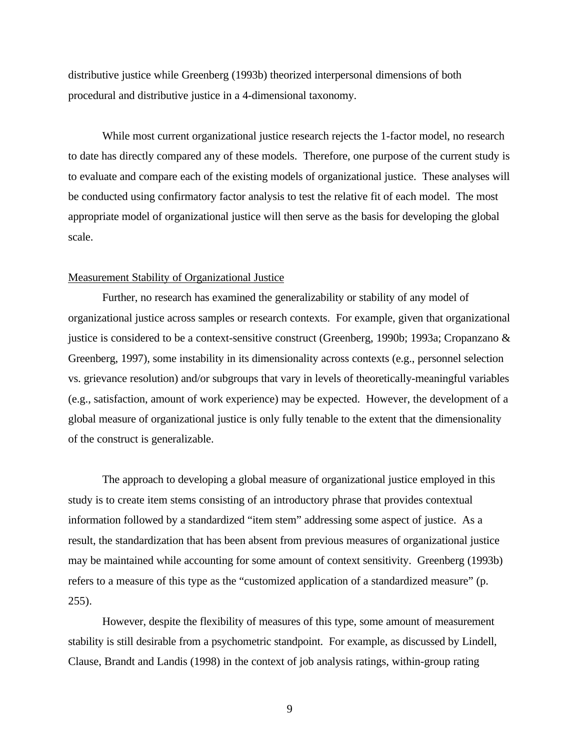distributive justice while Greenberg (1993b) theorized interpersonal dimensions of both procedural and distributive justice in a 4-dimensional taxonomy.

While most current organizational justice research rejects the 1-factor model, no research to date has directly compared any of these models. Therefore, one purpose of the current study is to evaluate and compare each of the existing models of organizational justice. These analyses will be conducted using confirmatory factor analysis to test the relative fit of each model. The most appropriate model of organizational justice will then serve as the basis for developing the global scale.

## Measurement Stability of Organizational Justice

Further, no research has examined the generalizability or stability of any model of organizational justice across samples or research contexts. For example, given that organizational justice is considered to be a context-sensitive construct (Greenberg, 1990b; 1993a; Cropanzano & Greenberg, 1997), some instability in its dimensionality across contexts (e.g., personnel selection vs. grievance resolution) and/or subgroups that vary in levels of theoretically-meaningful variables (e.g., satisfaction, amount of work experience) may be expected. However, the development of a global measure of organizational justice is only fully tenable to the extent that the dimensionality of the construct is generalizable.

The approach to developing a global measure of organizational justice employed in this study is to create item stems consisting of an introductory phrase that provides contextual information followed by a standardized "item stem" addressing some aspect of justice. As a result, the standardization that has been absent from previous measures of organizational justice may be maintained while accounting for some amount of context sensitivity. Greenberg (1993b) refers to a measure of this type as the "customized application of a standardized measure" (p. 255).

However, despite the flexibility of measures of this type, some amount of measurement stability is still desirable from a psychometric standpoint. For example, as discussed by Lindell, Clause, Brandt and Landis (1998) in the context of job analysis ratings, within-group rating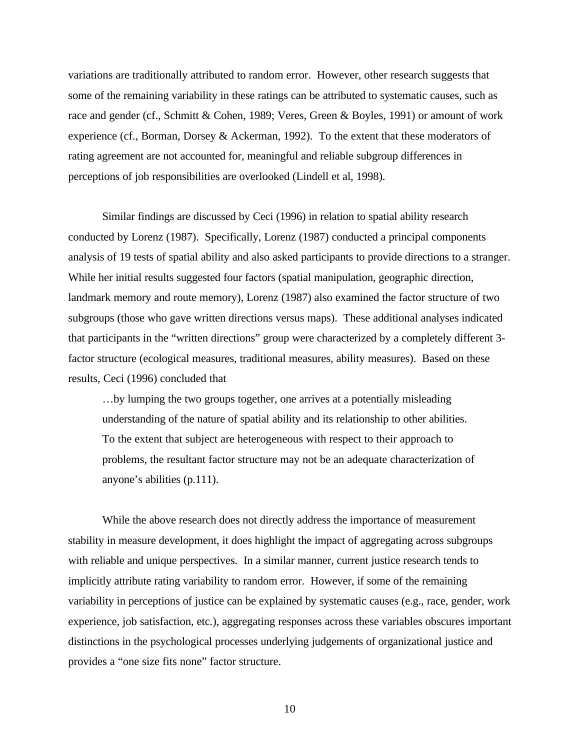variations are traditionally attributed to random error. However, other research suggests that some of the remaining variability in these ratings can be attributed to systematic causes, such as race and gender (cf., Schmitt & Cohen, 1989; Veres, Green & Boyles, 1991) or amount of work experience (cf., Borman, Dorsey & Ackerman, 1992). To the extent that these moderators of rating agreement are not accounted for, meaningful and reliable subgroup differences in perceptions of job responsibilities are overlooked (Lindell et al, 1998).

Similar findings are discussed by Ceci (1996) in relation to spatial ability research conducted by Lorenz (1987). Specifically, Lorenz (1987) conducted a principal components analysis of 19 tests of spatial ability and also asked participants to provide directions to a stranger. While her initial results suggested four factors (spatial manipulation, geographic direction, landmark memory and route memory), Lorenz (1987) also examined the factor structure of two subgroups (those who gave written directions versus maps). These additional analyses indicated that participants in the "written directions" group were characterized by a completely different 3 factor structure (ecological measures, traditional measures, ability measures). Based on these results, Ceci (1996) concluded that

…by lumping the two groups together, one arrives at a potentially misleading understanding of the nature of spatial ability and its relationship to other abilities. To the extent that subject are heterogeneous with respect to their approach to problems, the resultant factor structure may not be an adequate characterization of anyone's abilities (p.111).

While the above research does not directly address the importance of measurement stability in measure development, it does highlight the impact of aggregating across subgroups with reliable and unique perspectives. In a similar manner, current justice research tends to implicitly attribute rating variability to random error. However, if some of the remaining variability in perceptions of justice can be explained by systematic causes (e.g., race, gender, work experience, job satisfaction, etc.), aggregating responses across these variables obscures important distinctions in the psychological processes underlying judgements of organizational justice and provides a "one size fits none" factor structure.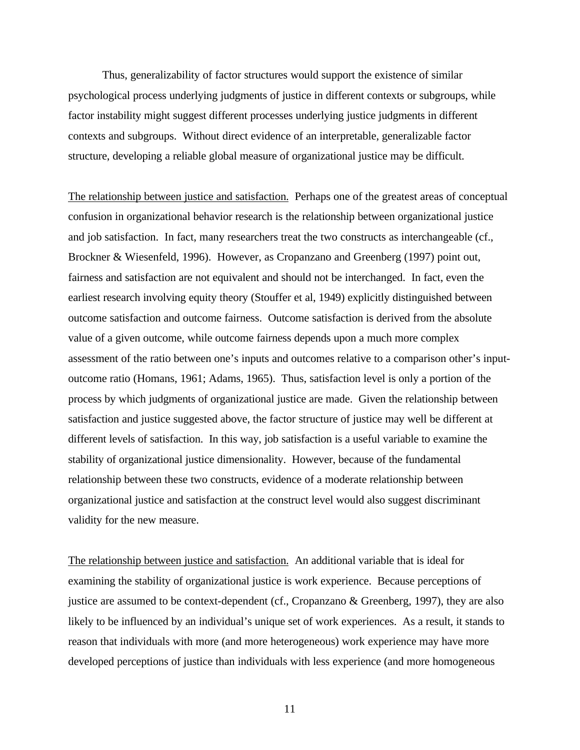Thus, generalizability of factor structures would support the existence of similar psychological process underlying judgments of justice in different contexts or subgroups, while factor instability might suggest different processes underlying justice judgments in different contexts and subgroups. Without direct evidence of an interpretable, generalizable factor structure, developing a reliable global measure of organizational justice may be difficult.

The relationship between justice and satisfaction. Perhaps one of the greatest areas of conceptual confusion in organizational behavior research is the relationship between organizational justice and job satisfaction. In fact, many researchers treat the two constructs as interchangeable (cf., Brockner & Wiesenfeld, 1996). However, as Cropanzano and Greenberg (1997) point out, fairness and satisfaction are not equivalent and should not be interchanged. In fact, even the earliest research involving equity theory (Stouffer et al, 1949) explicitly distinguished between outcome satisfaction and outcome fairness. Outcome satisfaction is derived from the absolute value of a given outcome, while outcome fairness depends upon a much more complex assessment of the ratio between one's inputs and outcomes relative to a comparison other's inputoutcome ratio (Homans, 1961; Adams, 1965). Thus, satisfaction level is only a portion of the process by which judgments of organizational justice are made. Given the relationship between satisfaction and justice suggested above, the factor structure of justice may well be different at different levels of satisfaction. In this way, job satisfaction is a useful variable to examine the stability of organizational justice dimensionality. However, because of the fundamental relationship between these two constructs, evidence of a moderate relationship between organizational justice and satisfaction at the construct level would also suggest discriminant validity for the new measure.

The relationship between justice and satisfaction. An additional variable that is ideal for examining the stability of organizational justice is work experience. Because perceptions of justice are assumed to be context-dependent (cf., Cropanzano & Greenberg, 1997), they are also likely to be influenced by an individual's unique set of work experiences. As a result, it stands to reason that individuals with more (and more heterogeneous) work experience may have more developed perceptions of justice than individuals with less experience (and more homogeneous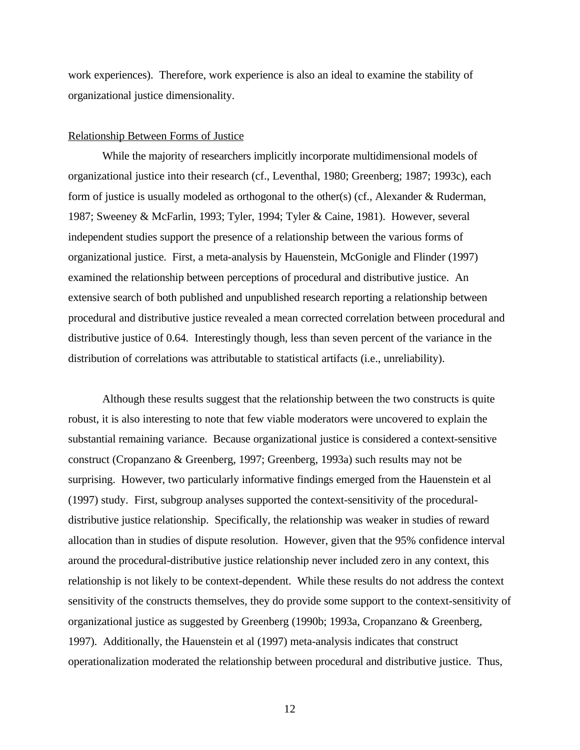work experiences). Therefore, work experience is also an ideal to examine the stability of organizational justice dimensionality.

## Relationship Between Forms of Justice

While the majority of researchers implicitly incorporate multidimensional models of organizational justice into their research (cf., Leventhal, 1980; Greenberg; 1987; 1993c), each form of justice is usually modeled as orthogonal to the other(s) (cf., Alexander & Ruderman, 1987; Sweeney & McFarlin, 1993; Tyler, 1994; Tyler & Caine, 1981). However, several independent studies support the presence of a relationship between the various forms of organizational justice. First, a meta-analysis by Hauenstein, McGonigle and Flinder (1997) examined the relationship between perceptions of procedural and distributive justice. An extensive search of both published and unpublished research reporting a relationship between procedural and distributive justice revealed a mean corrected correlation between procedural and distributive justice of 0.64. Interestingly though, less than seven percent of the variance in the distribution of correlations was attributable to statistical artifacts (i.e., unreliability).

Although these results suggest that the relationship between the two constructs is quite robust, it is also interesting to note that few viable moderators were uncovered to explain the substantial remaining variance. Because organizational justice is considered a context-sensitive construct (Cropanzano & Greenberg, 1997; Greenberg, 1993a) such results may not be surprising. However, two particularly informative findings emerged from the Hauenstein et al (1997) study. First, subgroup analyses supported the context-sensitivity of the proceduraldistributive justice relationship. Specifically, the relationship was weaker in studies of reward allocation than in studies of dispute resolution. However, given that the 95% confidence interval around the procedural-distributive justice relationship never included zero in any context, this relationship is not likely to be context-dependent. While these results do not address the context sensitivity of the constructs themselves, they do provide some support to the context-sensitivity of organizational justice as suggested by Greenberg (1990b; 1993a, Cropanzano & Greenberg, 1997). Additionally, the Hauenstein et al (1997) meta-analysis indicates that construct operationalization moderated the relationship between procedural and distributive justice. Thus,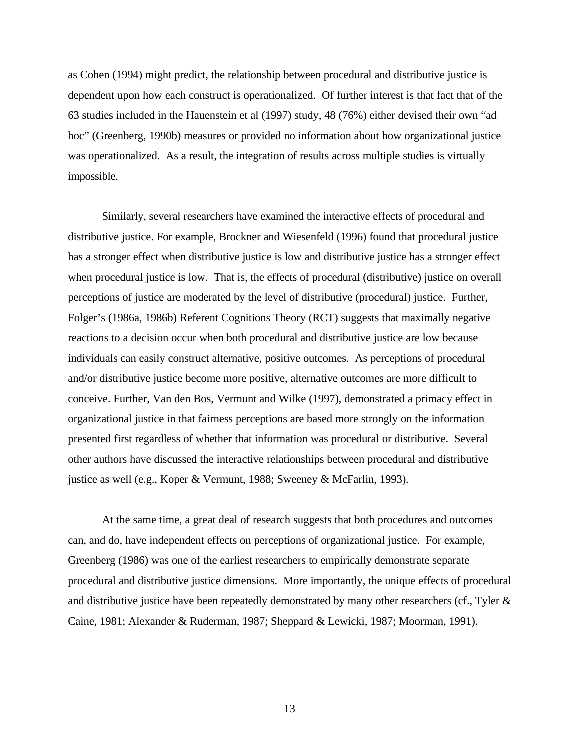as Cohen (1994) might predict, the relationship between procedural and distributive justice is dependent upon how each construct is operationalized. Of further interest is that fact that of the 63 studies included in the Hauenstein et al (1997) study, 48 (76%) either devised their own "ad hoc" (Greenberg, 1990b) measures or provided no information about how organizational justice was operationalized. As a result, the integration of results across multiple studies is virtually impossible.

Similarly, several researchers have examined the interactive effects of procedural and distributive justice. For example, Brockner and Wiesenfeld (1996) found that procedural justice has a stronger effect when distributive justice is low and distributive justice has a stronger effect when procedural justice is low. That is, the effects of procedural (distributive) justice on overall perceptions of justice are moderated by the level of distributive (procedural) justice. Further, Folger's (1986a, 1986b) Referent Cognitions Theory (RCT) suggests that maximally negative reactions to a decision occur when both procedural and distributive justice are low because individuals can easily construct alternative, positive outcomes. As perceptions of procedural and/or distributive justice become more positive, alternative outcomes are more difficult to conceive. Further, Van den Bos, Vermunt and Wilke (1997), demonstrated a primacy effect in organizational justice in that fairness perceptions are based more strongly on the information presented first regardless of whether that information was procedural or distributive. Several other authors have discussed the interactive relationships between procedural and distributive justice as well (e.g., Koper & Vermunt, 1988; Sweeney & McFarlin, 1993).

At the same time, a great deal of research suggests that both procedures and outcomes can, and do, have independent effects on perceptions of organizational justice. For example, Greenberg (1986) was one of the earliest researchers to empirically demonstrate separate procedural and distributive justice dimensions. More importantly, the unique effects of procedural and distributive justice have been repeatedly demonstrated by many other researchers (cf., Tyler & Caine, 1981; Alexander & Ruderman, 1987; Sheppard & Lewicki, 1987; Moorman, 1991).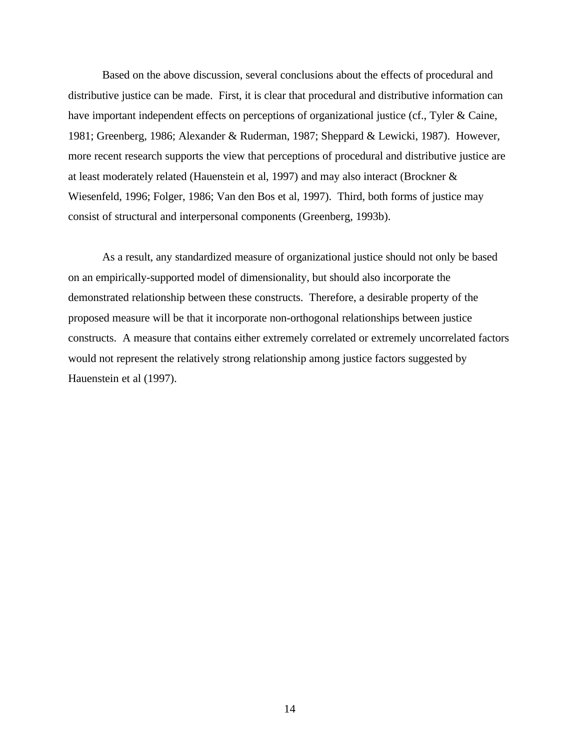Based on the above discussion, several conclusions about the effects of procedural and distributive justice can be made. First, it is clear that procedural and distributive information can have important independent effects on perceptions of organizational justice (cf., Tyler & Caine, 1981; Greenberg, 1986; Alexander & Ruderman, 1987; Sheppard & Lewicki, 1987). However, more recent research supports the view that perceptions of procedural and distributive justice are at least moderately related (Hauenstein et al, 1997) and may also interact (Brockner & Wiesenfeld, 1996; Folger, 1986; Van den Bos et al, 1997). Third, both forms of justice may consist of structural and interpersonal components (Greenberg, 1993b).

As a result, any standardized measure of organizational justice should not only be based on an empirically-supported model of dimensionality, but should also incorporate the demonstrated relationship between these constructs. Therefore, a desirable property of the proposed measure will be that it incorporate non-orthogonal relationships between justice constructs. A measure that contains either extremely correlated or extremely uncorrelated factors would not represent the relatively strong relationship among justice factors suggested by Hauenstein et al (1997).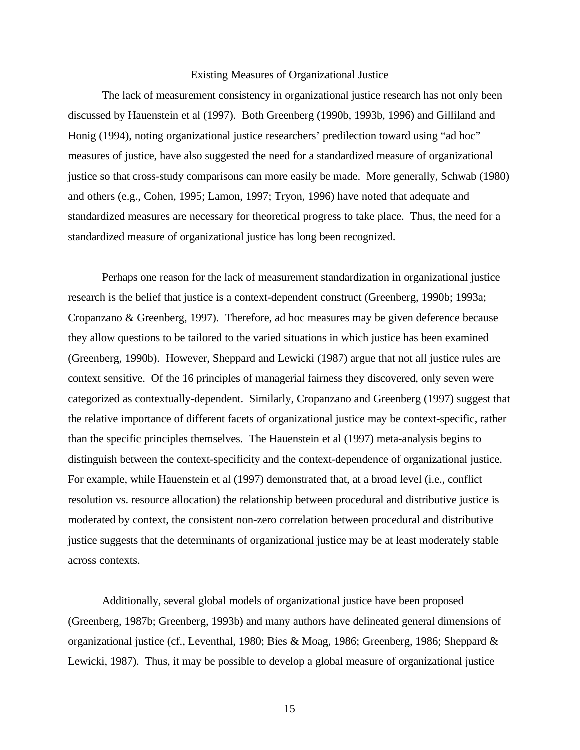#### Existing Measures of Organizational Justice

The lack of measurement consistency in organizational justice research has not only been discussed by Hauenstein et al (1997). Both Greenberg (1990b, 1993b, 1996) and Gilliland and Honig (1994), noting organizational justice researchers' predilection toward using "ad hoc" measures of justice, have also suggested the need for a standardized measure of organizational justice so that cross-study comparisons can more easily be made. More generally, Schwab (1980) and others (e.g., Cohen, 1995; Lamon, 1997; Tryon, 1996) have noted that adequate and standardized measures are necessary for theoretical progress to take place. Thus, the need for a standardized measure of organizational justice has long been recognized.

Perhaps one reason for the lack of measurement standardization in organizational justice research is the belief that justice is a context-dependent construct (Greenberg, 1990b; 1993a; Cropanzano & Greenberg, 1997). Therefore, ad hoc measures may be given deference because they allow questions to be tailored to the varied situations in which justice has been examined (Greenberg, 1990b). However, Sheppard and Lewicki (1987) argue that not all justice rules are context sensitive. Of the 16 principles of managerial fairness they discovered, only seven were categorized as contextually-dependent. Similarly, Cropanzano and Greenberg (1997) suggest that the relative importance of different facets of organizational justice may be context-specific, rather than the specific principles themselves. The Hauenstein et al (1997) meta-analysis begins to distinguish between the context-specificity and the context-dependence of organizational justice. For example, while Hauenstein et al (1997) demonstrated that, at a broad level (i.e., conflict resolution vs. resource allocation) the relationship between procedural and distributive justice is moderated by context, the consistent non-zero correlation between procedural and distributive justice suggests that the determinants of organizational justice may be at least moderately stable across contexts.

Additionally, several global models of organizational justice have been proposed (Greenberg, 1987b; Greenberg, 1993b) and many authors have delineated general dimensions of organizational justice (cf., Leventhal, 1980; Bies & Moag, 1986; Greenberg, 1986; Sheppard & Lewicki, 1987). Thus, it may be possible to develop a global measure of organizational justice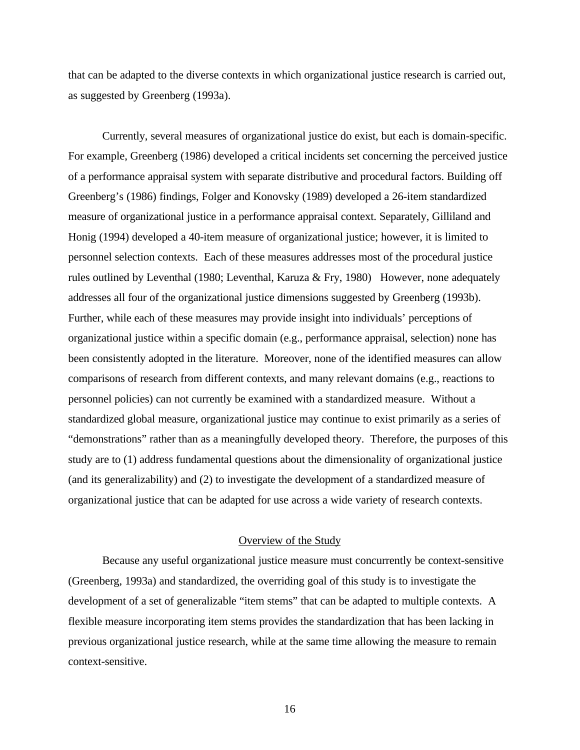that can be adapted to the diverse contexts in which organizational justice research is carried out, as suggested by Greenberg (1993a).

Currently, several measures of organizational justice do exist, but each is domain-specific. For example, Greenberg (1986) developed a critical incidents set concerning the perceived justice of a performance appraisal system with separate distributive and procedural factors. Building off Greenberg's (1986) findings, Folger and Konovsky (1989) developed a 26-item standardized measure of organizational justice in a performance appraisal context. Separately, Gilliland and Honig (1994) developed a 40-item measure of organizational justice; however, it is limited to personnel selection contexts. Each of these measures addresses most of the procedural justice rules outlined by Leventhal (1980; Leventhal, Karuza & Fry, 1980) However, none adequately addresses all four of the organizational justice dimensions suggested by Greenberg (1993b). Further, while each of these measures may provide insight into individuals' perceptions of organizational justice within a specific domain (e.g., performance appraisal, selection) none has been consistently adopted in the literature. Moreover, none of the identified measures can allow comparisons of research from different contexts, and many relevant domains (e.g., reactions to personnel policies) can not currently be examined with a standardized measure. Without a standardized global measure, organizational justice may continue to exist primarily as a series of "demonstrations" rather than as a meaningfully developed theory. Therefore, the purposes of this study are to (1) address fundamental questions about the dimensionality of organizational justice (and its generalizability) and (2) to investigate the development of a standardized measure of organizational justice that can be adapted for use across a wide variety of research contexts.

#### Overview of the Study

Because any useful organizational justice measure must concurrently be context-sensitive (Greenberg, 1993a) and standardized, the overriding goal of this study is to investigate the development of a set of generalizable "item stems" that can be adapted to multiple contexts. A flexible measure incorporating item stems provides the standardization that has been lacking in previous organizational justice research, while at the same time allowing the measure to remain context-sensitive.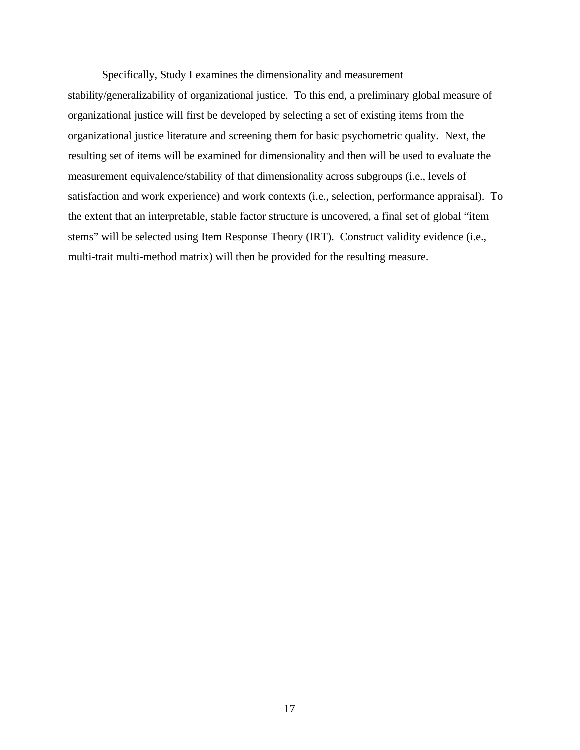Specifically, Study I examines the dimensionality and measurement

stability/generalizability of organizational justice. To this end, a preliminary global measure of organizational justice will first be developed by selecting a set of existing items from the organizational justice literature and screening them for basic psychometric quality. Next, the resulting set of items will be examined for dimensionality and then will be used to evaluate the measurement equivalence/stability of that dimensionality across subgroups (i.e., levels of satisfaction and work experience) and work contexts (i.e., selection, performance appraisal). To the extent that an interpretable, stable factor structure is uncovered, a final set of global "item stems" will be selected using Item Response Theory (IRT). Construct validity evidence (i.e., multi-trait multi-method matrix) will then be provided for the resulting measure.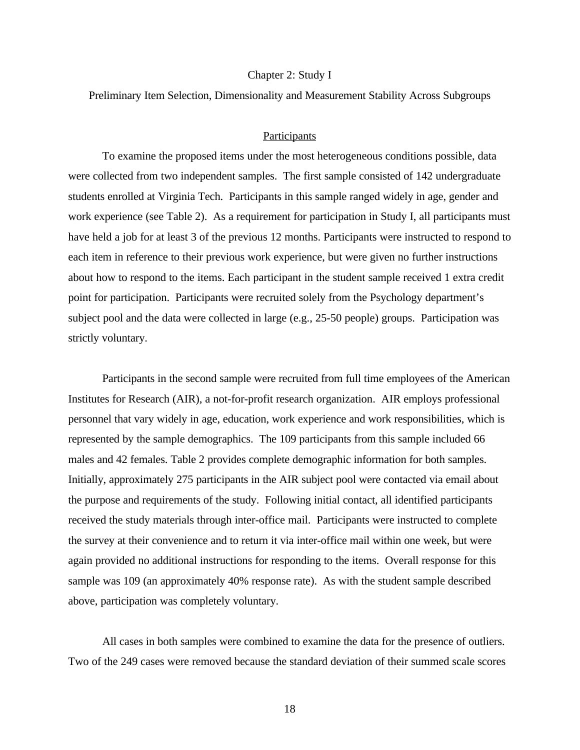#### Chapter 2: Study I

Preliminary Item Selection, Dimensionality and Measurement Stability Across Subgroups

# Participants

To examine the proposed items under the most heterogeneous conditions possible, data were collected from two independent samples. The first sample consisted of 142 undergraduate students enrolled at Virginia Tech. Participants in this sample ranged widely in age, gender and work experience (see Table 2). As a requirement for participation in Study I, all participants must have held a job for at least 3 of the previous 12 months. Participants were instructed to respond to each item in reference to their previous work experience, but were given no further instructions about how to respond to the items. Each participant in the student sample received 1 extra credit point for participation. Participants were recruited solely from the Psychology department's subject pool and the data were collected in large (e.g., 25-50 people) groups. Participation was strictly voluntary.

Participants in the second sample were recruited from full time employees of the American Institutes for Research (AIR), a not-for-profit research organization. AIR employs professional personnel that vary widely in age, education, work experience and work responsibilities, which is represented by the sample demographics. The 109 participants from this sample included 66 males and 42 females. Table 2 provides complete demographic information for both samples. Initially, approximately 275 participants in the AIR subject pool were contacted via email about the purpose and requirements of the study. Following initial contact, all identified participants received the study materials through inter-office mail. Participants were instructed to complete the survey at their convenience and to return it via inter-office mail within one week, but were again provided no additional instructions for responding to the items. Overall response for this sample was 109 (an approximately 40% response rate). As with the student sample described above, participation was completely voluntary.

All cases in both samples were combined to examine the data for the presence of outliers. Two of the 249 cases were removed because the standard deviation of their summed scale scores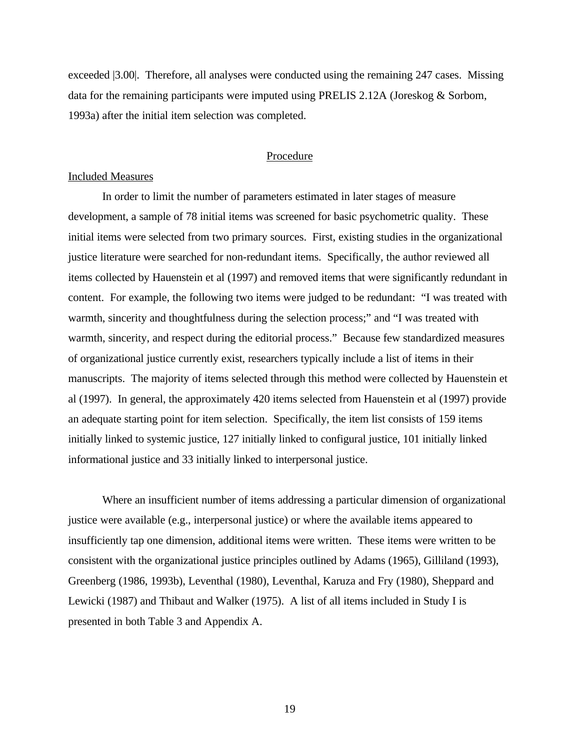exceeded |3.00|. Therefore, all analyses were conducted using the remaining 247 cases. Missing data for the remaining participants were imputed using PRELIS 2.12A (Joreskog & Sorbom, 1993a) after the initial item selection was completed.

# Procedure

#### Included Measures

In order to limit the number of parameters estimated in later stages of measure development, a sample of 78 initial items was screened for basic psychometric quality. These initial items were selected from two primary sources. First, existing studies in the organizational justice literature were searched for non-redundant items. Specifically, the author reviewed all items collected by Hauenstein et al (1997) and removed items that were significantly redundant in content. For example, the following two items were judged to be redundant: "I was treated with warmth, sincerity and thoughtfulness during the selection process;" and "I was treated with warmth, sincerity, and respect during the editorial process." Because few standardized measures of organizational justice currently exist, researchers typically include a list of items in their manuscripts. The majority of items selected through this method were collected by Hauenstein et al (1997). In general, the approximately 420 items selected from Hauenstein et al (1997) provide an adequate starting point for item selection. Specifically, the item list consists of 159 items initially linked to systemic justice, 127 initially linked to configural justice, 101 initially linked informational justice and 33 initially linked to interpersonal justice.

Where an insufficient number of items addressing a particular dimension of organizational justice were available (e.g., interpersonal justice) or where the available items appeared to insufficiently tap one dimension, additional items were written. These items were written to be consistent with the organizational justice principles outlined by Adams (1965), Gilliland (1993), Greenberg (1986, 1993b), Leventhal (1980), Leventhal, Karuza and Fry (1980), Sheppard and Lewicki (1987) and Thibaut and Walker (1975). A list of all items included in Study I is presented in both Table 3 and Appendix A.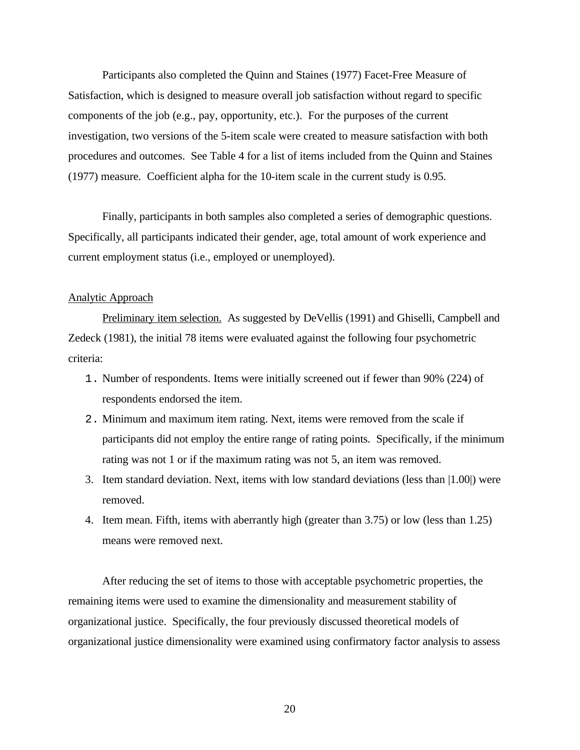Participants also completed the Quinn and Staines (1977) Facet-Free Measure of Satisfaction, which is designed to measure overall job satisfaction without regard to specific components of the job (e.g., pay, opportunity, etc.). For the purposes of the current investigation, two versions of the 5-item scale were created to measure satisfaction with both procedures and outcomes. See Table 4 for a list of items included from the Quinn and Staines (1977) measure. Coefficient alpha for the 10-item scale in the current study is 0.95.

Finally, participants in both samples also completed a series of demographic questions. Specifically, all participants indicated their gender, age, total amount of work experience and current employment status (i.e., employed or unemployed).

#### Analytic Approach

Preliminary item selection. As suggested by DeVellis (1991) and Ghiselli, Campbell and Zedeck (1981), the initial 78 items were evaluated against the following four psychometric criteria:

- 1. Number of respondents. Items were initially screened out if fewer than 90% (224) of respondents endorsed the item.
- 2. Minimum and maximum item rating. Next, items were removed from the scale if participants did not employ the entire range of rating points. Specifically, if the minimum rating was not 1 or if the maximum rating was not 5, an item was removed.
- 3. Item standard deviation. Next, items with low standard deviations (less than |1.00|) were removed.
- 4. Item mean. Fifth, items with aberrantly high (greater than 3.75) or low (less than 1.25) means were removed next.

After reducing the set of items to those with acceptable psychometric properties, the remaining items were used to examine the dimensionality and measurement stability of organizational justice. Specifically, the four previously discussed theoretical models of organizational justice dimensionality were examined using confirmatory factor analysis to assess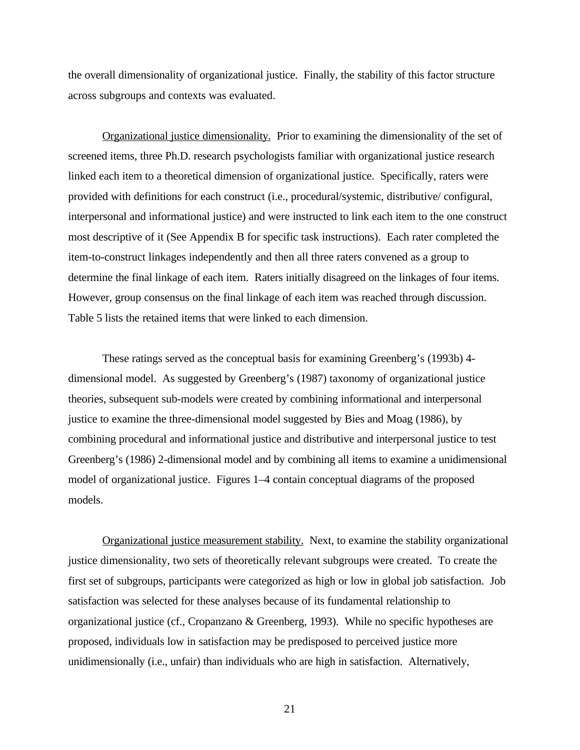the overall dimensionality of organizational justice. Finally, the stability of this factor structure across subgroups and contexts was evaluated.

Organizational justice dimensionality. Prior to examining the dimensionality of the set of screened items, three Ph.D. research psychologists familiar with organizational justice research linked each item to a theoretical dimension of organizational justice. Specifically, raters were provided with definitions for each construct (i.e., procedural/systemic, distributive/ configural, interpersonal and informational justice) and were instructed to link each item to the one construct most descriptive of it (See Appendix B for specific task instructions). Each rater completed the item-to-construct linkages independently and then all three raters convened as a group to determine the final linkage of each item. Raters initially disagreed on the linkages of four items. However, group consensus on the final linkage of each item was reached through discussion. Table 5 lists the retained items that were linked to each dimension.

These ratings served as the conceptual basis for examining Greenberg's (1993b) 4 dimensional model. As suggested by Greenberg's (1987) taxonomy of organizational justice theories, subsequent sub-models were created by combining informational and interpersonal justice to examine the three-dimensional model suggested by Bies and Moag (1986), by combining procedural and informational justice and distributive and interpersonal justice to test Greenberg's (1986) 2-dimensional model and by combining all items to examine a unidimensional model of organizational justice. Figures 1–4 contain conceptual diagrams of the proposed models.

Organizational justice measurement stability. Next, to examine the stability organizational justice dimensionality, two sets of theoretically relevant subgroups were created. To create the first set of subgroups, participants were categorized as high or low in global job satisfaction. Job satisfaction was selected for these analyses because of its fundamental relationship to organizational justice (cf., Cropanzano & Greenberg, 1993). While no specific hypotheses are proposed, individuals low in satisfaction may be predisposed to perceived justice more unidimensionally (i.e., unfair) than individuals who are high in satisfaction. Alternatively,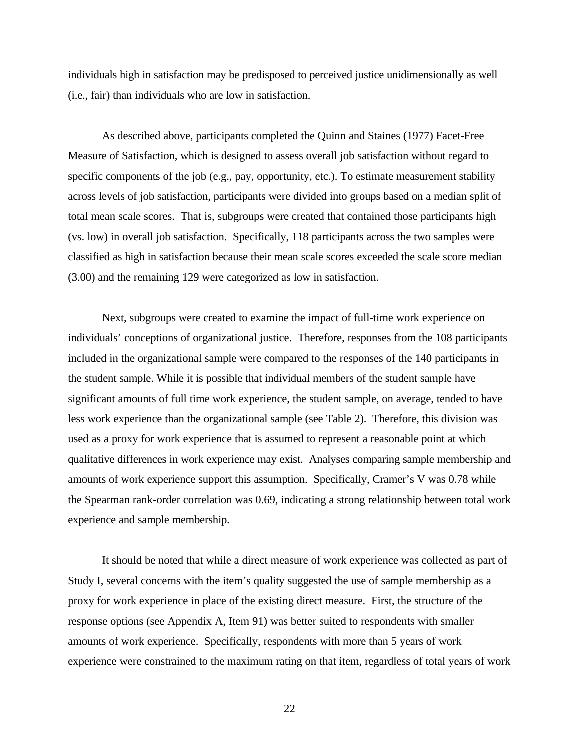individuals high in satisfaction may be predisposed to perceived justice unidimensionally as well (i.e., fair) than individuals who are low in satisfaction.

As described above, participants completed the Quinn and Staines (1977) Facet-Free Measure of Satisfaction, which is designed to assess overall job satisfaction without regard to specific components of the job (e.g., pay, opportunity, etc.). To estimate measurement stability across levels of job satisfaction, participants were divided into groups based on a median split of total mean scale scores. That is, subgroups were created that contained those participants high (vs. low) in overall job satisfaction. Specifically, 118 participants across the two samples were classified as high in satisfaction because their mean scale scores exceeded the scale score median (3.00) and the remaining 129 were categorized as low in satisfaction.

Next, subgroups were created to examine the impact of full-time work experience on individuals' conceptions of organizational justice. Therefore, responses from the 108 participants included in the organizational sample were compared to the responses of the 140 participants in the student sample. While it is possible that individual members of the student sample have significant amounts of full time work experience, the student sample, on average, tended to have less work experience than the organizational sample (see Table 2). Therefore, this division was used as a proxy for work experience that is assumed to represent a reasonable point at which qualitative differences in work experience may exist. Analyses comparing sample membership and amounts of work experience support this assumption. Specifically, Cramer's V was 0.78 while the Spearman rank-order correlation was 0.69, indicating a strong relationship between total work experience and sample membership.

It should be noted that while a direct measure of work experience was collected as part of Study I, several concerns with the item's quality suggested the use of sample membership as a proxy for work experience in place of the existing direct measure. First, the structure of the response options (see Appendix A, Item 91) was better suited to respondents with smaller amounts of work experience. Specifically, respondents with more than 5 years of work experience were constrained to the maximum rating on that item, regardless of total years of work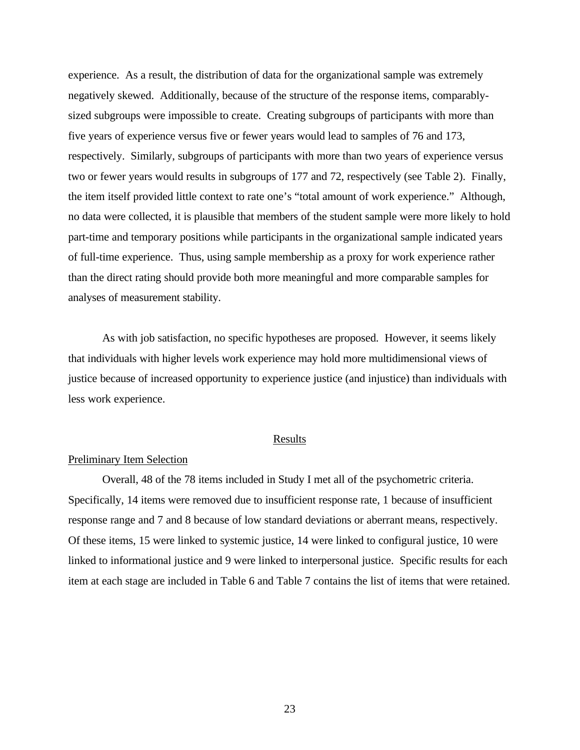experience. As a result, the distribution of data for the organizational sample was extremely negatively skewed. Additionally, because of the structure of the response items, comparablysized subgroups were impossible to create. Creating subgroups of participants with more than five years of experience versus five or fewer years would lead to samples of 76 and 173, respectively. Similarly, subgroups of participants with more than two years of experience versus two or fewer years would results in subgroups of 177 and 72, respectively (see Table 2). Finally, the item itself provided little context to rate one's "total amount of work experience." Although, no data were collected, it is plausible that members of the student sample were more likely to hold part-time and temporary positions while participants in the organizational sample indicated years of full-time experience. Thus, using sample membership as a proxy for work experience rather than the direct rating should provide both more meaningful and more comparable samples for analyses of measurement stability.

As with job satisfaction, no specific hypotheses are proposed. However, it seems likely that individuals with higher levels work experience may hold more multidimensional views of justice because of increased opportunity to experience justice (and injustice) than individuals with less work experience.

#### Results

## Preliminary Item Selection

Overall, 48 of the 78 items included in Study I met all of the psychometric criteria. Specifically, 14 items were removed due to insufficient response rate, 1 because of insufficient response range and 7 and 8 because of low standard deviations or aberrant means, respectively. Of these items, 15 were linked to systemic justice, 14 were linked to configural justice, 10 were linked to informational justice and 9 were linked to interpersonal justice. Specific results for each item at each stage are included in Table 6 and Table 7 contains the list of items that were retained.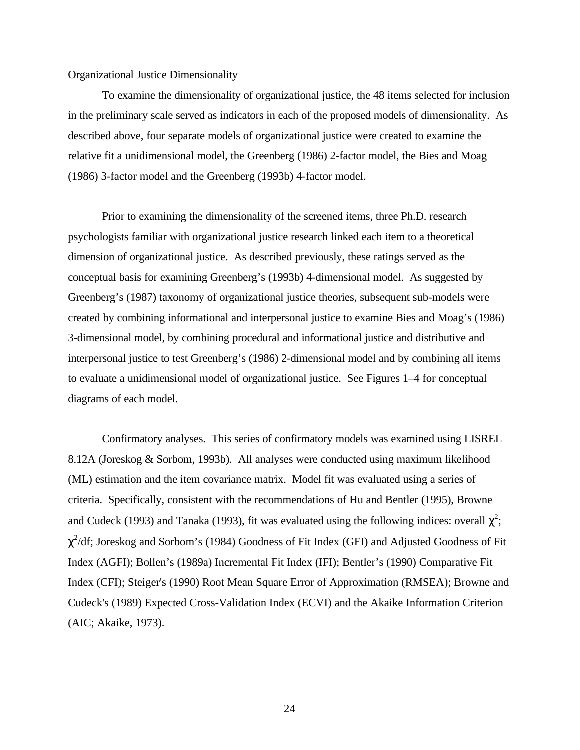#### Organizational Justice Dimensionality

To examine the dimensionality of organizational justice, the 48 items selected for inclusion in the preliminary scale served as indicators in each of the proposed models of dimensionality. As described above, four separate models of organizational justice were created to examine the relative fit a unidimensional model, the Greenberg (1986) 2-factor model, the Bies and Moag (1986) 3-factor model and the Greenberg (1993b) 4-factor model.

Prior to examining the dimensionality of the screened items, three Ph.D. research psychologists familiar with organizational justice research linked each item to a theoretical dimension of organizational justice. As described previously, these ratings served as the conceptual basis for examining Greenberg's (1993b) 4-dimensional model. As suggested by Greenberg's (1987) taxonomy of organizational justice theories, subsequent sub-models were created by combining informational and interpersonal justice to examine Bies and Moag's (1986) 3-dimensional model, by combining procedural and informational justice and distributive and interpersonal justice to test Greenberg's (1986) 2-dimensional model and by combining all items to evaluate a unidimensional model of organizational justice. See Figures 1–4 for conceptual diagrams of each model.

Confirmatory analyses. This series of confirmatory models was examined using LISREL 8.12A (Joreskog & Sorbom, 1993b). All analyses were conducted using maximum likelihood (ML) estimation and the item covariance matrix. Model fit was evaluated using a series of criteria. Specifically, consistent with the recommendations of Hu and Bentler (1995), Browne and Cudeck (1993) and Tanaka (1993), fit was evaluated using the following indices: overall  $\chi^2$ ;  $\chi^2$ /df; Joreskog and Sorbom's (1984) Goodness of Fit Index (GFI) and Adjusted Goodness of Fit Index (AGFI); Bollen's (1989a) Incremental Fit Index (IFI); Bentler's (1990) Comparative Fit Index (CFI); Steiger's (1990) Root Mean Square Error of Approximation (RMSEA); Browne and Cudeck's (1989) Expected Cross-Validation Index (ECVI) and the Akaike Information Criterion (AIC; Akaike, 1973).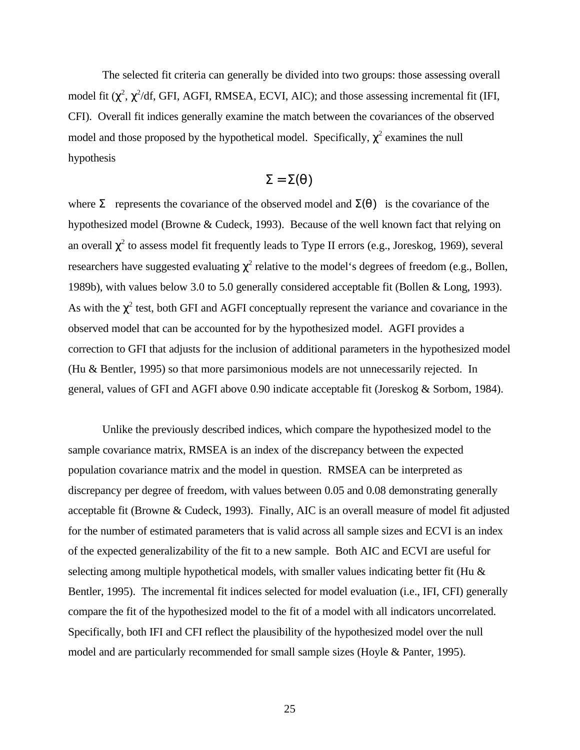The selected fit criteria can generally be divided into two groups: those assessing overall model fit  $(\chi^2, \chi^2/df, GFI, AGFI, RMSEA, ECVI, AIC)$ ; and those assessing incremental fit (IFI, CFI). Overall fit indices generally examine the match between the covariances of the observed model and those proposed by the hypothetical model. Specifically,  $\chi^2$  examines the null hypothesis

$$
\Sigma = \Sigma(\theta)
$$

where  $\Sigma$  represents the covariance of the observed model and  $\Sigma(\theta)$  is the covariance of the hypothesized model (Browne & Cudeck, 1993). Because of the well known fact that relying on an overall  $\chi^2$  to assess model fit frequently leads to Type II errors (e.g., Joreskog, 1969), several researchers have suggested evaluating  $\chi^2$  relative to the model's degrees of freedom (e.g., Bollen, 1989b), with values below 3.0 to 5.0 generally considered acceptable fit (Bollen & Long, 1993). As with the  $\chi^2$  test, both GFI and AGFI conceptually represent the variance and covariance in the observed model that can be accounted for by the hypothesized model. AGFI provides a correction to GFI that adjusts for the inclusion of additional parameters in the hypothesized model (Hu & Bentler, 1995) so that more parsimonious models are not unnecessarily rejected. In general, values of GFI and AGFI above 0.90 indicate acceptable fit (Joreskog & Sorbom, 1984).

Unlike the previously described indices, which compare the hypothesized model to the sample covariance matrix, RMSEA is an index of the discrepancy between the expected population covariance matrix and the model in question. RMSEA can be interpreted as discrepancy per degree of freedom, with values between 0.05 and 0.08 demonstrating generally acceptable fit (Browne & Cudeck, 1993). Finally, AIC is an overall measure of model fit adjusted for the number of estimated parameters that is valid across all sample sizes and ECVI is an index of the expected generalizability of the fit to a new sample. Both AIC and ECVI are useful for selecting among multiple hypothetical models, with smaller values indicating better fit (Hu & Bentler, 1995). The incremental fit indices selected for model evaluation (i.e., IFI, CFI) generally compare the fit of the hypothesized model to the fit of a model with all indicators uncorrelated. Specifically, both IFI and CFI reflect the plausibility of the hypothesized model over the null model and are particularly recommended for small sample sizes (Hoyle & Panter, 1995).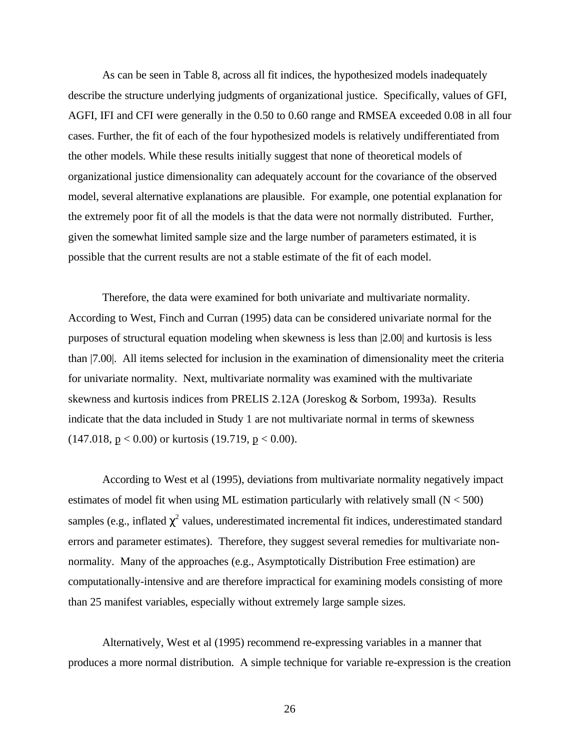As can be seen in Table 8, across all fit indices, the hypothesized models inadequately describe the structure underlying judgments of organizational justice. Specifically, values of GFI, AGFI, IFI and CFI were generally in the 0.50 to 0.60 range and RMSEA exceeded 0.08 in all four cases. Further, the fit of each of the four hypothesized models is relatively undifferentiated from the other models. While these results initially suggest that none of theoretical models of organizational justice dimensionality can adequately account for the covariance of the observed model, several alternative explanations are plausible. For example, one potential explanation for the extremely poor fit of all the models is that the data were not normally distributed. Further, given the somewhat limited sample size and the large number of parameters estimated, it is possible that the current results are not a stable estimate of the fit of each model.

Therefore, the data were examined for both univariate and multivariate normality. According to West, Finch and Curran (1995) data can be considered univariate normal for the purposes of structural equation modeling when skewness is less than |2.00| and kurtosis is less than |7.00|. All items selected for inclusion in the examination of dimensionality meet the criteria for univariate normality. Next, multivariate normality was examined with the multivariate skewness and kurtosis indices from PRELIS 2.12A (Joreskog & Sorbom, 1993a). Results indicate that the data included in Study 1 are not multivariate normal in terms of skewness  $(147.018, p < 0.00)$  or kurtosis  $(19.719, p < 0.00)$ .

According to West et al (1995), deviations from multivariate normality negatively impact estimates of model fit when using ML estimation particularly with relatively small  $(N < 500)$ samples (e.g., inflated  $\chi^2$  values, underestimated incremental fit indices, underestimated standard errors and parameter estimates). Therefore, they suggest several remedies for multivariate nonnormality. Many of the approaches (e.g., Asymptotically Distribution Free estimation) are computationally-intensive and are therefore impractical for examining models consisting of more than 25 manifest variables, especially without extremely large sample sizes.

Alternatively, West et al (1995) recommend re-expressing variables in a manner that produces a more normal distribution. A simple technique for variable re-expression is the creation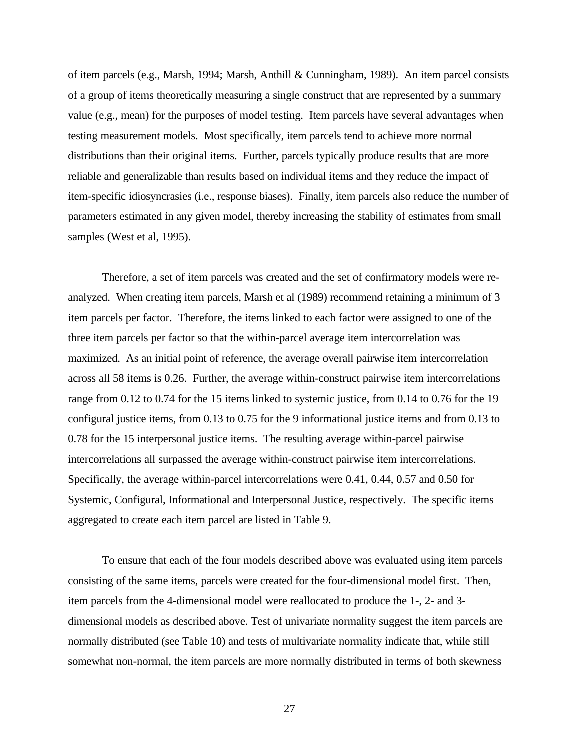of item parcels (e.g., Marsh, 1994; Marsh, Anthill & Cunningham, 1989). An item parcel consists of a group of items theoretically measuring a single construct that are represented by a summary value (e.g., mean) for the purposes of model testing. Item parcels have several advantages when testing measurement models. Most specifically, item parcels tend to achieve more normal distributions than their original items. Further, parcels typically produce results that are more reliable and generalizable than results based on individual items and they reduce the impact of item-specific idiosyncrasies (i.e., response biases). Finally, item parcels also reduce the number of parameters estimated in any given model, thereby increasing the stability of estimates from small samples (West et al, 1995).

Therefore, a set of item parcels was created and the set of confirmatory models were reanalyzed. When creating item parcels, Marsh et al (1989) recommend retaining a minimum of 3 item parcels per factor. Therefore, the items linked to each factor were assigned to one of the three item parcels per factor so that the within-parcel average item intercorrelation was maximized. As an initial point of reference, the average overall pairwise item intercorrelation across all 58 items is 0.26.Further, the average within-construct pairwise item intercorrelations range from 0.12 to 0.74 for the 15 items linked to systemic justice, from 0.14 to 0.76 for the 19 configural justice items, from 0.13 to 0.75 for the 9 informational justice items and from 0.13 to 0.78 for the 15 interpersonal justice items. The resulting average within-parcel pairwise intercorrelations all surpassed the average within-construct pairwise item intercorrelations. Specifically, the average within-parcel intercorrelations were 0.41, 0.44, 0.57 and 0.50 for Systemic, Configural, Informational and Interpersonal Justice, respectively. The specific items aggregated to create each item parcel are listed in Table 9.

To ensure that each of the four models described above was evaluated using item parcels consisting of the same items, parcels were created for the four-dimensional model first. Then, item parcels from the 4-dimensional model were reallocated to produce the 1-, 2- and 3 dimensional models as described above. Test of univariate normality suggest the item parcels are normally distributed (see Table 10) and tests of multivariate normality indicate that, while still somewhat non-normal, the item parcels are more normally distributed in terms of both skewness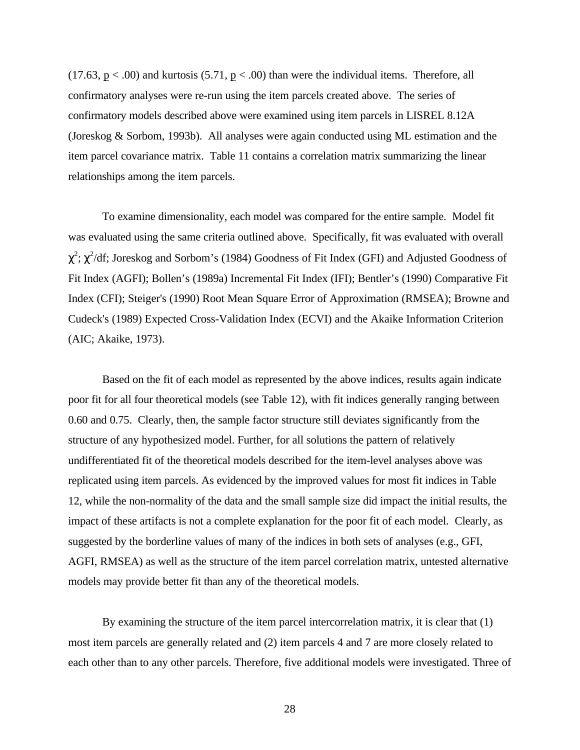$(17.63, p < .00)$  and kurtosis  $(5.71, p < .00)$  than were the individual items. Therefore, all confirmatory analyses were re-run using the item parcels created above. The series of confirmatory models described above were examined using item parcels in LISREL 8.12A (Joreskog & Sorbom, 1993b). All analyses were again conducted using ML estimation and the item parcel covariance matrix. Table 11 contains a correlation matrix summarizing the linear relationships among the item parcels.

To examine dimensionality, each model was compared for the entire sample. Model fit was evaluated using the same criteria outlined above. Specifically, fit was evaluated with overall  $\chi^2$ ;  $\chi^2$ /df; Joreskog and Sorbom's (1984) Goodness of Fit Index (GFI) and Adjusted Goodness of Fit Index (AGFI); Bollen's (1989a) Incremental Fit Index (IFI); Bentler's (1990) Comparative Fit Index (CFI); Steiger's (1990) Root Mean Square Error of Approximation (RMSEA); Browne and Cudeck's (1989) Expected Cross-Validation Index (ECVI) and the Akaike Information Criterion (AIC; Akaike, 1973).

Based on the fit of each model as represented by the above indices, results again indicate poor fit for all four theoretical models (see Table 12), with fit indices generally ranging between 0.60 and 0.75. Clearly, then, the sample factor structure still deviates significantly from the structure of any hypothesized model. Further, for all solutions the pattern of relatively undifferentiated fit of the theoretical models described for the item-level analyses above was replicated using item parcels. As evidenced by the improved values for most fit indices in Table 12, while the non-normality of the data and the small sample size did impact the initial results, the impact of these artifacts is not a complete explanation for the poor fit of each model. Clearly, as suggested by the borderline values of many of the indices in both sets of analyses (e.g., GFI, AGFI, RMSEA) as well as the structure of the item parcel correlation matrix, untested alternative models may provide better fit than any of the theoretical models.

By examining the structure of the item parcel intercorrelation matrix, it is clear that (1) most item parcels are generally related and (2) item parcels 4 and 7 are more closely related to each other than to any other parcels. Therefore, five additional models were investigated. Three of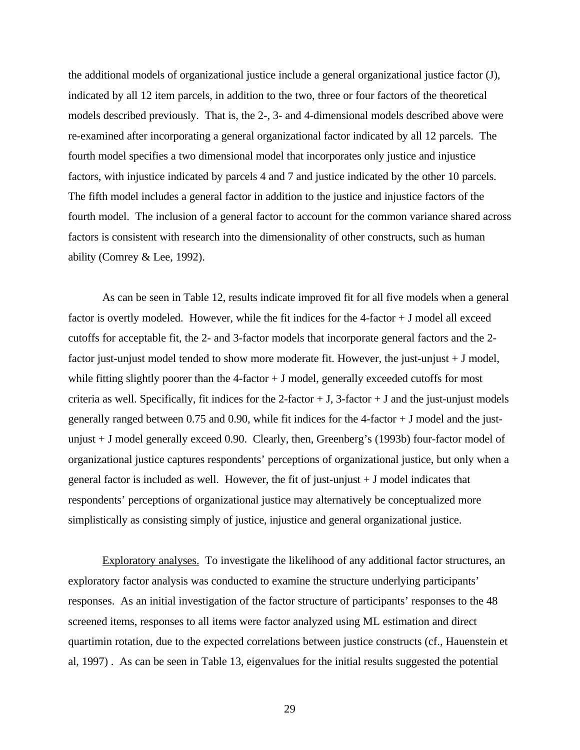the additional models of organizational justice include a general organizational justice factor (J), indicated by all 12 item parcels, in addition to the two, three or four factors of the theoretical models described previously. That is, the 2-, 3- and 4-dimensional models described above were re-examined after incorporating a general organizational factor indicated by all 12 parcels. The fourth model specifies a two dimensional model that incorporates only justice and injustice factors, with injustice indicated by parcels 4 and 7 and justice indicated by the other 10 parcels. The fifth model includes a general factor in addition to the justice and injustice factors of the fourth model. The inclusion of a general factor to account for the common variance shared across factors is consistent with research into the dimensionality of other constructs, such as human ability (Comrey & Lee, 1992).

As can be seen in Table 12, results indicate improved fit for all five models when a general factor is overtly modeled. However, while the fit indices for the 4-factor + J model all exceed cutoffs for acceptable fit, the 2- and 3-factor models that incorporate general factors and the 2 factor just-unjust model tended to show more moderate fit. However, the just-unjust + J model, while fitting slightly poorer than the  $4$ -factor  $+$  J model, generally exceeded cutoffs for most criteria as well. Specifically, fit indices for the 2-factor  $+$  J, 3-factor  $+$  J and the just-unjust models generally ranged between 0.75 and 0.90, while fit indices for the  $4$ -factor  $+$  J model and the justunjust + J model generally exceed 0.90. Clearly, then, Greenberg's (1993b) four-factor model of organizational justice captures respondents' perceptions of organizational justice, but only when a general factor is included as well. However, the fit of just-unjust  $+$  J model indicates that respondents' perceptions of organizational justice may alternatively be conceptualized more simplistically as consisting simply of justice, injustice and general organizational justice.

Exploratory analyses. To investigate the likelihood of any additional factor structures, an exploratory factor analysis was conducted to examine the structure underlying participants' responses. As an initial investigation of the factor structure of participants' responses to the 48 screened items, responses to all items were factor analyzed using ML estimation and direct quartimin rotation, due to the expected correlations between justice constructs (cf., Hauenstein et al, 1997) . As can be seen in Table 13, eigenvalues for the initial results suggested the potential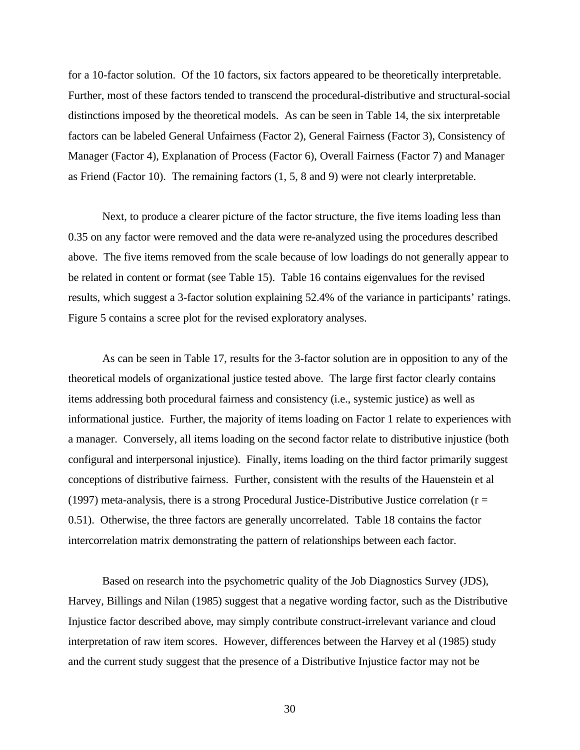for a 10-factor solution. Of the 10 factors, six factors appeared to be theoretically interpretable. Further, most of these factors tended to transcend the procedural-distributive and structural-social distinctions imposed by the theoretical models. As can be seen in Table 14, the six interpretable factors can be labeled General Unfairness (Factor 2), General Fairness (Factor 3), Consistency of Manager (Factor 4), Explanation of Process (Factor 6), Overall Fairness (Factor 7) and Manager as Friend (Factor 10). The remaining factors (1, 5, 8 and 9) were not clearly interpretable.

Next, to produce a clearer picture of the factor structure, the five items loading less than 0.35 on any factor were removed and the data were re-analyzed using the procedures described above. The five items removed from the scale because of low loadings do not generally appear to be related in content or format (see Table 15). Table 16 contains eigenvalues for the revised results, which suggest a 3-factor solution explaining 52.4% of the variance in participants' ratings. Figure 5 contains a scree plot for the revised exploratory analyses.

As can be seen in Table 17, results for the 3-factor solution are in opposition to any of the theoretical models of organizational justice tested above. The large first factor clearly contains items addressing both procedural fairness and consistency (i.e., systemic justice) as well as informational justice. Further, the majority of items loading on Factor 1 relate to experiences with a manager. Conversely, all items loading on the second factor relate to distributive injustice (both configural and interpersonal injustice). Finally, items loading on the third factor primarily suggest conceptions of distributive fairness. Further, consistent with the results of the Hauenstein et al (1997) meta-analysis, there is a strong Procedural Justice-Distributive Justice correlation ( $r =$ 0.51). Otherwise, the three factors are generally uncorrelated. Table 18 contains the factor intercorrelation matrix demonstrating the pattern of relationships between each factor.

Based on research into the psychometric quality of the Job Diagnostics Survey (JDS), Harvey, Billings and Nilan (1985) suggest that a negative wording factor, such as the Distributive Injustice factor described above, may simply contribute construct-irrelevant variance and cloud interpretation of raw item scores. However, differences between the Harvey et al (1985) study and the current study suggest that the presence of a Distributive Injustice factor may not be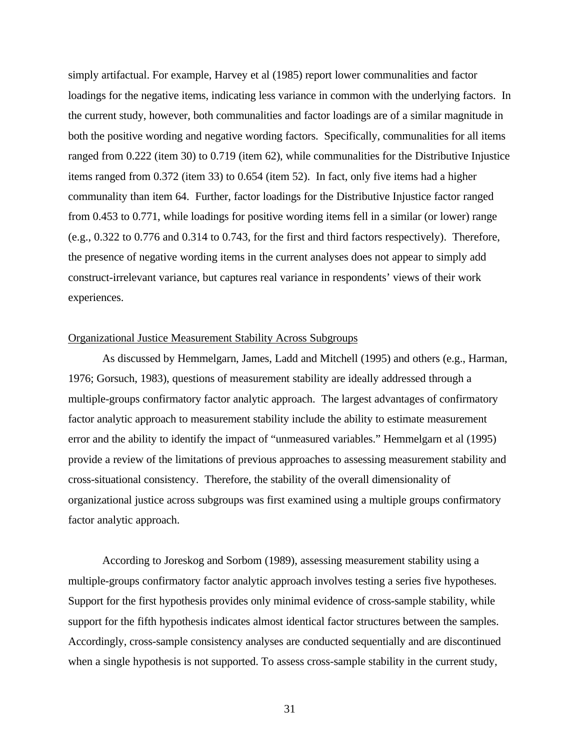simply artifactual. For example, Harvey et al (1985) report lower communalities and factor loadings for the negative items, indicating less variance in common with the underlying factors. In the current study, however, both communalities and factor loadings are of a similar magnitude in both the positive wording and negative wording factors. Specifically, communalities for all items ranged from 0.222 (item 30) to 0.719 (item 62), while communalities for the Distributive Injustice items ranged from 0.372 (item 33) to 0.654 (item 52). In fact, only five items had a higher communality than item 64. Further, factor loadings for the Distributive Injustice factor ranged from 0.453 to 0.771, while loadings for positive wording items fell in a similar (or lower) range (e.g., 0.322 to 0.776 and 0.314 to 0.743, for the first and third factors respectively). Therefore, the presence of negative wording items in the current analyses does not appear to simply add construct-irrelevant variance, but captures real variance in respondents' views of their work experiences.

# Organizational Justice Measurement Stability Across Subgroups

As discussed by Hemmelgarn, James, Ladd and Mitchell (1995) and others (e.g., Harman, 1976; Gorsuch, 1983), questions of measurement stability are ideally addressed through a multiple-groups confirmatory factor analytic approach. The largest advantages of confirmatory factor analytic approach to measurement stability include the ability to estimate measurement error and the ability to identify the impact of "unmeasured variables." Hemmelgarn et al (1995) provide a review of the limitations of previous approaches to assessing measurement stability and cross-situational consistency. Therefore, the stability of the overall dimensionality of organizational justice across subgroups was first examined using a multiple groups confirmatory factor analytic approach.

According to Joreskog and Sorbom (1989), assessing measurement stability using a multiple-groups confirmatory factor analytic approach involves testing a series five hypotheses. Support for the first hypothesis provides only minimal evidence of cross-sample stability, while support for the fifth hypothesis indicates almost identical factor structures between the samples. Accordingly, cross-sample consistency analyses are conducted sequentially and are discontinued when a single hypothesis is not supported. To assess cross-sample stability in the current study,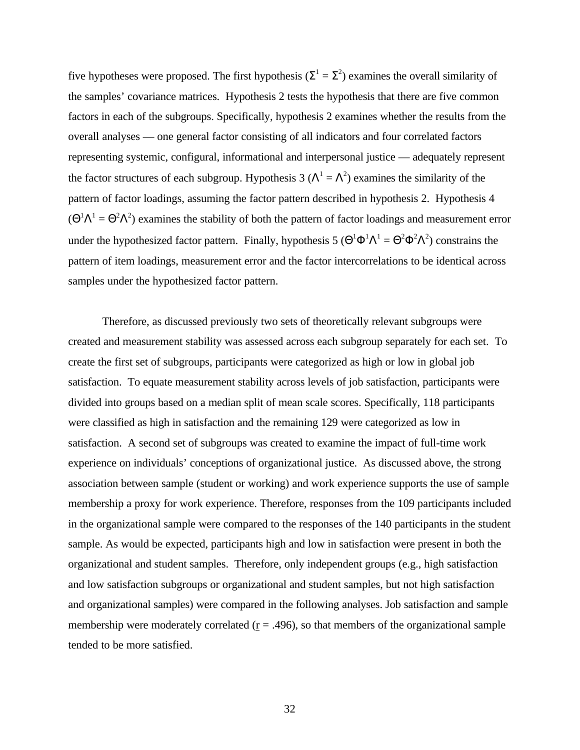five hypotheses were proposed. The first hypothesis ( $\Sigma^1 = \Sigma^2$ ) examines the overall similarity of the samples' covariance matrices. Hypothesis 2 tests the hypothesis that there are five common factors in each of the subgroups. Specifically, hypothesis 2 examines whether the results from the overall analyses — one general factor consisting of all indicators and four correlated factors representing systemic, configural, informational and interpersonal justice — adequately represent the factor structures of each subgroup. Hypothesis 3 ( $\Lambda^1 = \Lambda^2$ ) examines the similarity of the pattern of factor loadings, assuming the factor pattern described in hypothesis 2. Hypothesis 4  $(\Theta^1 \Lambda^1 = \Theta^2 \Lambda^2)$  examines the stability of both the pattern of factor loadings and measurement error under the hypothesized factor pattern. Finally, hypothesis 5 ( $\Theta^1 \Phi^1 \Lambda^1 = \Theta^2 \Phi^2 \Lambda^2$ ) constrains the pattern of item loadings, measurement error and the factor intercorrelations to be identical across samples under the hypothesized factor pattern.

Therefore, as discussed previously two sets of theoretically relevant subgroups were created and measurement stability was assessed across each subgroup separately for each set. To create the first set of subgroups, participants were categorized as high or low in global job satisfaction. To equate measurement stability across levels of job satisfaction, participants were divided into groups based on a median split of mean scale scores. Specifically, 118 participants were classified as high in satisfaction and the remaining 129 were categorized as low in satisfaction. A second set of subgroups was created to examine the impact of full-time work experience on individuals' conceptions of organizational justice. As discussed above, the strong association between sample (student or working) and work experience supports the use of sample membership a proxy for work experience. Therefore, responses from the 109 participants included in the organizational sample were compared to the responses of the 140 participants in the student sample. As would be expected, participants high and low in satisfaction were present in both the organizational and student samples. Therefore, only independent groups (e.g., high satisfaction and low satisfaction subgroups or organizational and student samples, but not high satisfaction and organizational samples) were compared in the following analyses. Job satisfaction and sample membership were moderately correlated ( $r = .496$ ), so that members of the organizational sample tended to be more satisfied.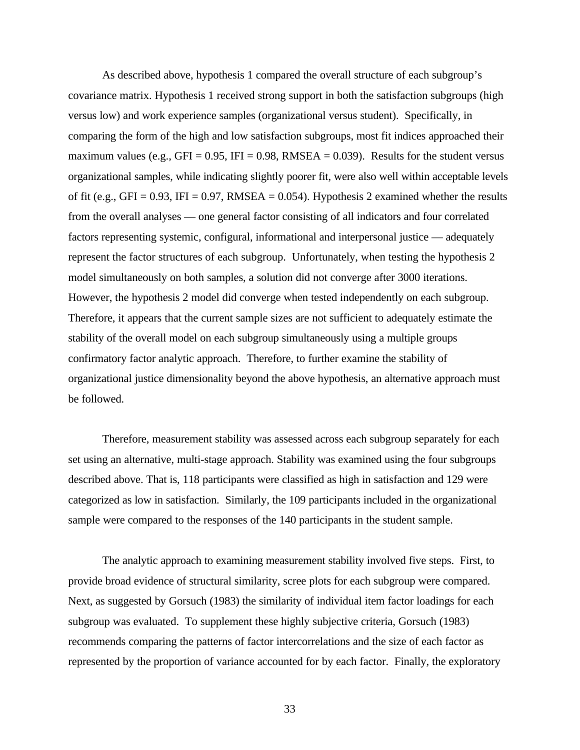As described above, hypothesis 1 compared the overall structure of each subgroup's covariance matrix. Hypothesis 1 received strong support in both the satisfaction subgroups (high versus low) and work experience samples (organizational versus student). Specifically, in comparing the form of the high and low satisfaction subgroups, most fit indices approached their maximum values (e.g., GFI = 0.95, IFI = 0.98, RMSEA = 0.039). Results for the student versus organizational samples, while indicating slightly poorer fit, were also well within acceptable levels of fit (e.g., GFI = 0.93, IFI = 0.97, RMSEA = 0.054). Hypothesis 2 examined whether the results from the overall analyses — one general factor consisting of all indicators and four correlated factors representing systemic, configural, informational and interpersonal justice — adequately represent the factor structures of each subgroup. Unfortunately, when testing the hypothesis 2 model simultaneously on both samples, a solution did not converge after 3000 iterations. However, the hypothesis 2 model did converge when tested independently on each subgroup. Therefore, it appears that the current sample sizes are not sufficient to adequately estimate the stability of the overall model on each subgroup simultaneously using a multiple groups confirmatory factor analytic approach. Therefore, to further examine the stability of organizational justice dimensionality beyond the above hypothesis, an alternative approach must be followed.

Therefore, measurement stability was assessed across each subgroup separately for each set using an alternative, multi-stage approach. Stability was examined using the four subgroups described above. That is, 118 participants were classified as high in satisfaction and 129 were categorized as low in satisfaction. Similarly, the 109 participants included in the organizational sample were compared to the responses of the 140 participants in the student sample.

The analytic approach to examining measurement stability involved five steps. First, to provide broad evidence of structural similarity, scree plots for each subgroup were compared. Next, as suggested by Gorsuch (1983) the similarity of individual item factor loadings for each subgroup was evaluated. To supplement these highly subjective criteria, Gorsuch (1983) recommends comparing the patterns of factor intercorrelations and the size of each factor as represented by the proportion of variance accounted for by each factor. Finally, the exploratory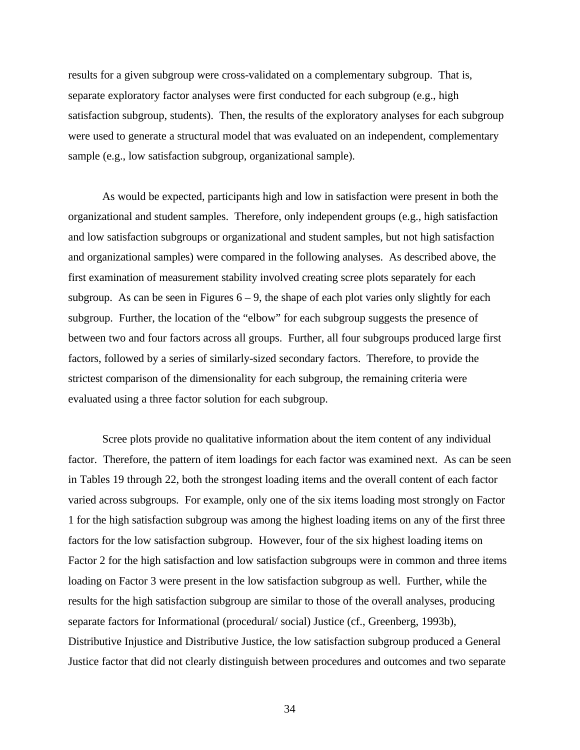results for a given subgroup were cross-validated on a complementary subgroup. That is, separate exploratory factor analyses were first conducted for each subgroup (e.g., high satisfaction subgroup, students). Then, the results of the exploratory analyses for each subgroup were used to generate a structural model that was evaluated on an independent, complementary sample (e.g., low satisfaction subgroup, organizational sample).

As would be expected, participants high and low in satisfaction were present in both the organizational and student samples. Therefore, only independent groups (e.g., high satisfaction and low satisfaction subgroups or organizational and student samples, but not high satisfaction and organizational samples) were compared in the following analyses. As described above, the first examination of measurement stability involved creating scree plots separately for each subgroup. As can be seen in Figures  $6 - 9$ , the shape of each plot varies only slightly for each subgroup. Further, the location of the "elbow" for each subgroup suggests the presence of between two and four factors across all groups. Further, all four subgroups produced large first factors, followed by a series of similarly-sized secondary factors. Therefore, to provide the strictest comparison of the dimensionality for each subgroup, the remaining criteria were evaluated using a three factor solution for each subgroup.

Scree plots provide no qualitative information about the item content of any individual factor. Therefore, the pattern of item loadings for each factor was examined next. As can be seen in Tables 19 through 22, both the strongest loading items and the overall content of each factor varied across subgroups. For example, only one of the six items loading most strongly on Factor 1 for the high satisfaction subgroup was among the highest loading items on any of the first three factors for the low satisfaction subgroup. However, four of the six highest loading items on Factor 2 for the high satisfaction and low satisfaction subgroups were in common and three items loading on Factor 3 were present in the low satisfaction subgroup as well. Further, while the results for the high satisfaction subgroup are similar to those of the overall analyses, producing separate factors for Informational (procedural/ social) Justice (cf., Greenberg, 1993b), Distributive Injustice and Distributive Justice, the low satisfaction subgroup produced a General Justice factor that did not clearly distinguish between procedures and outcomes and two separate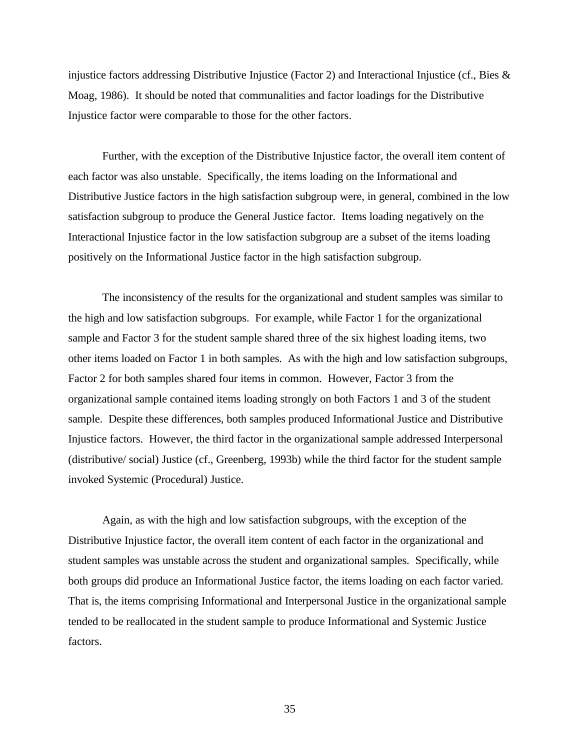injustice factors addressing Distributive Injustice (Factor 2) and Interactional Injustice (cf., Bies  $\&$ Moag, 1986). It should be noted that communalities and factor loadings for the Distributive Injustice factor were comparable to those for the other factors.

Further, with the exception of the Distributive Injustice factor, the overall item content of each factor was also unstable. Specifically, the items loading on the Informational and Distributive Justice factors in the high satisfaction subgroup were, in general, combined in the low satisfaction subgroup to produce the General Justice factor. Items loading negatively on the Interactional Injustice factor in the low satisfaction subgroup are a subset of the items loading positively on the Informational Justice factor in the high satisfaction subgroup.

The inconsistency of the results for the organizational and student samples was similar to the high and low satisfaction subgroups. For example, while Factor 1 for the organizational sample and Factor 3 for the student sample shared three of the six highest loading items, two other items loaded on Factor 1 in both samples. As with the high and low satisfaction subgroups, Factor 2 for both samples shared four items in common. However, Factor 3 from the organizational sample contained items loading strongly on both Factors 1 and 3 of the student sample. Despite these differences, both samples produced Informational Justice and Distributive Injustice factors. However, the third factor in the organizational sample addressed Interpersonal (distributive/ social) Justice (cf., Greenberg, 1993b) while the third factor for the student sample invoked Systemic (Procedural) Justice.

Again, as with the high and low satisfaction subgroups, with the exception of the Distributive Injustice factor, the overall item content of each factor in the organizational and student samples was unstable across the student and organizational samples. Specifically, while both groups did produce an Informational Justice factor, the items loading on each factor varied. That is, the items comprising Informational and Interpersonal Justice in the organizational sample tended to be reallocated in the student sample to produce Informational and Systemic Justice factors.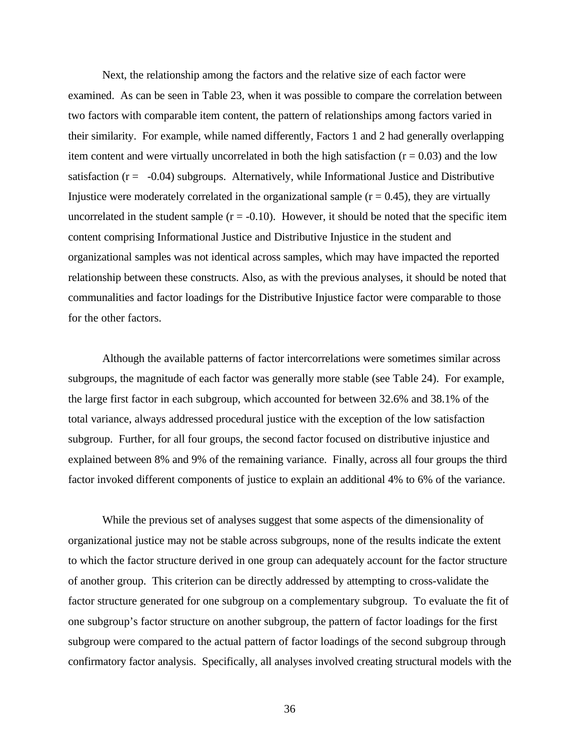Next, the relationship among the factors and the relative size of each factor were examined. As can be seen in Table 23, when it was possible to compare the correlation between two factors with comparable item content, the pattern of relationships among factors varied in their similarity. For example, while named differently, Factors 1 and 2 had generally overlapping item content and were virtually uncorrelated in both the high satisfaction  $(r = 0.03)$  and the low satisfaction  $(r = -0.04)$  subgroups. Alternatively, while Informational Justice and Distributive Injustice were moderately correlated in the organizational sample  $(r = 0.45)$ , they are virtually uncorrelated in the student sample  $(r = -0.10)$ . However, it should be noted that the specific item content comprising Informational Justice and Distributive Injustice in the student and organizational samples was not identical across samples, which may have impacted the reported relationship between these constructs. Also, as with the previous analyses, it should be noted that communalities and factor loadings for the Distributive Injustice factor were comparable to those for the other factors.

Although the available patterns of factor intercorrelations were sometimes similar across subgroups, the magnitude of each factor was generally more stable (see Table 24). For example, the large first factor in each subgroup, which accounted for between 32.6% and 38.1% of the total variance, always addressed procedural justice with the exception of the low satisfaction subgroup. Further, for all four groups, the second factor focused on distributive injustice and explained between 8% and 9% of the remaining variance. Finally, across all four groups the third factor invoked different components of justice to explain an additional 4% to 6% of the variance.

While the previous set of analyses suggest that some aspects of the dimensionality of organizational justice may not be stable across subgroups, none of the results indicate the extent to which the factor structure derived in one group can adequately account for the factor structure of another group. This criterion can be directly addressed by attempting to cross-validate the factor structure generated for one subgroup on a complementary subgroup. To evaluate the fit of one subgroup's factor structure on another subgroup, the pattern of factor loadings for the first subgroup were compared to the actual pattern of factor loadings of the second subgroup through confirmatory factor analysis. Specifically, all analyses involved creating structural models with the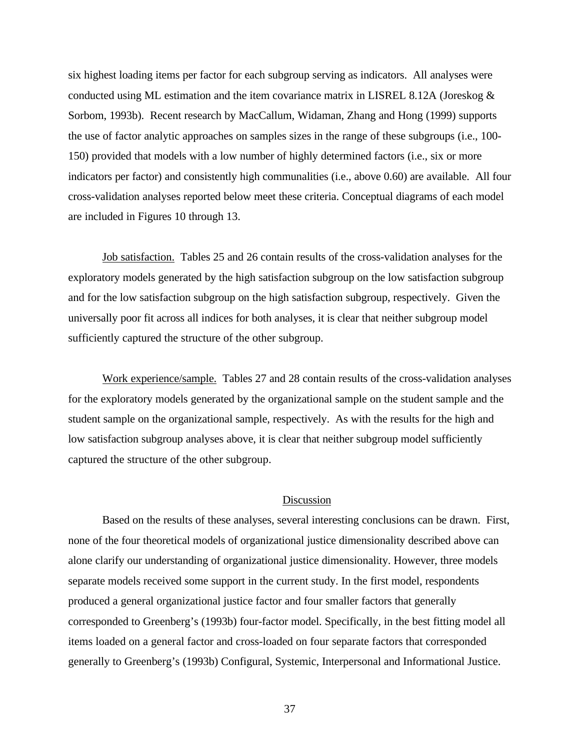six highest loading items per factor for each subgroup serving as indicators. All analyses were conducted using ML estimation and the item covariance matrix in LISREL 8.12A (Joreskog  $\&$ Sorbom, 1993b). Recent research by MacCallum, Widaman, Zhang and Hong (1999) supports the use of factor analytic approaches on samples sizes in the range of these subgroups (i.e., 100- 150) provided that models with a low number of highly determined factors (i.e., six or more indicators per factor) and consistently high communalities (i.e., above 0.60) are available. All four cross-validation analyses reported below meet these criteria. Conceptual diagrams of each model are included in Figures 10 through 13.

Job satisfaction. Tables 25 and 26 contain results of the cross-validation analyses for the exploratory models generated by the high satisfaction subgroup on the low satisfaction subgroup and for the low satisfaction subgroup on the high satisfaction subgroup, respectively. Given the universally poor fit across all indices for both analyses, it is clear that neither subgroup model sufficiently captured the structure of the other subgroup.

Work experience/sample. Tables 27 and 28 contain results of the cross-validation analyses for the exploratory models generated by the organizational sample on the student sample and the student sample on the organizational sample, respectively. As with the results for the high and low satisfaction subgroup analyses above, it is clear that neither subgroup model sufficiently captured the structure of the other subgroup.

# Discussion

Based on the results of these analyses, several interesting conclusions can be drawn. First, none of the four theoretical models of organizational justice dimensionality described above can alone clarify our understanding of organizational justice dimensionality. However, three models separate models received some support in the current study. In the first model, respondents produced a general organizational justice factor and four smaller factors that generally corresponded to Greenberg's (1993b) four-factor model. Specifically, in the best fitting model all items loaded on a general factor and cross-loaded on four separate factors that corresponded generally to Greenberg's (1993b) Configural, Systemic, Interpersonal and Informational Justice.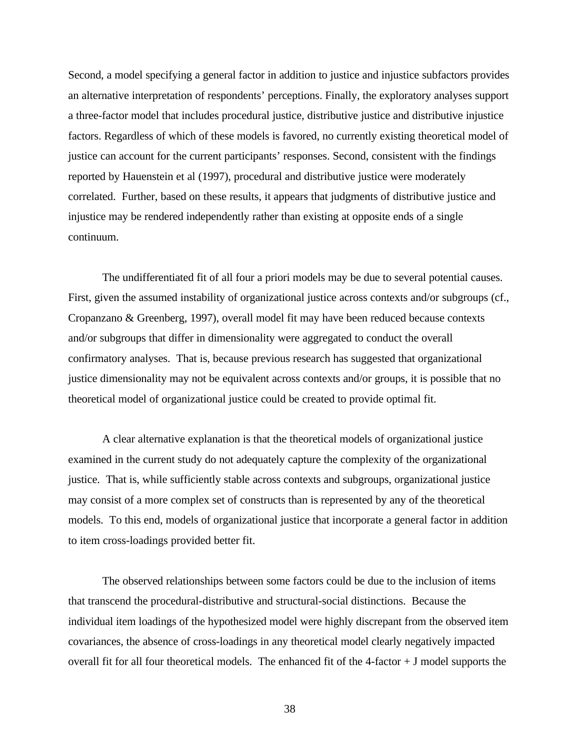Second, a model specifying a general factor in addition to justice and injustice subfactors provides an alternative interpretation of respondents' perceptions. Finally, the exploratory analyses support a three-factor model that includes procedural justice, distributive justice and distributive injustice factors. Regardless of which of these models is favored, no currently existing theoretical model of justice can account for the current participants' responses. Second, consistent with the findings reported by Hauenstein et al (1997), procedural and distributive justice were moderately correlated. Further, based on these results, it appears that judgments of distributive justice and injustice may be rendered independently rather than existing at opposite ends of a single continuum.

The undifferentiated fit of all four a priori models may be due to several potential causes. First, given the assumed instability of organizational justice across contexts and/or subgroups (cf., Cropanzano & Greenberg, 1997), overall model fit may have been reduced because contexts and/or subgroups that differ in dimensionality were aggregated to conduct the overall confirmatory analyses. That is, because previous research has suggested that organizational justice dimensionality may not be equivalent across contexts and/or groups, it is possible that no theoretical model of organizational justice could be created to provide optimal fit.

A clear alternative explanation is that the theoretical models of organizational justice examined in the current study do not adequately capture the complexity of the organizational justice. That is, while sufficiently stable across contexts and subgroups, organizational justice may consist of a more complex set of constructs than is represented by any of the theoretical models. To this end, models of organizational justice that incorporate a general factor in addition to item cross-loadings provided better fit.

The observed relationships between some factors could be due to the inclusion of items that transcend the procedural-distributive and structural-social distinctions. Because the individual item loadings of the hypothesized model were highly discrepant from the observed item covariances, the absence of cross-loadings in any theoretical model clearly negatively impacted overall fit for all four theoretical models. The enhanced fit of the  $4$ -factor  $+$  J model supports the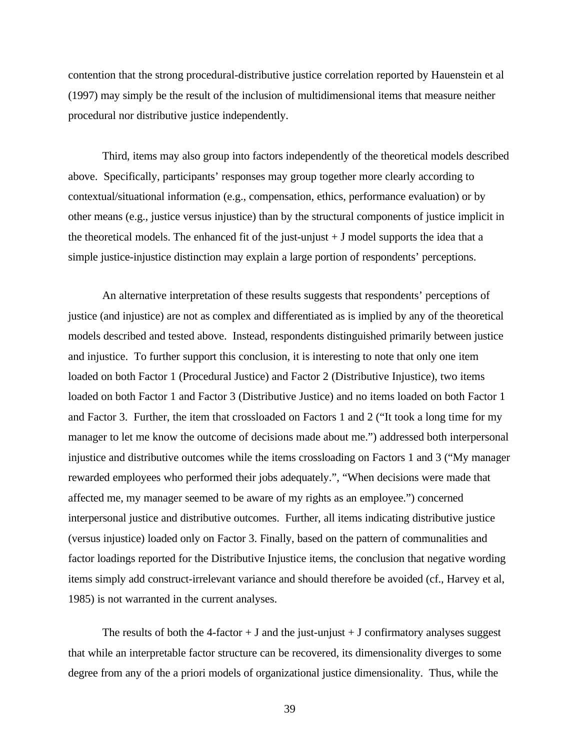contention that the strong procedural-distributive justice correlation reported by Hauenstein et al (1997) may simply be the result of the inclusion of multidimensional items that measure neither procedural nor distributive justice independently.

Third, items may also group into factors independently of the theoretical models described above. Specifically, participants' responses may group together more clearly according to contextual/situational information (e.g., compensation, ethics, performance evaluation) or by other means (e.g., justice versus injustice) than by the structural components of justice implicit in the theoretical models. The enhanced fit of the just-unjust  $+$  J model supports the idea that a simple justice-injustice distinction may explain a large portion of respondents' perceptions.

An alternative interpretation of these results suggests that respondents' perceptions of justice (and injustice) are not as complex and differentiated as is implied by any of the theoretical models described and tested above. Instead, respondents distinguished primarily between justice and injustice. To further support this conclusion, it is interesting to note that only one item loaded on both Factor 1 (Procedural Justice) and Factor 2 (Distributive Injustice), two items loaded on both Factor 1 and Factor 3 (Distributive Justice) and no items loaded on both Factor 1 and Factor 3. Further, the item that crossloaded on Factors 1 and 2 ("It took a long time for my manager to let me know the outcome of decisions made about me.") addressed both interpersonal injustice and distributive outcomes while the items crossloading on Factors 1 and 3 ("My manager rewarded employees who performed their jobs adequately.", "When decisions were made that affected me, my manager seemed to be aware of my rights as an employee.") concerned interpersonal justice and distributive outcomes. Further, all items indicating distributive justice (versus injustice) loaded only on Factor 3. Finally, based on the pattern of communalities and factor loadings reported for the Distributive Injustice items, the conclusion that negative wording items simply add construct-irrelevant variance and should therefore be avoided (cf., Harvey et al, 1985) is not warranted in the current analyses.

The results of both the 4-factor  $+$  J and the just-unjust  $+$  J confirmatory analyses suggest that while an interpretable factor structure can be recovered, its dimensionality diverges to some degree from any of the a priori models of organizational justice dimensionality. Thus, while the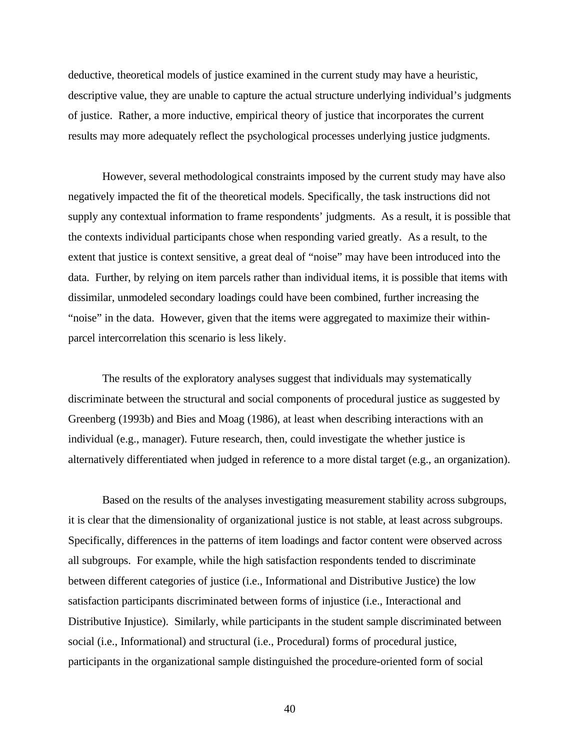deductive, theoretical models of justice examined in the current study may have a heuristic, descriptive value, they are unable to capture the actual structure underlying individual's judgments of justice. Rather, a more inductive, empirical theory of justice that incorporates the current results may more adequately reflect the psychological processes underlying justice judgments.

However, several methodological constraints imposed by the current study may have also negatively impacted the fit of the theoretical models. Specifically, the task instructions did not supply any contextual information to frame respondents' judgments. As a result, it is possible that the contexts individual participants chose when responding varied greatly. As a result, to the extent that justice is context sensitive, a great deal of "noise" may have been introduced into the data. Further, by relying on item parcels rather than individual items, it is possible that items with dissimilar, unmodeled secondary loadings could have been combined, further increasing the "noise" in the data. However, given that the items were aggregated to maximize their withinparcel intercorrelation this scenario is less likely.

The results of the exploratory analyses suggest that individuals may systematically discriminate between the structural and social components of procedural justice as suggested by Greenberg (1993b) and Bies and Moag (1986), at least when describing interactions with an individual (e.g., manager). Future research, then, could investigate the whether justice is alternatively differentiated when judged in reference to a more distal target (e.g., an organization).

Based on the results of the analyses investigating measurement stability across subgroups, it is clear that the dimensionality of organizational justice is not stable, at least across subgroups. Specifically, differences in the patterns of item loadings and factor content were observed across all subgroups. For example, while the high satisfaction respondents tended to discriminate between different categories of justice (i.e., Informational and Distributive Justice) the low satisfaction participants discriminated between forms of injustice (i.e., Interactional and Distributive Injustice). Similarly, while participants in the student sample discriminated between social (i.e., Informational) and structural (i.e., Procedural) forms of procedural justice, participants in the organizational sample distinguished the procedure-oriented form of social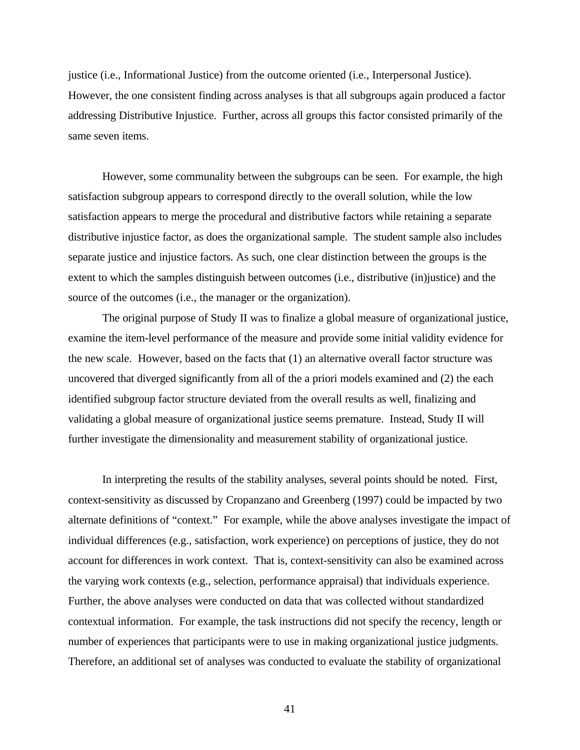justice (i.e., Informational Justice) from the outcome oriented (i.e., Interpersonal Justice). However, the one consistent finding across analyses is that all subgroups again produced a factor addressing Distributive Injustice. Further, across all groups this factor consisted primarily of the same seven items.

However, some communality between the subgroups can be seen. For example, the high satisfaction subgroup appears to correspond directly to the overall solution, while the low satisfaction appears to merge the procedural and distributive factors while retaining a separate distributive injustice factor, as does the organizational sample. The student sample also includes separate justice and injustice factors. As such, one clear distinction between the groups is the extent to which the samples distinguish between outcomes (i.e., distributive (in)justice) and the source of the outcomes (i.e., the manager or the organization).

The original purpose of Study II was to finalize a global measure of organizational justice, examine the item-level performance of the measure and provide some initial validity evidence for the new scale. However, based on the facts that (1) an alternative overall factor structure was uncovered that diverged significantly from all of the a priori models examined and (2) the each identified subgroup factor structure deviated from the overall results as well, finalizing and validating a global measure of organizational justice seems premature. Instead, Study II will further investigate the dimensionality and measurement stability of organizational justice.

In interpreting the results of the stability analyses, several points should be noted. First, context-sensitivity as discussed by Cropanzano and Greenberg (1997) could be impacted by two alternate definitions of "context." For example, while the above analyses investigate the impact of individual differences (e.g., satisfaction, work experience) on perceptions of justice, they do not account for differences in work context. That is, context-sensitivity can also be examined across the varying work contexts (e.g., selection, performance appraisal) that individuals experience. Further, the above analyses were conducted on data that was collected without standardized contextual information. For example, the task instructions did not specify the recency, length or number of experiences that participants were to use in making organizational justice judgments. Therefore, an additional set of analyses was conducted to evaluate the stability of organizational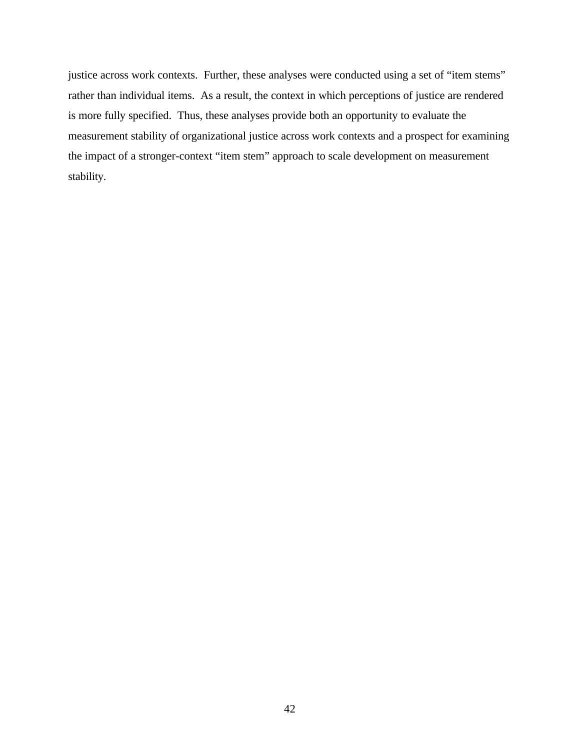justice across work contexts. Further, these analyses were conducted using a set of "item stems" rather than individual items. As a result, the context in which perceptions of justice are rendered is more fully specified. Thus, these analyses provide both an opportunity to evaluate the measurement stability of organizational justice across work contexts and a prospect for examining the impact of a stronger-context "item stem" approach to scale development on measurement stability.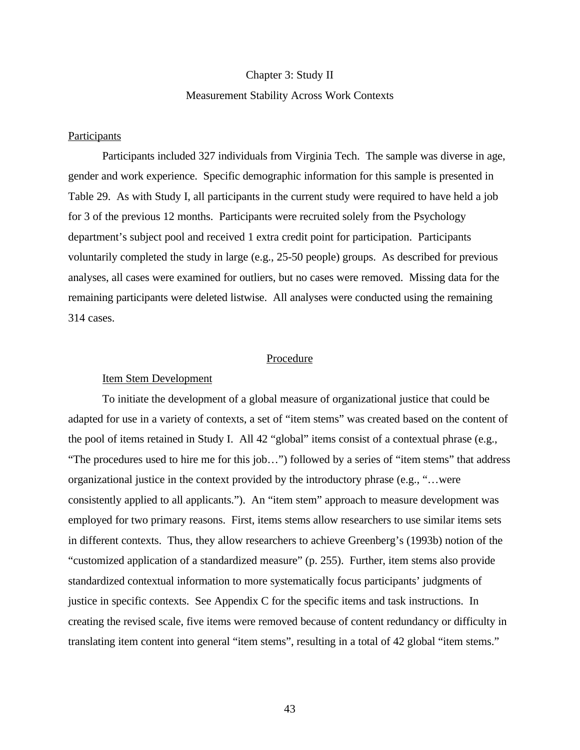### Chapter 3: Study II

# Measurement Stability Across Work Contexts

# Participants

Participants included 327 individuals from Virginia Tech. The sample was diverse in age, gender and work experience. Specific demographic information for this sample is presented in Table 29. As with Study I, all participants in the current study were required to have held a job for 3 of the previous 12 months. Participants were recruited solely from the Psychology department's subject pool and received 1 extra credit point for participation. Participants voluntarily completed the study in large (e.g., 25-50 people) groups. As described for previous analyses, all cases were examined for outliers, but no cases were removed. Missing data for the remaining participants were deleted listwise. All analyses were conducted using the remaining 314 cases.

# Procedure

## Item Stem Development

To initiate the development of a global measure of organizational justice that could be adapted for use in a variety of contexts, a set of "item stems" was created based on the content of the pool of items retained in Study I. All 42 "global" items consist of a contextual phrase (e.g., "The procedures used to hire me for this job…") followed by a series of "item stems" that address organizational justice in the context provided by the introductory phrase (e.g., "…were consistently applied to all applicants."). An "item stem" approach to measure development was employed for two primary reasons. First, items stems allow researchers to use similar items sets in different contexts. Thus, they allow researchers to achieve Greenberg's (1993b) notion of the "customized application of a standardized measure" (p. 255). Further, item stems also provide standardized contextual information to more systematically focus participants' judgments of justice in specific contexts. See Appendix C for the specific items and task instructions. In creating the revised scale, five items were removed because of content redundancy or difficulty in translating item content into general "item stems", resulting in a total of 42 global "item stems."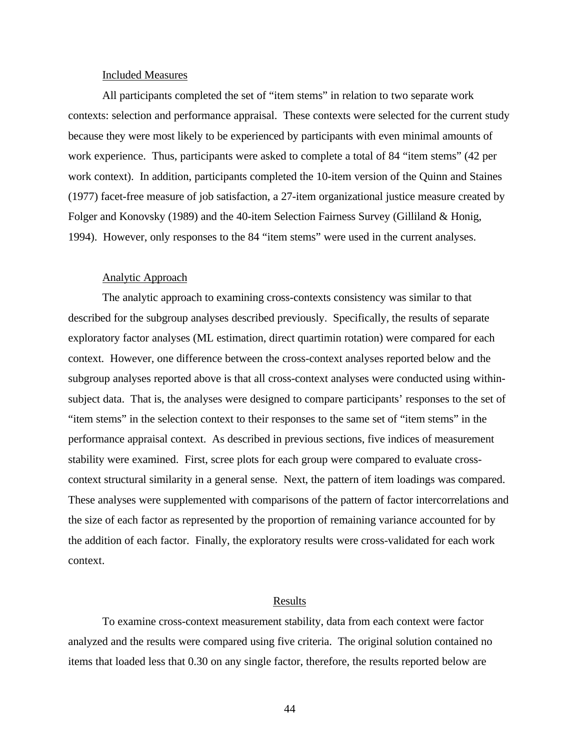## Included Measures

All participants completed the set of "item stems" in relation to two separate work contexts: selection and performance appraisal. These contexts were selected for the current study because they were most likely to be experienced by participants with even minimal amounts of work experience. Thus, participants were asked to complete a total of 84 "item stems" (42 per work context). In addition, participants completed the 10-item version of the Quinn and Staines (1977) facet-free measure of job satisfaction, a 27-item organizational justice measure created by Folger and Konovsky (1989) and the 40-item Selection Fairness Survey (Gilliland & Honig, 1994). However, only responses to the 84 "item stems" were used in the current analyses.

### Analytic Approach

The analytic approach to examining cross-contexts consistency was similar to that described for the subgroup analyses described previously. Specifically, the results of separate exploratory factor analyses (ML estimation, direct quartimin rotation) were compared for each context. However, one difference between the cross-context analyses reported below and the subgroup analyses reported above is that all cross-context analyses were conducted using withinsubject data. That is, the analyses were designed to compare participants' responses to the set of "item stems" in the selection context to their responses to the same set of "item stems" in the performance appraisal context. As described in previous sections, five indices of measurement stability were examined. First, scree plots for each group were compared to evaluate crosscontext structural similarity in a general sense. Next, the pattern of item loadings was compared. These analyses were supplemented with comparisons of the pattern of factor intercorrelations and the size of each factor as represented by the proportion of remaining variance accounted for by the addition of each factor. Finally, the exploratory results were cross-validated for each work context.

#### Results

To examine cross-context measurement stability, data from each context were factor analyzed and the results were compared using five criteria. The original solution contained no items that loaded less that 0.30 on any single factor, therefore, the results reported below are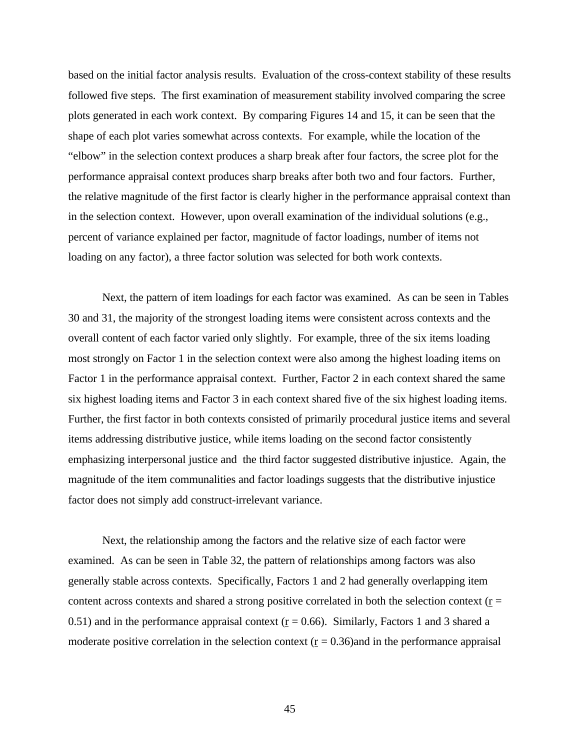based on the initial factor analysis results. Evaluation of the cross-context stability of these results followed five steps. The first examination of measurement stability involved comparing the scree plots generated in each work context. By comparing Figures 14 and 15, it can be seen that the shape of each plot varies somewhat across contexts. For example, while the location of the "elbow" in the selection context produces a sharp break after four factors, the scree plot for the performance appraisal context produces sharp breaks after both two and four factors. Further, the relative magnitude of the first factor is clearly higher in the performance appraisal context than in the selection context. However, upon overall examination of the individual solutions (e.g., percent of variance explained per factor, magnitude of factor loadings, number of items not loading on any factor), a three factor solution was selected for both work contexts.

Next, the pattern of item loadings for each factor was examined. As can be seen in Tables 30 and 31, the majority of the strongest loading items were consistent across contexts and the overall content of each factor varied only slightly. For example, three of the six items loading most strongly on Factor 1 in the selection context were also among the highest loading items on Factor 1 in the performance appraisal context. Further, Factor 2 in each context shared the same six highest loading items and Factor 3 in each context shared five of the six highest loading items. Further, the first factor in both contexts consisted of primarily procedural justice items and several items addressing distributive justice, while items loading on the second factor consistently emphasizing interpersonal justice and the third factor suggested distributive injustice. Again, the magnitude of the item communalities and factor loadings suggests that the distributive injustice factor does not simply add construct-irrelevant variance.

Next, the relationship among the factors and the relative size of each factor were examined. As can be seen in Table 32, the pattern of relationships among factors was also generally stable across contexts. Specifically, Factors 1 and 2 had generally overlapping item content across contexts and shared a strong positive correlated in both the selection context ( $r =$ 0.51) and in the performance appraisal context ( $r = 0.66$ ). Similarly, Factors 1 and 3 shared a moderate positive correlation in the selection context  $(r = 0.36)$  and in the performance appraisal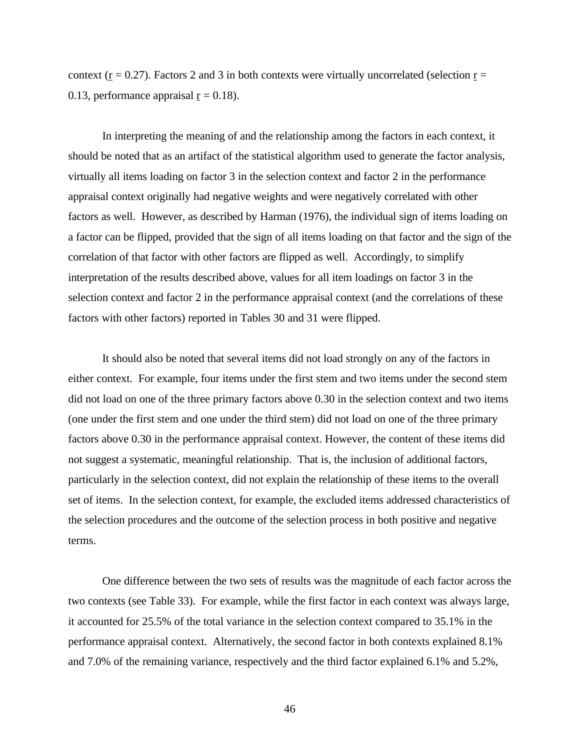context ( $\underline{r} = 0.27$ ). Factors 2 and 3 in both contexts were virtually uncorrelated (selection  $\underline{r} =$ 0.13, performance appraisal  $r = 0.18$ .

In interpreting the meaning of and the relationship among the factors in each context, it should be noted that as an artifact of the statistical algorithm used to generate the factor analysis, virtually all items loading on factor 3 in the selection context and factor 2 in the performance appraisal context originally had negative weights and were negatively correlated with other factors as well. However, as described by Harman (1976), the individual sign of items loading on a factor can be flipped, provided that the sign of all items loading on that factor and the sign of the correlation of that factor with other factors are flipped as well. Accordingly, to simplify interpretation of the results described above, values for all item loadings on factor 3 in the selection context and factor 2 in the performance appraisal context (and the correlations of these factors with other factors) reported in Tables 30 and 31 were flipped.

It should also be noted that several items did not load strongly on any of the factors in either context. For example, four items under the first stem and two items under the second stem did not load on one of the three primary factors above 0.30 in the selection context and two items (one under the first stem and one under the third stem) did not load on one of the three primary factors above 0.30 in the performance appraisal context. However, the content of these items did not suggest a systematic, meaningful relationship. That is, the inclusion of additional factors, particularly in the selection context, did not explain the relationship of these items to the overall set of items. In the selection context, for example, the excluded items addressed characteristics of the selection procedures and the outcome of the selection process in both positive and negative terms.

One difference between the two sets of results was the magnitude of each factor across the two contexts (see Table 33). For example, while the first factor in each context was always large, it accounted for 25.5% of the total variance in the selection context compared to 35.1% in the performance appraisal context. Alternatively, the second factor in both contexts explained 8.1% and 7.0% of the remaining variance, respectively and the third factor explained 6.1% and 5.2%,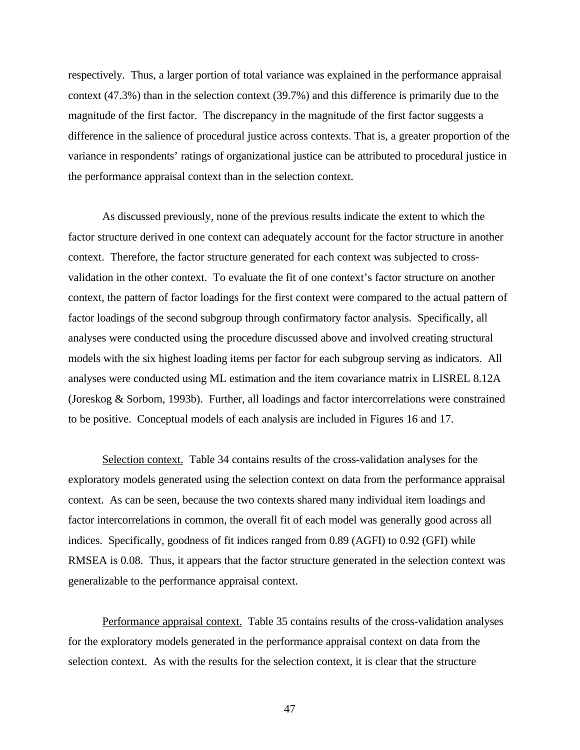respectively. Thus, a larger portion of total variance was explained in the performance appraisal context (47.3%) than in the selection context (39.7%) and this difference is primarily due to the magnitude of the first factor. The discrepancy in the magnitude of the first factor suggests a difference in the salience of procedural justice across contexts. That is, a greater proportion of the variance in respondents' ratings of organizational justice can be attributed to procedural justice in the performance appraisal context than in the selection context.

As discussed previously, none of the previous results indicate the extent to which the factor structure derived in one context can adequately account for the factor structure in another context. Therefore, the factor structure generated for each context was subjected to crossvalidation in the other context. To evaluate the fit of one context's factor structure on another context, the pattern of factor loadings for the first context were compared to the actual pattern of factor loadings of the second subgroup through confirmatory factor analysis. Specifically, all analyses were conducted using the procedure discussed above and involved creating structural models with the six highest loading items per factor for each subgroup serving as indicators. All analyses were conducted using ML estimation and the item covariance matrix in LISREL 8.12A (Joreskog & Sorbom, 1993b). Further, all loadings and factor intercorrelations were constrained to be positive. Conceptual models of each analysis are included in Figures 16 and 17.

Selection context. Table 34 contains results of the cross-validation analyses for the exploratory models generated using the selection context on data from the performance appraisal context. As can be seen, because the two contexts shared many individual item loadings and factor intercorrelations in common, the overall fit of each model was generally good across all indices. Specifically, goodness of fit indices ranged from 0.89 (AGFI) to 0.92 (GFI) while RMSEA is 0.08. Thus, it appears that the factor structure generated in the selection context was generalizable to the performance appraisal context.

Performance appraisal context. Table 35 contains results of the cross-validation analyses for the exploratory models generated in the performance appraisal context on data from the selection context. As with the results for the selection context, it is clear that the structure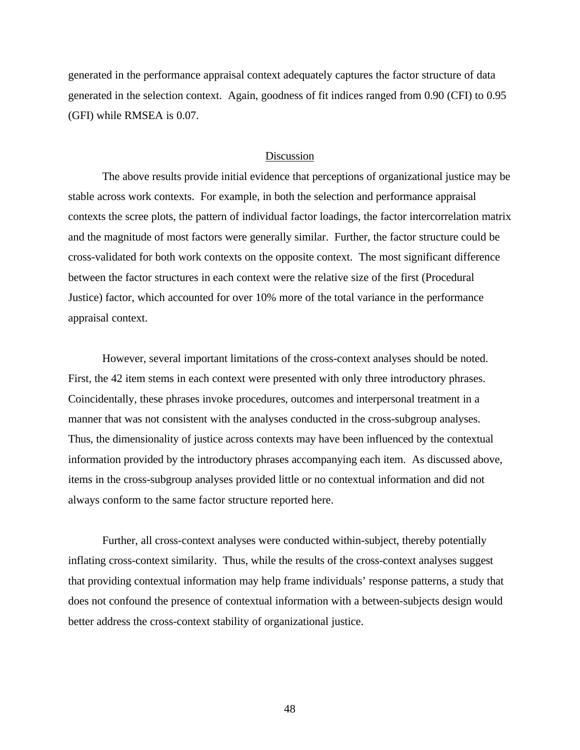generated in the performance appraisal context adequately captures the factor structure of data generated in the selection context. Again, goodness of fit indices ranged from 0.90 (CFI) to 0.95 (GFI) while RMSEA is 0.07.

## Discussion

The above results provide initial evidence that perceptions of organizational justice may be stable across work contexts. For example, in both the selection and performance appraisal contexts the scree plots, the pattern of individual factor loadings, the factor intercorrelation matrix and the magnitude of most factors were generally similar. Further, the factor structure could be cross-validated for both work contexts on the opposite context. The most significant difference between the factor structures in each context were the relative size of the first (Procedural Justice) factor, which accounted for over 10% more of the total variance in the performance appraisal context.

However, several important limitations of the cross-context analyses should be noted. First, the 42 item stems in each context were presented with only three introductory phrases. Coincidentally, these phrases invoke procedures, outcomes and interpersonal treatment in a manner that was not consistent with the analyses conducted in the cross-subgroup analyses. Thus, the dimensionality of justice across contexts may have been influenced by the contextual information provided by the introductory phrases accompanying each item. As discussed above, items in the cross-subgroup analyses provided little or no contextual information and did not always conform to the same factor structure reported here.

Further, all cross-context analyses were conducted within-subject, thereby potentially inflating cross-context similarity. Thus, while the results of the cross-context analyses suggest that providing contextual information may help frame individuals' response patterns, a study that does not confound the presence of contextual information with a between-subjects design would better address the cross-context stability of organizational justice.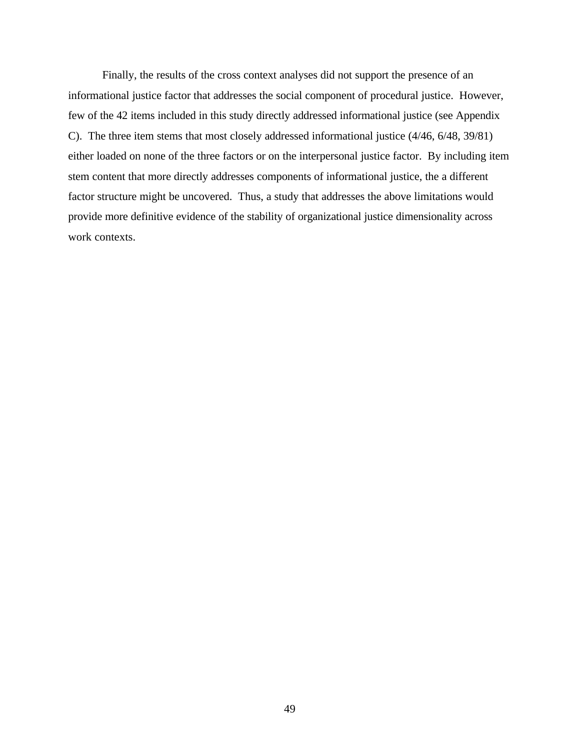Finally, the results of the cross context analyses did not support the presence of an informational justice factor that addresses the social component of procedural justice. However, few of the 42 items included in this study directly addressed informational justice (see Appendix C). The three item stems that most closely addressed informational justice (4/46, 6/48, 39/81) either loaded on none of the three factors or on the interpersonal justice factor. By including item stem content that more directly addresses components of informational justice, the a different factor structure might be uncovered. Thus, a study that addresses the above limitations would provide more definitive evidence of the stability of organizational justice dimensionality across work contexts.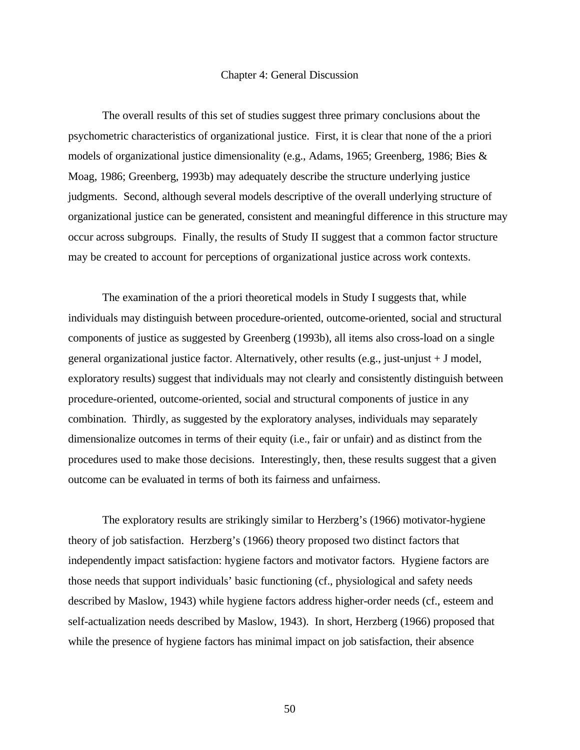#### Chapter 4: General Discussion

The overall results of this set of studies suggest three primary conclusions about the psychometric characteristics of organizational justice. First, it is clear that none of the a priori models of organizational justice dimensionality (e.g., Adams, 1965; Greenberg, 1986; Bies & Moag, 1986; Greenberg, 1993b) may adequately describe the structure underlying justice judgments. Second, although several models descriptive of the overall underlying structure of organizational justice can be generated, consistent and meaningful difference in this structure may occur across subgroups. Finally, the results of Study II suggest that a common factor structure may be created to account for perceptions of organizational justice across work contexts.

The examination of the a priori theoretical models in Study I suggests that, while individuals may distinguish between procedure-oriented, outcome-oriented, social and structural components of justice as suggested by Greenberg (1993b), all items also cross-load on a single general organizational justice factor. Alternatively, other results (e.g., just-unjust + J model, exploratory results) suggest that individuals may not clearly and consistently distinguish between procedure-oriented, outcome-oriented, social and structural components of justice in any combination. Thirdly, as suggested by the exploratory analyses, individuals may separately dimensionalize outcomes in terms of their equity (i.e., fair or unfair) and as distinct from the procedures used to make those decisions. Interestingly, then, these results suggest that a given outcome can be evaluated in terms of both its fairness and unfairness.

The exploratory results are strikingly similar to Herzberg's (1966) motivator-hygiene theory of job satisfaction. Herzberg's (1966) theory proposed two distinct factors that independently impact satisfaction: hygiene factors and motivator factors. Hygiene factors are those needs that support individuals' basic functioning (cf., physiological and safety needs described by Maslow, 1943) while hygiene factors address higher-order needs (cf., esteem and self-actualization needs described by Maslow, 1943). In short, Herzberg (1966) proposed that while the presence of hygiene factors has minimal impact on job satisfaction, their absence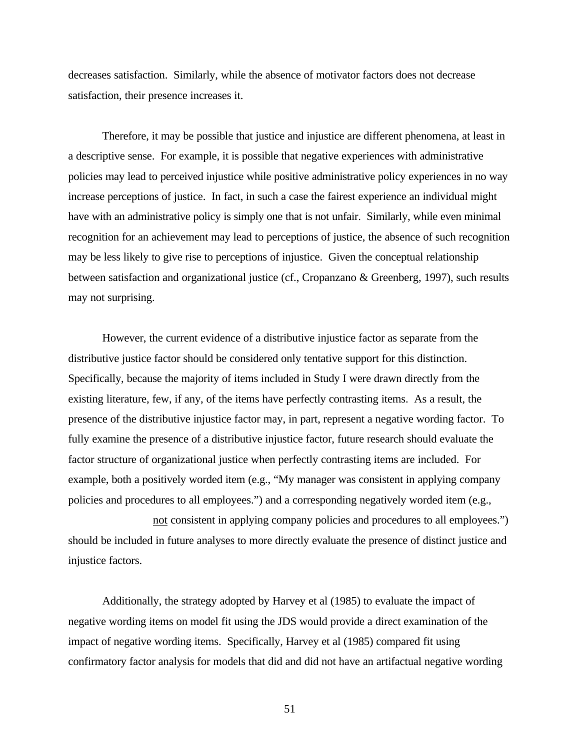decreases satisfaction. Similarly, while the absence of motivator factors does not decrease satisfaction, their presence increases it.

Therefore, it may be possible that justice and injustice are different phenomena, at least in a descriptive sense. For example, it is possible that negative experiences with administrative policies may lead to perceived injustice while positive administrative policy experiences in no way increase perceptions of justice. In fact, in such a case the fairest experience an individual might have with an administrative policy is simply one that is not unfair. Similarly, while even minimal recognition for an achievement may lead to perceptions of justice, the absence of such recognition may be less likely to give rise to perceptions of injustice. Given the conceptual relationship between satisfaction and organizational justice (cf., Cropanzano & Greenberg, 1997), such results may not surprising.

However, the current evidence of a distributive injustice factor as separate from the distributive justice factor should be considered only tentative support for this distinction. Specifically, because the majority of items included in Study I were drawn directly from the existing literature, few, if any, of the items have perfectly contrasting items. As a result, the presence of the distributive injustice factor may, in part, represent a negative wording factor. To fully examine the presence of a distributive injustice factor, future research should evaluate the factor structure of organizational justice when perfectly contrasting items are included. For example, both a positively worded item (e.g., "My manager was consistent in applying company policies and procedures to all employees.") and a corresponding negatively worded item (e.g.,

not consistent in applying company policies and procedures to all employees.") should be included in future analyses to more directly evaluate the presence of distinct justice and injustice factors.

Additionally, the strategy adopted by Harvey et al (1985) to evaluate the impact of negative wording items on model fit using the JDS would provide a direct examination of the impact of negative wording items. Specifically, Harvey et al (1985) compared fit using confirmatory factor analysis for models that did and did not have an artifactual negative wording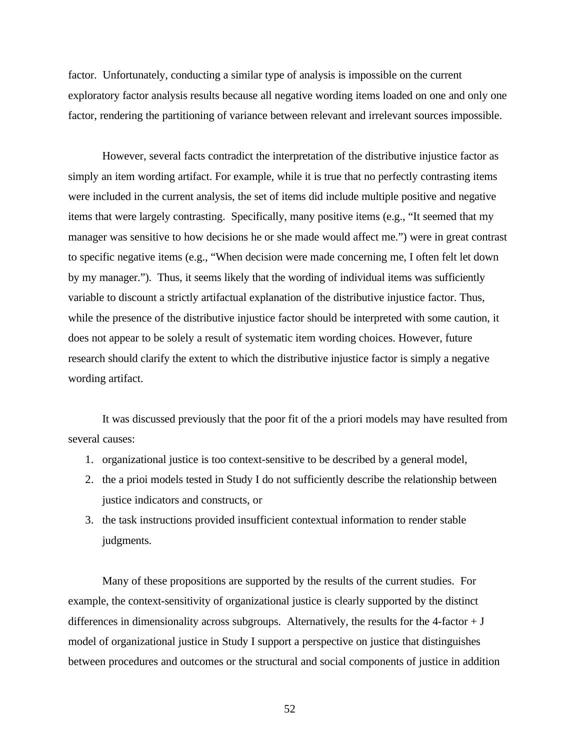factor. Unfortunately, conducting a similar type of analysis is impossible on the current exploratory factor analysis results because all negative wording items loaded on one and only one factor, rendering the partitioning of variance between relevant and irrelevant sources impossible.

However, several facts contradict the interpretation of the distributive injustice factor as simply an item wording artifact. For example, while it is true that no perfectly contrasting items were included in the current analysis, the set of items did include multiple positive and negative items that were largely contrasting. Specifically, many positive items (e.g., "It seemed that my manager was sensitive to how decisions he or she made would affect me.") were in great contrast to specific negative items (e.g., "When decision were made concerning me, I often felt let down by my manager."). Thus, it seems likely that the wording of individual items was sufficiently variable to discount a strictly artifactual explanation of the distributive injustice factor. Thus, while the presence of the distributive injustice factor should be interpreted with some caution, it does not appear to be solely a result of systematic item wording choices. However, future research should clarify the extent to which the distributive injustice factor is simply a negative wording artifact.

It was discussed previously that the poor fit of the a priori models may have resulted from several causes:

- 1. organizational justice is too context-sensitive to be described by a general model,
- 2. the a prioi models tested in Study I do not sufficiently describe the relationship between justice indicators and constructs, or
- 3. the task instructions provided insufficient contextual information to render stable judgments.

Many of these propositions are supported by the results of the current studies. For example, the context-sensitivity of organizational justice is clearly supported by the distinct differences in dimensionality across subgroups. Alternatively, the results for the 4-factor  $+$  J model of organizational justice in Study I support a perspective on justice that distinguishes between procedures and outcomes or the structural and social components of justice in addition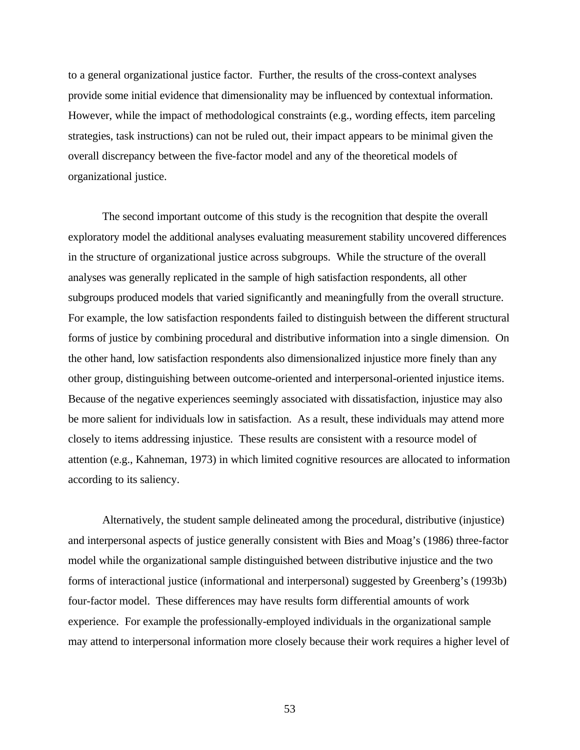to a general organizational justice factor. Further, the results of the cross-context analyses provide some initial evidence that dimensionality may be influenced by contextual information. However, while the impact of methodological constraints (e.g., wording effects, item parceling strategies, task instructions) can not be ruled out, their impact appears to be minimal given the overall discrepancy between the five-factor model and any of the theoretical models of organizational justice.

The second important outcome of this study is the recognition that despite the overall exploratory model the additional analyses evaluating measurement stability uncovered differences in the structure of organizational justice across subgroups. While the structure of the overall analyses was generally replicated in the sample of high satisfaction respondents, all other subgroups produced models that varied significantly and meaningfully from the overall structure. For example, the low satisfaction respondents failed to distinguish between the different structural forms of justice by combining procedural and distributive information into a single dimension. On the other hand, low satisfaction respondents also dimensionalized injustice more finely than any other group, distinguishing between outcome-oriented and interpersonal-oriented injustice items. Because of the negative experiences seemingly associated with dissatisfaction, injustice may also be more salient for individuals low in satisfaction. As a result, these individuals may attend more closely to items addressing injustice. These results are consistent with a resource model of attention (e.g., Kahneman, 1973) in which limited cognitive resources are allocated to information according to its saliency.

Alternatively, the student sample delineated among the procedural, distributive (injustice) and interpersonal aspects of justice generally consistent with Bies and Moag's (1986) three-factor model while the organizational sample distinguished between distributive injustice and the two forms of interactional justice (informational and interpersonal) suggested by Greenberg's (1993b) four-factor model. These differences may have results form differential amounts of work experience. For example the professionally-employed individuals in the organizational sample may attend to interpersonal information more closely because their work requires a higher level of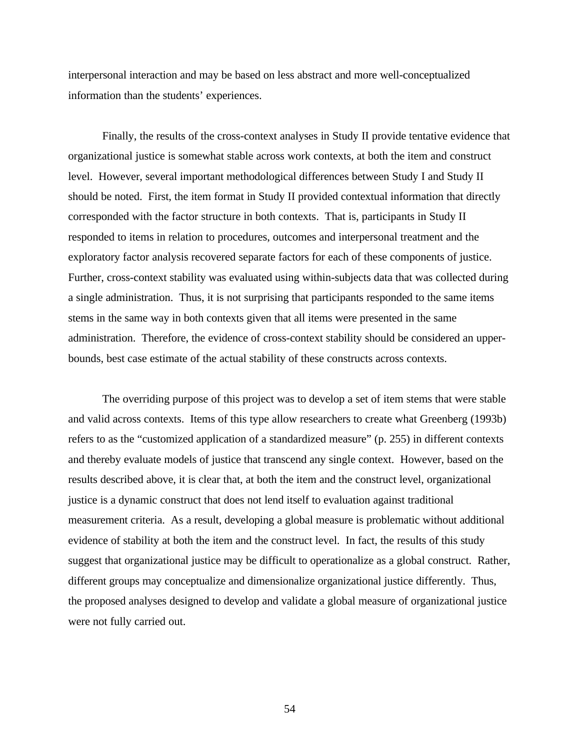interpersonal interaction and may be based on less abstract and more well-conceptualized information than the students' experiences.

Finally, the results of the cross-context analyses in Study II provide tentative evidence that organizational justice is somewhat stable across work contexts, at both the item and construct level. However, several important methodological differences between Study I and Study II should be noted. First, the item format in Study II provided contextual information that directly corresponded with the factor structure in both contexts. That is, participants in Study II responded to items in relation to procedures, outcomes and interpersonal treatment and the exploratory factor analysis recovered separate factors for each of these components of justice. Further, cross-context stability was evaluated using within-subjects data that was collected during a single administration. Thus, it is not surprising that participants responded to the same items stems in the same way in both contexts given that all items were presented in the same administration. Therefore, the evidence of cross-context stability should be considered an upperbounds, best case estimate of the actual stability of these constructs across contexts.

The overriding purpose of this project was to develop a set of item stems that were stable and valid across contexts. Items of this type allow researchers to create what Greenberg (1993b) refers to as the "customized application of a standardized measure" (p. 255) in different contexts and thereby evaluate models of justice that transcend any single context. However, based on the results described above, it is clear that, at both the item and the construct level, organizational justice is a dynamic construct that does not lend itself to evaluation against traditional measurement criteria. As a result, developing a global measure is problematic without additional evidence of stability at both the item and the construct level. In fact, the results of this study suggest that organizational justice may be difficult to operationalize as a global construct. Rather, different groups may conceptualize and dimensionalize organizational justice differently. Thus, the proposed analyses designed to develop and validate a global measure of organizational justice were not fully carried out.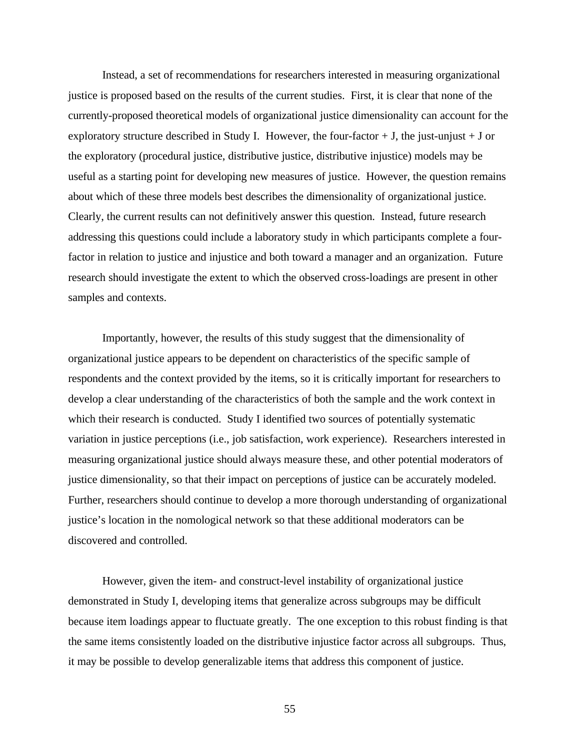Instead, a set of recommendations for researchers interested in measuring organizational justice is proposed based on the results of the current studies. First, it is clear that none of the currently-proposed theoretical models of organizational justice dimensionality can account for the exploratory structure described in Study I. However, the four-factor  $+$  J, the just-unjust  $+$  J or the exploratory (procedural justice, distributive justice, distributive injustice) models may be useful as a starting point for developing new measures of justice. However, the question remains about which of these three models best describes the dimensionality of organizational justice. Clearly, the current results can not definitively answer this question. Instead, future research addressing this questions could include a laboratory study in which participants complete a fourfactor in relation to justice and injustice and both toward a manager and an organization. Future research should investigate the extent to which the observed cross-loadings are present in other samples and contexts.

Importantly, however, the results of this study suggest that the dimensionality of organizational justice appears to be dependent on characteristics of the specific sample of respondents and the context provided by the items, so it is critically important for researchers to develop a clear understanding of the characteristics of both the sample and the work context in which their research is conducted. Study I identified two sources of potentially systematic variation in justice perceptions (i.e., job satisfaction, work experience). Researchers interested in measuring organizational justice should always measure these, and other potential moderators of justice dimensionality, so that their impact on perceptions of justice can be accurately modeled. Further, researchers should continue to develop a more thorough understanding of organizational justice's location in the nomological network so that these additional moderators can be discovered and controlled.

However, given the item- and construct-level instability of organizational justice demonstrated in Study I, developing items that generalize across subgroups may be difficult because item loadings appear to fluctuate greatly. The one exception to this robust finding is that the same items consistently loaded on the distributive injustice factor across all subgroups. Thus, it may be possible to develop generalizable items that address this component of justice.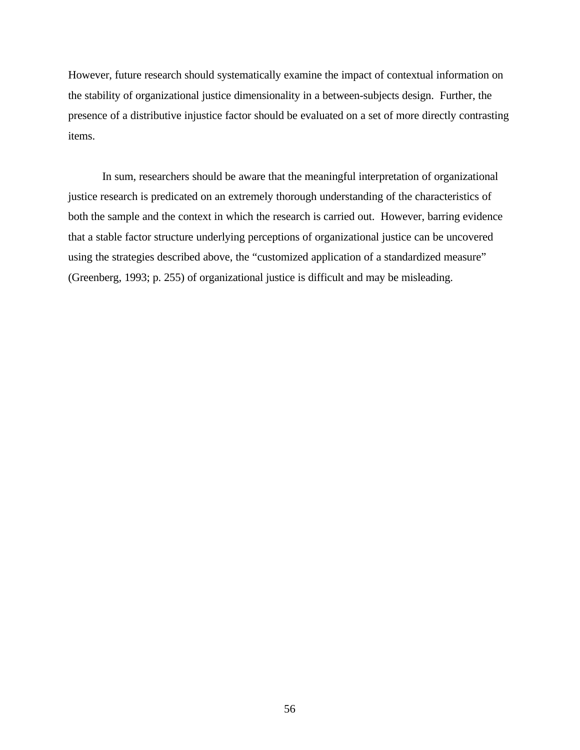However, future research should systematically examine the impact of contextual information on the stability of organizational justice dimensionality in a between-subjects design. Further, the presence of a distributive injustice factor should be evaluated on a set of more directly contrasting items.

In sum, researchers should be aware that the meaningful interpretation of organizational justice research is predicated on an extremely thorough understanding of the characteristics of both the sample and the context in which the research is carried out. However, barring evidence that a stable factor structure underlying perceptions of organizational justice can be uncovered using the strategies described above, the "customized application of a standardized measure" (Greenberg, 1993; p. 255) of organizational justice is difficult and may be misleading.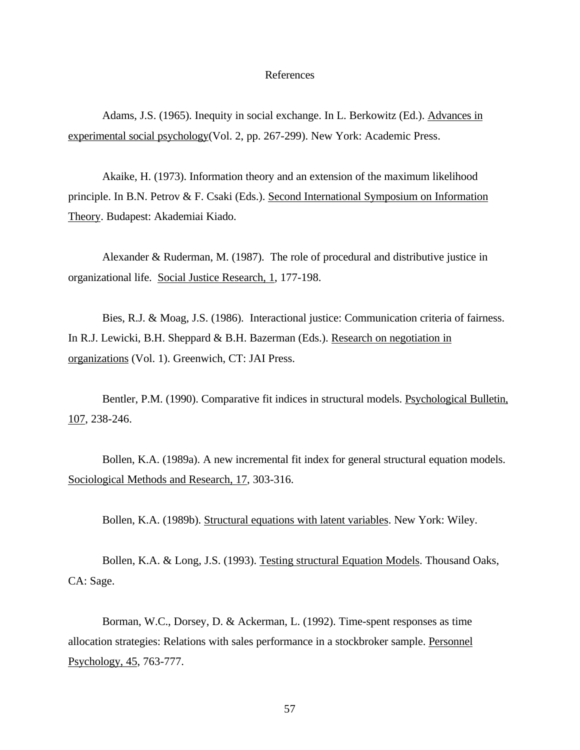# References

Adams, J.S. (1965). Inequity in social exchange. In L. Berkowitz (Ed.). Advances in experimental social psychology(Vol. 2, pp. 267-299). New York: Academic Press.

Akaike, H. (1973). Information theory and an extension of the maximum likelihood principle. In B.N. Petrov & F. Csaki (Eds.). Second International Symposium on Information Theory. Budapest: Akademiai Kiado.

Alexander & Ruderman, M. (1987). The role of procedural and distributive justice in organizational life. Social Justice Research, 1, 177-198.

Bies, R.J. & Moag, J.S. (1986). Interactional justice: Communication criteria of fairness. In R.J. Lewicki, B.H. Sheppard & B.H. Bazerman (Eds.). Research on negotiation in organizations (Vol. 1). Greenwich, CT: JAI Press.

Bentler, P.M. (1990). Comparative fit indices in structural models. Psychological Bulletin, 107, 238-246.

Bollen, K.A. (1989a). A new incremental fit index for general structural equation models. Sociological Methods and Research, 17, 303-316.

Bollen, K.A. (1989b). Structural equations with latent variables. New York: Wiley.

Bollen, K.A. & Long, J.S. (1993). Testing structural Equation Models. Thousand Oaks, CA: Sage.

Borman, W.C., Dorsey, D. & Ackerman, L. (1992). Time-spent responses as time allocation strategies: Relations with sales performance in a stockbroker sample. Personnel Psychology, 45, 763-777.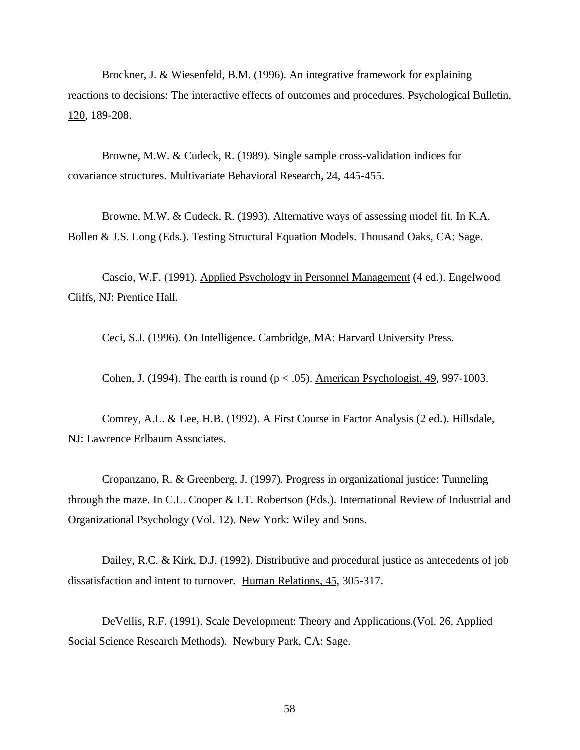Brockner, J. & Wiesenfeld, B.M. (1996). An integrative framework for explaining reactions to decisions: The interactive effects of outcomes and procedures. Psychological Bulletin, 120, 189-208.

Browne, M.W. & Cudeck, R. (1989). Single sample cross-validation indices for covariance structures. Multivariate Behavioral Research, 24, 445-455.

Browne, M.W. & Cudeck, R. (1993). Alternative ways of assessing model fit. In K.A. Bollen & J.S. Long (Eds.). Testing Structural Equation Models. Thousand Oaks, CA: Sage.

Cascio, W.F. (1991). Applied Psychology in Personnel Management (4 ed.). Engelwood Cliffs, NJ: Prentice Hall.

Ceci, S.J. (1996). On Intelligence. Cambridge, MA: Harvard University Press.

Cohen, J. (1994). The earth is round ( $p < .05$ ). American Psychologist, 49, 997-1003.

Comrey, A.L. & Lee, H.B. (1992). A First Course in Factor Analysis (2 ed.). Hillsdale, NJ: Lawrence Erlbaum Associates.

Cropanzano, R. & Greenberg, J. (1997). Progress in organizational justice: Tunneling through the maze. In C.L. Cooper & I.T. Robertson (Eds.). International Review of Industrial and Organizational Psychology (Vol. 12). New York: Wiley and Sons.

Dailey, R.C. & Kirk, D.J. (1992). Distributive and procedural justice as antecedents of job dissatisfaction and intent to turnover. Human Relations, 45, 305-317.

DeVellis, R.F. (1991). Scale Development: Theory and Applications.(Vol. 26. Applied Social Science Research Methods). Newbury Park, CA: Sage.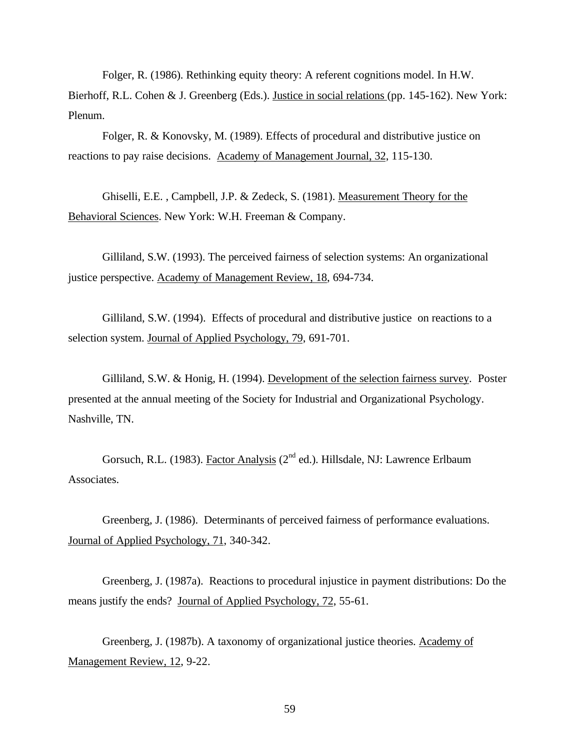Folger, R. (1986). Rethinking equity theory: A referent cognitions model. In H.W. Bierhoff, R.L. Cohen & J. Greenberg (Eds.). Justice in social relations (pp. 145-162). New York: Plenum.

Folger, R. & Konovsky, M. (1989). Effects of procedural and distributive justice on reactions to pay raise decisions. Academy of Management Journal, 32, 115-130.

Ghiselli, E.E. , Campbell, J.P. & Zedeck, S. (1981). Measurement Theory for the Behavioral Sciences. New York: W.H. Freeman & Company.

Gilliland, S.W. (1993). The perceived fairness of selection systems: An organizational justice perspective. Academy of Management Review, 18, 694-734.

Gilliland, S.W. (1994). Effects of procedural and distributive justice on reactions to a selection system. Journal of Applied Psychology, 79, 691-701.

Gilliland, S.W. & Honig, H. (1994). Development of the selection fairness survey. Poster presented at the annual meeting of the Society for Industrial and Organizational Psychology. Nashville, TN.

Gorsuch, R.L. (1983). Factor Analysis (2<sup>nd</sup> ed.). Hillsdale, NJ: Lawrence Erlbaum Associates.

Greenberg, J. (1986). Determinants of perceived fairness of performance evaluations. Journal of Applied Psychology, 71, 340-342.

Greenberg, J. (1987a). Reactions to procedural injustice in payment distributions: Do the means justify the ends? Journal of Applied Psychology, 72, 55-61.

Greenberg, J. (1987b). A taxonomy of organizational justice theories. Academy of Management Review, 12, 9-22.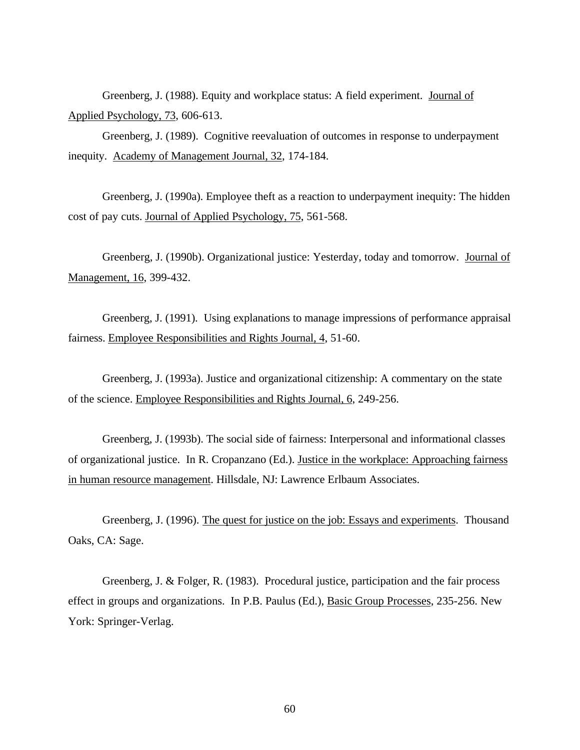Greenberg, J. (1988). Equity and workplace status: A field experiment. Journal of Applied Psychology, 73, 606-613.

Greenberg, J. (1989). Cognitive reevaluation of outcomes in response to underpayment inequity. Academy of Management Journal, 32, 174-184.

Greenberg, J. (1990a). Employee theft as a reaction to underpayment inequity: The hidden cost of pay cuts. Journal of Applied Psychology, 75, 561-568.

Greenberg, J. (1990b). Organizational justice: Yesterday, today and tomorrow. Journal of Management, 16, 399-432.

Greenberg, J. (1991). Using explanations to manage impressions of performance appraisal fairness. Employee Responsibilities and Rights Journal, 4, 51-60.

Greenberg, J. (1993a). Justice and organizational citizenship: A commentary on the state of the science. Employee Responsibilities and Rights Journal, 6, 249-256.

Greenberg, J. (1993b). The social side of fairness: Interpersonal and informational classes of organizational justice. In R. Cropanzano (Ed.). Justice in the workplace: Approaching fairness in human resource management. Hillsdale, NJ: Lawrence Erlbaum Associates.

Greenberg, J. (1996). The quest for justice on the job: Essays and experiments. Thousand Oaks, CA: Sage.

Greenberg, J. & Folger, R. (1983). Procedural justice, participation and the fair process effect in groups and organizations. In P.B. Paulus (Ed.), Basic Group Processes, 235-256. New York: Springer-Verlag.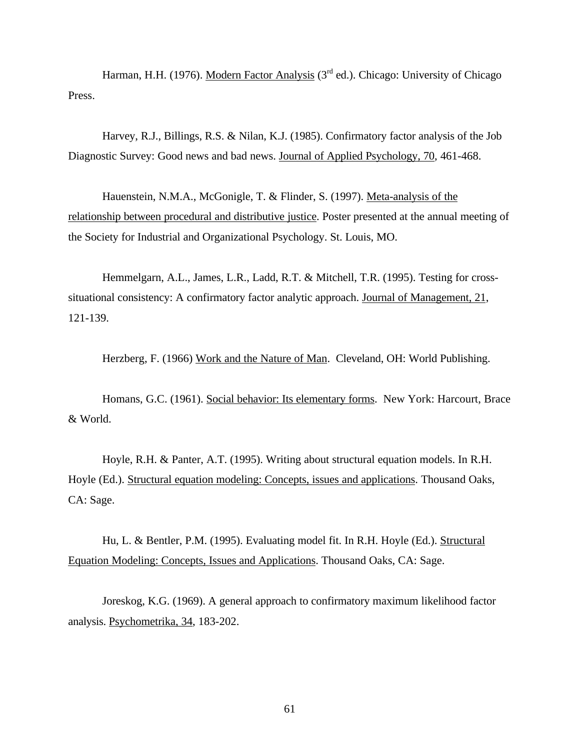Harman, H.H. (1976). Modern Factor Analysis ( $3<sup>rd</sup>$  ed.). Chicago: University of Chicago Press.

Harvey, R.J., Billings, R.S. & Nilan, K.J. (1985). Confirmatory factor analysis of the Job Diagnostic Survey: Good news and bad news. Journal of Applied Psychology, 70, 461-468.

Hauenstein, N.M.A., McGonigle, T. & Flinder, S. (1997). Meta-analysis of the relationship between procedural and distributive justice. Poster presented at the annual meeting of the Society for Industrial and Organizational Psychology. St. Louis, MO.

Hemmelgarn, A.L., James, L.R., Ladd, R.T. & Mitchell, T.R. (1995). Testing for crosssituational consistency: A confirmatory factor analytic approach. Journal of Management, 21, 121-139.

Herzberg, F. (1966) Work and the Nature of Man. Cleveland, OH: World Publishing.

Homans, G.C. (1961). Social behavior: Its elementary forms. New York: Harcourt, Brace & World.

Hoyle, R.H. & Panter, A.T. (1995). Writing about structural equation models. In R.H. Hoyle (Ed.). Structural equation modeling: Concepts, issues and applications. Thousand Oaks, CA: Sage.

Hu, L. & Bentler, P.M. (1995). Evaluating model fit. In R.H. Hoyle (Ed.). Structural Equation Modeling: Concepts, Issues and Applications. Thousand Oaks, CA: Sage.

Joreskog, K.G. (1969). A general approach to confirmatory maximum likelihood factor analysis. Psychometrika, 34, 183-202.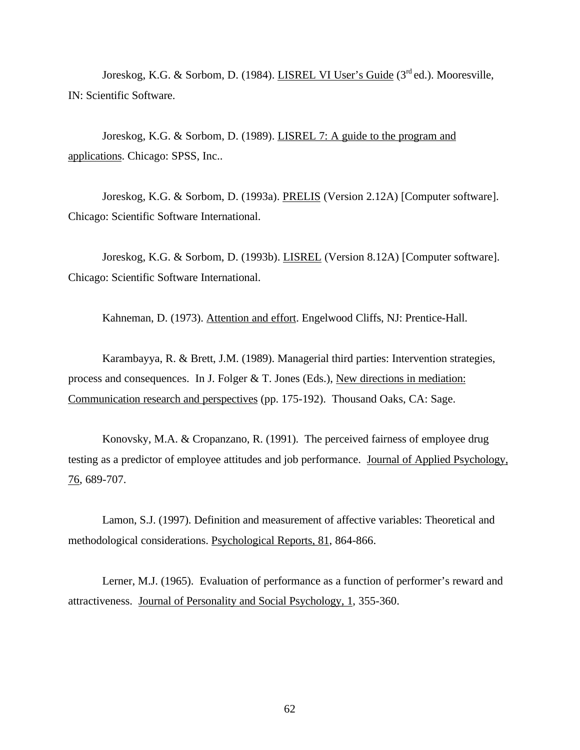Joreskog, K.G. & Sorbom, D. (1984). LISREL VI User's Guide (3<sup>rd</sup> ed.). Mooresville, IN: Scientific Software.

Joreskog, K.G. & Sorbom, D. (1989). LISREL 7: A guide to the program and applications. Chicago: SPSS, Inc..

Joreskog, K.G. & Sorbom, D. (1993a). PRELIS (Version 2.12A) [Computer software]. Chicago: Scientific Software International.

Joreskog, K.G. & Sorbom, D. (1993b). LISREL (Version 8.12A) [Computer software]. Chicago: Scientific Software International.

Kahneman, D. (1973). Attention and effort. Engelwood Cliffs, NJ: Prentice-Hall.

Karambayya, R. & Brett, J.M. (1989). Managerial third parties: Intervention strategies, process and consequences. In J. Folger & T. Jones (Eds.), New directions in mediation: Communication research and perspectives (pp. 175-192). Thousand Oaks, CA: Sage.

Konovsky, M.A. & Cropanzano, R. (1991). The perceived fairness of employee drug testing as a predictor of employee attitudes and job performance. Journal of Applied Psychology, 76, 689-707.

Lamon, S.J. (1997). Definition and measurement of affective variables: Theoretical and methodological considerations. Psychological Reports, 81, 864-866.

Lerner, M.J. (1965). Evaluation of performance as a function of performer's reward and attractiveness. Journal of Personality and Social Psychology, 1, 355-360.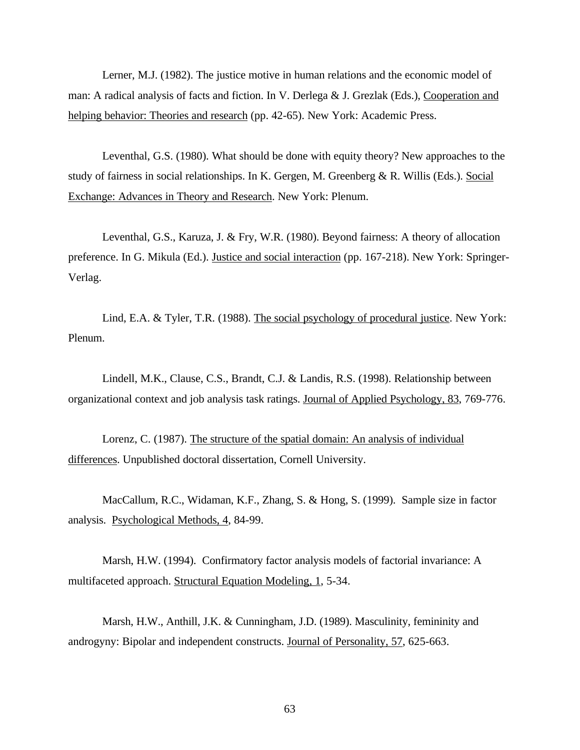Lerner, M.J. (1982). The justice motive in human relations and the economic model of man: A radical analysis of facts and fiction. In V. Derlega & J. Grezlak (Eds.), Cooperation and helping behavior: Theories and research (pp. 42-65). New York: Academic Press.

Leventhal, G.S. (1980). What should be done with equity theory? New approaches to the study of fairness in social relationships. In K. Gergen, M. Greenberg & R. Willis (Eds.). Social Exchange: Advances in Theory and Research. New York: Plenum.

Leventhal, G.S., Karuza, J. & Fry, W.R. (1980). Beyond fairness: A theory of allocation preference. In G. Mikula (Ed.). Justice and social interaction (pp. 167-218). New York: Springer-Verlag.

Lind, E.A. & Tyler, T.R. (1988). The social psychology of procedural justice. New York: Plenum.

Lindell, M.K., Clause, C.S., Brandt, C.J. & Landis, R.S. (1998). Relationship between organizational context and job analysis task ratings. Journal of Applied Psychology, 83, 769-776.

Lorenz, C. (1987). The structure of the spatial domain: An analysis of individual differences. Unpublished doctoral dissertation, Cornell University.

MacCallum, R.C., Widaman, K.F., Zhang, S. & Hong, S. (1999). Sample size in factor analysis. Psychological Methods, 4, 84-99.

Marsh, H.W. (1994). Confirmatory factor analysis models of factorial invariance: A multifaceted approach. Structural Equation Modeling, 1, 5-34.

Marsh, H.W., Anthill, J.K. & Cunningham, J.D. (1989). Masculinity, femininity and androgyny: Bipolar and independent constructs. Journal of Personality, 57, 625-663.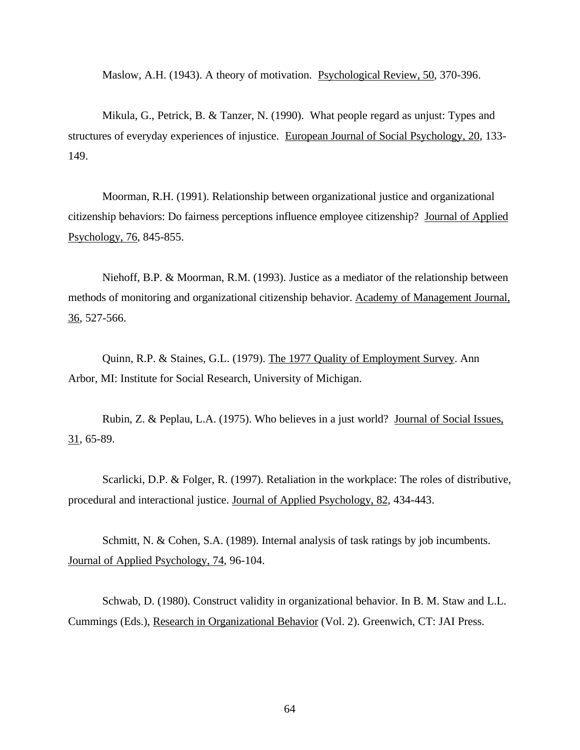Maslow, A.H. (1943). A theory of motivation. Psychological Review, 50, 370-396.

Mikula, G., Petrick, B. & Tanzer, N. (1990). What people regard as unjust: Types and structures of everyday experiences of injustice. European Journal of Social Psychology, 20, 133- 149.

Moorman, R.H. (1991). Relationship between organizational justice and organizational citizenship behaviors: Do fairness perceptions influence employee citizenship? Journal of Applied Psychology, 76, 845-855.

Niehoff, B.P. & Moorman, R.M. (1993). Justice as a mediator of the relationship between methods of monitoring and organizational citizenship behavior. Academy of Management Journal, 36, 527-566.

Quinn, R.P. & Staines, G.L. (1979). The 1977 Quality of Employment Survey. Ann Arbor, MI: Institute for Social Research, University of Michigan.

Rubin, Z. & Peplau, L.A. (1975). Who believes in a just world? Journal of Social Issues, 31, 65-89.

Scarlicki, D.P. & Folger, R. (1997). Retaliation in the workplace: The roles of distributive, procedural and interactional justice. Journal of Applied Psychology, 82, 434-443.

Schmitt, N. & Cohen, S.A. (1989). Internal analysis of task ratings by job incumbents. Journal of Applied Psychology, 74, 96-104.

Schwab, D. (1980). Construct validity in organizational behavior. In B. M. Staw and L.L. Cummings (Eds.), Research in Organizational Behavior (Vol. 2). Greenwich, CT: JAI Press.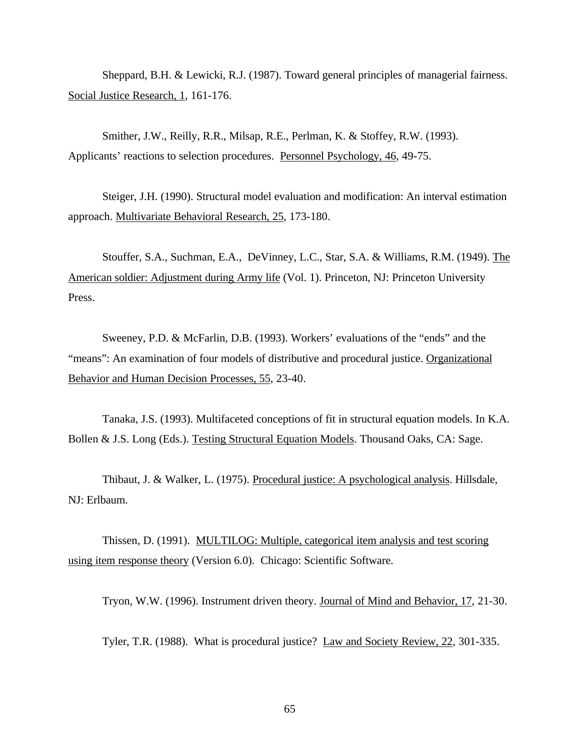Sheppard, B.H. & Lewicki, R.J. (1987). Toward general principles of managerial fairness. Social Justice Research, 1, 161-176.

Smither, J.W., Reilly, R.R., Milsap, R.E., Perlman, K. & Stoffey, R.W. (1993). Applicants' reactions to selection procedures. Personnel Psychology, 46, 49-75.

Steiger, J.H. (1990). Structural model evaluation and modification: An interval estimation approach. Multivariate Behavioral Research, 25, 173-180.

Stouffer, S.A., Suchman, E.A., DeVinney, L.C., Star, S.A. & Williams, R.M. (1949). The American soldier: Adjustment during Army life (Vol. 1). Princeton, NJ: Princeton University Press.

Sweeney, P.D. & McFarlin, D.B. (1993). Workers' evaluations of the "ends" and the "means": An examination of four models of distributive and procedural justice. Organizational Behavior and Human Decision Processes, 55, 23-40.

Tanaka, J.S. (1993). Multifaceted conceptions of fit in structural equation models. In K.A. Bollen & J.S. Long (Eds.). Testing Structural Equation Models. Thousand Oaks, CA: Sage.

Thibaut, J. & Walker, L. (1975). Procedural justice: A psychological analysis. Hillsdale, NJ: Erlbaum.

Thissen, D. (1991). MULTILOG: Multiple, categorical item analysis and test scoring using item response theory (Version 6.0). Chicago: Scientific Software.

Tryon, W.W. (1996). Instrument driven theory. Journal of Mind and Behavior, 17, 21-30.

Tyler, T.R. (1988). What is procedural justice? Law and Society Review, 22, 301-335.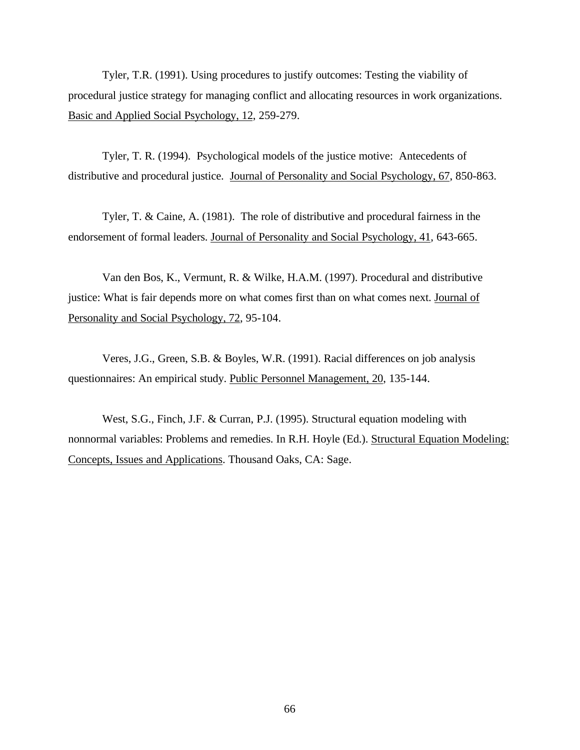Tyler, T.R. (1991). Using procedures to justify outcomes: Testing the viability of procedural justice strategy for managing conflict and allocating resources in work organizations. Basic and Applied Social Psychology, 12, 259-279.

Tyler, T. R. (1994). Psychological models of the justice motive: Antecedents of distributive and procedural justice. Journal of Personality and Social Psychology, 67, 850-863.

Tyler, T. & Caine, A. (1981). The role of distributive and procedural fairness in the endorsement of formal leaders. Journal of Personality and Social Psychology, 41, 643-665.

Van den Bos, K., Vermunt, R. & Wilke, H.A.M. (1997). Procedural and distributive justice: What is fair depends more on what comes first than on what comes next. Journal of Personality and Social Psychology, 72, 95-104.

Veres, J.G., Green, S.B. & Boyles, W.R. (1991). Racial differences on job analysis questionnaires: An empirical study. Public Personnel Management, 20, 135-144.

West, S.G., Finch, J.F. & Curran, P.J. (1995). Structural equation modeling with nonnormal variables: Problems and remedies. In R.H. Hoyle (Ed.). Structural Equation Modeling: Concepts, Issues and Applications. Thousand Oaks, CA: Sage.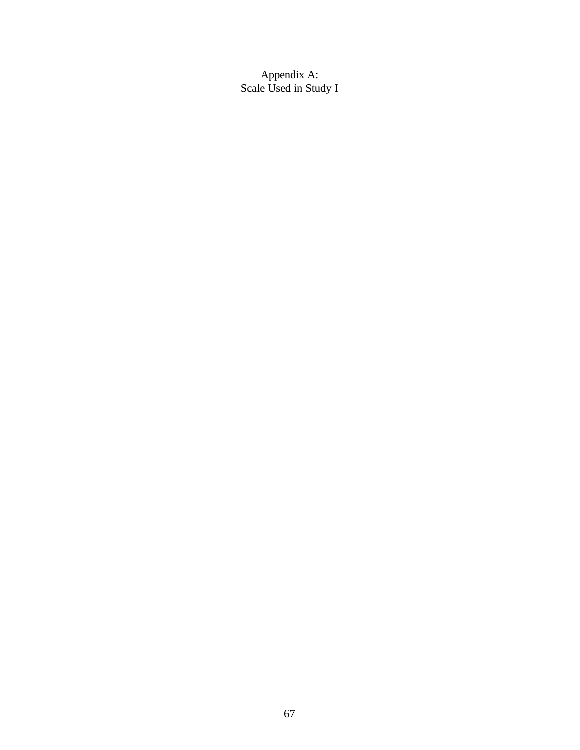Appendix A: Scale Used in Study I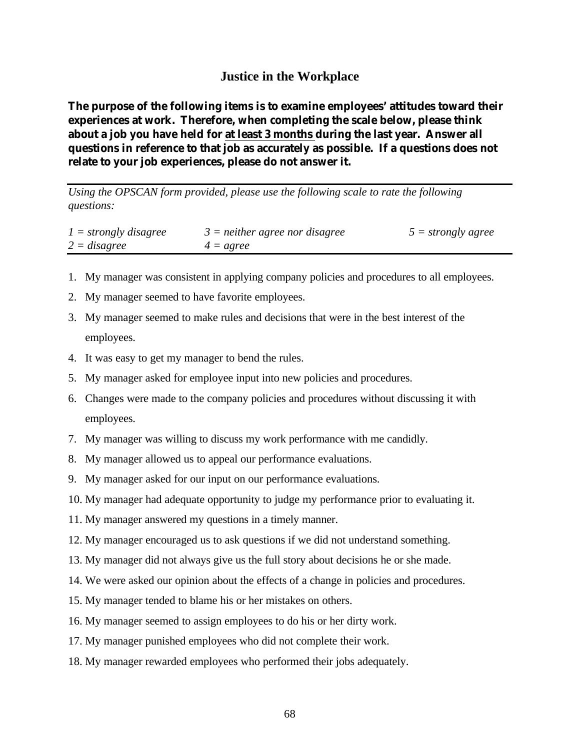## **Justice in the Workplace**

**The purpose of the following items is to examine employees' attitudes toward their experiences at work. Therefore, when completing the scale below, please think about a job you have held for at least 3 months during the last year. Answer all questions in reference to that job as accurately as possible. If a questions does not relate to your job experiences, please do not answer it.**

*Using the OPSCAN form provided, please use the following scale to rate the following questions:*

| $1 =$ strongly disagree | $3$ = neither agree nor disagree | $5 = strongly agree$ |
|-------------------------|----------------------------------|----------------------|
| $2 = disagree$          | $4 = agree$                      |                      |

- 1. My manager was consistent in applying company policies and procedures to all employees.
- 2. My manager seemed to have favorite employees.
- 3. My manager seemed to make rules and decisions that were in the best interest of the employees.
- 4. It was easy to get my manager to bend the rules.
- 5. My manager asked for employee input into new policies and procedures.
- 6. Changes were made to the company policies and procedures without discussing it with employees.
- 7. My manager was willing to discuss my work performance with me candidly.
- 8. My manager allowed us to appeal our performance evaluations.
- 9. My manager asked for our input on our performance evaluations.
- 10. My manager had adequate opportunity to judge my performance prior to evaluating it.
- 11. My manager answered my questions in a timely manner.
- 12. My manager encouraged us to ask questions if we did not understand something.
- 13. My manager did not always give us the full story about decisions he or she made.
- 14. We were asked our opinion about the effects of a change in policies and procedures.
- 15. My manager tended to blame his or her mistakes on others.
- 16. My manager seemed to assign employees to do his or her dirty work.
- 17. My manager punished employees who did not complete their work.
- 18. My manager rewarded employees who performed their jobs adequately.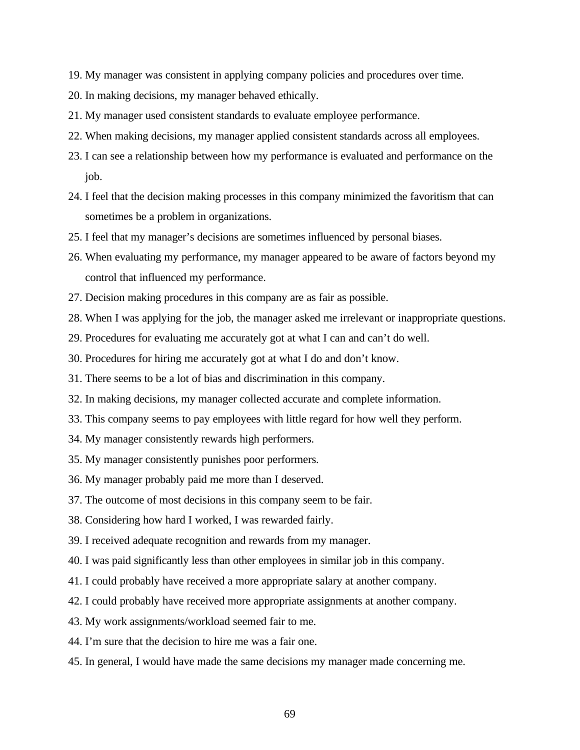- 19. My manager was consistent in applying company policies and procedures over time.
- 20. In making decisions, my manager behaved ethically.
- 21. My manager used consistent standards to evaluate employee performance.
- 22. When making decisions, my manager applied consistent standards across all employees.
- 23. I can see a relationship between how my performance is evaluated and performance on the job.
- 24. I feel that the decision making processes in this company minimized the favoritism that can sometimes be a problem in organizations.
- 25. I feel that my manager's decisions are sometimes influenced by personal biases.
- 26. When evaluating my performance, my manager appeared to be aware of factors beyond my control that influenced my performance.
- 27. Decision making procedures in this company are as fair as possible.
- 28. When I was applying for the job, the manager asked me irrelevant or inappropriate questions.
- 29. Procedures for evaluating me accurately got at what I can and can't do well.
- 30. Procedures for hiring me accurately got at what I do and don't know.
- 31. There seems to be a lot of bias and discrimination in this company.
- 32. In making decisions, my manager collected accurate and complete information.
- 33. This company seems to pay employees with little regard for how well they perform.
- 34. My manager consistently rewards high performers.
- 35. My manager consistently punishes poor performers.
- 36. My manager probably paid me more than I deserved.
- 37. The outcome of most decisions in this company seem to be fair.
- 38. Considering how hard I worked, I was rewarded fairly.
- 39. I received adequate recognition and rewards from my manager.
- 40. I was paid significantly less than other employees in similar job in this company.
- 41. I could probably have received a more appropriate salary at another company.
- 42. I could probably have received more appropriate assignments at another company.
- 43. My work assignments/workload seemed fair to me.
- 44. I'm sure that the decision to hire me was a fair one.
- 45. In general, I would have made the same decisions my manager made concerning me.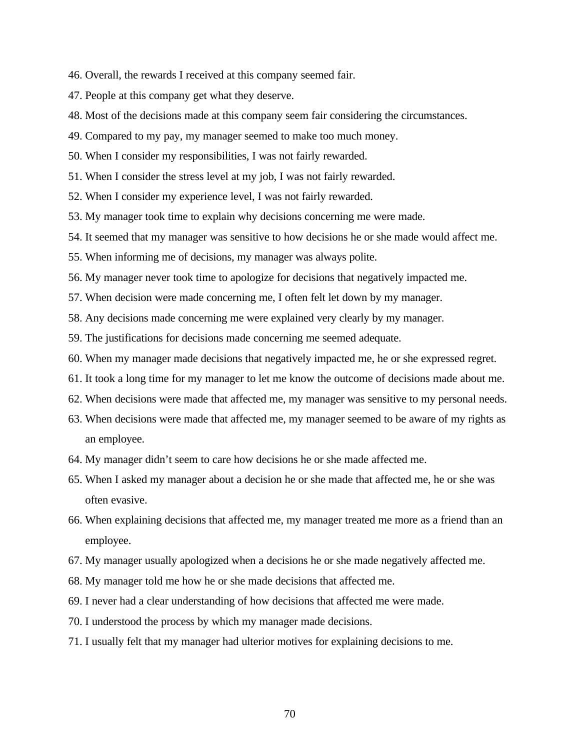- 46. Overall, the rewards I received at this company seemed fair.
- 47. People at this company get what they deserve.
- 48. Most of the decisions made at this company seem fair considering the circumstances.
- 49. Compared to my pay, my manager seemed to make too much money.
- 50. When I consider my responsibilities, I was not fairly rewarded.
- 51. When I consider the stress level at my job, I was not fairly rewarded.
- 52. When I consider my experience level, I was not fairly rewarded.
- 53. My manager took time to explain why decisions concerning me were made.
- 54. It seemed that my manager was sensitive to how decisions he or she made would affect me.
- 55. When informing me of decisions, my manager was always polite.
- 56. My manager never took time to apologize for decisions that negatively impacted me.
- 57. When decision were made concerning me, I often felt let down by my manager.
- 58. Any decisions made concerning me were explained very clearly by my manager.
- 59. The justifications for decisions made concerning me seemed adequate.
- 60. When my manager made decisions that negatively impacted me, he or she expressed regret.
- 61. It took a long time for my manager to let me know the outcome of decisions made about me.
- 62. When decisions were made that affected me, my manager was sensitive to my personal needs.
- 63. When decisions were made that affected me, my manager seemed to be aware of my rights as an employee.
- 64. My manager didn't seem to care how decisions he or she made affected me.
- 65. When I asked my manager about a decision he or she made that affected me, he or she was often evasive.
- 66. When explaining decisions that affected me, my manager treated me more as a friend than an employee.
- 67. My manager usually apologized when a decisions he or she made negatively affected me.
- 68. My manager told me how he or she made decisions that affected me.
- 69. I never had a clear understanding of how decisions that affected me were made.
- 70. I understood the process by which my manager made decisions.
- 71. I usually felt that my manager had ulterior motives for explaining decisions to me.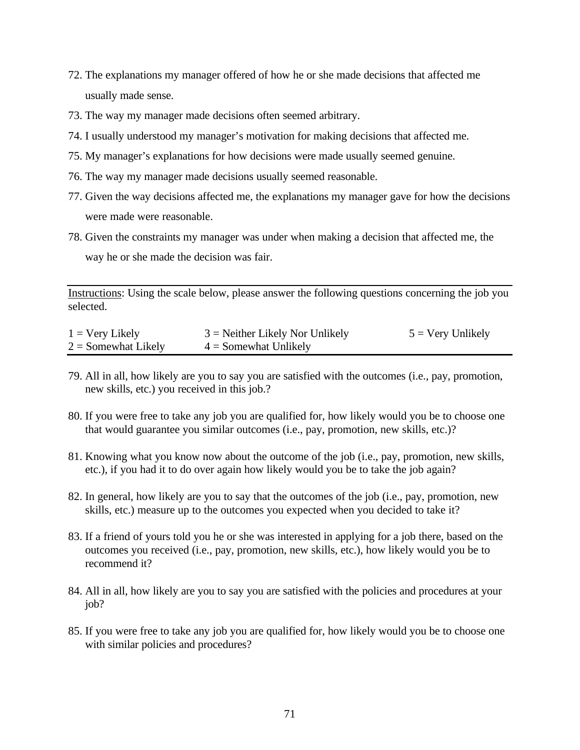- 72. The explanations my manager offered of how he or she made decisions that affected me usually made sense.
- 73. The way my manager made decisions often seemed arbitrary.
- 74. I usually understood my manager's motivation for making decisions that affected me.
- 75. My manager's explanations for how decisions were made usually seemed genuine.
- 76. The way my manager made decisions usually seemed reasonable.
- 77. Given the way decisions affected me, the explanations my manager gave for how the decisions were made were reasonable.
- 78. Given the constraints my manager was under when making a decision that affected me, the way he or she made the decision was fair.

Instructions: Using the scale below, please answer the following questions concerning the job you selected.

| $1 = \text{Very Likely}$ | $3$ = Neither Likely Nor Unlikely | $5 = \text{Very Unlike}$ |
|--------------------------|-----------------------------------|--------------------------|
| $2 =$ Somewhat Likely    | $4 =$ Somewhat Unlikely           |                          |

- 79. All in all, how likely are you to say you are satisfied with the outcomes (i.e., pay, promotion, new skills, etc.) you received in this job.?
- 80. If you were free to take any job you are qualified for, how likely would you be to choose one that would guarantee you similar outcomes (i.e., pay, promotion, new skills, etc.)?
- 81. Knowing what you know now about the outcome of the job (i.e., pay, promotion, new skills, etc.), if you had it to do over again how likely would you be to take the job again?
- 82. In general, how likely are you to say that the outcomes of the job (i.e., pay, promotion, new skills, etc.) measure up to the outcomes you expected when you decided to take it?
- 83. If a friend of yours told you he or she was interested in applying for a job there, based on the outcomes you received (i.e., pay, promotion, new skills, etc.), how likely would you be to recommend it?
- 84. All in all, how likely are you to say you are satisfied with the policies and procedures at your job?
- 85. If you were free to take any job you are qualified for, how likely would you be to choose one with similar policies and procedures?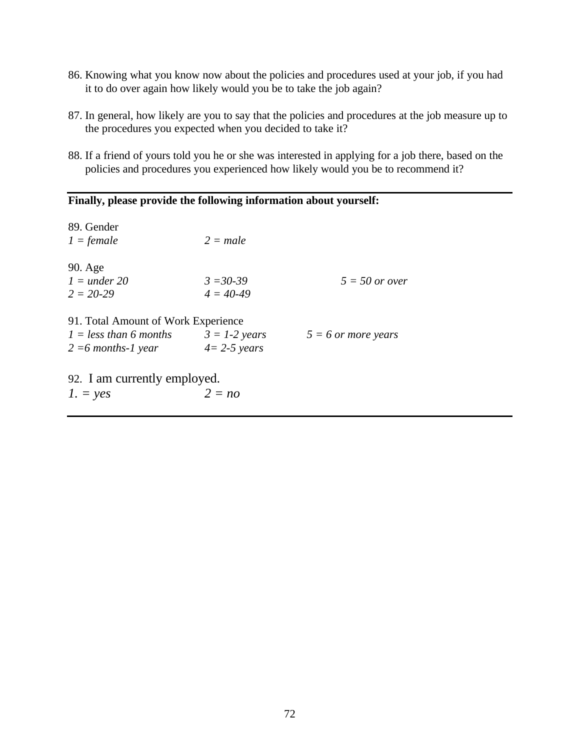- 86. Knowing what you know now about the policies and procedures used at your job, if you had it to do over again how likely would you be to take the job again?
- 87. In general, how likely are you to say that the policies and procedures at the job measure up to the procedures you expected when you decided to take it?
- 88. If a friend of yours told you he or she was interested in applying for a job there, based on the policies and procedures you experienced how likely would you be to recommend it?

| Finally, please provide the following information about yourself: |                 |                       |  |  |
|-------------------------------------------------------------------|-----------------|-----------------------|--|--|
| 89. Gender                                                        |                 |                       |  |  |
| $1 = female$                                                      | $2 = male$      |                       |  |  |
| 90. Age                                                           |                 |                       |  |  |
| $l = under 20$                                                    | $3 = 30-39$     | $5 = 50$ or over      |  |  |
| $2 = 20 - 29$                                                     | $4 = 40-49$     |                       |  |  |
| 91. Total Amount of Work Experience                               |                 |                       |  |  |
| $1 = less than 6 months$                                          | $3 = 1-2$ years | $5 = 6$ or more years |  |  |
| $2 = 6$ months-1 year                                             | $4=2-5$ years   |                       |  |  |
| 92. I am currently employed.                                      |                 |                       |  |  |
| $1. = yes$                                                        | $2 = no$        |                       |  |  |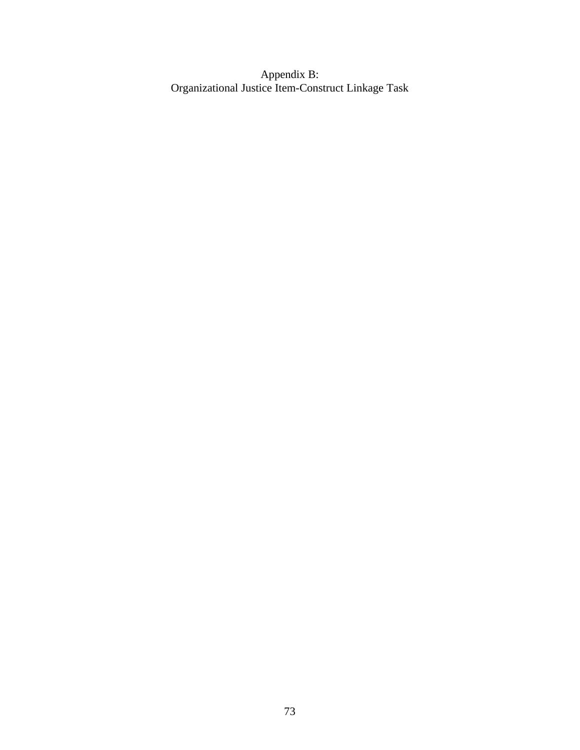Appendix B: Organizational Justice Item-Construct Linkage Task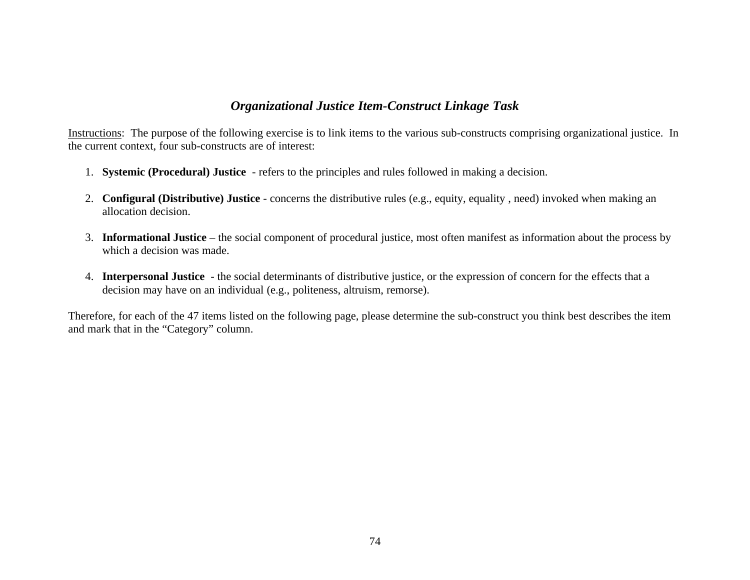# *Organizational Justice Item-Construct Linkage Task*

Instructions: The purpose of the following exercise is to link items to the various sub-constructs comprising organizational justice. In the current context, four sub-constructs are of interest:

- 1. **Systemic (Procedural) Justice** refers to the principles and rules followed in making a decision.
- 2. **Configural (Distributive) Justice** concerns the distributive rules (e.g., equity, equality , need) invoked when making an allocation decision.
- 3. **Informational Justice** the social component of procedural justice, most often manifest as information about the process by which a decision was made.
- 4. **Interpersonal Justice**  the social determinants of distributive justice, or the expression of concern for the effects that a decision may have on an individual (e.g., politeness, altruism, remorse).

Therefore, for each of the 47 items listed on the following page, please determine the sub-construct you think best describes the item and mark that in the "Category" column.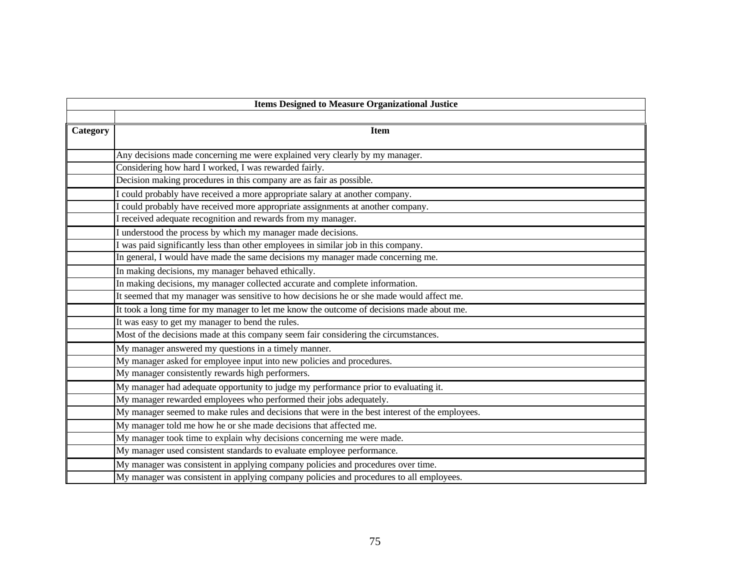| <b>Items Designed to Measure Organizational Justice</b> |                                                                                                |  |  |  |  |  |
|---------------------------------------------------------|------------------------------------------------------------------------------------------------|--|--|--|--|--|
|                                                         |                                                                                                |  |  |  |  |  |
| Category                                                | <b>Item</b>                                                                                    |  |  |  |  |  |
|                                                         |                                                                                                |  |  |  |  |  |
|                                                         | Any decisions made concerning me were explained very clearly by my manager.                    |  |  |  |  |  |
|                                                         | Considering how hard I worked, I was rewarded fairly.                                          |  |  |  |  |  |
|                                                         | Decision making procedures in this company are as fair as possible.                            |  |  |  |  |  |
|                                                         | I could probably have received a more appropriate salary at another company.                   |  |  |  |  |  |
|                                                         | I could probably have received more appropriate assignments at another company.                |  |  |  |  |  |
|                                                         | I received adequate recognition and rewards from my manager.                                   |  |  |  |  |  |
|                                                         | I understood the process by which my manager made decisions.                                   |  |  |  |  |  |
|                                                         | I was paid significantly less than other employees in similar job in this company.             |  |  |  |  |  |
|                                                         | In general, I would have made the same decisions my manager made concerning me.                |  |  |  |  |  |
|                                                         | In making decisions, my manager behaved ethically.                                             |  |  |  |  |  |
|                                                         | In making decisions, my manager collected accurate and complete information.                   |  |  |  |  |  |
|                                                         | It seemed that my manager was sensitive to how decisions he or she made would affect me.       |  |  |  |  |  |
|                                                         | It took a long time for my manager to let me know the outcome of decisions made about me.      |  |  |  |  |  |
|                                                         | It was easy to get my manager to bend the rules.                                               |  |  |  |  |  |
|                                                         | Most of the decisions made at this company seem fair considering the circumstances.            |  |  |  |  |  |
|                                                         | My manager answered my questions in a timely manner.                                           |  |  |  |  |  |
|                                                         | My manager asked for employee input into new policies and procedures.                          |  |  |  |  |  |
|                                                         | My manager consistently rewards high performers.                                               |  |  |  |  |  |
|                                                         | My manager had adequate opportunity to judge my performance prior to evaluating it.            |  |  |  |  |  |
|                                                         | My manager rewarded employees who performed their jobs adequately.                             |  |  |  |  |  |
|                                                         | My manager seemed to make rules and decisions that were in the best interest of the employees. |  |  |  |  |  |
|                                                         | My manager told me how he or she made decisions that affected me.                              |  |  |  |  |  |
|                                                         | My manager took time to explain why decisions concerning me were made.                         |  |  |  |  |  |
|                                                         | My manager used consistent standards to evaluate employee performance.                         |  |  |  |  |  |
|                                                         | My manager was consistent in applying company policies and procedures over time.               |  |  |  |  |  |
|                                                         | My manager was consistent in applying company policies and procedures to all employees.        |  |  |  |  |  |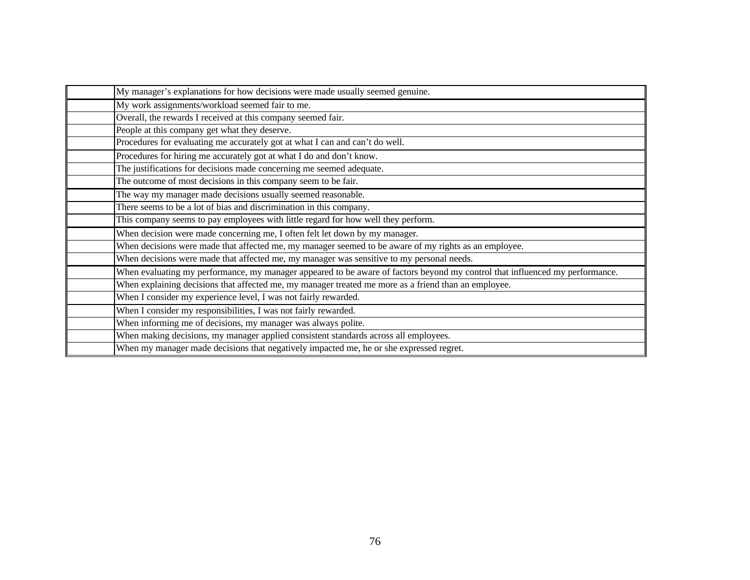| My manager's explanations for how decisions were made usually seemed genuine.                                                |
|------------------------------------------------------------------------------------------------------------------------------|
| My work assignments/workload seemed fair to me.                                                                              |
| Overall, the rewards I received at this company seemed fair.                                                                 |
| People at this company get what they deserve.                                                                                |
| Procedures for evaluating me accurately got at what I can and can't do well.                                                 |
| Procedures for hiring me accurately got at what I do and don't know.                                                         |
| The justifications for decisions made concerning me seemed adequate.                                                         |
| The outcome of most decisions in this company seem to be fair.                                                               |
| The way my manager made decisions usually seemed reasonable.                                                                 |
| There seems to be a lot of bias and discrimination in this company.                                                          |
| This company seems to pay employees with little regard for how well they perform.                                            |
| When decision were made concerning me, I often felt let down by my manager.                                                  |
| When decisions were made that affected me, my manager seemed to be aware of my rights as an employee.                        |
| When decisions were made that affected me, my manager was sensitive to my personal needs.                                    |
| When evaluating my performance, my manager appeared to be aware of factors beyond my control that influenced my performance. |
| When explaining decisions that affected me, my manager treated me more as a friend than an employee.                         |
| When I consider my experience level, I was not fairly rewarded.                                                              |
| When I consider my responsibilities, I was not fairly rewarded.                                                              |
| When informing me of decisions, my manager was always polite.                                                                |
| When making decisions, my manager applied consistent standards across all employees.                                         |
| When my manager made decisions that negatively impacted me, he or she expressed regret.                                      |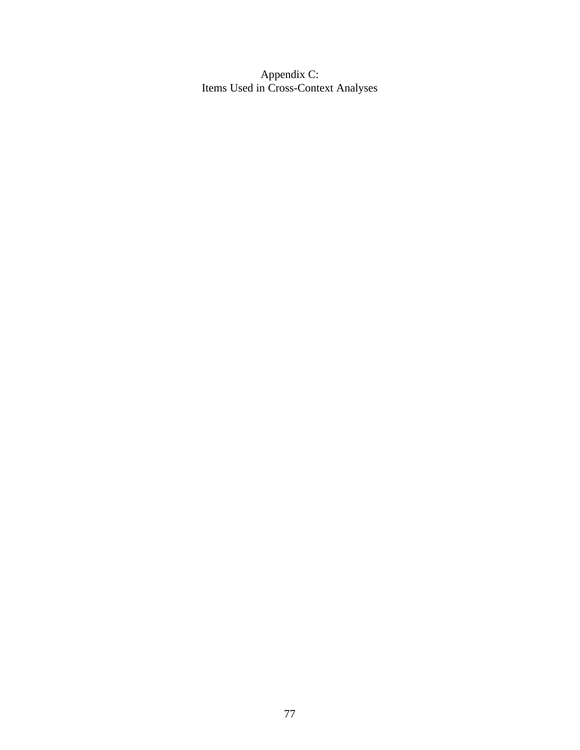Appendix C: Items Used in Cross-Context Analyses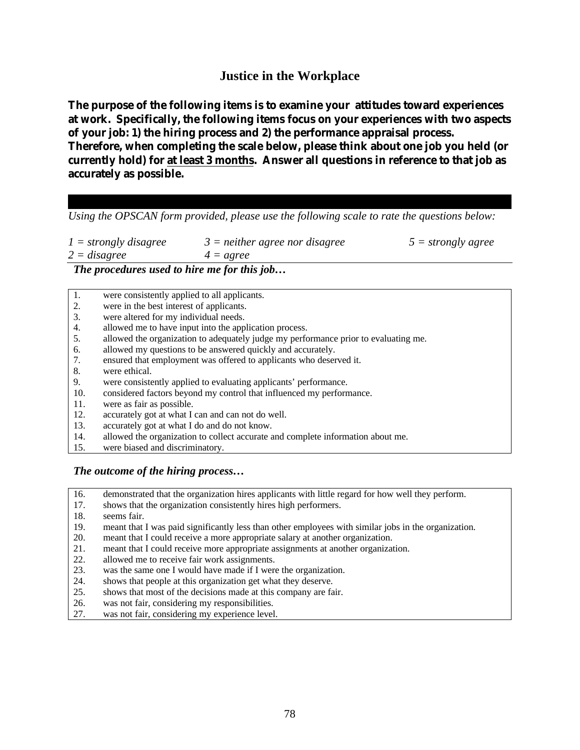## **Justice in the Workplace**

**The purpose of the following items is to examine your attitudes toward experiences at work. Specifically, the following items focus on your experiences with two aspects of your job: 1) the hiring process and 2) the performance appraisal process. Therefore, when completing the scale below, please think about one job you held (or currently hold) for at least 3 months. Answer all questions in reference to that job as accurately as possible.**

*Using the OPSCAN form provided, please use the following scale to rate the questions below:*

| $1 =$ strongly disagree | $3$ = neither agree nor disagree | $5 = strongly agree$ |
|-------------------------|----------------------------------|----------------------|
| $2 = disagree$          | $4 = agree$                      |                      |

*The procedures used to hire me for this job…*

| 1.  | were consistently applied to all applicants.                                        |
|-----|-------------------------------------------------------------------------------------|
| 2.  | were in the best interest of applicants.                                            |
| 3.  | were altered for my individual needs.                                               |
| 4.  | allowed me to have input into the application process.                              |
| 5.  | allowed the organization to adequately judge my performance prior to evaluating me. |
| 6.  | allowed my questions to be answered quickly and accurately.                         |
| 7.  | ensured that employment was offered to applicants who deserved it.                  |
| 8.  | were ethical.                                                                       |
| 9.  | were consistently applied to evaluating applicants' performance.                    |
| 10. | considered factors beyond my control that influenced my performance.                |
| 11. | were as fair as possible.                                                           |
| 12. | accurately got at what I can and can not do well.                                   |
| 13. | accurately got at what I do and do not know.                                        |
| 14. | allowed the organization to collect accurate and complete information about me.     |

15. were biased and discriminatory.

#### *The outcome of the hiring process…*

- 16. demonstrated that the organization hires applicants with little regard for how well they perform.
- 17. shows that the organization consistently hires high performers.
- 18. seems fair.
- 19. meant that I was paid significantly less than other employees with similar jobs in the organization.
- 20. meant that I could receive a more appropriate salary at another organization.
- 21. meant that I could receive more appropriate assignments at another organization.
- 22. allowed me to receive fair work assignments.
- 23. was the same one I would have made if I were the organization.
- 24. shows that people at this organization get what they deserve.
- 25. shows that most of the decisions made at this company are fair.
- 26. was not fair, considering my responsibilities.
- 27. was not fair, considering my experience level.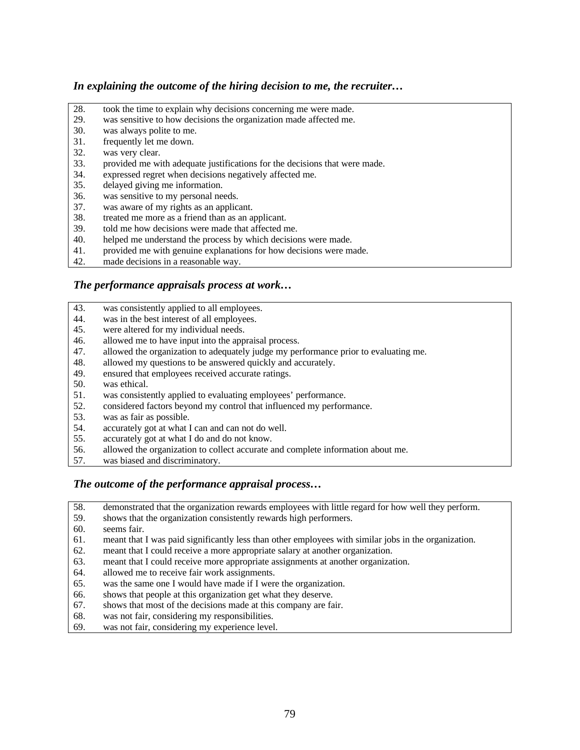#### *In explaining the outcome of the hiring decision to me, the recruiter…*

- 28. took the time to explain why decisions concerning me were made.<br>29. was sensitive to how decisions the organization made affected me.
- 29. was sensitive to how decisions the organization made affected me.<br>30. was always polite to me.
- was always polite to me.
- 31. frequently let me down.
- 32. was very clear.
- 33. provided me with adequate justifications for the decisions that were made.
- 34. expressed regret when decisions negatively affected me.
- 35. delayed giving me information.
- 36. was sensitive to my personal needs.
- 37. was aware of my rights as an applicant.
- 38. treated me more as a friend than as an applicant.<br>39 told me how decisions were made that affected n
- 39. told me how decisions were made that affected me.<br>40. helped me understand the process by which decision
- helped me understand the process by which decisions were made.
- 41. provided me with genuine explanations for how decisions were made.<br>42. made decisions in a reasonable way.
- made decisions in a reasonable way.

#### *The performance appraisals process at work…*

- 43. was consistently applied to all employees.<br>44. was in the best interest of all employees.
- was in the best interest of all employees.
- 45. were altered for my individual needs.
- 46. allowed me to have input into the appraisal process.
- 47. allowed the organization to adequately judge my performance prior to evaluating me.
- 48. allowed my questions to be answered quickly and accurately.
- 49. ensured that employees received accurate ratings.
- 50. was ethical.
- 51. was consistently applied to evaluating employees' performance.
- 52. considered factors beyond my control that influenced my performance.<br>53. was as fair as possible.
- was as fair as possible.
- 54. accurately got at what I can and can not do well.<br>55. accurately got at what I do and do not know.
- 55. accurately got at what I do and do not know.<br>56. allowed the organization to collect accurate a
- allowed the organization to collect accurate and complete information about me.
- 57. was biased and discriminatory.

#### *The outcome of the performance appraisal process…*

- 58. demonstrated that the organization rewards employees with little regard for how well they perform. 59. shows that the organization consistently rewards high performers.<br>60. seems fair.
- seems fair.
- 61. meant that I was paid significantly less than other employees with similar jobs in the organization.
- 62. meant that I could receive a more appropriate salary at another organization.
- 63. meant that I could receive more appropriate assignments at another organization.
- 64. allowed me to receive fair work assignments.
- 65. was the same one I would have made if I were the organization.
- 66. shows that people at this organization get what they deserve.
- 67. shows that most of the decisions made at this company are fair.
- 68. was not fair, considering my responsibilities.
- 69. was not fair, considering my experience level.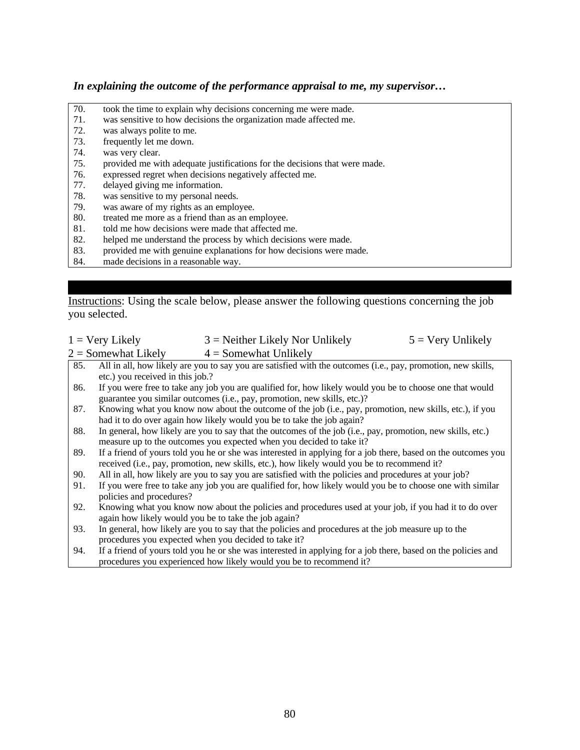#### *In explaining the outcome of the performance appraisal to me, my supervisor…*

- 70. took the time to explain why decisions concerning me were made.
- 71. was sensitive to how decisions the organization made affected me.<br>72. was always polite to me.
- was always polite to me.
- 73. frequently let me down.
- 74. was very clear.
- 75. provided me with adequate justifications for the decisions that were made.
- 76. expressed regret when decisions negatively affected me.
- 77. delayed giving me information.
- 78. was sensitive to my personal needs.
- 79. was aware of my rights as an employee.
- 80. treated me more as a friend than as an employee.<br>81. told me how decisions were made that affected m
- 81. told me how decisions were made that affected me.<br>82. helped me understand the process by which decision
- helped me understand the process by which decisions were made.
- 83. provided me with genuine explanations for how decisions were made.<br>84. made decisions in a reasonable way.
- made decisions in a reasonable way.

Instructions: Using the scale below, please answer the following questions concerning the job you selected.

| $1 = \text{Very Likely}$ | $3$ = Neither Likely Nor Unlikely                                                                            | $5 = \text{Very Unlike}$ |
|--------------------------|--------------------------------------------------------------------------------------------------------------|--------------------------|
| $2 =$ Somewhat Likely    | $4 =$ Somewhat Unlikely                                                                                      |                          |
| 85.                      | All in all, how likely are you to say you are satisfied with the outcomes (i.e., pay, promotion, new skills, |                          |

- etc.) you received in this job.?
- 86. If you were free to take any job you are qualified for, how likely would you be to choose one that would guarantee you similar outcomes (i.e., pay, promotion, new skills, etc.)?
- 87. Knowing what you know now about the outcome of the job (i.e., pay, promotion, new skills, etc.), if you had it to do over again how likely would you be to take the job again?
- 88. In general, how likely are you to say that the outcomes of the job (i.e., pay, promotion, new skills, etc.) measure up to the outcomes you expected when you decided to take it?
- 89. If a friend of yours told you he or she was interested in applying for a job there, based on the outcomes you received (i.e., pay, promotion, new skills, etc.), how likely would you be to recommend it?
- 90. All in all, how likely are you to say you are satisfied with the policies and procedures at your job?
- 91. If you were free to take any job you are qualified for, how likely would you be to choose one with similar policies and procedures?
- 92. Knowing what you know now about the policies and procedures used at your job, if you had it to do over again how likely would you be to take the job again?
- 93. In general, how likely are you to say that the policies and procedures at the job measure up to the procedures you expected when you decided to take it?
- 94. If a friend of yours told you he or she was interested in applying for a job there, based on the policies and procedures you experienced how likely would you be to recommend it?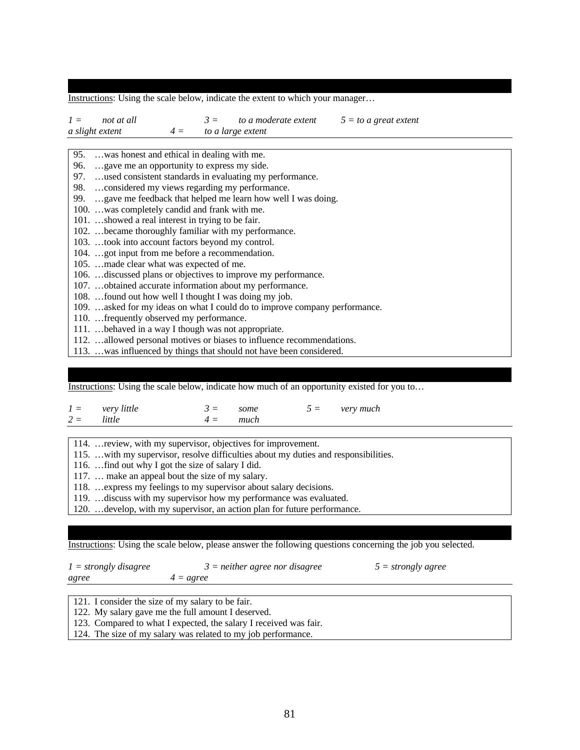Instructions: Using the scale below, indicate the extent to which your manager…

| $I =$ | not at all                                                                 |                         | $3 =$ to a moderate extent | $5 =$ to a great extent |  |
|-------|----------------------------------------------------------------------------|-------------------------|----------------------------|-------------------------|--|
|       | a slight extent                                                            | $4 =$ to a large extent |                            |                         |  |
|       |                                                                            |                         |                            |                         |  |
|       | 95.  was honest and ethical in dealing with me.                            |                         |                            |                         |  |
|       | 96.  gave me an opportunity to express my side.                            |                         |                            |                         |  |
|       | 97.  used consistent standards in evaluating my performance.               |                         |                            |                         |  |
|       | 98. considered my views regarding my performance.                          |                         |                            |                         |  |
|       | 99.  gave me feedback that helped me learn how well I was doing.           |                         |                            |                         |  |
|       | 100. was completely candid and frank with me.                              |                         |                            |                         |  |
|       | 101. showed a real interest in trying to be fair.                          |                         |                            |                         |  |
|       | 102.  became thoroughly familiar with my performance.                      |                         |                            |                         |  |
|       | 103.  took into account factors beyond my control.                         |                         |                            |                         |  |
|       | 104. got input from me before a recommendation.                            |                         |                            |                         |  |
|       | 105. made clear what was expected of me.                                   |                         |                            |                         |  |
|       | 106.  discussed plans or objectives to improve my performance.             |                         |                            |                         |  |
|       | 107.  obtained accurate information about my performance.                  |                         |                            |                         |  |
|       | 108.  found out how well I thought I was doing my job.                     |                         |                            |                         |  |
|       | 109. asked for my ideas on what I could do to improve company performance. |                         |                            |                         |  |
|       | 110.  frequently observed my performance.                                  |                         |                            |                         |  |
|       | 111.  behaved in a way I though was not appropriate.                       |                         |                            |                         |  |
|       | 112. allowed personal motives or biases to influence recommendations.      |                         |                            |                         |  |
|       | 113.  was influenced by things that should not have been considered.       |                         |                            |                         |  |

#### Instructions: Using the scale below, indicate how much of an opportunity existed for you to…

|                     | $1 =$ very little | $3 =$ some |  | $5 =$ very much |
|---------------------|-------------------|------------|--|-----------------|
| $2 =$ <i>little</i> |                   | $4 =$ much |  |                 |

|  | 114.  review, with my supervisor, objectives for improvement. |  |  |
|--|---------------------------------------------------------------|--|--|
|  |                                                               |  |  |

115. …with my supervisor, resolve difficulties about my duties and responsibilities.

116. …find out why I got the size of salary I did.

117. … make an appeal bout the size of my salary.

118. …express my feelings to my supervisor about salary decisions.

119. …discuss with my supervisor how my performance was evaluated.

120. …develop, with my supervisor, an action plan for future performance.

Instructions: Using the scale below, please answer the following questions concerning the job you selected.

| $1 =$ strongly disagree                            | $3$ = neither agree nor disagree | $5 =$ strongly agree |  |  |  |
|----------------------------------------------------|----------------------------------|----------------------|--|--|--|
| agree                                              | $4 = agree$                      |                      |  |  |  |
|                                                    |                                  |                      |  |  |  |
| 121. I consider the size of my salary to be fair.  |                                  |                      |  |  |  |
| 122. My salary gave me the full amount I deserved. |                                  |                      |  |  |  |

123. Compared to what I expected, the salary I received was fair.

124. The size of my salary was related to my job performance.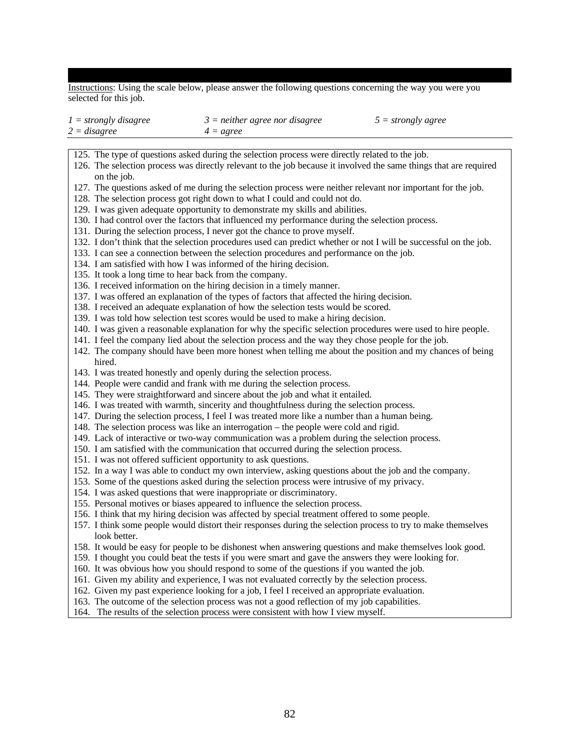Instructions: Using the scale below, please answer the following questions concerning the way you were you selected for this job.

| $1 = strongly disagree$ | $3$ = neither agree nor disagree | $5 =$ strongly agree |
|-------------------------|----------------------------------|----------------------|
| $2 = disagree$          | $4 = agree$                      |                      |

125. The type of questions asked during the selection process were directly related to the job.

- 126. The selection process was directly relevant to the job because it involved the same things that are required on the job.
- 127. The questions asked of me during the selection process were neither relevant nor important for the job.
- 128. The selection process got right down to what I could and could not do.
- 129. I was given adequate opportunity to demonstrate my skills and abilities.
- 130. I had control over the factors that influenced my performance during the selection process.
- 131. During the selection process, I never got the chance to prove myself.
- 132. I don't think that the selection procedures used can predict whether or not I will be successful on the job.
- 133. I can see a connection between the selection procedures and performance on the job.
- 134. I am satisfied with how I was informed of the hiring decision.
- 135. It took a long time to hear back from the company.
- 136. I received information on the hiring decision in a timely manner.
- 137. I was offered an explanation of the types of factors that affected the hiring decision.
- 138. I received an adequate explanation of how the selection tests would be scored.
- 139. I was told how selection test scores would be used to make a hiring decision.
- 140. I was given a reasonable explanation for why the specific selection procedures were used to hire people.
- 141. I feel the company lied about the selection process and the way they chose people for the job.
- 142. The company should have been more honest when telling me about the position and my chances of being hired.
- 143. I was treated honestly and openly during the selection process.
- 144. People were candid and frank with me during the selection process.
- 145. They were straightforward and sincere about the job and what it entailed.
- 146. I was treated with warmth, sincerity and thoughtfulness during the selection process.
- 147. During the selection process, I feel I was treated more like a number than a human being.
- 148. The selection process was like an interrogation the people were cold and rigid.
- 149. Lack of interactive or two-way communication was a problem during the selection process.
- 150. I am satisfied with the communication that occurred during the selection process.
- 151. I was not offered sufficient opportunity to ask questions.
- 152. In a way I was able to conduct my own interview, asking questions about the job and the company.
- 153. Some of the questions asked during the selection process were intrusive of my privacy.
- 154. I was asked questions that were inappropriate or discriminatory.
- 155. Personal motives or biases appeared to influence the selection process.
- 156. I think that my hiring decision was affected by special treatment offered to some people.
- 157. I think some people would distort their responses during the selection process to try to make themselves look better.
- 158. It would be easy for people to be dishonest when answering questions and make themselves look good.
- 159. I thought you could beat the tests if you were smart and gave the answers they were looking for.
- 160. It was obvious how you should respond to some of the questions if you wanted the job.
- 161. Given my ability and experience, I was not evaluated correctly by the selection process.
- 162. Given my past experience looking for a job, I feel I received an appropriate evaluation.
- 163. The outcome of the selection process was not a good reflection of my job capabilities.
- 164. The results of the selection process were consistent with how I view myself.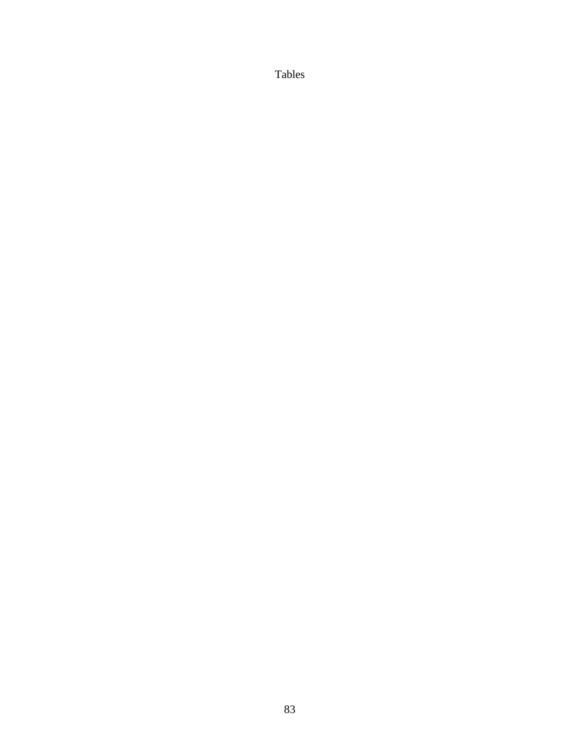Tables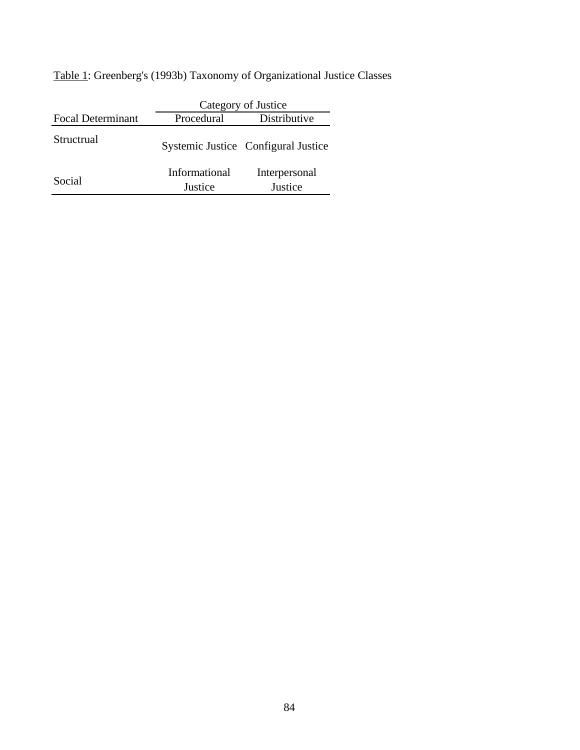Table 1: Greenberg's (1993b) Taxonomy of Organizational Justice Classes

|                          | Category of Justice      |                                     |  |  |
|--------------------------|--------------------------|-------------------------------------|--|--|
| <b>Focal Determinant</b> | Procedural               | Distributive                        |  |  |
| Structrual               |                          | Systemic Justice Configural Justice |  |  |
| Social                   | Informational<br>Justice | Interpersonal<br>Justice            |  |  |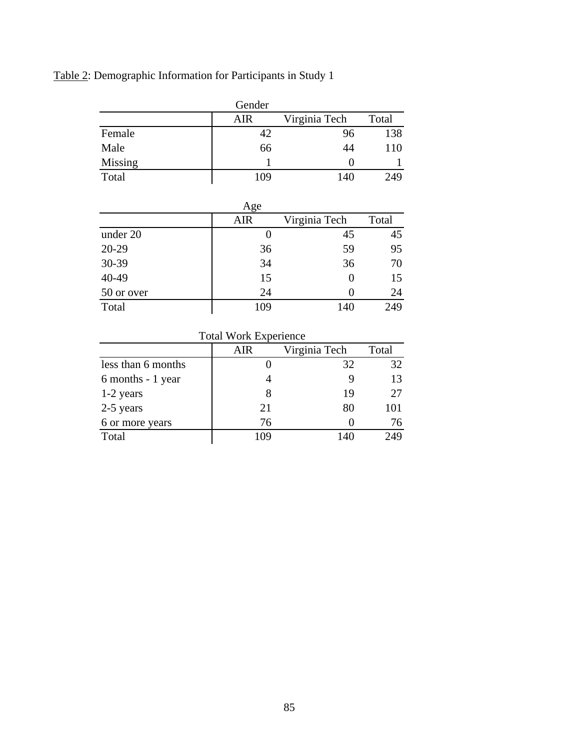Table 2: Demographic Information for Participants in Study 1

|         | Gender |               |       |
|---------|--------|---------------|-------|
|         | AIR    | Virginia Tech | Total |
| Female  | 42     | 96            | 138   |
| Male    | 66     | 44            | 110   |
| Missing |        |               |       |
| Total   | 109    | 140           | 249   |

|            | Age        |               |       |
|------------|------------|---------------|-------|
|            | <b>AIR</b> | Virginia Tech | Total |
| under 20   |            | 45            | 45    |
| $20 - 29$  | 36         | 59            | 95    |
| 30-39      | 34         | 36            | 70    |
| 40-49      | 15         |               | 15    |
| 50 or over | 24         |               | 24    |
| Total      | 109        | 140           | 249   |

| Total Work Experience |     |               |       |  |  |
|-----------------------|-----|---------------|-------|--|--|
|                       | AIR | Virginia Tech | Total |  |  |
| less than 6 months    |     | 32            | 32    |  |  |
| 6 months - 1 year     |     |               | 13    |  |  |
| 1-2 years             |     | 19            | 27    |  |  |
| 2-5 years             | 21  | 80            | 101   |  |  |
| 6 or more years       | 76  |               | 76    |  |  |
| Total                 | 109 | 140           | 249   |  |  |
|                       |     |               |       |  |  |

 $Total Work$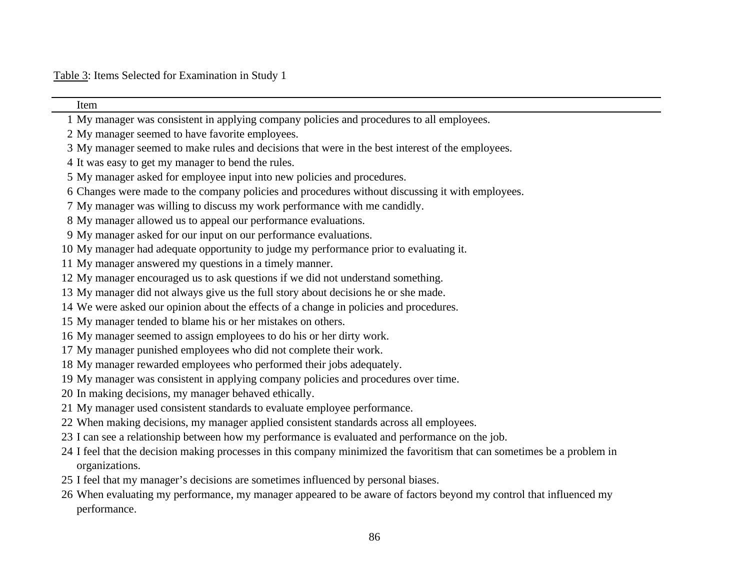Table 3: Items Selected for Examination in Study 1

| Item                                                                                                                     |
|--------------------------------------------------------------------------------------------------------------------------|
| 1 My manager was consistent in applying company policies and procedures to all employees.                                |
| 2 My manager seemed to have favorite employees.                                                                          |
| 3 My manager seemed to make rules and decisions that were in the best interest of the employees.                         |
| 4 It was easy to get my manager to bend the rules.                                                                       |
| 5 My manager asked for employee input into new policies and procedures.                                                  |
| 6 Changes were made to the company policies and procedures without discussing it with employees.                         |
| 7 My manager was willing to discuss my work performance with me candidly.                                                |
| 8 My manager allowed us to appeal our performance evaluations.                                                           |
| 9 My manager asked for our input on our performance evaluations.                                                         |
| 10 My manager had adequate opportunity to judge my performance prior to evaluating it.                                   |
| 11 My manager answered my questions in a timely manner.                                                                  |
| 12 My manager encouraged us to ask questions if we did not understand something.                                         |
| 13 My manager did not always give us the full story about decisions he or she made.                                      |
| 14 We were asked our opinion about the effects of a change in policies and procedures.                                   |
| 15 My manager tended to blame his or her mistakes on others.                                                             |
| 16 My manager seemed to assign employees to do his or her dirty work.                                                    |
| 17 My manager punished employees who did not complete their work.                                                        |
| 18 My manager rewarded employees who performed their jobs adequately.                                                    |
| 19 My manager was consistent in applying company policies and procedures over time.                                      |
| 20 In making decisions, my manager behaved ethically.                                                                    |
| 21 My manager used consistent standards to evaluate employee performance.                                                |
| 22 When making decisions, my manager applied consistent standards across all employees.                                  |
| 23 I can see a relationship between how my performance is evaluated and performance on the job.                          |
| 24 I feel that the decision making processes in this company minimized the favoritism that can sometimes be a problem in |
| organizations.                                                                                                           |
| 25 I feel that my manager's decisions are sometimes influenced by personal biases.                                       |
| 26 When evaluating my performance, my manager appeared to be aware of factors beyond my control that influenced my       |
| performance.                                                                                                             |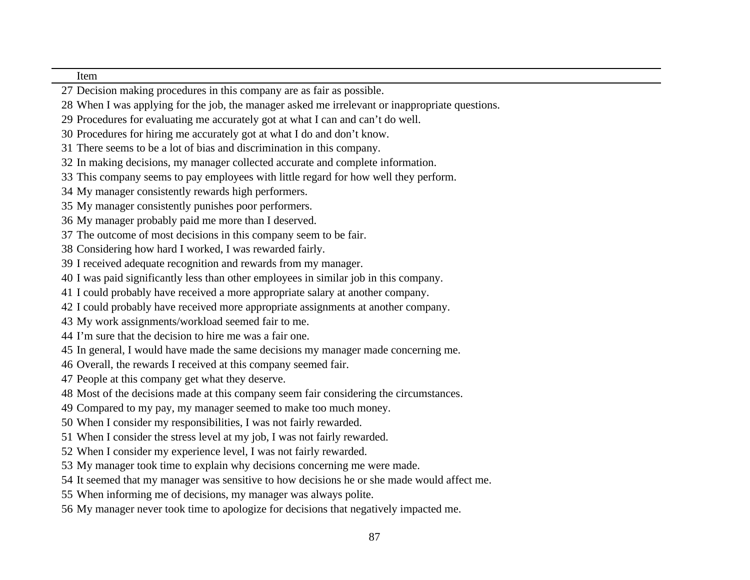#### Item

- Decision making procedures in this company are as fair as possible.
- When I was applying for the job, the manager asked me irrelevant or inappropriate questions.
- Procedures for evaluating me accurately got at what I can and can't do well.
- Procedures for hiring me accurately got at what I do and don't know.
- There seems to be a lot of bias and discrimination in this company.
- In making decisions, my manager collected accurate and complete information.
- This company seems to pay employees with little regard for how well they perform.
- My manager consistently rewards high performers.
- My manager consistently punishes poor performers.
- My manager probably paid me more than I deserved.
- The outcome of most decisions in this company seem to be fair.
- Considering how hard I worked, I was rewarded fairly.
- I received adequate recognition and rewards from my manager.
- I was paid significantly less than other employees in similar job in this company.
- I could probably have received a more appropriate salary at another company.
- I could probably have received more appropriate assignments at another company.
- My work assignments/workload seemed fair to me.
- I'm sure that the decision to hire me was a fair one.
- In general, I would have made the same decisions my manager made concerning me.
- Overall, the rewards I received at this company seemed fair.
- People at this company get what they deserve.
- Most of the decisions made at this company seem fair considering the circumstances.
- Compared to my pay, my manager seemed to make too much money.
- When I consider my responsibilities, I was not fairly rewarded.
- When I consider the stress level at my job, I was not fairly rewarded.
- When I consider my experience level, I was not fairly rewarded.
- My manager took time to explain why decisions concerning me were made.
- It seemed that my manager was sensitive to how decisions he or she made would affect me.
- When informing me of decisions, my manager was always polite.
- My manager never took time to apologize for decisions that negatively impacted me.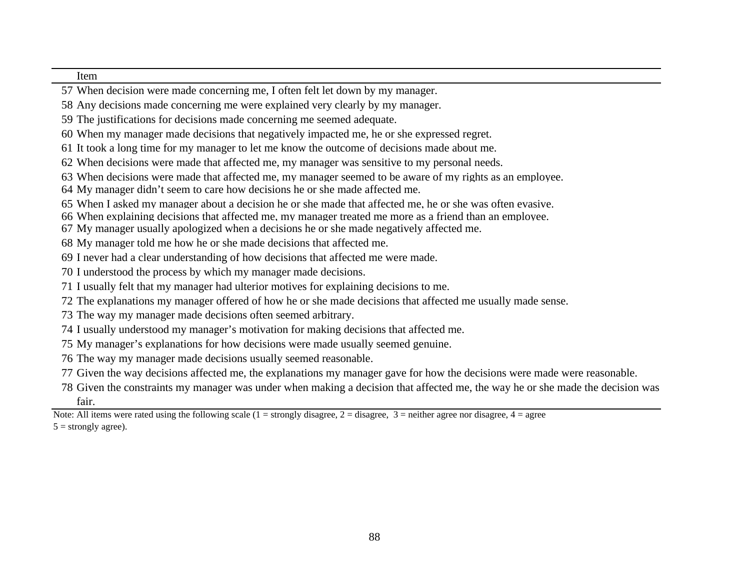#### Item

- When decision were made concerning me, I often felt let down by my manager.
- Any decisions made concerning me were explained very clearly by my manager.
- The justifications for decisions made concerning me seemed adequate.
- When my manager made decisions that negatively impacted me, he or she expressed regret.
- It took a long time for my manager to let me know the outcome of decisions made about me.
- When decisions were made that affected me, my manager was sensitive to my personal needs.
- When decisions were made that affected me, my manager seemed to be aware of my rights as an employee.
- My manager didn't seem to care how decisions he or she made affected me.
- When I asked my manager about a decision he or she made that affected me, he or she was often evasive.
- When explaining decisions that affected me, my manager treated me more as a friend than an employee.
- My manager usually apologized when a decisions he or she made negatively affected me.
- My manager told me how he or she made decisions that affected me.
- I never had a clear understanding of how decisions that affected me were made.
- I understood the process by which my manager made decisions.
- I usually felt that my manager had ulterior motives for explaining decisions to me.
- The explanations my manager offered of how he or she made decisions that affected me usually made sense.
- The way my manager made decisions often seemed arbitrary.
- I usually understood my manager's motivation for making decisions that affected me.
- My manager's explanations for how decisions were made usually seemed genuine.
- The way my manager made decisions usually seemed reasonable.
- Given the way decisions affected me, the explanations my manager gave for how the decisions were made were reasonable.
- Given the constraints my manager was under when making a decision that affected me, the way he or she made the decision was fair.

Note: All items were rated using the following scale (1 = strongly disagree, 2 = disagree, 3 = neither agree nor disagree, 4 = agree  $5 =$  strongly agree).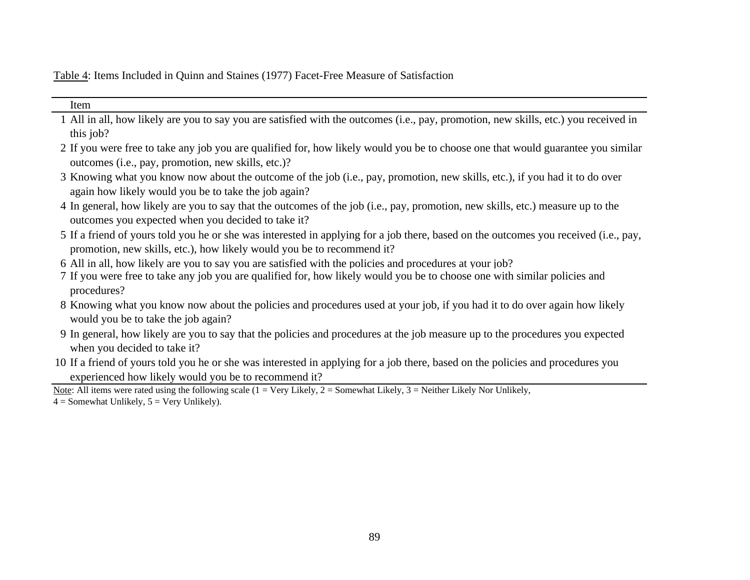Table 4: Items Included in Quinn and Staines (1977) Facet-Free Measure of Satisfaction

| Item                                                                                                                                                                                                           |
|----------------------------------------------------------------------------------------------------------------------------------------------------------------------------------------------------------------|
| 1 All in all, how likely are you to say you are satisfied with the outcomes (i.e., pay, promotion, new skills, etc.) you received in                                                                           |
| this job?                                                                                                                                                                                                      |
| 2 If you were free to take any job you are qualified for, how likely would you be to choose one that would guarantee you similar<br>outcomes (i.e., pay, promotion, new skills, etc.)?                         |
| 3 Knowing what you know now about the outcome of the job (i.e., pay, promotion, new skills, etc.), if you had it to do over<br>again how likely would you be to take the job again?                            |
| 4 In general, how likely are you to say that the outcomes of the job (i.e., pay, promotion, new skills, etc.) measure up to the<br>outcomes you expected when you decided to take it?                          |
| 5 If a friend of yours told you he or she was interested in applying for a job there, based on the outcomes you received (i.e., pay,<br>promotion, new skills, etc.), how likely would you be to recommend it? |
| 6 All in all, how likely are you to say you are satisfied with the policies and procedures at your job?                                                                                                        |
| 7 If you were free to take any job you are qualified for, how likely would you be to choose one with similar policies and<br>procedures?                                                                       |
| 8 Knowing what you know now about the policies and procedures used at your job, if you had it to do over again how likely<br>would you be to take the job again?                                               |
| 9 In general, how likely are you to say that the policies and procedures at the job measure up to the procedures you expected<br>when you decided to take it?                                                  |
| 10 If a friend of yours told you he or she was interested in applying for a job there, based on the policies and procedures you                                                                                |
| experienced how likely would you be to recommend it?                                                                                                                                                           |
| Note: All items were rated using the following scale ( $1 = \text{Very Likely}, 2 = \text{Somewhat Likely}, 3 = \text{Neither Likely Nor Unlikely},$                                                           |
| $4 =$ Somewhat Unlikely, $5 =$ Very Unlikely).                                                                                                                                                                 |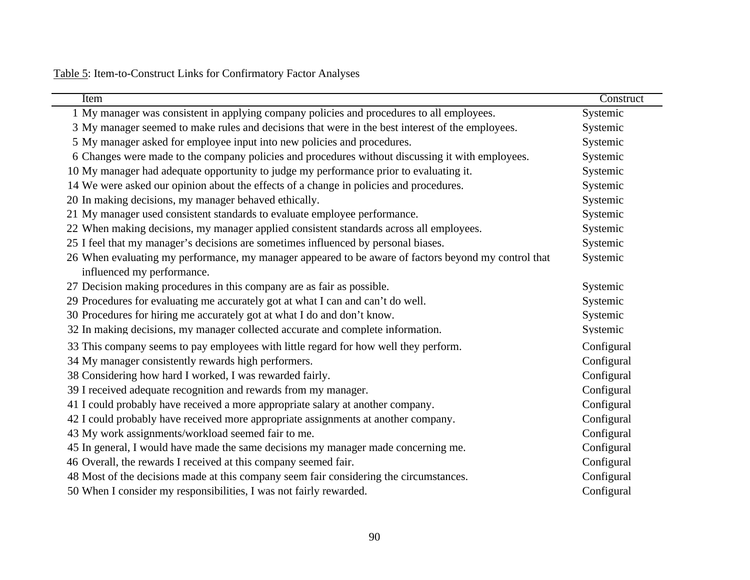Table 5: Item-to-Construct Links for Confirmatory Factor Analyses

| Item                                                                                                 | Construct  |
|------------------------------------------------------------------------------------------------------|------------|
| 1 My manager was consistent in applying company policies and procedures to all employees.            | Systemic   |
| 3 My manager seemed to make rules and decisions that were in the best interest of the employees.     | Systemic   |
| 5 My manager asked for employee input into new policies and procedures.                              | Systemic   |
| 6 Changes were made to the company policies and procedures without discussing it with employees.     | Systemic   |
| 10 My manager had adequate opportunity to judge my performance prior to evaluating it.               | Systemic   |
| 14 We were asked our opinion about the effects of a change in policies and procedures.               | Systemic   |
| 20 In making decisions, my manager behaved ethically.                                                | Systemic   |
| 21 My manager used consistent standards to evaluate employee performance.                            | Systemic   |
| 22 When making decisions, my manager applied consistent standards across all employees.              | Systemic   |
| 25 I feel that my manager's decisions are sometimes influenced by personal biases.                   | Systemic   |
| 26 When evaluating my performance, my manager appeared to be aware of factors beyond my control that | Systemic   |
| influenced my performance.                                                                           |            |
| 27 Decision making procedures in this company are as fair as possible.                               | Systemic   |
| 29 Procedures for evaluating me accurately got at what I can and can't do well.                      | Systemic   |
| 30 Procedures for hiring me accurately got at what I do and don't know.                              | Systemic   |
| 32 In making decisions, my manager collected accurate and complete information.                      | Systemic   |
| 33 This company seems to pay employees with little regard for how well they perform.                 | Configural |
| 34 My manager consistently rewards high performers.                                                  | Configural |
| 38 Considering how hard I worked, I was rewarded fairly.                                             | Configural |
| 39 I received adequate recognition and rewards from my manager.                                      | Configural |
| 41 I could probably have received a more appropriate salary at another company.                      | Configural |
| 42 I could probably have received more appropriate assignments at another company.                   | Configural |
| 43 My work assignments/workload seemed fair to me.                                                   | Configural |
| 45 In general, I would have made the same decisions my manager made concerning me.                   | Configural |
| 46 Overall, the rewards I received at this company seemed fair.                                      | Configural |
| 48 Most of the decisions made at this company seem fair considering the circumstances.               | Configural |
| 50 When I consider my responsibilities, I was not fairly rewarded.                                   | Configural |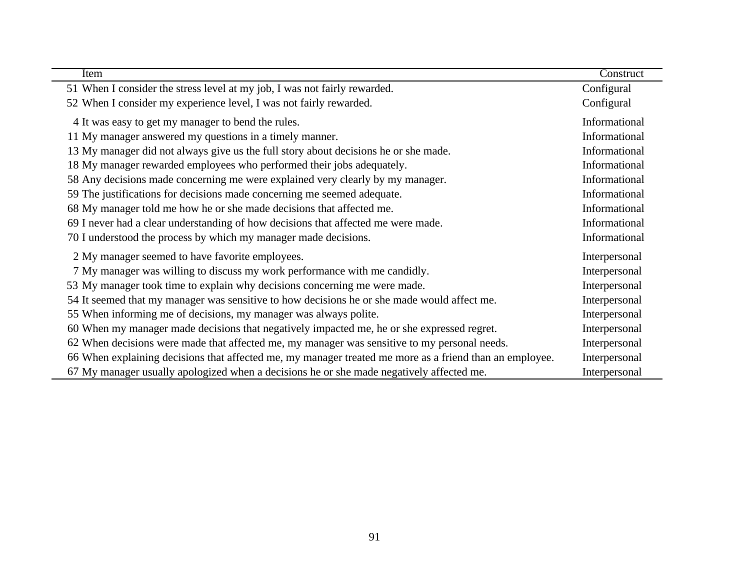| <b>Item</b>                                                                                             | Construct     |
|---------------------------------------------------------------------------------------------------------|---------------|
| 51 When I consider the stress level at my job, I was not fairly rewarded.                               | Configural    |
| 52 When I consider my experience level, I was not fairly rewarded.                                      | Configural    |
| 4 It was easy to get my manager to bend the rules.                                                      | Informational |
| 11 My manager answered my questions in a timely manner.                                                 | Informational |
| 13 My manager did not always give us the full story about decisions he or she made.                     | Informational |
| 18 My manager rewarded employees who performed their jobs adequately.                                   | Informational |
| 58 Any decisions made concerning me were explained very clearly by my manager.                          | Informational |
| 59 The justifications for decisions made concerning me seemed adequate.                                 | Informational |
| 68 My manager told me how he or she made decisions that affected me.                                    | Informational |
| 69 I never had a clear understanding of how decisions that affected me were made.                       | Informational |
| 70 I understood the process by which my manager made decisions.                                         | Informational |
| 2 My manager seemed to have favorite employees.                                                         | Interpersonal |
| 7 My manager was willing to discuss my work performance with me candidly.                               | Interpersonal |
| 53 My manager took time to explain why decisions concerning me were made.                               | Interpersonal |
| 54 It seemed that my manager was sensitive to how decisions he or she made would affect me.             | Interpersonal |
| 55 When informing me of decisions, my manager was always polite.                                        | Interpersonal |
| 60 When my manager made decisions that negatively impacted me, he or she expressed regret.              | Interpersonal |
| 62 When decisions were made that affected me, my manager was sensitive to my personal needs.            | Interpersonal |
| 66 When explaining decisions that affected me, my manager treated me more as a friend than an employee. | Interpersonal |
| 67 My manager usually apologized when a decisions he or she made negatively affected me.                | Interpersonal |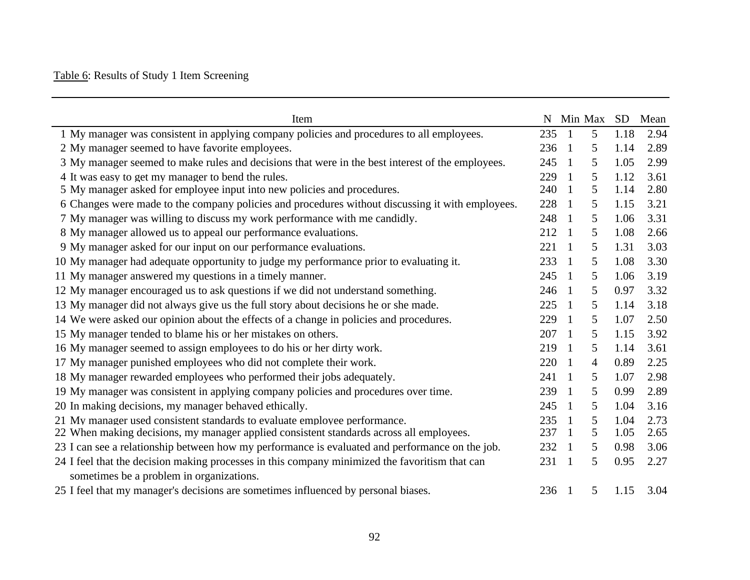# Table 6: Results of Study 1 Item Screening

| Item                                                                                             |     |                | N Min Max |      | SD Mean |
|--------------------------------------------------------------------------------------------------|-----|----------------|-----------|------|---------|
| 1 My manager was consistent in applying company policies and procedures to all employees.        | 235 | $\overline{1}$ | 5         | 1.18 | 2.94    |
| 2 My manager seemed to have favorite employees.                                                  | 236 | $\overline{1}$ | 5         | 1.14 | 2.89    |
| 3 My manager seemed to make rules and decisions that were in the best interest of the employees. | 245 | $\overline{1}$ | 5         | 1.05 | 2.99    |
| 4 It was easy to get my manager to bend the rules.                                               | 229 | $\overline{1}$ | 5         | 1.12 | 3.61    |
| 5 My manager asked for employee input into new policies and procedures.                          | 240 | $\overline{1}$ | 5         | 1.14 | 2.80    |
| 6 Changes were made to the company policies and procedures without discussing it with employees. | 228 | $\overline{1}$ | 5         | 1.15 | 3.21    |
| 7 My manager was willing to discuss my work performance with me candidly.                        | 248 | $\overline{1}$ | 5         | 1.06 | 3.31    |
| 8 My manager allowed us to appeal our performance evaluations.                                   | 212 | $\overline{1}$ | 5         | 1.08 | 2.66    |
| 9 My manager asked for our input on our performance evaluations.                                 | 221 | $\overline{1}$ | 5         | 1.31 | 3.03    |
| 10 My manager had adequate opportunity to judge my performance prior to evaluating it.           | 233 | $\overline{1}$ | 5         | 1.08 | 3.30    |
| 11 My manager answered my questions in a timely manner.                                          | 245 | $\overline{1}$ | 5         | 1.06 | 3.19    |
| 12 My manager encouraged us to ask questions if we did not understand something.                 | 246 | $\overline{1}$ | 5         | 0.97 | 3.32    |
| 13 My manager did not always give us the full story about decisions he or she made.              | 225 | $\overline{1}$ | 5         | 1.14 | 3.18    |
| 14 We were asked our opinion about the effects of a change in policies and procedures.           | 229 | $\overline{1}$ | 5         | 1.07 | 2.50    |
| 15 My manager tended to blame his or her mistakes on others.                                     | 207 | $\overline{1}$ | 5         | 1.15 | 3.92    |
| 16 My manager seemed to assign employees to do his or her dirty work.                            | 219 | $\overline{1}$ | 5         | 1.14 | 3.61    |
| 17 My manager punished employees who did not complete their work.                                | 220 | $\overline{1}$ | 4         | 0.89 | 2.25    |
| 18 My manager rewarded employees who performed their jobs adequately.                            | 241 | $\overline{1}$ | 5         | 1.07 | 2.98    |
| 19 My manager was consistent in applying company policies and procedures over time.              | 239 | $\overline{1}$ | 5         | 0.99 | 2.89    |
| 20 In making decisions, my manager behaved ethically.                                            | 245 | $\overline{1}$ | 5         | 1.04 | 3.16    |
| 21 My manager used consistent standards to evaluate employee performance.                        | 235 | $\overline{1}$ | 5         | 1.04 | 2.73    |
| 22 When making decisions, my manager applied consistent standards across all employees.          | 237 | $\overline{1}$ | 5         | 1.05 | 2.65    |
| 23 I can see a relationship between how my performance is evaluated and performance on the job.  | 232 | $\overline{1}$ | 5         | 0.98 | 3.06    |
| 24 I feel that the decision making processes in this company minimized the favoritism that can   | 231 | $\overline{1}$ | 5         | 0.95 | 2.27    |
| sometimes be a problem in organizations.                                                         |     |                |           |      |         |
| 25 I feel that my manager's decisions are sometimes influenced by personal biases.               | 236 | $\overline{1}$ | 5         | 1.15 | 3.04    |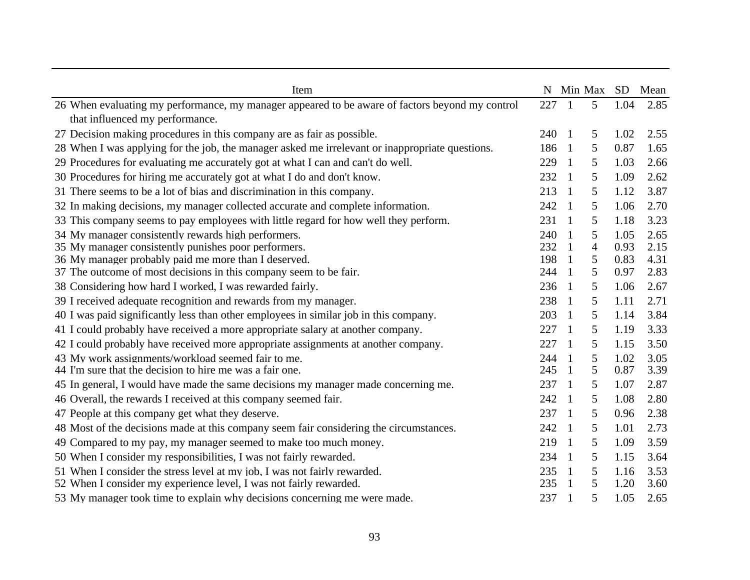| Item                                                                                            | N   |                | Min Max        | SD.  | Mean |
|-------------------------------------------------------------------------------------------------|-----|----------------|----------------|------|------|
| 26 When evaluating my performance, my manager appeared to be aware of factors beyond my control | 227 | $\mathbf{1}$   | $\overline{5}$ | 1.04 | 2.85 |
| that influenced my performance.                                                                 |     |                |                |      |      |
| 27 Decision making procedures in this company are as fair as possible.                          | 240 | $\mathbf{1}$   | 5              | 1.02 | 2.55 |
| 28 When I was applying for the job, the manager asked me irrelevant or inappropriate questions. | 186 | $\mathbf{1}$   | 5              | 0.87 | 1.65 |
| 29 Procedures for evaluating me accurately got at what I can and can't do well.                 | 229 | $\overline{1}$ | 5              | 1.03 | 2.66 |
| 30 Procedures for hiring me accurately got at what I do and don't know.                         | 232 | $\overline{1}$ | 5              | 1.09 | 2.62 |
| 31 There seems to be a lot of bias and discrimination in this company.                          | 213 | -1             | 5              | 1.12 | 3.87 |
| 32 In making decisions, my manager collected accurate and complete information.                 | 242 | -1             | 5              | 1.06 | 2.70 |
| 33 This company seems to pay employees with little regard for how well they perform.            | 231 | $\overline{1}$ | 5              | 1.18 | 3.23 |
| 34 My manager consistently rewards high performers.                                             | 240 | -1             | 5              | 1.05 | 2.65 |
| 35 My manager consistently punishes poor performers.                                            | 232 | $\mathbf{1}$   | $\overline{4}$ | 0.93 | 2.15 |
| 36 My manager probably paid me more than I deserved.                                            | 198 | $\overline{1}$ | 5              | 0.83 | 4.31 |
| 37 The outcome of most decisions in this company seem to be fair.                               | 244 | -1             | 5              | 0.97 | 2.83 |
| 38 Considering how hard I worked, I was rewarded fairly.                                        | 236 | $\overline{1}$ | 5              | 1.06 | 2.67 |
| 39 I received adequate recognition and rewards from my manager.                                 | 238 | $\overline{1}$ | 5              | 1.11 | 2.71 |
| 40 I was paid significantly less than other employees in similar job in this company.           | 203 | $\mathbf{1}$   | 5              | 1.14 | 3.84 |
| 41 I could probably have received a more appropriate salary at another company.                 | 227 | $\overline{1}$ | 5              | 1.19 | 3.33 |
| 42 I could probably have received more appropriate assignments at another company.              | 227 | -1             | 5              | 1.15 | 3.50 |
| 43 My work assignments/workload seemed fair to me.                                              | 244 | $\overline{1}$ | 5              | 1.02 | 3.05 |
| 44 I'm sure that the decision to hire me was a fair one.                                        | 245 | -1             | 5              | 0.87 | 3.39 |
| 45 In general, I would have made the same decisions my manager made concerning me.              | 237 | $\mathbf{1}$   | 5              | 1.07 | 2.87 |
| 46 Overall, the rewards I received at this company seemed fair.                                 | 242 | $\mathbf{1}$   | 5              | 1.08 | 2.80 |
| 47 People at this company get what they deserve.                                                | 237 | $\mathbf{1}$   | 5              | 0.96 | 2.38 |
| 48 Most of the decisions made at this company seem fair considering the circumstances.          | 242 | $\overline{1}$ | 5              | 1.01 | 2.73 |
| 49 Compared to my pay, my manager seemed to make too much money.                                | 219 | -1             | 5              | 1.09 | 3.59 |
| 50 When I consider my responsibilities, I was not fairly rewarded.                              | 234 | -1             | 5              | 1.15 | 3.64 |
| 51 When I consider the stress level at my job, I was not fairly rewarded.                       | 235 | $\overline{1}$ | 5              | 1.16 | 3.53 |
| 52 When I consider my experience level, I was not fairly rewarded.                              | 235 | -1             | 5              | 1.20 | 3.60 |
| 53 My manager took time to explain why decisions concerning me were made.                       | 237 | 1              | 5              | 1.05 | 2.65 |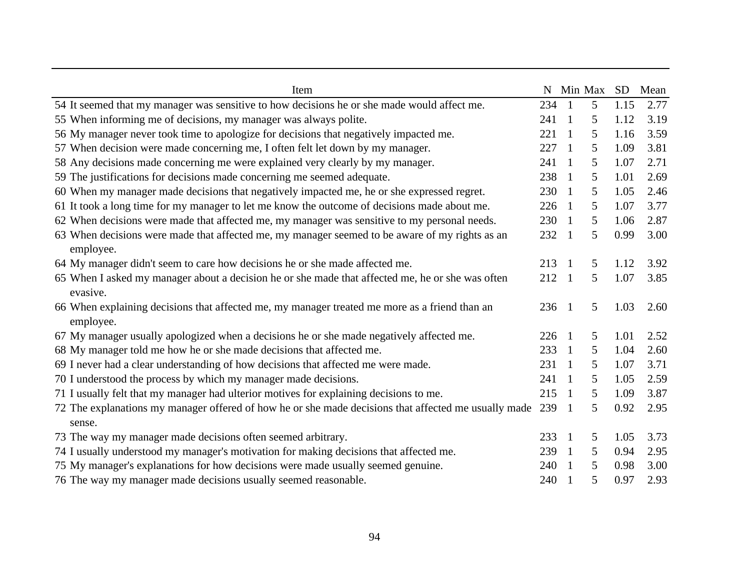| Item                                                                                                 |     |                | N Min Max | <b>SD</b> | Mean |
|------------------------------------------------------------------------------------------------------|-----|----------------|-----------|-----------|------|
| 54 It seemed that my manager was sensitive to how decisions he or she made would affect me.          | 234 | $\overline{1}$ | 5         | 1.15      | 2.77 |
| 55 When informing me of decisions, my manager was always polite.                                     | 241 | $\overline{1}$ | 5         | 1.12      | 3.19 |
| 56 My manager never took time to apologize for decisions that negatively impacted me.                | 221 | $\overline{1}$ | 5         | 1.16      | 3.59 |
| 57 When decision were made concerning me, I often felt let down by my manager.                       | 227 | $\overline{1}$ | 5         | 1.09      | 3.81 |
| 58 Any decisions made concerning me were explained very clearly by my manager.                       | 241 | -1             | 5         | 1.07      | 2.71 |
| 59 The justifications for decisions made concerning me seemed adequate.                              | 238 | $\overline{1}$ | 5         | 1.01      | 2.69 |
| 60 When my manager made decisions that negatively impacted me, he or she expressed regret.           | 230 | $\overline{1}$ | 5         | 1.05      | 2.46 |
| 61 It took a long time for my manager to let me know the outcome of decisions made about me.         | 226 | - 1            | 5         | 1.07      | 3.77 |
| 62 When decisions were made that affected me, my manager was sensitive to my personal needs.         | 230 | $\overline{1}$ | 5         | 1.06      | 2.87 |
| 63 When decisions were made that affected me, my manager seemed to be aware of my rights as an       | 232 | $\overline{1}$ | 5         | 0.99      | 3.00 |
| employee.                                                                                            |     |                |           |           |      |
| 64 My manager didn't seem to care how decisions he or she made affected me.                          | 213 | $\overline{1}$ | 5         | 1.12      | 3.92 |
| 65 When I asked my manager about a decision he or she made that affected me, he or she was often     | 212 | $\overline{1}$ | 5         | 1.07      | 3.85 |
| evasive.                                                                                             |     |                |           |           |      |
| 66 When explaining decisions that affected me, my manager treated me more as a friend than an        | 236 | $\overline{1}$ | 5         | 1.03      | 2.60 |
| employee.                                                                                            |     |                |           |           |      |
| 67 My manager usually apologized when a decisions he or she made negatively affected me.             | 226 | -1             | 5         | 1.01      | 2.52 |
| 68 My manager told me how he or she made decisions that affected me.                                 | 233 | $\overline{1}$ | 5         | 1.04      | 2.60 |
| 69 I never had a clear understanding of how decisions that affected me were made.                    | 231 | $\overline{1}$ | 5         | 1.07      | 3.71 |
| 70 I understood the process by which my manager made decisions.                                      | 241 | $\overline{1}$ | 5         | 1.05      | 2.59 |
| 71 I usually felt that my manager had ulterior motives for explaining decisions to me.               | 215 | $\overline{1}$ | 5         | 1.09      | 3.87 |
| 72 The explanations my manager offered of how he or she made decisions that affected me usually made | 239 | $\overline{1}$ | 5         | 0.92      | 2.95 |
| sense.                                                                                               |     |                |           |           |      |
| 73 The way my manager made decisions often seemed arbitrary.                                         | 233 | $\overline{1}$ | 5         | 1.05      | 3.73 |
| 74 I usually understood my manager's motivation for making decisions that affected me.               | 239 | $\overline{1}$ | 5         | 0.94      | 2.95 |
| 75 My manager's explanations for how decisions were made usually seemed genuine.                     | 240 | $\overline{1}$ | 5         | 0.98      | 3.00 |
| 76 The way my manager made decisions usually seemed reasonable.                                      | 240 | $\overline{1}$ | 5         | 0.97      | 2.93 |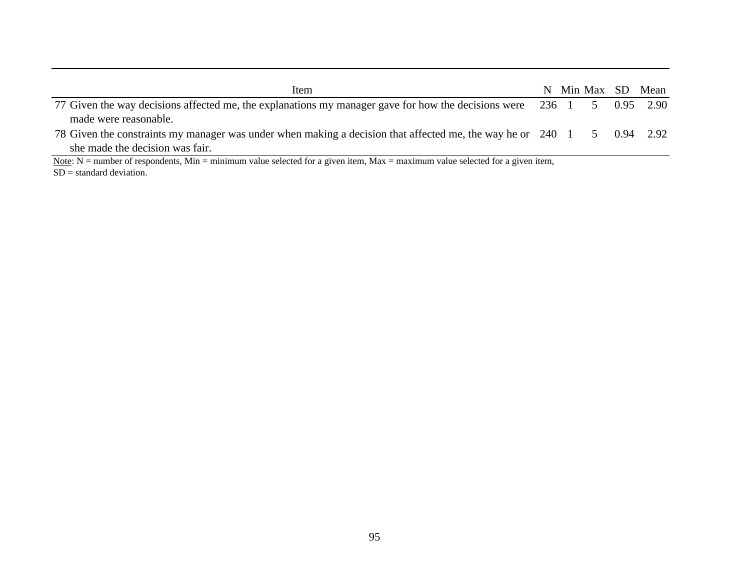| Item                                                                                                                             |  |  | N Min Max SD Mean |
|----------------------------------------------------------------------------------------------------------------------------------|--|--|-------------------|
| 77 Given the way decisions affected me, the explanations my manager gave for how the decisions were 236 1 5 0.95 2.90            |  |  |                   |
| made were reasonable.                                                                                                            |  |  |                   |
| 78 Given the constraints my manager was under when making a decision that affected me, the way he or 240 1 5 0.94 2.92           |  |  |                   |
| she made the decision was fair.                                                                                                  |  |  |                   |
| Note: $N =$ number of respondents, Min = minimum value selected for a given item, Max = maximum value selected for a given item, |  |  |                   |

SD = standard deviation.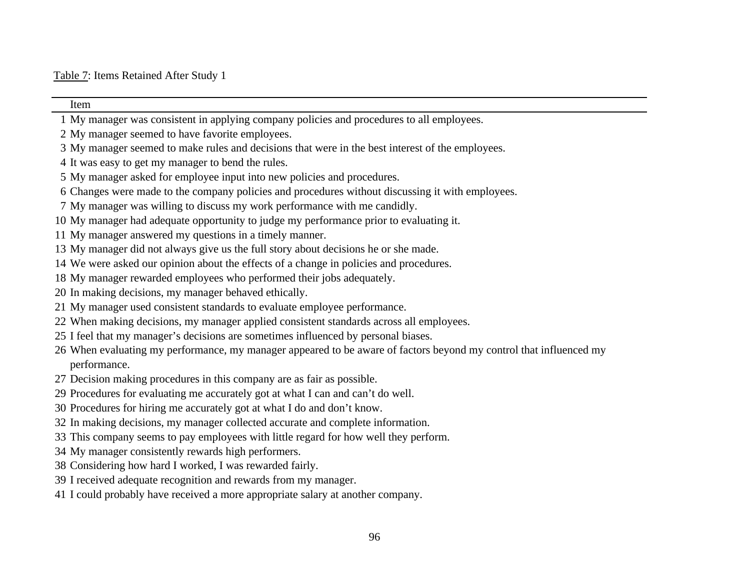Item

# My manager was consistent in applying company policies and procedures to all employees. My manager seemed to have favorite employees. My manager seemed to make rules and decisions that were in the best interest of the employees. It was easy to get my manager to bend the rules. My manager asked for employee input into new policies and procedures. Changes were made to the company policies and procedures without discussing it with employees. My manager was willing to discuss my work performance with me candidly. My manager had adequate opportunity to judge my performance prior to evaluating it. My manager answered my questions in a timely manner. My manager did not always give us the full story about decisions he or she made. We were asked our opinion about the effects of a change in policies and procedures. My manager rewarded employees who performed their jobs adequately. In making decisions, my manager behaved ethically. My manager used consistent standards to evaluate employee performance.

- When making decisions, my manager applied consistent standards across all employees.
- I feel that my manager's decisions are sometimes influenced by personal biases.
- When evaluating my performance, my manager appeared to be aware of factors beyond my control that influenced my performance.
- Decision making procedures in this company are as fair as possible.
- Procedures for evaluating me accurately got at what I can and can't do well.
- Procedures for hiring me accurately got at what I do and don't know.
- In making decisions, my manager collected accurate and complete information.
- This company seems to pay employees with little regard for how well they perform.
- My manager consistently rewards high performers.
- Considering how hard I worked, I was rewarded fairly.
- I received adequate recognition and rewards from my manager.
- I could probably have received a more appropriate salary at another company.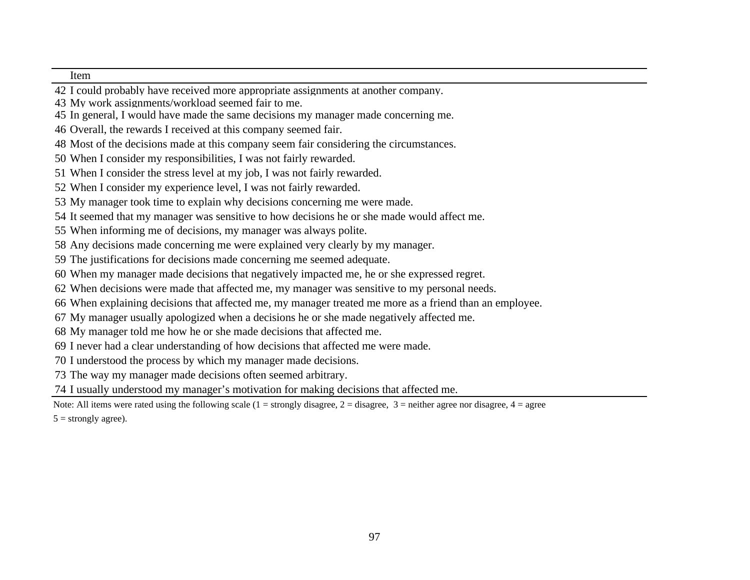Item

- I could probably have received more appropriate assignments at another company.
- My work assignments/workload seemed fair to me.
- In general, I would have made the same decisions my manager made concerning me.
- Overall, the rewards I received at this company seemed fair.
- Most of the decisions made at this company seem fair considering the circumstances.
- When I consider my responsibilities, I was not fairly rewarded.
- When I consider the stress level at my job, I was not fairly rewarded.
- When I consider my experience level, I was not fairly rewarded.
- My manager took time to explain why decisions concerning me were made.
- It seemed that my manager was sensitive to how decisions he or she made would affect me.
- When informing me of decisions, my manager was always polite.
- Any decisions made concerning me were explained very clearly by my manager.
- The justifications for decisions made concerning me seemed adequate.
- When my manager made decisions that negatively impacted me, he or she expressed regret.
- When decisions were made that affected me, my manager was sensitive to my personal needs.
- When explaining decisions that affected me, my manager treated me more as a friend than an employee.
- My manager usually apologized when a decisions he or she made negatively affected me.
- My manager told me how he or she made decisions that affected me.
- I never had a clear understanding of how decisions that affected me were made.
- I understood the process by which my manager made decisions.
- The way my manager made decisions often seemed arbitrary.
- I usually understood my manager's motivation for making decisions that affected me.
- Note: All items were rated using the following scale  $(1 = strongly disagree, 2 = disagree, 3 = neither agree nor disagree, 4 = agree$
- $5 =$  strongly agree).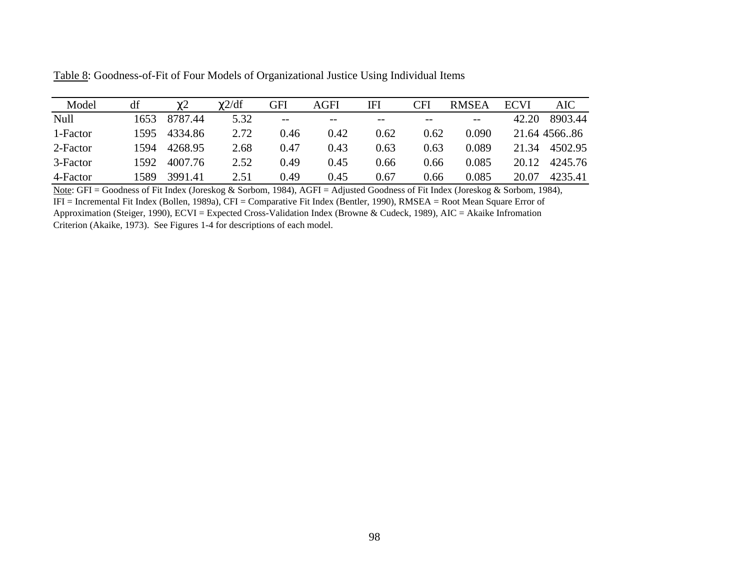| Model    | df   | $\gamma$ <sup>2</sup> | $\gamma$ 2/df | GFI   | AGFI  | IFI   | CFI   | <b>RMSEA</b> | <b>ECVI</b> | AIC          |
|----------|------|-----------------------|---------------|-------|-------|-------|-------|--------------|-------------|--------------|
| Null     | 1653 | 8787.44               | 5.32          | $- -$ | $- -$ | $- -$ | $- -$ | $- -$        | 42.20       | 8903.44      |
| 1-Factor | 1595 | 4334.86               | 2.72          | 0.46  | 0.42  | 0.62  | 0.62  | 0.090        |             | 21.64 456686 |
| 2-Factor | 1594 | 4268.95               | 2.68          | 0.47  | 0.43  | 0.63  | 0.63  | 0.089        | 21.34       | 4502.95      |
| 3-Factor | 1592 | 4007.76               | 2.52          | 0.49  | 0.45  | 0.66  | 0.66  | 0.085        | 20.12       | 4245.76      |
| 4-Factor | 1589 | 3991.41               | 2.51          | 0.49  | 0.45  | 0.67  | 0.66  | 0.085        | 20.07       | 4235.41      |

Table 8: Goodness-of-Fit of Four Models of Organizational Justice Using Individual Items

Note: GFI = Goodness of Fit Index (Joreskog & Sorbom, 1984), AGFI = Adjusted Goodness of Fit Index (Joreskog & Sorbom, 1984),

IFI = Incremental Fit Index (Bollen, 1989a), CFI = Comparative Fit Index (Bentler, 1990), RMSEA = Root Mean Square Error of Approximation (Steiger, 1990), ECVI = Expected Cross-Validation Index (Browne & Cudeck, 1989), AIC = Akaike Infromation

Criterion (Akaike, 1973). See Figures 1-4 for descriptions of each model.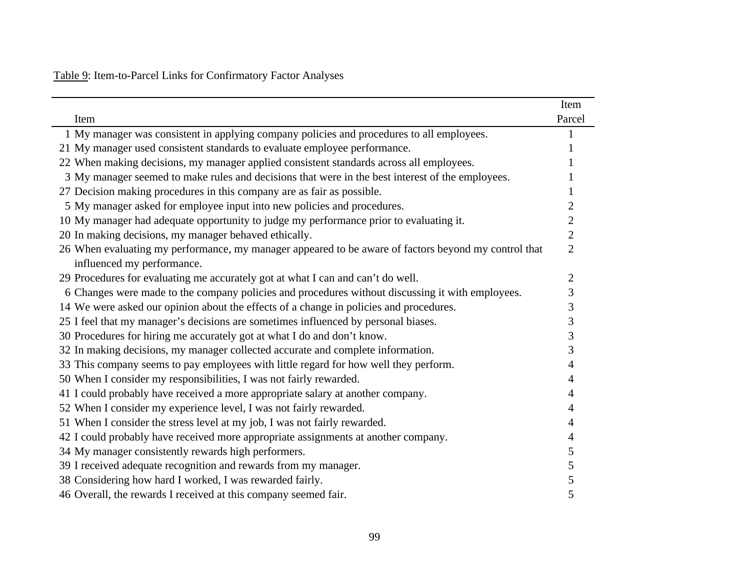# Table 9: Item-to-Parcel Links for Confirmatory Factor Analyses

|                                                                                                      | Item           |
|------------------------------------------------------------------------------------------------------|----------------|
| Item                                                                                                 | Parcel         |
| 1 My manager was consistent in applying company policies and procedures to all employees.            |                |
| 21 My manager used consistent standards to evaluate employee performance.                            |                |
| 22 When making decisions, my manager applied consistent standards across all employees.              |                |
| 3 My manager seemed to make rules and decisions that were in the best interest of the employees.     |                |
| 27 Decision making procedures in this company are as fair as possible.                               |                |
| 5 My manager asked for employee input into new policies and procedures.                              | 2              |
| 10 My manager had adequate opportunity to judge my performance prior to evaluating it.               | 2              |
| 20 In making decisions, my manager behaved ethically.                                                | $\overline{2}$ |
| 26 When evaluating my performance, my manager appeared to be aware of factors beyond my control that | $\overline{2}$ |
| influenced my performance.                                                                           |                |
| 29 Procedures for evaluating me accurately got at what I can and can't do well.                      | $\overline{2}$ |
| 6 Changes were made to the company policies and procedures without discussing it with employees.     | 3              |
| 14 We were asked our opinion about the effects of a change in policies and procedures.               | 3              |
| 25 I feel that my manager's decisions are sometimes influenced by personal biases.                   | 3              |
| 30 Procedures for hiring me accurately got at what I do and don't know.                              | 3              |
| 32 In making decisions, my manager collected accurate and complete information.                      | 3              |
| 33 This company seems to pay employees with little regard for how well they perform.                 | 4              |
| 50 When I consider my responsibilities, I was not fairly rewarded.                                   | 4              |
| 41 I could probably have received a more appropriate salary at another company.                      | 4              |
| 52 When I consider my experience level, I was not fairly rewarded.                                   | 4              |
| 51 When I consider the stress level at my job, I was not fairly rewarded.                            | 4              |
| 42 I could probably have received more appropriate assignments at another company.                   | 4              |
| 34 My manager consistently rewards high performers.                                                  | 5              |
| 39 I received adequate recognition and rewards from my manager.                                      | 5              |
| 38 Considering how hard I worked, I was rewarded fairly.                                             | 5              |
| 46 Overall, the rewards I received at this company seemed fair.                                      | 5              |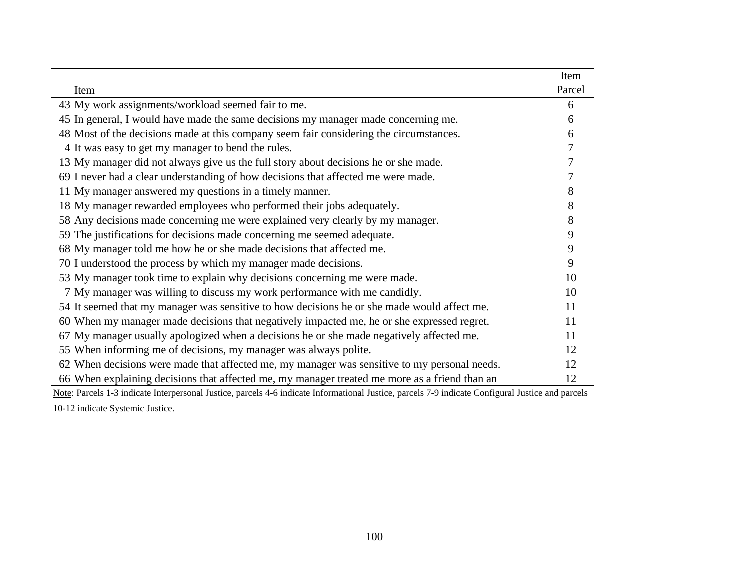|                                                                                               | Item   |
|-----------------------------------------------------------------------------------------------|--------|
| Item                                                                                          | Parcel |
| 43 My work assignments/workload seemed fair to me.                                            | 6      |
| 45 In general, I would have made the same decisions my manager made concerning me.            | 6      |
| 48 Most of the decisions made at this company seem fair considering the circumstances.        | 6      |
| 4 It was easy to get my manager to bend the rules.                                            |        |
| 13 My manager did not always give us the full story about decisions he or she made.           |        |
| 69 I never had a clear understanding of how decisions that affected me were made.             |        |
| 11 My manager answered my questions in a timely manner.                                       | 8      |
| 18 My manager rewarded employees who performed their jobs adequately.                         | 8      |
| 58 Any decisions made concerning me were explained very clearly by my manager.                | 8      |
| 59 The justifications for decisions made concerning me seemed adequate.                       | 9      |
| 68 My manager told me how he or she made decisions that affected me.                          |        |
| 70 I understood the process by which my manager made decisions.                               | 9      |
| 53 My manager took time to explain why decisions concerning me were made.                     | 10     |
| 7 My manager was willing to discuss my work performance with me candidly.                     | 10     |
| 54 It seemed that my manager was sensitive to how decisions he or she made would affect me.   | 11     |
| 60 When my manager made decisions that negatively impacted me, he or she expressed regret.    | 11     |
| 67 My manager usually apologized when a decisions he or she made negatively affected me.      | 11     |
| 55 When informing me of decisions, my manager was always polite.                              | 12     |
| 62 When decisions were made that affected me, my manager was sensitive to my personal needs.  | 12     |
| 66 When explaining decisions that affected me, my manager treated me more as a friend than an | 12     |

Note: Parcels 1-3 indicate Interpersonal Justice, parcels 4-6 indicate Informational Justice, parcels 7-9 indicate Configural Justice and parcels 10-12 indicate Systemic Justice.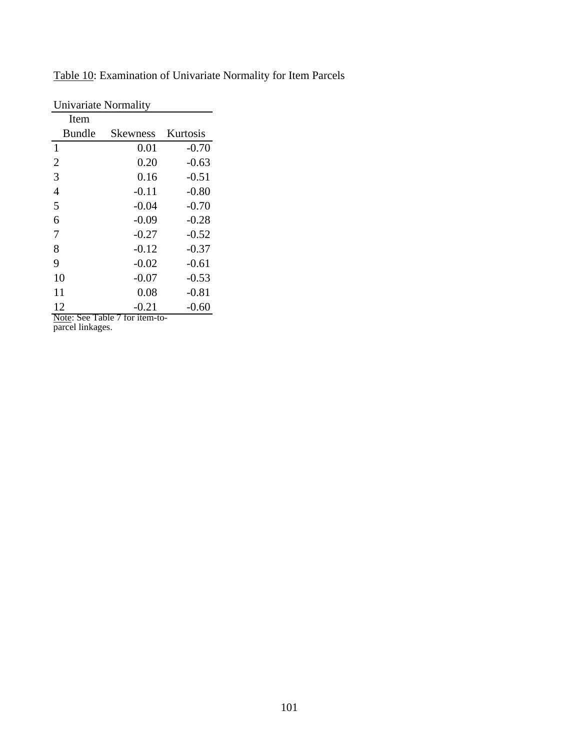| Univariate Normality |                    |          |  |  |  |  |  |  |  |
|----------------------|--------------------|----------|--|--|--|--|--|--|--|
| Item                 |                    |          |  |  |  |  |  |  |  |
| <b>Bundle</b>        | <b>Skewness</b>    | Kurtosis |  |  |  |  |  |  |  |
| $\mathbf{1}$         | 0.01               | $-0.70$  |  |  |  |  |  |  |  |
| $\overline{2}$       | 0.20               | $-0.63$  |  |  |  |  |  |  |  |
| 3                    | 0.16               | -0.51    |  |  |  |  |  |  |  |
| $\overline{4}$       | $-0.11$            | $-0.80$  |  |  |  |  |  |  |  |
| 5                    | $-0.04$            | $-0.70$  |  |  |  |  |  |  |  |
| 6                    | $-0.09$            | $-0.28$  |  |  |  |  |  |  |  |
| 7                    | $-0.27$            | $-0.52$  |  |  |  |  |  |  |  |
| 8                    | $-0.12$            | $-0.37$  |  |  |  |  |  |  |  |
| 9                    | $-0.02$            | $-0.61$  |  |  |  |  |  |  |  |
| 10                   | $-0.07$            | $-0.53$  |  |  |  |  |  |  |  |
| 11                   | 0.08               | $-0.81$  |  |  |  |  |  |  |  |
| 12<br>0<br>$N_{0}$   | $-0.21$<br>$+ - -$ | $-0.60$  |  |  |  |  |  |  |  |

Table 10: Examination of Univariate Normality for Item Parcels

Note: See Table 7 for item-toparcel linkages.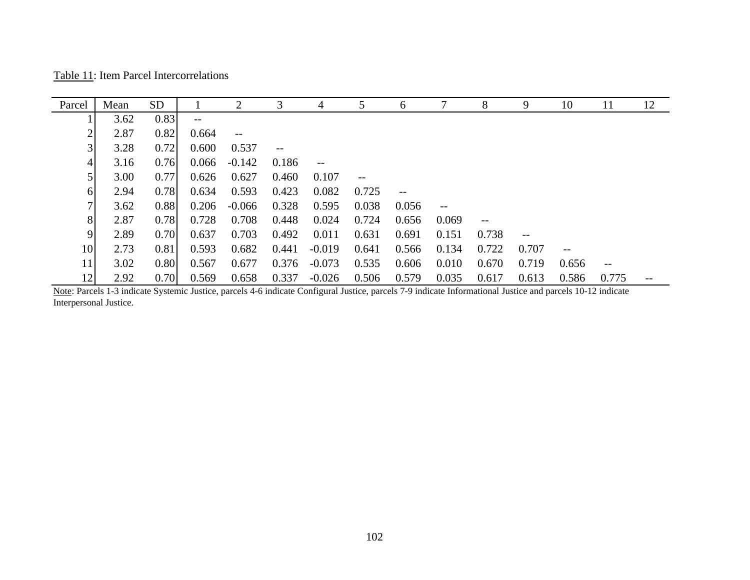Table 11: Item Parcel Intercorrelations

| Parcel         | Mean | <b>SD</b> |       | $\overline{2}$    | 3     | 4                 |       | 6     |        | 8                 | 9     | 10    | 11    | 12 |
|----------------|------|-----------|-------|-------------------|-------|-------------------|-------|-------|--------|-------------------|-------|-------|-------|----|
|                | 3.62 | 0.83      | $--$  |                   |       |                   |       |       |        |                   |       |       |       |    |
| $\overline{2}$ | 2.87 | 0.82      | 0.664 | $\qquad \qquad -$ |       |                   |       |       |        |                   |       |       |       |    |
| 3 <sub>l</sub> | 3.28 | 0.72      | 0.600 | 0.537             |       |                   |       |       |        |                   |       |       |       |    |
| 4              | 3.16 | 0.76      | 0.066 | $-0.142$          | 0.186 | $\qquad \qquad -$ |       |       |        |                   |       |       |       |    |
| 5 <sub>l</sub> | 3.00 | 0.77      | 0.626 | 0.627             | 0.460 | 0.107             | --    |       |        |                   |       |       |       |    |
| 6              | 2.94 | 0.78      | 0.634 | 0.593             | 0.423 | 0.082             | 0.725 | $- -$ |        |                   |       |       |       |    |
| 71             | 3.62 | 0.88      | 0.206 | $-0.066$          | 0.328 | 0.595             | 0.038 | 0.056 | $-\,-$ |                   |       |       |       |    |
| 8              | 2.87 | 0.78      | 0.728 | 0.708             | 0.448 | 0.024             | 0.724 | 0.656 | 0.069  | $\qquad \qquad -$ |       |       |       |    |
| 9              | 2.89 | 0.70      | 0.637 | 0.703             | 0.492 | 0.011             | 0.631 | 0.691 | 0.151  | 0.738             | $-$   |       |       |    |
| 10             | 2.73 | 0.81      | 0.593 | 0.682             | 0.441 | $-0.019$          | 0.641 | 0.566 | 0.134  | 0.722             | 0.707 | $- -$ |       |    |
| 11             | 3.02 | 0.80      | 0.567 | 0.677             | 0.376 | $-0.073$          | 0.535 | 0.606 | 0.010  | 0.670             | 0.719 | 0.656 |       |    |
| 12             | 2.92 | 0.70      | 0.569 | 0.658             | 0.337 | $-0.026$          | 0.506 | 0.579 | 0.035  | 0.617             | 0.613 | 0.586 | 0.775 |    |

Note: Parcels 1-3 indicate Systemic Justice, parcels 4-6 indicate Configural Justice, parcels 7-9 indicate Informational Justice and parcels 10-12 indicate Interpersonal Justice.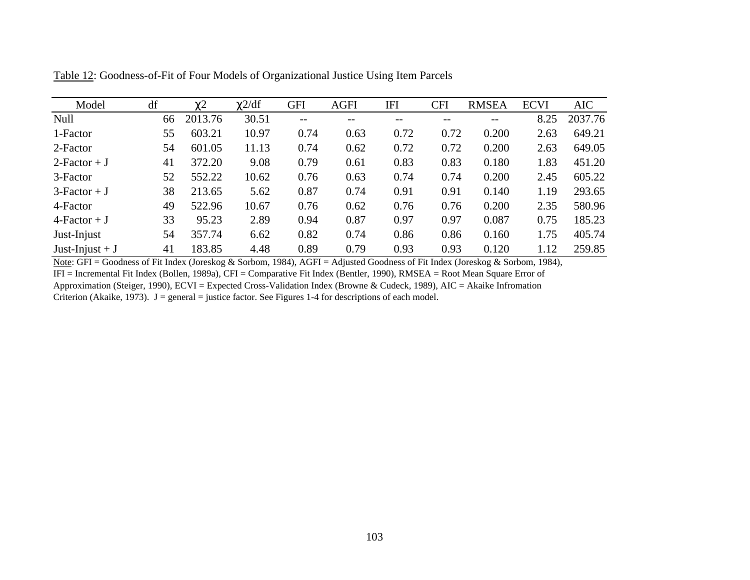| Model             | df | $\chi$ <sup>2</sup> | $\chi$ 2/df | <b>GFI</b>        | <b>AGFI</b> | IFI  | <b>CFI</b> | <b>RMSEA</b> | <b>ECVI</b> | <b>AIC</b> |
|-------------------|----|---------------------|-------------|-------------------|-------------|------|------------|--------------|-------------|------------|
| Null              | 66 | 2013.76             | 30.51       | $\qquad \qquad -$ | --          | --   | --         | $- -$        | 8.25        | 2037.76    |
| 1-Factor          | 55 | 603.21              | 10.97       | 0.74              | 0.63        | 0.72 | 0.72       | 0.200        | 2.63        | 649.21     |
| 2-Factor          | 54 | 601.05              | 11.13       | 0.74              | 0.62        | 0.72 | 0.72       | 0.200        | 2.63        | 649.05     |
| $2-Factor + J$    | 41 | 372.20              | 9.08        | 0.79              | 0.61        | 0.83 | 0.83       | 0.180        | 1.83        | 451.20     |
| 3-Factor          | 52 | 552.22              | 10.62       | 0.76              | 0.63        | 0.74 | 0.74       | 0.200        | 2.45        | 605.22     |
| $3-Factor + J$    | 38 | 213.65              | 5.62        | 0.87              | 0.74        | 0.91 | 0.91       | 0.140        | 1.19        | 293.65     |
| 4-Factor          | 49 | 522.96              | 10.67       | 0.76              | 0.62        | 0.76 | 0.76       | 0.200        | 2.35        | 580.96     |
| $4-Factor + J$    | 33 | 95.23               | 2.89        | 0.94              | 0.87        | 0.97 | 0.97       | 0.087        | 0.75        | 185.23     |
| Just-Injust       | 54 | 357.74              | 6.62        | 0.82              | 0.74        | 0.86 | 0.86       | 0.160        | 1.75        | 405.74     |
| Just-Injust + $J$ | 41 | 183.85              | 4.48        | 0.89              | 0.79        | 0.93 | 0.93       | 0.120        | 1.12        | 259.85     |

Table 12: Goodness-of-Fit of Four Models of Organizational Justice Using Item Parcels

Note: GFI = Goodness of Fit Index (Joreskog & Sorbom, 1984), AGFI = Adjusted Goodness of Fit Index (Joreskog & Sorbom, 1984), IFI = Incremental Fit Index (Bollen, 1989a), CFI = Comparative Fit Index (Bentler, 1990), RMSEA = Root Mean Square Error of Approximation (Steiger, 1990), ECVI = Expected Cross-Validation Index (Browne & Cudeck, 1989), AIC = Akaike Infromation Criterion (Akaike, 1973). J = general = justice factor. See Figures 1-4 for descriptions of each model.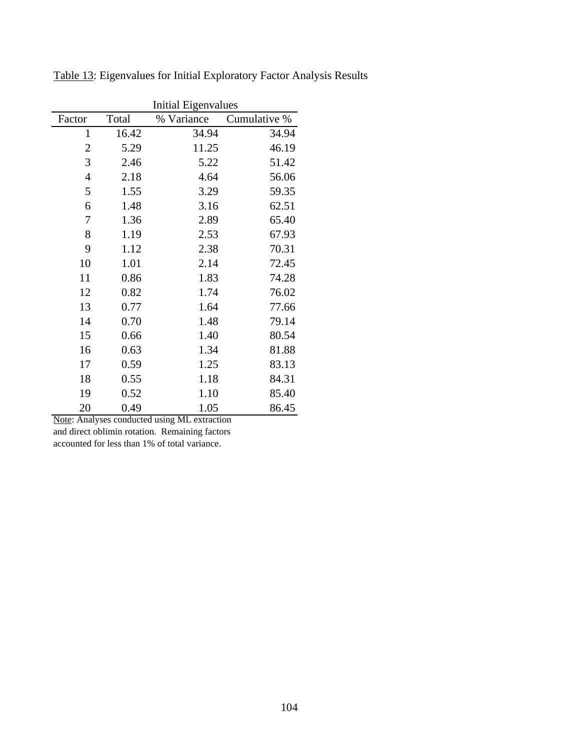|                |       | <b>Initial Eigenvalues</b> |              |  |  |  |  |  |
|----------------|-------|----------------------------|--------------|--|--|--|--|--|
| Factor         | Total | % Variance                 | Cumulative % |  |  |  |  |  |
| $\mathbf{1}$   | 16.42 | 34.94                      | 34.94        |  |  |  |  |  |
| $\overline{2}$ | 5.29  | 11.25                      | 46.19        |  |  |  |  |  |
| 3              | 2.46  | 5.22                       | 51.42        |  |  |  |  |  |
| $\overline{4}$ | 2.18  | 4.64                       | 56.06        |  |  |  |  |  |
| 5              | 1.55  | 3.29                       | 59.35        |  |  |  |  |  |
| 6              | 1.48  | 3.16                       | 62.51        |  |  |  |  |  |
| 7              | 1.36  | 2.89                       | 65.40        |  |  |  |  |  |
| 8              | 1.19  | 2.53                       | 67.93        |  |  |  |  |  |
| 9              | 1.12  | 2.38                       | 70.31        |  |  |  |  |  |
| 10             | 1.01  | 2.14                       | 72.45        |  |  |  |  |  |
| 11             | 0.86  | 1.83                       | 74.28        |  |  |  |  |  |
| 12             | 0.82  | 1.74                       | 76.02        |  |  |  |  |  |
| 13             | 0.77  | 1.64                       | 77.66        |  |  |  |  |  |
| 14             | 0.70  | 1.48                       | 79.14        |  |  |  |  |  |
| 15             | 0.66  | 1.40                       | 80.54        |  |  |  |  |  |
| 16             | 0.63  | 1.34                       | 81.88        |  |  |  |  |  |
| 17             | 0.59  | 1.25                       | 83.13        |  |  |  |  |  |
| 18             | 0.55  | 1.18                       | 84.31        |  |  |  |  |  |
| 19             | 0.52  | 1.10                       | 85.40        |  |  |  |  |  |
| 20             | 0.49  | 1.05                       | 86.45        |  |  |  |  |  |

Table 13: Eigenvalues for Initial Exploratory Factor Analysis Results

Note: Analyses conducted using ML extraction and direct oblimin rotation. Remaining factors accounted for less than 1% of total variance.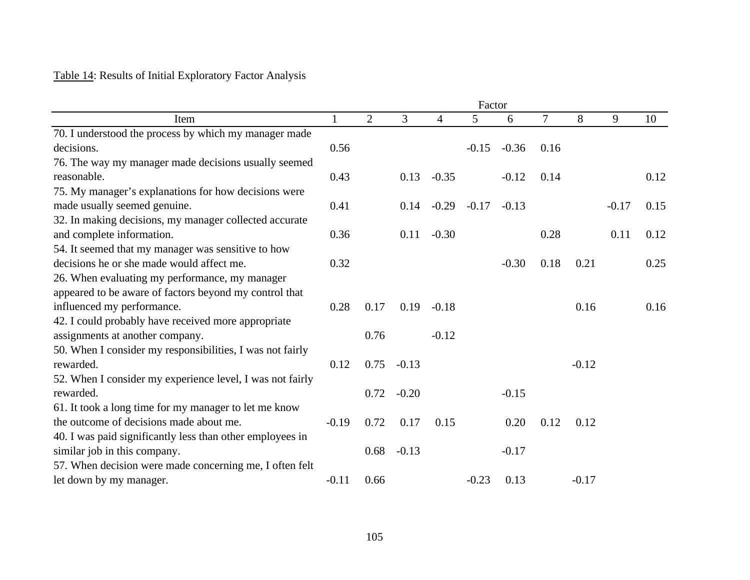# Table 14: Results of Initial Exploratory Factor Analysis

|                                                           |         |                |         |         |                |         | Factor |         |         |      |  |
|-----------------------------------------------------------|---------|----------------|---------|---------|----------------|---------|--------|---------|---------|------|--|
| Item                                                      |         | $\overline{2}$ | 3       | 4       | 5 <sup>5</sup> | 6       | $\tau$ | 8       | 9       | 10   |  |
| 70. I understood the process by which my manager made     |         |                |         |         |                |         |        |         |         |      |  |
| decisions.                                                | 0.56    |                |         |         | $-0.15$        | $-0.36$ | 0.16   |         |         |      |  |
| 76. The way my manager made decisions usually seemed      |         |                |         |         |                |         |        |         |         |      |  |
| reasonable.                                               | 0.43    |                | 0.13    | $-0.35$ |                | $-0.12$ | 0.14   |         |         | 0.12 |  |
| 75. My manager's explanations for how decisions were      |         |                |         |         |                |         |        |         |         |      |  |
| made usually seemed genuine.                              | 0.41    |                | 0.14    | $-0.29$ | $-0.17$        | $-0.13$ |        |         | $-0.17$ | 0.15 |  |
| 32. In making decisions, my manager collected accurate    |         |                |         |         |                |         |        |         |         |      |  |
| and complete information.                                 | 0.36    |                | 0.11    | $-0.30$ |                |         | 0.28   |         | 0.11    | 0.12 |  |
| 54. It seemed that my manager was sensitive to how        |         |                |         |         |                |         |        |         |         |      |  |
| decisions he or she made would affect me.                 | 0.32    |                |         |         |                | $-0.30$ | 0.18   | 0.21    |         | 0.25 |  |
| 26. When evaluating my performance, my manager            |         |                |         |         |                |         |        |         |         |      |  |
| appeared to be aware of factors beyond my control that    |         |                |         |         |                |         |        |         |         |      |  |
| influenced my performance.                                | 0.28    | 0.17           | 0.19    | $-0.18$ |                |         |        | 0.16    |         | 0.16 |  |
| 42. I could probably have received more appropriate       |         |                |         |         |                |         |        |         |         |      |  |
| assignments at another company.                           |         | 0.76           |         | $-0.12$ |                |         |        |         |         |      |  |
| 50. When I consider my responsibilities, I was not fairly |         |                |         |         |                |         |        |         |         |      |  |
| rewarded.                                                 | 0.12    | 0.75           | $-0.13$ |         |                |         |        | $-0.12$ |         |      |  |
| 52. When I consider my experience level, I was not fairly |         |                |         |         |                |         |        |         |         |      |  |
| rewarded.                                                 |         | 0.72           | $-0.20$ |         |                | $-0.15$ |        |         |         |      |  |
| 61. It took a long time for my manager to let me know     |         |                |         |         |                |         |        |         |         |      |  |
| the outcome of decisions made about me.                   | $-0.19$ | 0.72           | 0.17    | 0.15    |                | 0.20    | 0.12   | 0.12    |         |      |  |
| 40. I was paid significantly less than other employees in |         |                |         |         |                |         |        |         |         |      |  |
| similar job in this company.                              |         | 0.68           | $-0.13$ |         |                | $-0.17$ |        |         |         |      |  |
| 57. When decision were made concerning me, I often felt   |         |                |         |         |                |         |        |         |         |      |  |
| let down by my manager.                                   | $-0.11$ | 0.66           |         |         | $-0.23$        | 0.13    |        | $-0.17$ |         |      |  |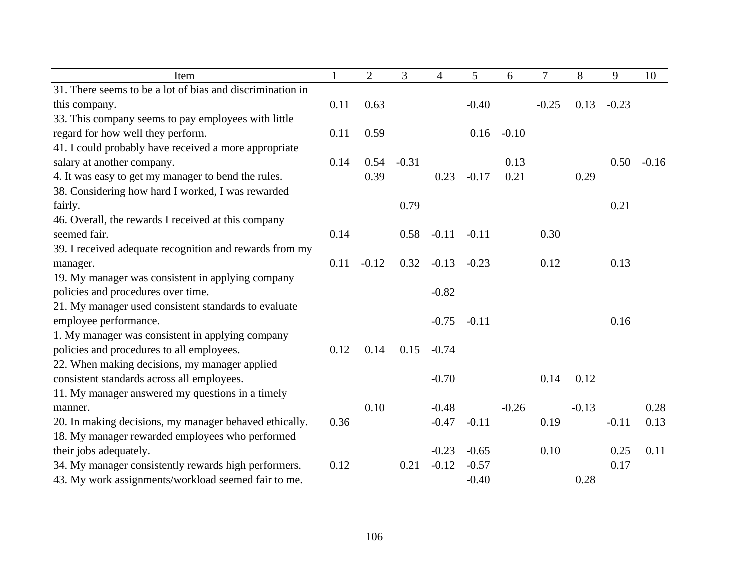| Item                                                      | $\mathbf{1}$ | $\overline{2}$ | 3       | 4       | 5       | 6       | $\overline{7}$ | 8       | 9       | 10      |
|-----------------------------------------------------------|--------------|----------------|---------|---------|---------|---------|----------------|---------|---------|---------|
| 31. There seems to be a lot of bias and discrimination in |              |                |         |         |         |         |                |         |         |         |
| this company.                                             | 0.11         | 0.63           |         |         | $-0.40$ |         | $-0.25$        | 0.13    | $-0.23$ |         |
| 33. This company seems to pay employees with little       |              |                |         |         |         |         |                |         |         |         |
| regard for how well they perform.                         | 0.11         | 0.59           |         |         | 0.16    | $-0.10$ |                |         |         |         |
| 41. I could probably have received a more appropriate     |              |                |         |         |         |         |                |         |         |         |
| salary at another company.                                | 0.14         | 0.54           | $-0.31$ |         |         | 0.13    |                |         | 0.50    | $-0.16$ |
| 4. It was easy to get my manager to bend the rules.       |              | 0.39           |         | 0.23    | $-0.17$ | 0.21    |                | 0.29    |         |         |
| 38. Considering how hard I worked, I was rewarded         |              |                |         |         |         |         |                |         |         |         |
| fairly.                                                   |              |                | 0.79    |         |         |         |                |         | 0.21    |         |
| 46. Overall, the rewards I received at this company       |              |                |         |         |         |         |                |         |         |         |
| seemed fair.                                              | 0.14         |                | 0.58    | $-0.11$ | $-0.11$ |         | 0.30           |         |         |         |
| 39. I received adequate recognition and rewards from my   |              |                |         |         |         |         |                |         |         |         |
| manager.                                                  | 0.11         | $-0.12$        | 0.32    | $-0.13$ | $-0.23$ |         | 0.12           |         | 0.13    |         |
| 19. My manager was consistent in applying company         |              |                |         |         |         |         |                |         |         |         |
| policies and procedures over time.                        |              |                |         | $-0.82$ |         |         |                |         |         |         |
| 21. My manager used consistent standards to evaluate      |              |                |         |         |         |         |                |         |         |         |
| employee performance.                                     |              |                |         | $-0.75$ | $-0.11$ |         |                |         | 0.16    |         |
| 1. My manager was consistent in applying company          |              |                |         |         |         |         |                |         |         |         |
| policies and procedures to all employees.                 | 0.12         | 0.14           | 0.15    | $-0.74$ |         |         |                |         |         |         |
| 22. When making decisions, my manager applied             |              |                |         |         |         |         |                |         |         |         |
| consistent standards across all employees.                |              |                |         | $-0.70$ |         |         | 0.14           | 0.12    |         |         |
| 11. My manager answered my questions in a timely          |              |                |         |         |         |         |                |         |         |         |
| manner.                                                   |              | 0.10           |         | $-0.48$ |         | $-0.26$ |                | $-0.13$ |         | 0.28    |
| 20. In making decisions, my manager behaved ethically.    | 0.36         |                |         | $-0.47$ | $-0.11$ |         | 0.19           |         | $-0.11$ | 0.13    |
| 18. My manager rewarded employees who performed           |              |                |         |         |         |         |                |         |         |         |
| their jobs adequately.                                    |              |                |         | $-0.23$ | $-0.65$ |         | 0.10           |         | 0.25    | 0.11    |
| 34. My manager consistently rewards high performers.      | 0.12         |                | 0.21    | $-0.12$ | $-0.57$ |         |                |         | 0.17    |         |
| 43. My work assignments/workload seemed fair to me.       |              |                |         |         | $-0.40$ |         |                | 0.28    |         |         |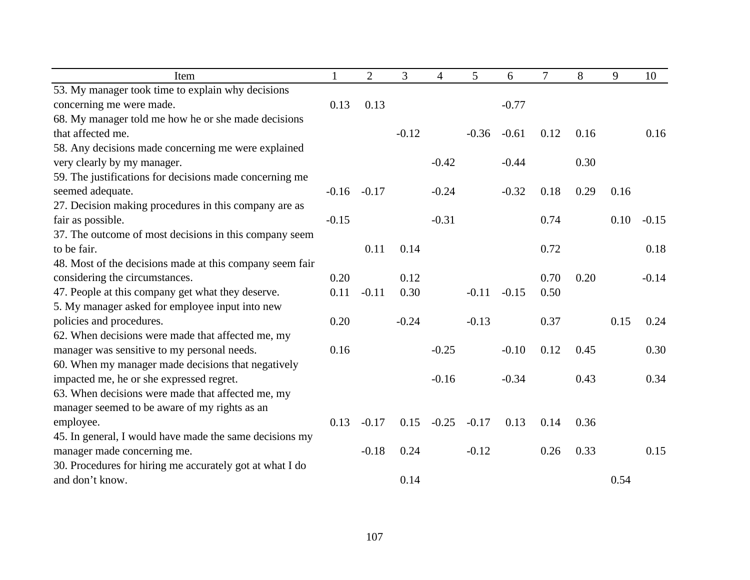| Item                                                     | $\mathbf{1}$ | $\overline{2}$ | 3       | $\overline{4}$ | 5       | 6       | $\overline{7}$ | 8    | 9    | 10      |
|----------------------------------------------------------|--------------|----------------|---------|----------------|---------|---------|----------------|------|------|---------|
| 53. My manager took time to explain why decisions        |              |                |         |                |         |         |                |      |      |         |
| concerning me were made.                                 | 0.13         | 0.13           |         |                |         | $-0.77$ |                |      |      |         |
| 68. My manager told me how he or she made decisions      |              |                |         |                |         |         |                |      |      |         |
| that affected me.                                        |              |                | $-0.12$ |                | $-0.36$ | $-0.61$ | 0.12           | 0.16 |      | 0.16    |
| 58. Any decisions made concerning me were explained      |              |                |         |                |         |         |                |      |      |         |
| very clearly by my manager.                              |              |                |         | $-0.42$        |         | $-0.44$ |                | 0.30 |      |         |
| 59. The justifications for decisions made concerning me  |              |                |         |                |         |         |                |      |      |         |
| seemed adequate.                                         | $-0.16$      | $-0.17$        |         | $-0.24$        |         | $-0.32$ | 0.18           | 0.29 | 0.16 |         |
| 27. Decision making procedures in this company are as    |              |                |         |                |         |         |                |      |      |         |
| fair as possible.                                        | $-0.15$      |                |         | $-0.31$        |         |         | 0.74           |      | 0.10 | $-0.15$ |
| 37. The outcome of most decisions in this company seem   |              |                |         |                |         |         |                |      |      |         |
| to be fair.                                              |              | 0.11           | 0.14    |                |         |         | 0.72           |      |      | 0.18    |
| 48. Most of the decisions made at this company seem fair |              |                |         |                |         |         |                |      |      |         |
| considering the circumstances.                           | 0.20         |                | 0.12    |                |         |         | 0.70           | 0.20 |      | $-0.14$ |
| 47. People at this company get what they deserve.        | 0.11         | $-0.11$        | 0.30    |                | $-0.11$ | $-0.15$ | 0.50           |      |      |         |
| 5. My manager asked for employee input into new          |              |                |         |                |         |         |                |      |      |         |
| policies and procedures.                                 | 0.20         |                | $-0.24$ |                | $-0.13$ |         | 0.37           |      | 0.15 | 0.24    |
| 62. When decisions were made that affected me, my        |              |                |         |                |         |         |                |      |      |         |
| manager was sensitive to my personal needs.              | 0.16         |                |         | $-0.25$        |         | $-0.10$ | 0.12           | 0.45 |      | 0.30    |
| 60. When my manager made decisions that negatively       |              |                |         |                |         |         |                |      |      |         |
| impacted me, he or she expressed regret.                 |              |                |         | $-0.16$        |         | $-0.34$ |                | 0.43 |      | 0.34    |
| 63. When decisions were made that affected me, my        |              |                |         |                |         |         |                |      |      |         |
| manager seemed to be aware of my rights as an            |              |                |         |                |         |         |                |      |      |         |
| employee.                                                | 0.13         | $-0.17$        | 0.15    | $-0.25$        | $-0.17$ | 0.13    | 0.14           | 0.36 |      |         |
| 45. In general, I would have made the same decisions my  |              |                |         |                |         |         |                |      |      |         |
| manager made concerning me.                              |              | $-0.18$        | 0.24    |                | $-0.12$ |         | 0.26           | 0.33 |      | 0.15    |
| 30. Procedures for hiring me accurately got at what I do |              |                |         |                |         |         |                |      |      |         |
| and don't know.                                          |              |                | 0.14    |                |         |         |                |      | 0.54 |         |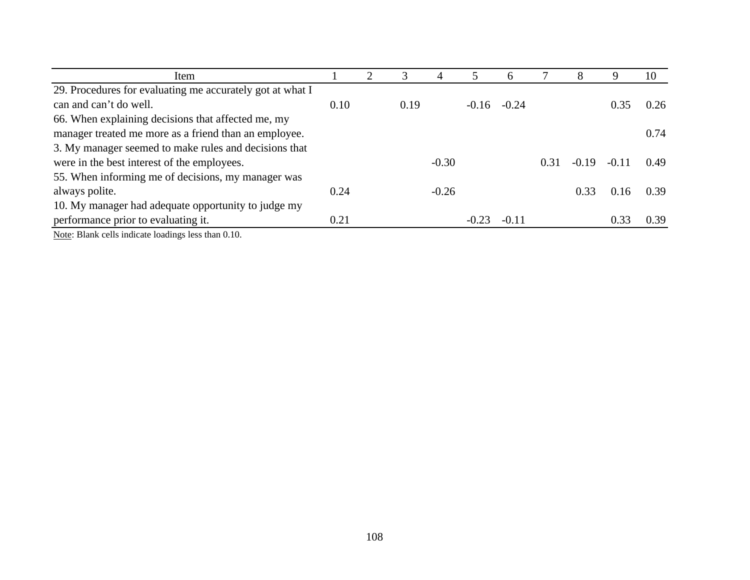| 0.26 |
|------|
|      |
| 0.74 |
|      |
| 0.49 |
|      |
| 0.39 |
|      |
| 0.39 |
|      |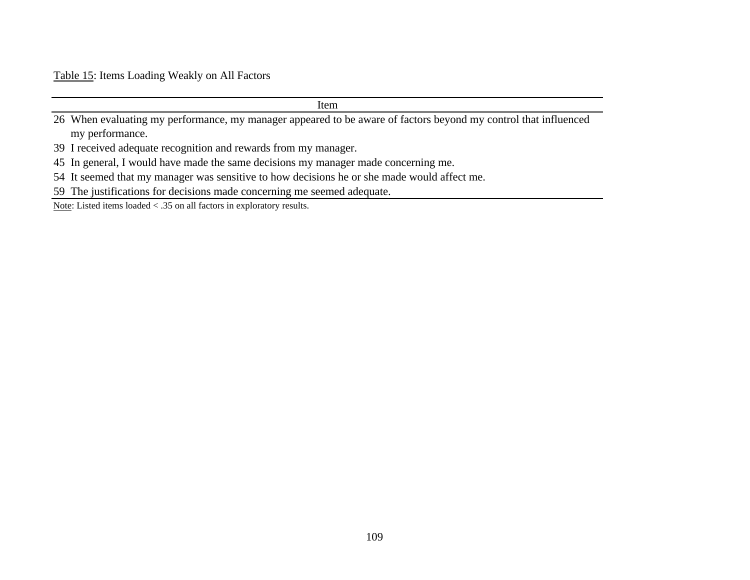Table 15: Items Loading Weakly on All Factors

| Item                                                                                                            |
|-----------------------------------------------------------------------------------------------------------------|
| 26 When evaluating my performance, my manager appeared to be aware of factors beyond my control that influenced |
| my performance.                                                                                                 |
| 39 I received adequate recognition and rewards from my manager.                                                 |
| 45 In general, I would have made the same decisions my manager made concerning me.                              |
| 54 It seemed that my manager was sensitive to how decisions he or she made would affect me.                     |

59 The justifications for decisions made concerning me seemed adequate.

Note: Listed items loaded < .35 on all factors in exploratory results.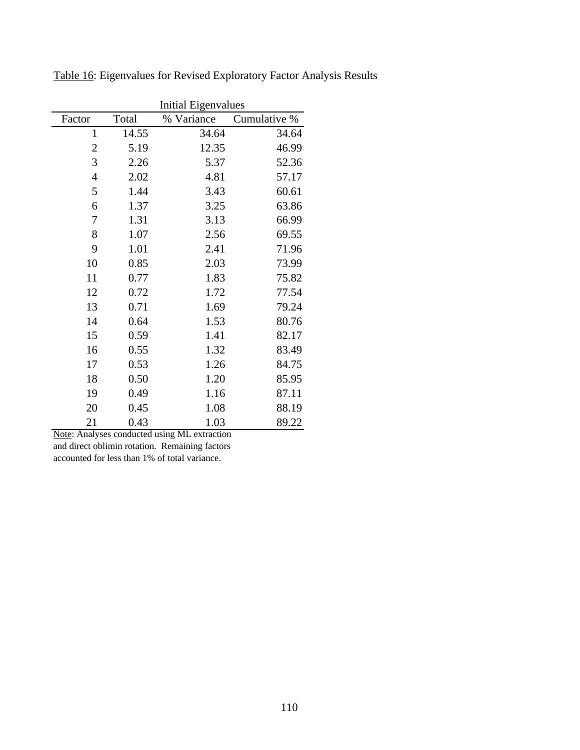|                |       | <b>Initial Eigenvalues</b> |              |  |  |  |  |  |
|----------------|-------|----------------------------|--------------|--|--|--|--|--|
| Factor         | Total | % Variance                 | Cumulative % |  |  |  |  |  |
| $\mathbf{1}$   | 14.55 | 34.64                      | 34.64        |  |  |  |  |  |
| $\overline{c}$ | 5.19  | 12.35                      | 46.99        |  |  |  |  |  |
| 3              | 2.26  | 5.37                       | 52.36        |  |  |  |  |  |
| $\overline{4}$ | 2.02  | 4.81                       | 57.17        |  |  |  |  |  |
| 5              | 1.44  | 3.43                       | 60.61        |  |  |  |  |  |
| 6              | 1.37  | 3.25                       | 63.86        |  |  |  |  |  |
| 7              | 1.31  | 3.13                       | 66.99        |  |  |  |  |  |
| 8              | 1.07  | 2.56                       | 69.55        |  |  |  |  |  |
| 9              | 1.01  | 2.41                       | 71.96        |  |  |  |  |  |
| 10             | 0.85  | 2.03                       | 73.99        |  |  |  |  |  |
| 11             | 0.77  | 1.83                       | 75.82        |  |  |  |  |  |
| 12             | 0.72  | 1.72                       | 77.54        |  |  |  |  |  |
| 13             | 0.71  | 1.69                       | 79.24        |  |  |  |  |  |
| 14             | 0.64  | 1.53                       | 80.76        |  |  |  |  |  |
| 15             | 0.59  | 1.41                       | 82.17        |  |  |  |  |  |
| 16             | 0.55  | 1.32                       | 83.49        |  |  |  |  |  |
| 17             | 0.53  | 1.26                       | 84.75        |  |  |  |  |  |
| 18             | 0.50  | 1.20                       | 85.95        |  |  |  |  |  |
| 19             | 0.49  | 1.16                       | 87.11        |  |  |  |  |  |
| 20             | 0.45  | 1.08                       | 88.19        |  |  |  |  |  |
| 21             | 0.43  | 1.03                       | 89.22        |  |  |  |  |  |

Table 16: Eigenvalues for Revised Exploratory Factor Analysis Results

Note: Analyses conducted using ML extraction and direct oblimin rotation. Remaining factors

accounted for less than 1% of total variance.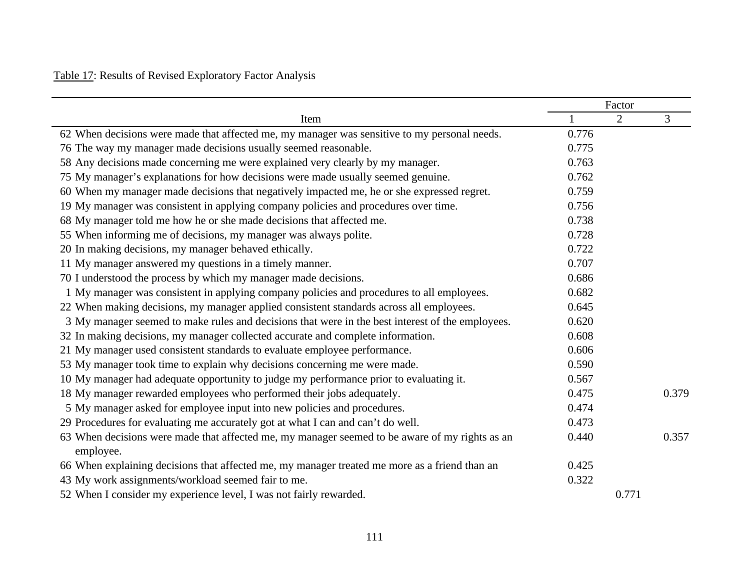# Table 17: Results of Revised Exploratory Factor Analysis

|                                                                                                             | Factor |                |       |  |  |  |
|-------------------------------------------------------------------------------------------------------------|--------|----------------|-------|--|--|--|
| Item                                                                                                        | 1      | $\overline{2}$ | 3     |  |  |  |
| 62 When decisions were made that affected me, my manager was sensitive to my personal needs.                | 0.776  |                |       |  |  |  |
| 76 The way my manager made decisions usually seemed reasonable.                                             | 0.775  |                |       |  |  |  |
| 58 Any decisions made concerning me were explained very clearly by my manager.                              | 0.763  |                |       |  |  |  |
| 75 My manager's explanations for how decisions were made usually seemed genuine.                            | 0.762  |                |       |  |  |  |
| 60 When my manager made decisions that negatively impacted me, he or she expressed regret.                  | 0.759  |                |       |  |  |  |
| 19 My manager was consistent in applying company policies and procedures over time.                         | 0.756  |                |       |  |  |  |
| 68 My manager told me how he or she made decisions that affected me.                                        | 0.738  |                |       |  |  |  |
| 55 When informing me of decisions, my manager was always polite.                                            | 0.728  |                |       |  |  |  |
| 20 In making decisions, my manager behaved ethically.                                                       | 0.722  |                |       |  |  |  |
| 11 My manager answered my questions in a timely manner.                                                     | 0.707  |                |       |  |  |  |
| 70 I understood the process by which my manager made decisions.                                             | 0.686  |                |       |  |  |  |
| 1 My manager was consistent in applying company policies and procedures to all employees.                   | 0.682  |                |       |  |  |  |
| 22 When making decisions, my manager applied consistent standards across all employees.                     | 0.645  |                |       |  |  |  |
| 3 My manager seemed to make rules and decisions that were in the best interest of the employees.            | 0.620  |                |       |  |  |  |
| 32 In making decisions, my manager collected accurate and complete information.                             | 0.608  |                |       |  |  |  |
| 21 My manager used consistent standards to evaluate employee performance.                                   | 0.606  |                |       |  |  |  |
| 53 My manager took time to explain why decisions concerning me were made.                                   | 0.590  |                |       |  |  |  |
| 10 My manager had adequate opportunity to judge my performance prior to evaluating it.                      | 0.567  |                |       |  |  |  |
| 18 My manager rewarded employees who performed their jobs adequately.                                       | 0.475  |                | 0.379 |  |  |  |
| 5 My manager asked for employee input into new policies and procedures.                                     | 0.474  |                |       |  |  |  |
| 29 Procedures for evaluating me accurately got at what I can and can't do well.                             | 0.473  |                |       |  |  |  |
| 63 When decisions were made that affected me, my manager seemed to be aware of my rights as an<br>employee. | 0.440  |                | 0.357 |  |  |  |
| 66 When explaining decisions that affected me, my manager treated me more as a friend than an               | 0.425  |                |       |  |  |  |
| 43 My work assignments/workload seemed fair to me.                                                          | 0.322  |                |       |  |  |  |
| 52 When I consider my experience level, I was not fairly rewarded.                                          |        | 0.771          |       |  |  |  |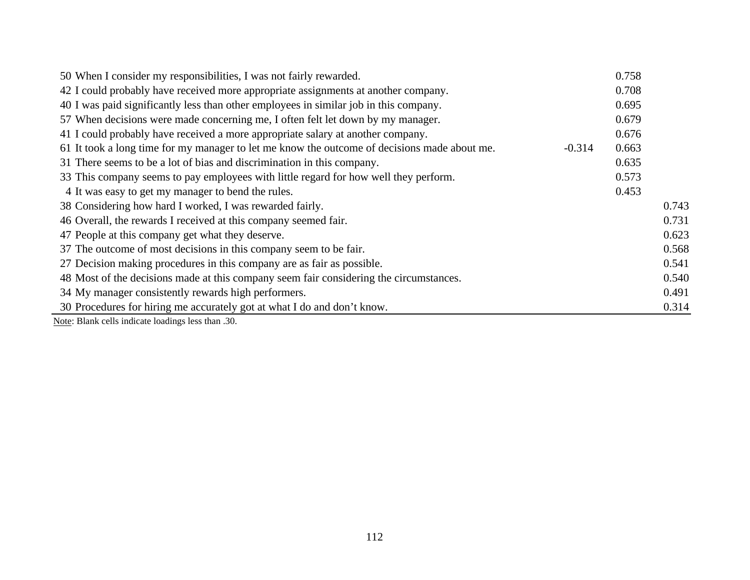| 50 When I consider my responsibilities, I was not fairly rewarded.                           |          | 0.758 |       |
|----------------------------------------------------------------------------------------------|----------|-------|-------|
| 42 I could probably have received more appropriate assignments at another company.           |          | 0.708 |       |
| 40 I was paid significantly less than other employees in similar job in this company.        |          | 0.695 |       |
| 57 When decisions were made concerning me, I often felt let down by my manager.              |          | 0.679 |       |
| 41 I could probably have received a more appropriate salary at another company.              |          | 0.676 |       |
| 61 It took a long time for my manager to let me know the outcome of decisions made about me. | $-0.314$ | 0.663 |       |
| 31 There seems to be a lot of bias and discrimination in this company.                       |          | 0.635 |       |
| 33 This company seems to pay employees with little regard for how well they perform.         |          | 0.573 |       |
| 4 It was easy to get my manager to bend the rules.                                           |          | 0.453 |       |
| 38 Considering how hard I worked, I was rewarded fairly.                                     |          |       | 0.743 |
| 46 Overall, the rewards I received at this company seemed fair.                              |          |       | 0.731 |
| 47 People at this company get what they deserve.                                             |          |       | 0.623 |
| 37 The outcome of most decisions in this company seem to be fair.                            |          |       | 0.568 |
| 27 Decision making procedures in this company are as fair as possible.                       |          |       | 0.541 |
| 48 Most of the decisions made at this company seem fair considering the circumstances.       |          |       | 0.540 |
| 34 My manager consistently rewards high performers.                                          |          |       | 0.491 |
| 30 Procedures for hiring me accurately got at what I do and don't know.                      |          |       | 0.314 |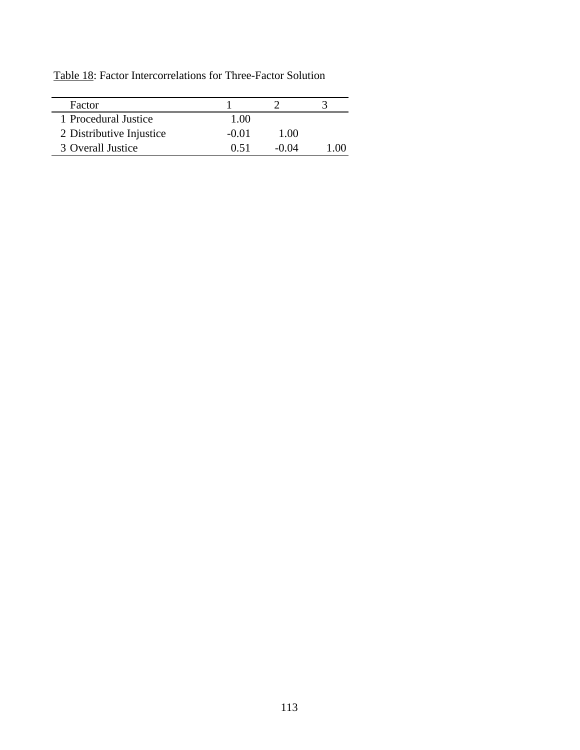Table 18: Factor Intercorrelations for Three-Factor Solution

| Factor                   |         |       |  |
|--------------------------|---------|-------|--|
| 1 Procedural Justice     | 1.00    |       |  |
| 2 Distributive Injustice | $-0.01$ | 1.00  |  |
| 3 Overall Justice        | 0.51    | -0.04 |  |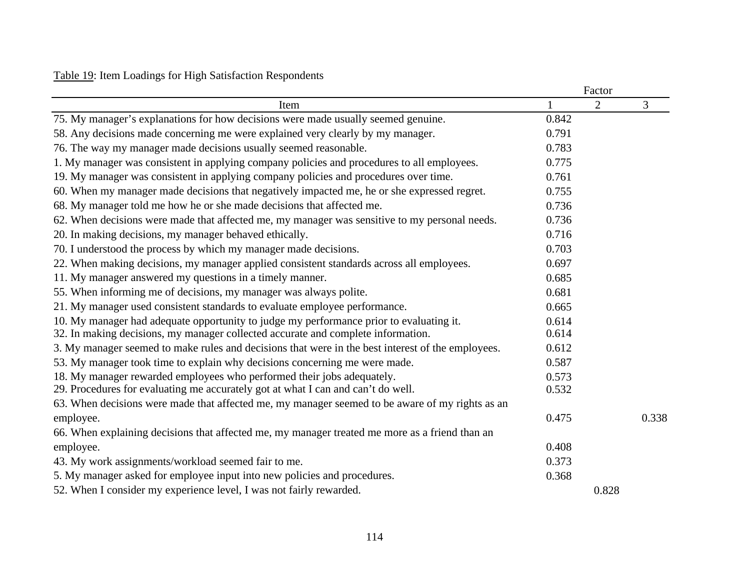## Table 19: Item Loadings for High Satisfaction Respondents

|                                                                                                   |       | Factor         |       |
|---------------------------------------------------------------------------------------------------|-------|----------------|-------|
| Item                                                                                              |       | $\overline{2}$ | 3     |
| 75. My manager's explanations for how decisions were made usually seemed genuine.                 | 0.842 |                |       |
| 58. Any decisions made concerning me were explained very clearly by my manager.                   | 0.791 |                |       |
| 76. The way my manager made decisions usually seemed reasonable.                                  | 0.783 |                |       |
| 1. My manager was consistent in applying company policies and procedures to all employees.        | 0.775 |                |       |
| 19. My manager was consistent in applying company policies and procedures over time.              | 0.761 |                |       |
| 60. When my manager made decisions that negatively impacted me, he or she expressed regret.       | 0.755 |                |       |
| 68. My manager told me how he or she made decisions that affected me.                             | 0.736 |                |       |
| 62. When decisions were made that affected me, my manager was sensitive to my personal needs.     | 0.736 |                |       |
| 20. In making decisions, my manager behaved ethically.                                            | 0.716 |                |       |
| 70. I understood the process by which my manager made decisions.                                  | 0.703 |                |       |
| 22. When making decisions, my manager applied consistent standards across all employees.          | 0.697 |                |       |
| 11. My manager answered my questions in a timely manner.                                          | 0.685 |                |       |
| 55. When informing me of decisions, my manager was always polite.                                 | 0.681 |                |       |
| 21. My manager used consistent standards to evaluate employee performance.                        | 0.665 |                |       |
| 10. My manager had adequate opportunity to judge my performance prior to evaluating it.           | 0.614 |                |       |
| 32. In making decisions, my manager collected accurate and complete information.                  | 0.614 |                |       |
| 3. My manager seemed to make rules and decisions that were in the best interest of the employees. | 0.612 |                |       |
| 53. My manager took time to explain why decisions concerning me were made.                        | 0.587 |                |       |
| 18. My manager rewarded employees who performed their jobs adequately.                            | 0.573 |                |       |
| 29. Procedures for evaluating me accurately got at what I can and can't do well.                  | 0.532 |                |       |
| 63. When decisions were made that affected me, my manager seemed to be aware of my rights as an   |       |                |       |
| employee.                                                                                         | 0.475 |                | 0.338 |
| 66. When explaining decisions that affected me, my manager treated me more as a friend than an    |       |                |       |
| employee.                                                                                         | 0.408 |                |       |
| 43. My work assignments/workload seemed fair to me.                                               | 0.373 |                |       |
| 5. My manager asked for employee input into new policies and procedures.                          | 0.368 |                |       |
| 52. When I consider my experience level, I was not fairly rewarded.                               |       | 0.828          |       |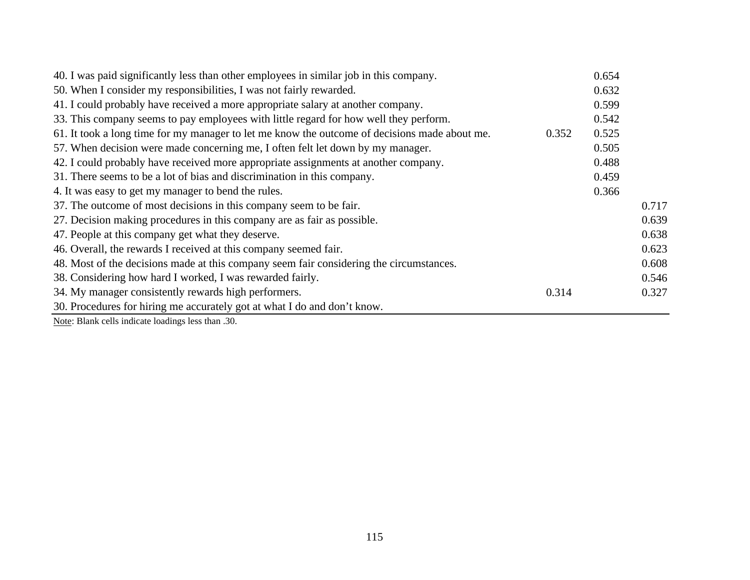| 40. I was paid significantly less than other employees in similar job in this company.        |       | 0.654 |       |
|-----------------------------------------------------------------------------------------------|-------|-------|-------|
| 50. When I consider my responsibilities, I was not fairly rewarded.                           |       | 0.632 |       |
| 41. I could probably have received a more appropriate salary at another company.              |       | 0.599 |       |
| 33. This company seems to pay employees with little regard for how well they perform.         |       | 0.542 |       |
| 61. It took a long time for my manager to let me know the outcome of decisions made about me. | 0.352 | 0.525 |       |
| 57. When decision were made concerning me, I often felt let down by my manager.               |       | 0.505 |       |
| 42. I could probably have received more appropriate assignments at another company.           |       | 0.488 |       |
| 31. There seems to be a lot of bias and discrimination in this company.                       |       | 0.459 |       |
| 4. It was easy to get my manager to bend the rules.                                           |       | 0.366 |       |
| 37. The outcome of most decisions in this company seem to be fair.                            |       |       | 0.717 |
| 27. Decision making procedures in this company are as fair as possible.                       |       |       | 0.639 |
| 47. People at this company get what they deserve.                                             |       |       | 0.638 |
| 46. Overall, the rewards I received at this company seemed fair.                              |       |       | 0.623 |
| 48. Most of the decisions made at this company seem fair considering the circumstances.       |       |       | 0.608 |
| 38. Considering how hard I worked, I was rewarded fairly.                                     |       |       | 0.546 |
| 34. My manager consistently rewards high performers.                                          | 0.314 |       | 0.327 |
| 30. Procedures for hiring me accurately got at what I do and don't know.                      |       |       |       |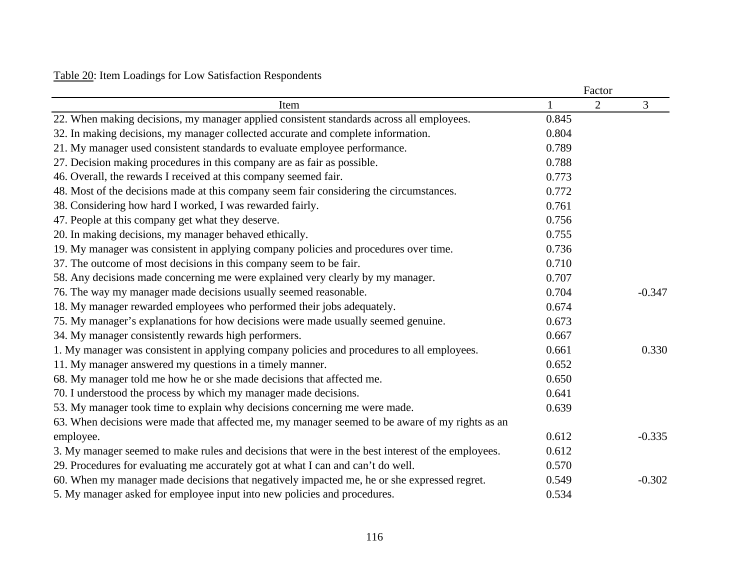## Table 20: Item Loadings for Low Satisfaction Respondents

|                                                                                                   |       | Factor |          |
|---------------------------------------------------------------------------------------------------|-------|--------|----------|
| Item                                                                                              |       | 2      | 3        |
| 22. When making decisions, my manager applied consistent standards across all employees.          | 0.845 |        |          |
| 32. In making decisions, my manager collected accurate and complete information.                  | 0.804 |        |          |
| 21. My manager used consistent standards to evaluate employee performance.                        | 0.789 |        |          |
| 27. Decision making procedures in this company are as fair as possible.                           | 0.788 |        |          |
| 46. Overall, the rewards I received at this company seemed fair.                                  | 0.773 |        |          |
| 48. Most of the decisions made at this company seem fair considering the circumstances.           | 0.772 |        |          |
| 38. Considering how hard I worked, I was rewarded fairly.                                         | 0.761 |        |          |
| 47. People at this company get what they deserve.                                                 | 0.756 |        |          |
| 20. In making decisions, my manager behaved ethically.                                            | 0.755 |        |          |
| 19. My manager was consistent in applying company policies and procedures over time.              | 0.736 |        |          |
| 37. The outcome of most decisions in this company seem to be fair.                                | 0.710 |        |          |
| 58. Any decisions made concerning me were explained very clearly by my manager.                   | 0.707 |        |          |
| 76. The way my manager made decisions usually seemed reasonable.                                  | 0.704 |        | $-0.347$ |
| 18. My manager rewarded employees who performed their jobs adequately.                            | 0.674 |        |          |
| 75. My manager's explanations for how decisions were made usually seemed genuine.                 | 0.673 |        |          |
| 34. My manager consistently rewards high performers.                                              | 0.667 |        |          |
| 1. My manager was consistent in applying company policies and procedures to all employees.        | 0.661 |        | 0.330    |
| 11. My manager answered my questions in a timely manner.                                          | 0.652 |        |          |
| 68. My manager told me how he or she made decisions that affected me.                             | 0.650 |        |          |
| 70. I understood the process by which my manager made decisions.                                  | 0.641 |        |          |
| 53. My manager took time to explain why decisions concerning me were made.                        | 0.639 |        |          |
| 63. When decisions were made that affected me, my manager seemed to be aware of my rights as an   |       |        |          |
| employee.                                                                                         | 0.612 |        | $-0.335$ |
| 3. My manager seemed to make rules and decisions that were in the best interest of the employees. | 0.612 |        |          |
| 29. Procedures for evaluating me accurately got at what I can and can't do well.                  | 0.570 |        |          |
| 60. When my manager made decisions that negatively impacted me, he or she expressed regret.       | 0.549 |        | $-0.302$ |
| 5. My manager asked for employee input into new policies and procedures.                          | 0.534 |        |          |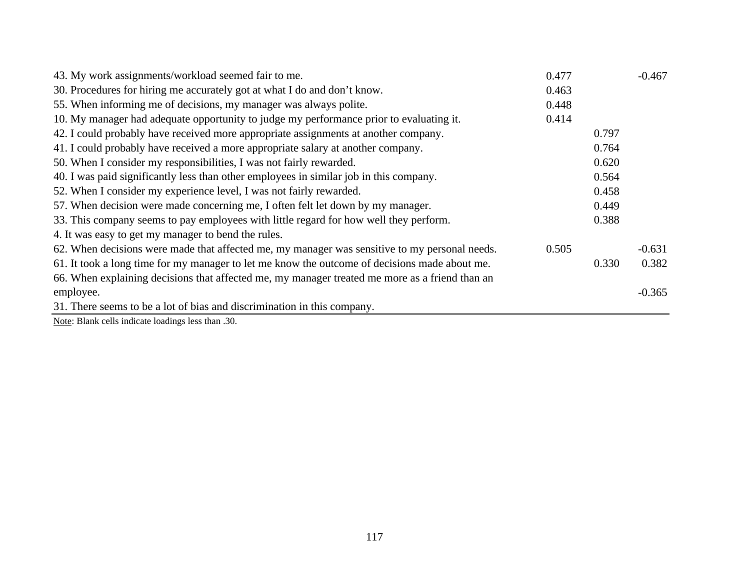| 43. My work assignments/workload seemed fair to me.                                            | 0.477 |       | $-0.467$ |
|------------------------------------------------------------------------------------------------|-------|-------|----------|
| 30. Procedures for hiring me accurately got at what I do and don't know.                       | 0.463 |       |          |
| 55. When informing me of decisions, my manager was always polite.                              | 0.448 |       |          |
| 10. My manager had adequate opportunity to judge my performance prior to evaluating it.        | 0.414 |       |          |
| 42. I could probably have received more appropriate assignments at another company.            |       | 0.797 |          |
| 41. I could probably have received a more appropriate salary at another company.               |       | 0.764 |          |
| 50. When I consider my responsibilities, I was not fairly rewarded.                            |       | 0.620 |          |
| 40. I was paid significantly less than other employees in similar job in this company.         |       | 0.564 |          |
| 52. When I consider my experience level, I was not fairly rewarded.                            |       | 0.458 |          |
| 57. When decision were made concerning me, I often felt let down by my manager.                |       | 0.449 |          |
| 33. This company seems to pay employees with little regard for how well they perform.          |       | 0.388 |          |
| 4. It was easy to get my manager to bend the rules.                                            |       |       |          |
| 62. When decisions were made that affected me, my manager was sensitive to my personal needs.  | 0.505 |       | $-0.631$ |
| 61. It took a long time for my manager to let me know the outcome of decisions made about me.  |       | 0.330 | 0.382    |
| 66. When explaining decisions that affected me, my manager treated me more as a friend than an |       |       |          |
| employee.                                                                                      |       |       | $-0.365$ |
| 31. There seems to be a lot of bias and discrimination in this company.                        |       |       |          |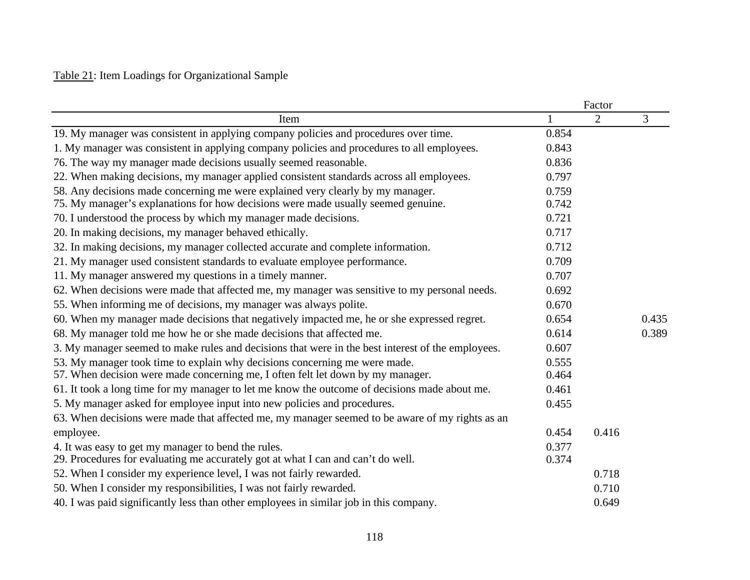## Table 21: Item Loadings for Organizational Sample

|                                                                                                   |       | Factor |       |  |
|---------------------------------------------------------------------------------------------------|-------|--------|-------|--|
| Item                                                                                              | 1     | 2      | 3     |  |
| 19. My manager was consistent in applying company policies and procedures over time.              | 0.854 |        |       |  |
| 1. My manager was consistent in applying company policies and procedures to all employees.        | 0.843 |        |       |  |
| 76. The way my manager made decisions usually seemed reasonable.                                  | 0.836 |        |       |  |
| 22. When making decisions, my manager applied consistent standards across all employees.          | 0.797 |        |       |  |
| 58. Any decisions made concerning me were explained very clearly by my manager.                   |       |        |       |  |
| 75. My manager's explanations for how decisions were made usually seemed genuine.                 | 0.742 |        |       |  |
| 70. I understood the process by which my manager made decisions.                                  | 0.721 |        |       |  |
| 20. In making decisions, my manager behaved ethically.                                            | 0.717 |        |       |  |
| 32. In making decisions, my manager collected accurate and complete information.                  | 0.712 |        |       |  |
| 21. My manager used consistent standards to evaluate employee performance.                        | 0.709 |        |       |  |
| 11. My manager answered my questions in a timely manner.                                          | 0.707 |        |       |  |
| 62. When decisions were made that affected me, my manager was sensitive to my personal needs.     | 0.692 |        |       |  |
| 55. When informing me of decisions, my manager was always polite.                                 | 0.670 |        |       |  |
| 60. When my manager made decisions that negatively impacted me, he or she expressed regret.       | 0.654 |        | 0.435 |  |
| 68. My manager told me how he or she made decisions that affected me.                             | 0.614 |        | 0.389 |  |
| 3. My manager seemed to make rules and decisions that were in the best interest of the employees. | 0.607 |        |       |  |
| 53. My manager took time to explain why decisions concerning me were made.                        | 0.555 |        |       |  |
| 57. When decision were made concerning me, I often felt let down by my manager.                   | 0.464 |        |       |  |
| 61. It took a long time for my manager to let me know the outcome of decisions made about me.     | 0.461 |        |       |  |
| 5. My manager asked for employee input into new policies and procedures.                          | 0.455 |        |       |  |
| 63. When decisions were made that affected me, my manager seemed to be aware of my rights as an   |       |        |       |  |
| employee.                                                                                         | 0.454 | 0.416  |       |  |
| 4. It was easy to get my manager to bend the rules.                                               | 0.377 |        |       |  |
| 29. Procedures for evaluating me accurately got at what I can and can't do well.                  | 0.374 |        |       |  |
| 52. When I consider my experience level, I was not fairly rewarded.                               |       | 0.718  |       |  |
| 50. When I consider my responsibilities, I was not fairly rewarded.                               |       | 0.710  |       |  |
| 40. I was paid significantly less than other employees in similar job in this company.            |       | 0.649  |       |  |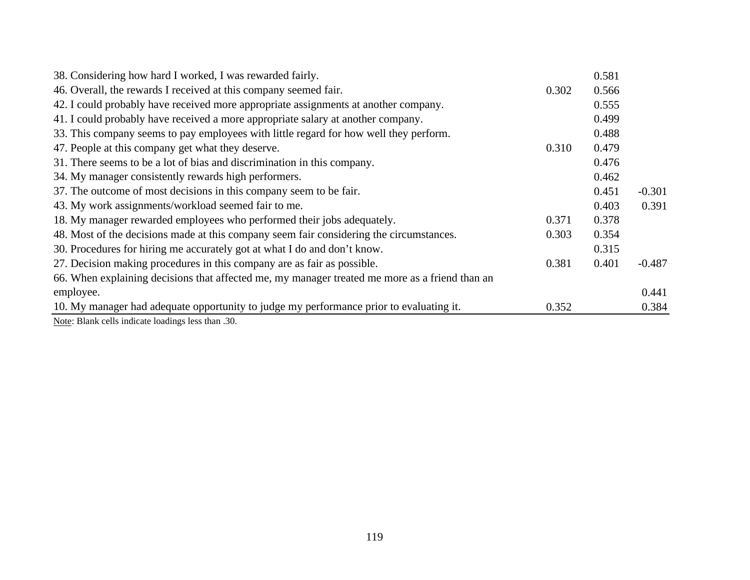| 38. Considering how hard I worked, I was rewarded fairly.                                      |       | 0.581 |          |
|------------------------------------------------------------------------------------------------|-------|-------|----------|
| 46. Overall, the rewards I received at this company seemed fair.                               | 0.302 | 0.566 |          |
| 42. I could probably have received more appropriate assignments at another company.            |       | 0.555 |          |
| 41. I could probably have received a more appropriate salary at another company.               |       | 0.499 |          |
| 33. This company seems to pay employees with little regard for how well they perform.          |       | 0.488 |          |
| 47. People at this company get what they deserve.                                              | 0.310 | 0.479 |          |
| 31. There seems to be a lot of bias and discrimination in this company.                        |       | 0.476 |          |
| 34. My manager consistently rewards high performers.                                           |       | 0.462 |          |
| 37. The outcome of most decisions in this company seem to be fair.                             |       | 0.451 | $-0.301$ |
| 43. My work assignments/workload seemed fair to me.                                            |       | 0.403 | 0.391    |
| 18. My manager rewarded employees who performed their jobs adequately.                         | 0.371 | 0.378 |          |
| 48. Most of the decisions made at this company seem fair considering the circumstances.        | 0.303 | 0.354 |          |
| 30. Procedures for hiring me accurately got at what I do and don't know.                       |       | 0.315 |          |
| 27. Decision making procedures in this company are as fair as possible.                        | 0.381 | 0.401 | $-0.487$ |
| 66. When explaining decisions that affected me, my manager treated me more as a friend than an |       |       |          |
| employee.                                                                                      |       |       | 0.441    |
| 10. My manager had adequate opportunity to judge my performance prior to evaluating it.        | 0.352 |       | 0.384    |
| $\mathbf{v}$ and $\mathbf{v}$ and $\mathbf{v}$ and $\mathbf{v}$ and $\mathbf{v}$               |       |       |          |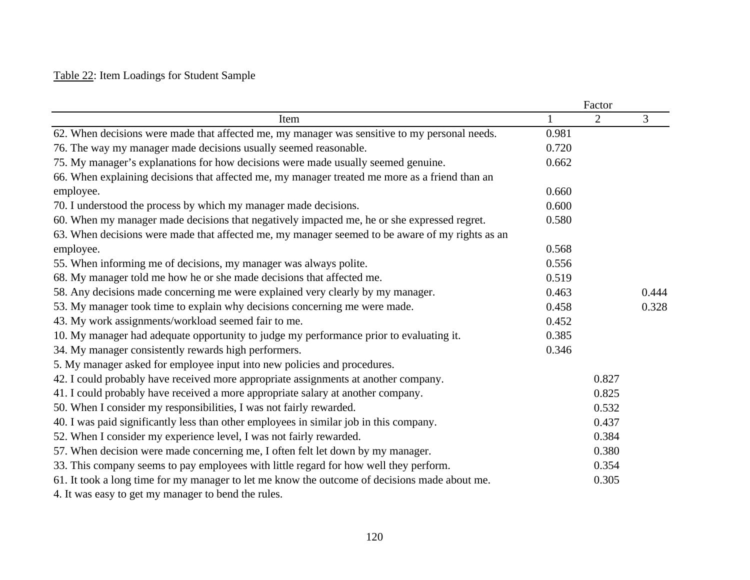## Table 22: Item Loadings for Student Sample

|                                                                                                 |       | Factor |       |
|-------------------------------------------------------------------------------------------------|-------|--------|-------|
| Item                                                                                            | 1     | 2      | 3     |
| 62. When decisions were made that affected me, my manager was sensitive to my personal needs.   | 0.981 |        |       |
| 76. The way my manager made decisions usually seemed reasonable.                                | 0.720 |        |       |
| 75. My manager's explanations for how decisions were made usually seemed genuine.               |       |        |       |
| 66. When explaining decisions that affected me, my manager treated me more as a friend than an  |       |        |       |
| employee.                                                                                       | 0.660 |        |       |
| 70. I understood the process by which my manager made decisions.                                | 0.600 |        |       |
| 60. When my manager made decisions that negatively impacted me, he or she expressed regret.     | 0.580 |        |       |
| 63. When decisions were made that affected me, my manager seemed to be aware of my rights as an |       |        |       |
| employee.                                                                                       | 0.568 |        |       |
| 55. When informing me of decisions, my manager was always polite.                               | 0.556 |        |       |
| 68. My manager told me how he or she made decisions that affected me.                           | 0.519 |        |       |
| 58. Any decisions made concerning me were explained very clearly by my manager.                 | 0.463 |        | 0.444 |
| 53. My manager took time to explain why decisions concerning me were made.                      | 0.458 |        | 0.328 |
| 43. My work assignments/workload seemed fair to me.                                             | 0.452 |        |       |
| 10. My manager had adequate opportunity to judge my performance prior to evaluating it.         | 0.385 |        |       |
| 34. My manager consistently rewards high performers.                                            | 0.346 |        |       |
| 5. My manager asked for employee input into new policies and procedures.                        |       |        |       |
| 42. I could probably have received more appropriate assignments at another company.             |       | 0.827  |       |
| 41. I could probably have received a more appropriate salary at another company.                |       | 0.825  |       |
| 50. When I consider my responsibilities, I was not fairly rewarded.                             |       | 0.532  |       |
| 40. I was paid significantly less than other employees in similar job in this company.          |       | 0.437  |       |
| 52. When I consider my experience level, I was not fairly rewarded.                             |       | 0.384  |       |
| 57. When decision were made concerning me, I often felt let down by my manager.                 |       | 0.380  |       |
| 33. This company seems to pay employees with little regard for how well they perform.           |       | 0.354  |       |
| 61. It took a long time for my manager to let me know the outcome of decisions made about me.   |       | 0.305  |       |
| 4. It was easy to get my manager to bend the rules.                                             |       |        |       |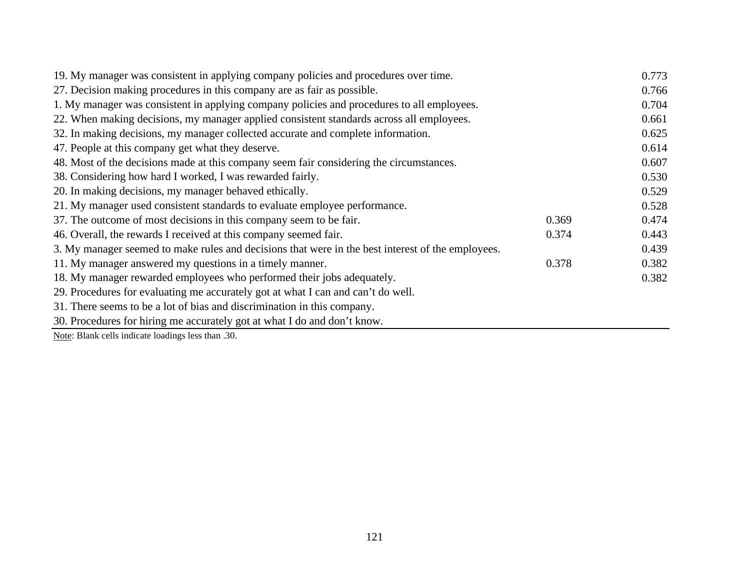| 19. My manager was consistent in applying company policies and procedures over time.              |       | 0.773 |
|---------------------------------------------------------------------------------------------------|-------|-------|
| 27. Decision making procedures in this company are as fair as possible.                           |       | 0.766 |
| 1. My manager was consistent in applying company policies and procedures to all employees.        |       | 0.704 |
| 22. When making decisions, my manager applied consistent standards across all employees.          |       | 0.661 |
| 32. In making decisions, my manager collected accurate and complete information.                  |       | 0.625 |
| 47. People at this company get what they deserve.                                                 |       | 0.614 |
| 48. Most of the decisions made at this company seem fair considering the circumstances.           |       | 0.607 |
| 38. Considering how hard I worked, I was rewarded fairly.                                         |       | 0.530 |
| 20. In making decisions, my manager behaved ethically.                                            |       | 0.529 |
| 21. My manager used consistent standards to evaluate employee performance.                        |       | 0.528 |
| 37. The outcome of most decisions in this company seem to be fair.                                | 0.369 | 0.474 |
| 46. Overall, the rewards I received at this company seemed fair.                                  | 0.374 | 0.443 |
| 3. My manager seemed to make rules and decisions that were in the best interest of the employees. |       | 0.439 |
| 11. My manager answered my questions in a timely manner.                                          | 0.378 | 0.382 |
| 18. My manager rewarded employees who performed their jobs adequately.                            |       | 0.382 |
| 29. Procedures for evaluating me accurately got at what I can and can't do well.                  |       |       |
| 31. There seems to be a lot of bias and discrimination in this company.                           |       |       |
| 30. Procedures for hiring me accurately got at what I do and don't know.                          |       |       |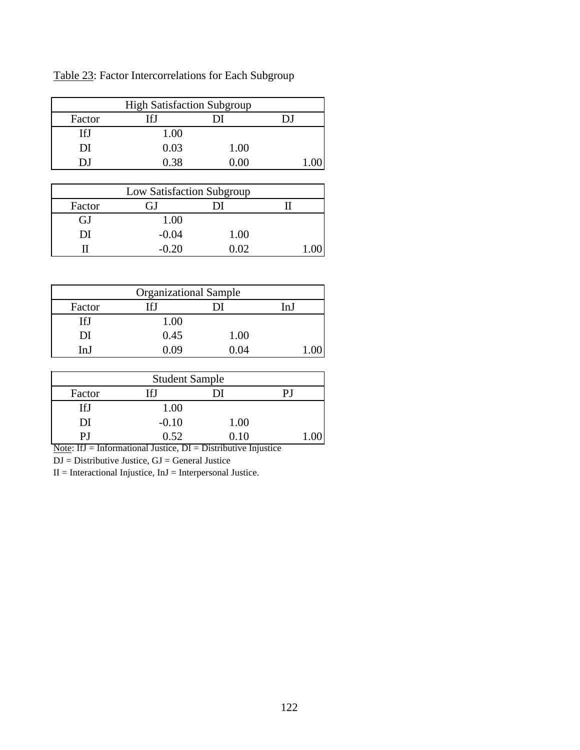Factor IfJ DI DJ IfJ 1.00 DI 0.03 1.00 DJ 0.38 0.00 1.00 High Satisfaction Subgroup

Table 23: Factor Intercorrelations for Each Subgroup

|        | Low Satisfaction Subgroup |      |  |
|--------|---------------------------|------|--|
| Factor | G1                        |      |  |
| GJ     | 1.00                      |      |  |
| DI     | $-0.04$                   | 1.00 |  |
|        | $-0.20$                   | 0.02 |  |

| <b>Organizational Sample</b> |       |      |      |
|------------------------------|-------|------|------|
| Factor                       | [f]   |      | In I |
| IfI                          | 1.00  |      |      |
| DI                           | 0.45  | 1.00 |      |
| In I                         | N U U | በ በ4 |      |

| <b>Student Sample</b> |         |      |  |
|-----------------------|---------|------|--|
| Factor                | If.I    |      |  |
| IfJ                   | 1.00    |      |  |
| DI                    | $-0.10$ | 1.00 |  |
| ופ                    | 0.52    | 0.10 |  |

Note: IfJ = Informational Justice, DI = Distributive Injustice

DJ = Distributive Justice, GJ = General Justice

 $II = International\ Injustice, InJ = Interpersonal\ Justice.$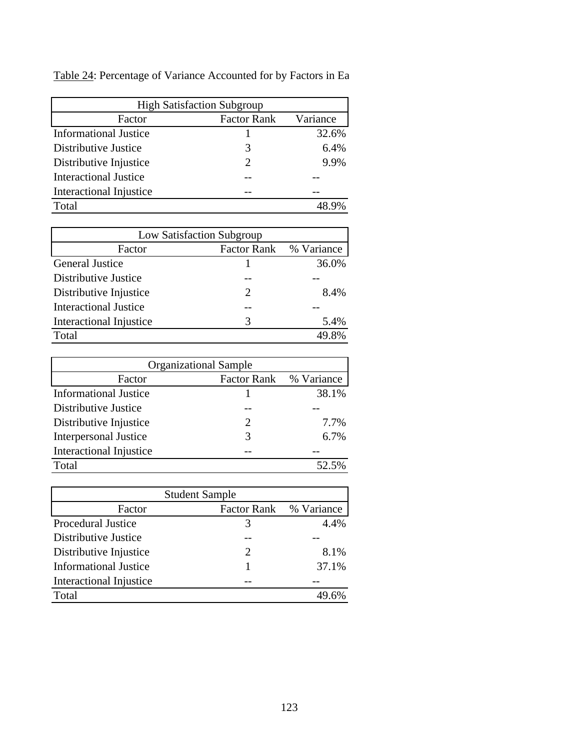| <b>High Satisfaction Subgroup</b> |                             |          |  |  |
|-----------------------------------|-----------------------------|----------|--|--|
| Factor                            | <b>Factor Rank</b>          | Variance |  |  |
| <b>Informational Justice</b>      |                             | 32.6%    |  |  |
| Distributive Justice              | 3                           | 6.4%     |  |  |
| Distributive Injustice            | $\mathcal{D}_{\mathcal{L}}$ | 9.9%     |  |  |
| <b>Interactional Justice</b>      |                             |          |  |  |
| Interactional Injustice           |                             |          |  |  |
| Total                             |                             |          |  |  |

Table 24: Percentage of Variance Accounted for by Factors in Ea

| Low Satisfaction Subgroup    |                             |       |  |  |
|------------------------------|-----------------------------|-------|--|--|
| Factor                       | Factor Rank % Variance      |       |  |  |
| <b>General Justice</b>       |                             | 36.0% |  |  |
| Distributive Justice         |                             |       |  |  |
| Distributive Injustice       | $\mathcal{D}_{\mathcal{L}}$ | 8.4%  |  |  |
| <b>Interactional Justice</b> |                             |       |  |  |
| Interactional Injustice      | 3                           | 5.4%  |  |  |
| Total                        |                             | 49.8% |  |  |

| <b>Organizational Sample</b> |                             |       |  |  |  |  |
|------------------------------|-----------------------------|-------|--|--|--|--|
| Factor                       | Factor Rank % Variance      |       |  |  |  |  |
| <b>Informational Justice</b> |                             | 38.1% |  |  |  |  |
| Distributive Justice         |                             |       |  |  |  |  |
| Distributive Injustice       | $\mathcal{D}_{\mathcal{L}}$ | 7.7%  |  |  |  |  |
| <b>Interpersonal Justice</b> | 3                           | 6.7%  |  |  |  |  |
| Interactional Injustice      |                             |       |  |  |  |  |
| Total                        |                             | 52.5% |  |  |  |  |

| <b>Student Sample</b>        |                       |            |  |  |  |  |  |
|------------------------------|-----------------------|------------|--|--|--|--|--|
| Factor                       | <b>Factor Rank</b>    | % Variance |  |  |  |  |  |
| <b>Procedural Justice</b>    | 3                     | $4.4\%$    |  |  |  |  |  |
| Distributive Justice         |                       |            |  |  |  |  |  |
| Distributive Injustice       | $\mathcal{D}_{\cdot}$ | 8.1%       |  |  |  |  |  |
| <b>Informational Justice</b> |                       | 37.1%      |  |  |  |  |  |
| Interactional Injustice      |                       |            |  |  |  |  |  |
| Total                        |                       |            |  |  |  |  |  |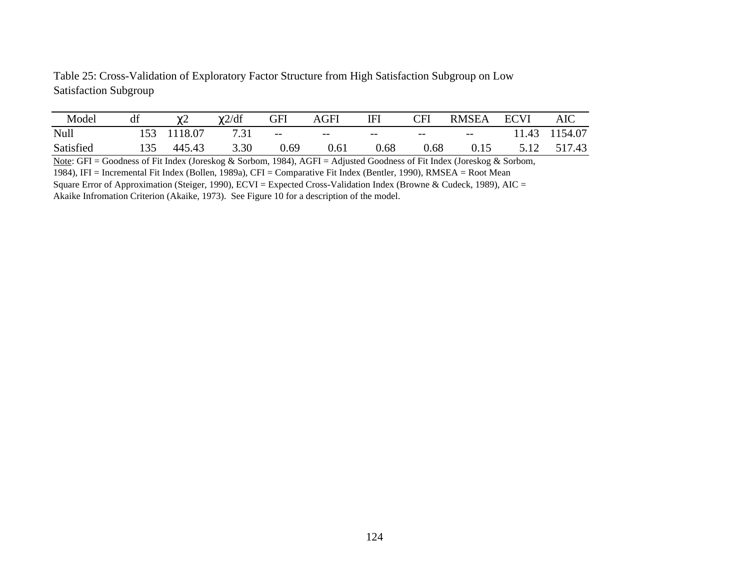Table 25: Cross-Validation of Exploratory Factor Structure from High Satisfaction Subgroup on Low Satisfaction Subgroup

| Model     | df  | $\sim$<br>$\sim$ | $\chi$ 2/df | GFI  | AGFI  | ΙFΙ   | CFI   | <b>RMSEA</b>             | <b>ECVI</b> | AIC    |
|-----------|-----|------------------|-------------|------|-------|-------|-------|--------------------------|-------------|--------|
| Null      |     | 18.07            |             | $--$ | $- -$ | $- -$ | $- -$ | $\overline{\phantom{m}}$ | 1.43        | 154.07 |
| Satisfied | 135 | 445.43           | 3.30        | 0.69 | 0.61  | ).68  | ).68  | 0.15                     |             | 517.43 |

Note: GFI = Goodness of Fit Index (Joreskog & Sorbom, 1984), AGFI = Adjusted Goodness of Fit Index (Joreskog & Sorbom, 1984), IFI = Incremental Fit Index (Bollen, 1989a), CFI = Comparative Fit Index (Bentler, 1990), RMSEA = Root Mean Square Error of Approximation (Steiger, 1990), ECVI = Expected Cross-Validation Index (Browne & Cudeck, 1989), AIC =

Akaike Infromation Criterion (Akaike, 1973). See Figure 10 for a description of the model.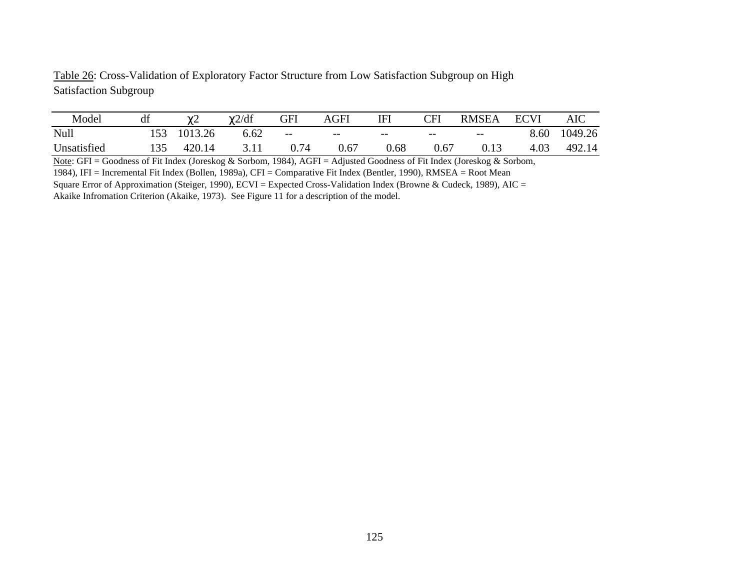Table 26: Cross-Validation of Exploratory Factor Structure from Low Satisfaction Subgroup on High Satisfaction Subgroup

| Model       | df | <u>_</u> | $\chi$ 2/df | GFI    | <b>AGFI</b> | ΙFΙ   | <b>CFI</b> | <b>RMSEA</b> | <b>ECVI</b> | AIC     |
|-------------|----|----------|-------------|--------|-------------|-------|------------|--------------|-------------|---------|
| Null        |    | 1013.26  | 6.62        | $-\,-$ | $- -$       | $- -$ | $- -$      | $- -$        | 8.60        | 1049.26 |
| Unsatisfied |    | 420.14   |             | ).74   | 0.67        | ).68  | 0.67       | 0.13         | 1.03<br>4   | 492.14  |

Note: GFI = Goodness of Fit Index (Joreskog & Sorbom, 1984), AGFI = Adjusted Goodness of Fit Index (Joreskog & Sorbom, 1984), IFI = Incremental Fit Index (Bollen, 1989a), CFI = Comparative Fit Index (Bentler, 1990), RMSEA = Root Mean Square Error of Approximation (Steiger, 1990), ECVI = Expected Cross-Validation Index (Browne & Cudeck, 1989), AIC =

Akaike Infromation Criterion (Akaike, 1973). See Figure 11 for a description of the model.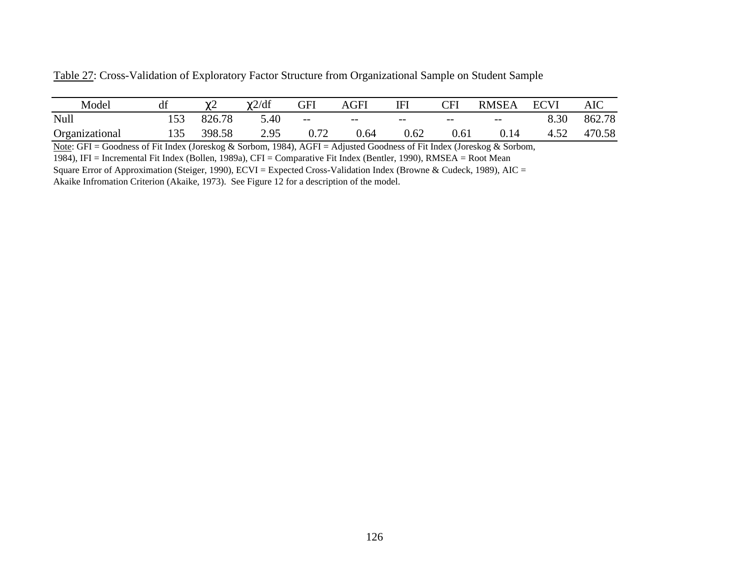| Model          | di |        | $\chi$ 2/df | GFI  | AGFI | <b>IFI</b> | CFI               | <b>RMSEA</b> | <b>ECVI</b> | AIC    |
|----------------|----|--------|-------------|------|------|------------|-------------------|--------------|-------------|--------|
| Null           |    | 826.78 | 5.40        | $--$ | $--$ | $- -$      | $\qquad \qquad -$ | $--$         | 8.30        | 862.78 |
| Organizational |    | 398.58 | 2.95        | 0.72 | 0.64 | 0.62       | 0.61              | 0.14         |             | 470.58 |

Table 27: Cross-Validation of Exploratory Factor Structure from Organizational Sample on Student Sample

Note: GFI = Goodness of Fit Index (Joreskog & Sorbom, 1984), AGFI = Adjusted Goodness of Fit Index (Joreskog & Sorbom,

1984), IFI = Incremental Fit Index (Bollen, 1989a), CFI = Comparative Fit Index (Bentler, 1990), RMSEA = Root Mean

Square Error of Approximation (Steiger, 1990), ECVI = Expected Cross-Validation Index (Browne & Cudeck, 1989), AIC = Akaike Infromation Criterion (Akaike, 1973). See Figure 12 for a description of the model.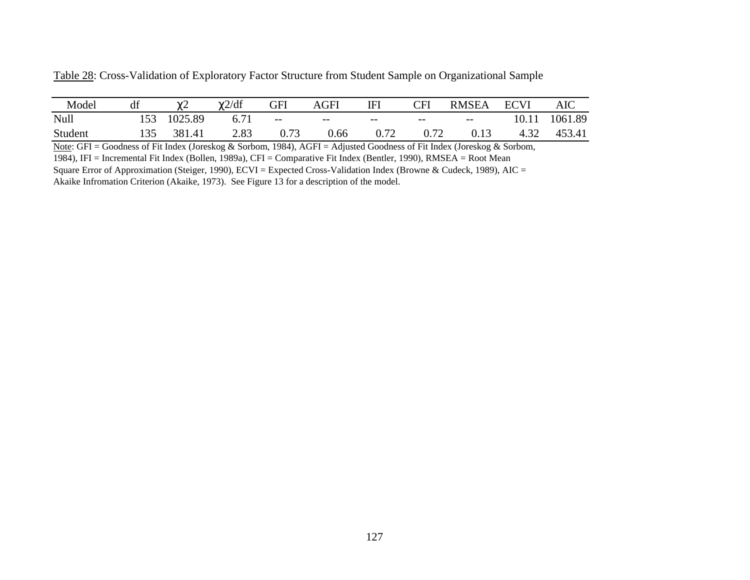| Model   | df  | $\chi$ 2 | $\gamma$ 2/df | <b>GFI</b> | <b>AGFI</b> | IFI   | <b>CFI</b> | <b>RMSEA</b> | ECVI  | <b>AIC</b> |
|---------|-----|----------|---------------|------------|-------------|-------|------------|--------------|-------|------------|
| Null    | 153 | 1025.89  | 6.71          | $--$       | $--$        | $- -$ | $- -$      | $---$        | 10.11 | 1061.89    |
| Student | 135 | 381.41   | 2.83          | 0.73       | 0.66        | 0.72  | 0.72       | 0.13         | 4.32  | 453.41     |

Table 28: Cross-Validation of Exploratory Factor Structure from Student Sample on Organizational Sample

Note: GFI = Goodness of Fit Index (Joreskog & Sorbom, 1984), AGFI = Adjusted Goodness of Fit Index (Joreskog & Sorbom, 1984), IFI = Incremental Fit Index (Bollen, 1989a), CFI = Comparative Fit Index (Bentler, 1990), RMSEA = Root Mean Square Error of Approximation (Steiger, 1990), ECVI = Expected Cross-Validation Index (Browne & Cudeck, 1989), AIC =

Akaike Infromation Criterion (Akaike, 1973). See Figure 13 for a description of the model.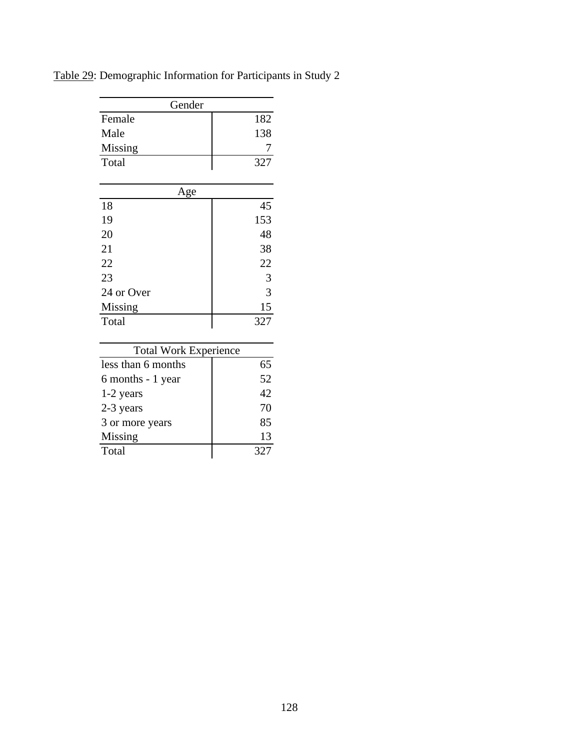| Gender     |     |
|------------|-----|
| Female     | 182 |
| Male       | 138 |
| Missing    | 7   |
| Total      | 327 |
|            |     |
| Age        |     |
| 18         | 45  |
| 19         | 153 |
| 20         | 48  |
| 21         | 38  |
| 22         | 22  |
| 23         | 3   |
| 24 or Over | 3   |
| Missing    | 15  |
| Total      | 327 |
|            |     |

Table 29: Demographic Information for Participants in Study 2

| <b>Total Work Experience</b> |     |  |  |  |  |
|------------------------------|-----|--|--|--|--|
| less than 6 months           | 65  |  |  |  |  |
| 6 months - 1 year            | 52  |  |  |  |  |
| $1-2$ years                  | 42  |  |  |  |  |
| 2-3 years                    | 70  |  |  |  |  |
| 3 or more years              | 85  |  |  |  |  |
| Missing                      | 13  |  |  |  |  |
| Total                        | 327 |  |  |  |  |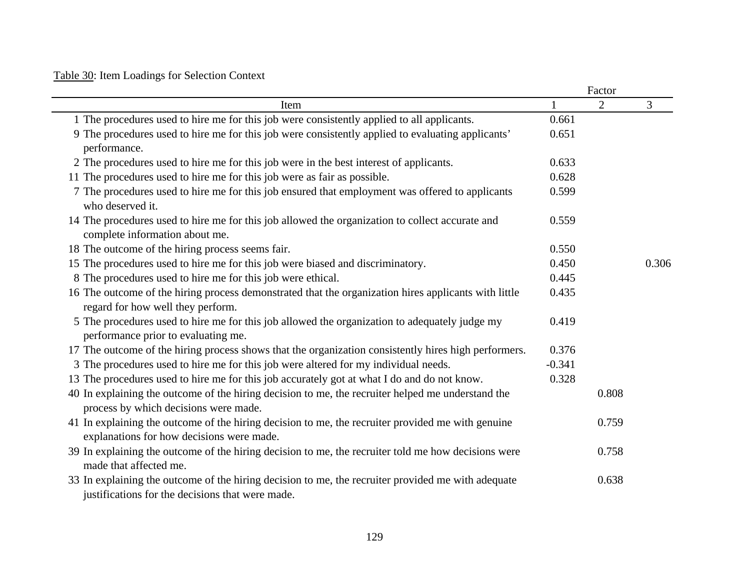## Table 30: Item Loadings for Selection Context

|                                                                                                                                                        |          | Factor |       |
|--------------------------------------------------------------------------------------------------------------------------------------------------------|----------|--------|-------|
| Item                                                                                                                                                   |          | 2      | 3     |
| 1 The procedures used to hire me for this job were consistently applied to all applicants.                                                             | 0.661    |        |       |
| 9 The procedures used to hire me for this job were consistently applied to evaluating applicants'                                                      | 0.651    |        |       |
| performance.                                                                                                                                           |          |        |       |
| 2 The procedures used to hire me for this job were in the best interest of applicants.                                                                 | 0.633    |        |       |
| 11 The procedures used to hire me for this job were as fair as possible.                                                                               | 0.628    |        |       |
| 7 The procedures used to hire me for this job ensured that employment was offered to applicants<br>who deserved it.                                    | 0.599    |        |       |
| 14 The procedures used to hire me for this job allowed the organization to collect accurate and                                                        | 0.559    |        |       |
| complete information about me.                                                                                                                         |          |        |       |
| 18 The outcome of the hiring process seems fair.                                                                                                       | 0.550    |        |       |
| 15 The procedures used to hire me for this job were biased and discriminatory.                                                                         | 0.450    |        | 0.306 |
| 8 The procedures used to hire me for this job were ethical.                                                                                            | 0.445    |        |       |
| 16 The outcome of the hiring process demonstrated that the organization hires applicants with little<br>regard for how well they perform.              | 0.435    |        |       |
| 5 The procedures used to hire me for this job allowed the organization to adequately judge my<br>performance prior to evaluating me.                   | 0.419    |        |       |
| 17 The outcome of the hiring process shows that the organization consistently hires high performers.                                                   | 0.376    |        |       |
| 3 The procedures used to hire me for this job were altered for my individual needs.                                                                    | $-0.341$ |        |       |
| 13 The procedures used to hire me for this job accurately got at what I do and do not know.                                                            | 0.328    |        |       |
| 40 In explaining the outcome of the hiring decision to me, the recruiter helped me understand the<br>process by which decisions were made.             |          | 0.808  |       |
| 41 In explaining the outcome of the hiring decision to me, the recruiter provided me with genuine<br>explanations for how decisions were made.         |          | 0.759  |       |
| 39 In explaining the outcome of the hiring decision to me, the recruiter told me how decisions were<br>made that affected me.                          |          | 0.758  |       |
| 33 In explaining the outcome of the hiring decision to me, the recruiter provided me with adequate<br>justifications for the decisions that were made. |          | 0.638  |       |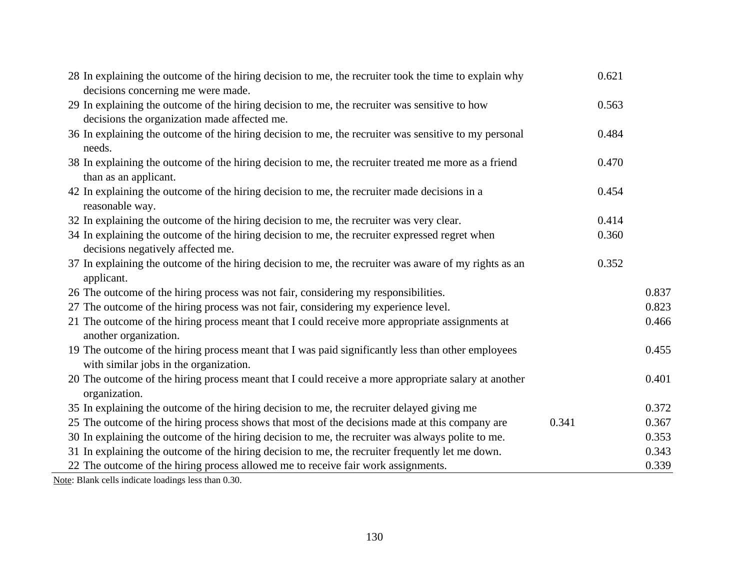| 28 In explaining the outcome of the hiring decision to me, the recruiter took the time to explain why<br>decisions concerning me were made.  |       | 0.621 |       |
|----------------------------------------------------------------------------------------------------------------------------------------------|-------|-------|-------|
| 29 In explaining the outcome of the hiring decision to me, the recruiter was sensitive to how                                                |       | 0.563 |       |
| decisions the organization made affected me.                                                                                                 |       |       |       |
| 36 In explaining the outcome of the hiring decision to me, the recruiter was sensitive to my personal<br>needs.                              |       | 0.484 |       |
| 38 In explaining the outcome of the hiring decision to me, the recruiter treated me more as a friend<br>than as an applicant.                |       | 0.470 |       |
| 42 In explaining the outcome of the hiring decision to me, the recruiter made decisions in a<br>reasonable way.                              |       | 0.454 |       |
| 32 In explaining the outcome of the hiring decision to me, the recruiter was very clear.                                                     |       | 0.414 |       |
| 34 In explaining the outcome of the hiring decision to me, the recruiter expressed regret when                                               |       | 0.360 |       |
| decisions negatively affected me.                                                                                                            |       |       |       |
| 37 In explaining the outcome of the hiring decision to me, the recruiter was aware of my rights as an<br>applicant.                          |       | 0.352 |       |
| 26 The outcome of the hiring process was not fair, considering my responsibilities.                                                          |       |       | 0.837 |
| 27 The outcome of the hiring process was not fair, considering my experience level.                                                          |       |       | 0.823 |
| 21 The outcome of the hiring process meant that I could receive more appropriate assignments at                                              |       |       | 0.466 |
| another organization.                                                                                                                        |       |       |       |
| 19 The outcome of the hiring process meant that I was paid significantly less than other employees<br>with similar jobs in the organization. |       |       | 0.455 |
| 20 The outcome of the hiring process meant that I could receive a more appropriate salary at another<br>organization.                        |       |       | 0.401 |
| 35 In explaining the outcome of the hiring decision to me, the recruiter delayed giving me                                                   |       |       | 0.372 |
| 25 The outcome of the hiring process shows that most of the decisions made at this company are                                               | 0.341 |       | 0.367 |
| 30 In explaining the outcome of the hiring decision to me, the recruiter was always polite to me.                                            |       |       | 0.353 |
| 31 In explaining the outcome of the hiring decision to me, the recruiter frequently let me down.                                             |       |       | 0.343 |
| 22 The outcome of the hiring process allowed me to receive fair work assignments.                                                            |       |       | 0.339 |
| $11 \cdot 1'$ , $1 \cdot 1'$ , $1 \cdot 1$ , $1 \cdot 0.20$                                                                                  |       |       |       |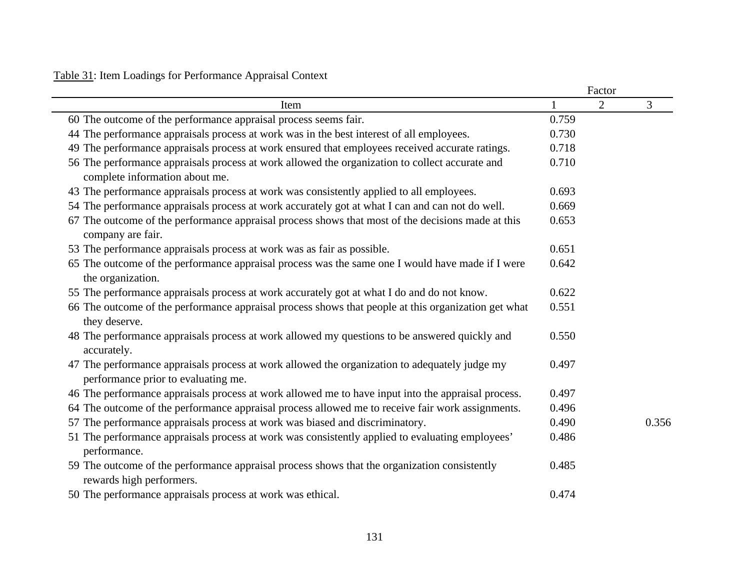## Table 31: Item Loadings for Performance Appraisal Context

|                                                                                                                                      |       | Factor |       |
|--------------------------------------------------------------------------------------------------------------------------------------|-------|--------|-------|
| Item                                                                                                                                 |       | 2      | 3     |
| 60 The outcome of the performance appraisal process seems fair.                                                                      | 0.759 |        |       |
| 44 The performance appraisals process at work was in the best interest of all employees.                                             | 0.730 |        |       |
| 49 The performance appraisals process at work ensured that employees received accurate ratings.                                      | 0.718 |        |       |
| 56 The performance appraisals process at work allowed the organization to collect accurate and<br>complete information about me.     | 0.710 |        |       |
| 43 The performance appraisals process at work was consistently applied to all employees.                                             | 0.693 |        |       |
| 54 The performance appraisals process at work accurately got at what I can and can not do well.                                      | 0.669 |        |       |
| 67 The outcome of the performance appraisal process shows that most of the decisions made at this<br>company are fair.               | 0.653 |        |       |
| 53 The performance appraisals process at work was as fair as possible.                                                               | 0.651 |        |       |
| 65 The outcome of the performance appraisal process was the same one I would have made if I were<br>the organization.                | 0.642 |        |       |
| 55 The performance appraisals process at work accurately got at what I do and do not know.                                           | 0.622 |        |       |
| 66 The outcome of the performance appraisal process shows that people at this organization get what<br>they deserve.                 | 0.551 |        |       |
| 48 The performance appraisals process at work allowed my questions to be answered quickly and<br>accurately.                         | 0.550 |        |       |
| 47 The performance appraisals process at work allowed the organization to adequately judge my<br>performance prior to evaluating me. | 0.497 |        |       |
| 46 The performance appraisals process at work allowed me to have input into the appraisal process.                                   | 0.497 |        |       |
| 64 The outcome of the performance appraisal process allowed me to receive fair work assignments.                                     | 0.496 |        |       |
| 57 The performance appraisals process at work was biased and discriminatory.                                                         | 0.490 |        | 0.356 |
| 51 The performance appraisals process at work was consistently applied to evaluating employees'<br>performance.                      | 0.486 |        |       |
| 59 The outcome of the performance appraisal process shows that the organization consistently<br>rewards high performers.             | 0.485 |        |       |
| 50 The performance appraisals process at work was ethical.                                                                           | 0.474 |        |       |
|                                                                                                                                      |       |        |       |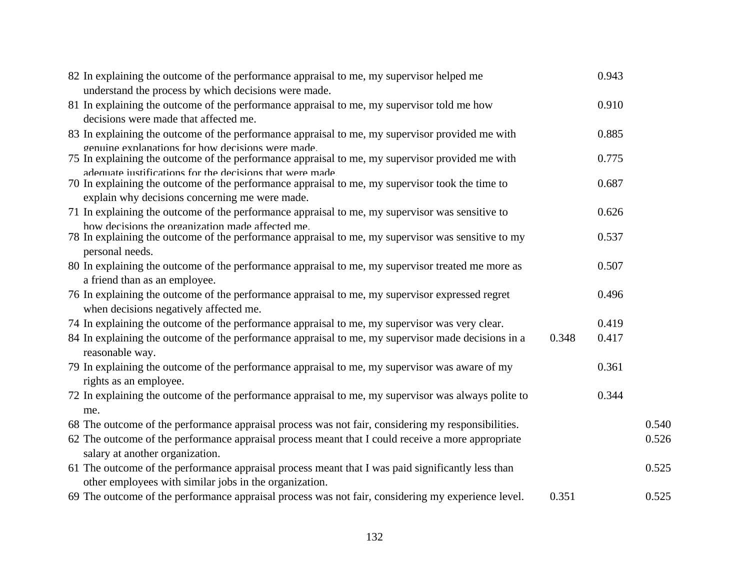| 82 In explaining the outcome of the performance appraisal to me, my supervisor helped me                                                                     |       | 0.943 |       |
|--------------------------------------------------------------------------------------------------------------------------------------------------------------|-------|-------|-------|
| understand the process by which decisions were made.                                                                                                         |       |       |       |
| 81 In explaining the outcome of the performance appraisal to me, my supervisor told me how                                                                   |       | 0.910 |       |
| decisions were made that affected me.                                                                                                                        |       |       |       |
| 83 In explaining the outcome of the performance appraisal to me, my supervisor provided me with                                                              |       | 0.885 |       |
| genuine explanations for how decisions were made.<br>75 In explaining the outcome of the performance appraisal to me, my supervisor provided me with         |       | 0.775 |       |
| adequate instifications for the decisions that were made.<br>70 In explaining the outcome of the performance appraisal to me, my supervisor took the time to |       | 0.687 |       |
| explain why decisions concerning me were made.                                                                                                               |       |       |       |
| 71 In explaining the outcome of the performance appraisal to me, my supervisor was sensitive to                                                              |       | 0.626 |       |
| how decisions the organization made affected me.<br>78 In explaining the outcome of the performance appraisal to me, my supervisor was sensitive to my       |       | 0.537 |       |
| personal needs.                                                                                                                                              |       |       |       |
| 80 In explaining the outcome of the performance appraisal to me, my supervisor treated me more as                                                            |       | 0.507 |       |
| a friend than as an employee.                                                                                                                                |       |       |       |
| 76 In explaining the outcome of the performance appraisal to me, my supervisor expressed regret                                                              |       | 0.496 |       |
| when decisions negatively affected me.                                                                                                                       |       |       |       |
| 74 In explaining the outcome of the performance appraisal to me, my supervisor was very clear.                                                               |       | 0.419 |       |
| 84 In explaining the outcome of the performance appraisal to me, my supervisor made decisions in a<br>reasonable way.                                        | 0.348 | 0.417 |       |
| 79 In explaining the outcome of the performance appraisal to me, my supervisor was aware of my<br>rights as an employee.                                     |       | 0.361 |       |
| 72 In explaining the outcome of the performance appraisal to me, my supervisor was always polite to                                                          |       | 0.344 |       |
| me.                                                                                                                                                          |       |       |       |
| 68 The outcome of the performance appraisal process was not fair, considering my responsibilities.                                                           |       |       | 0.540 |
| 62 The outcome of the performance appraisal process meant that I could receive a more appropriate                                                            |       |       | 0.526 |
| salary at another organization.                                                                                                                              |       |       |       |
| 61 The outcome of the performance appraisal process meant that I was paid significantly less than                                                            |       |       | 0.525 |
| other employees with similar jobs in the organization.                                                                                                       |       |       |       |
| 69 The outcome of the performance appraisal process was not fair, considering my experience level.                                                           | 0.351 |       | 0.525 |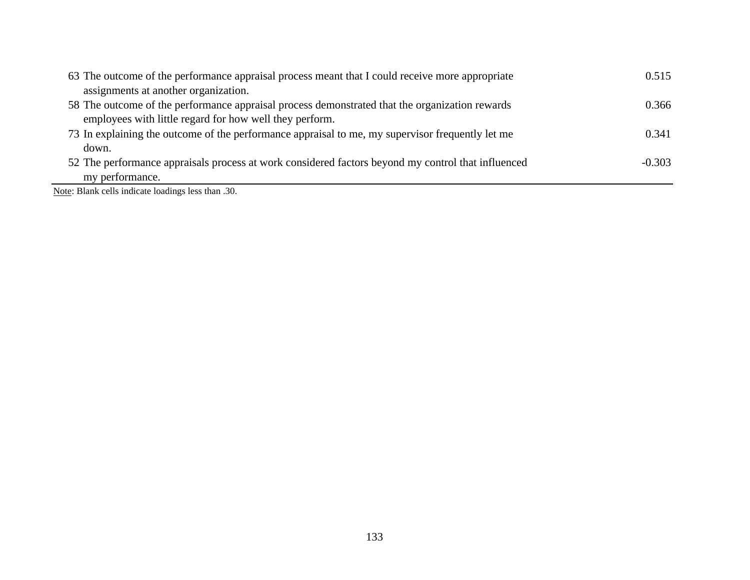| 63 The outcome of the performance appraisal process meant that I could receive more appropriate    | 0.515    |
|----------------------------------------------------------------------------------------------------|----------|
| assignments at another organization.                                                               |          |
| 58 The outcome of the performance appraisal process demonstrated that the organization rewards     | 0.366    |
| employees with little regard for how well they perform.                                            |          |
| 73 In explaining the outcome of the performance appraisal to me, my supervisor frequently let me   | 0.341    |
| down.                                                                                              |          |
| 52 The performance appraisals process at work considered factors beyond my control that influenced | $-0.303$ |
| my performance.                                                                                    |          |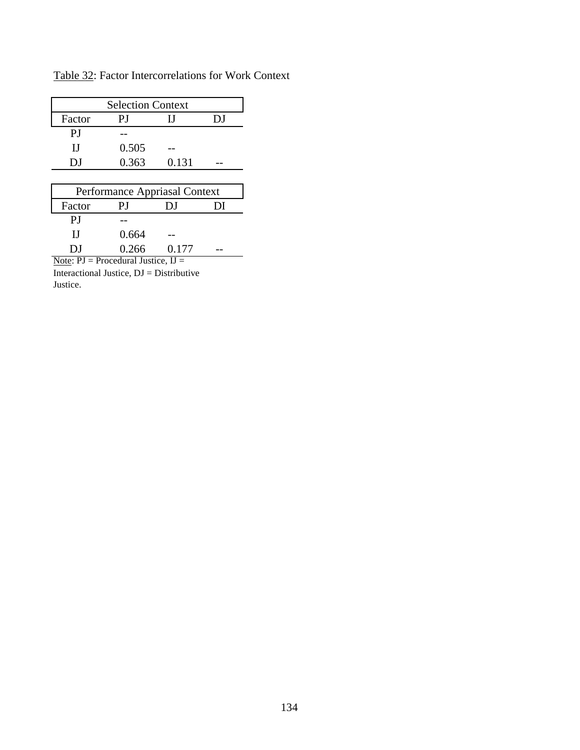Table 32: Factor Intercorrelations for Work Context

| <b>Selection Context</b> |                  |              |    |  |  |  |  |
|--------------------------|------------------|--------------|----|--|--|--|--|
| Factor                   | РJ               | Н            | DJ |  |  |  |  |
| P.J                      |                  |              |    |  |  |  |  |
| H                        | 0.505            |              |    |  |  |  |  |
| DJ                       | 0.363            | 0.131        |    |  |  |  |  |
|                          |                  |              |    |  |  |  |  |
| $\sim$<br>T.             | $\blacktriangle$ | $\sim$<br>п. |    |  |  |  |  |

| Performance Appriasal Context                                 |       |       |  |  |  |  |  |
|---------------------------------------------------------------|-------|-------|--|--|--|--|--|
| Factor                                                        | ΡI    | DJ.   |  |  |  |  |  |
| РJ                                                            |       |       |  |  |  |  |  |
| ш                                                             | 0.664 |       |  |  |  |  |  |
| DJ                                                            | 0.266 | 0.177 |  |  |  |  |  |
| $N_{\text{obs}}$ , $DI = Dr_{\text{ecoodure}}I$ , Instigantle |       |       |  |  |  |  |  |

Note:  $PI = Precedural Justice,  $IJ =$$ Interactional Justice, DJ = Distributive Justice.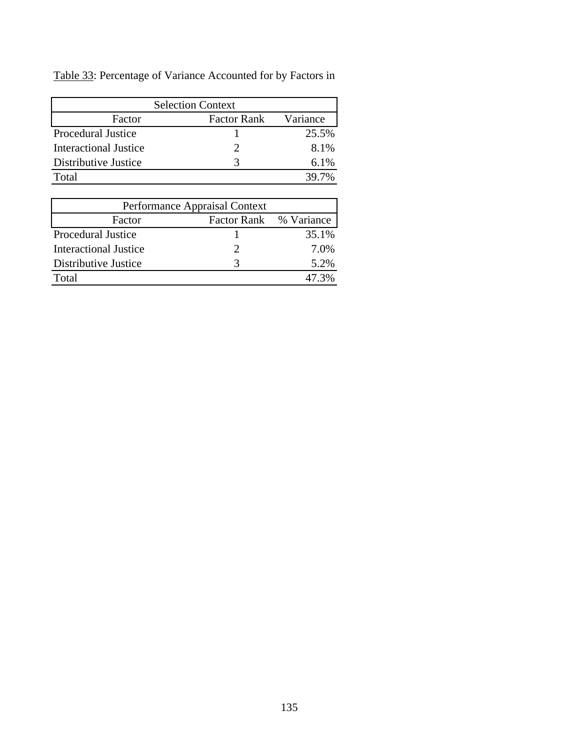| Table 33: Percentage of Variance Accounted for by Factors in |  |
|--------------------------------------------------------------|--|
|--------------------------------------------------------------|--|

| <b>Selection Context</b>     |                    |          |  |  |  |  |  |
|------------------------------|--------------------|----------|--|--|--|--|--|
| Factor                       | <b>Factor Rank</b> | Variance |  |  |  |  |  |
| <b>Procedural Justice</b>    |                    | 25.5%    |  |  |  |  |  |
| <b>Interactional Justice</b> |                    | 8.1%     |  |  |  |  |  |
| Distributive Justice         |                    | $6.1\%$  |  |  |  |  |  |
| Total                        |                    | 39.7%    |  |  |  |  |  |

| Performance Appraisal Context |                        |       |  |  |  |  |  |
|-------------------------------|------------------------|-------|--|--|--|--|--|
| Factor                        | Factor Rank % Variance |       |  |  |  |  |  |
| Procedural Justice            |                        | 35.1% |  |  |  |  |  |
| <b>Interactional Justice</b>  |                        | 7.0%  |  |  |  |  |  |
| Distributive Justice          |                        | 5.2%  |  |  |  |  |  |
| Total                         |                        | 47 3% |  |  |  |  |  |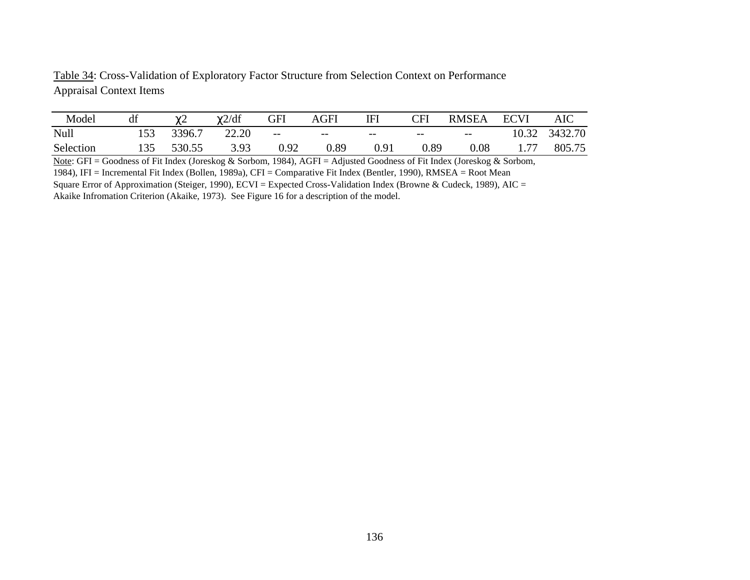Table 34: Cross-Validation of Exploratory Factor Structure from Selection Context on Performance Appraisal Context Items

| Model     | df  | $\mathcal{N}$<br>∼∼ | $\chi$ 2/df | GFI   | <b>AGFI</b> | TET   | $\mathbb C\mathrm{FI}$ | <b>RMSEA</b> | <b>ECVI</b> | AIC     |
|-----------|-----|---------------------|-------------|-------|-------------|-------|------------------------|--------------|-------------|---------|
| Null      | 153 | 3396.7              | 22.20       | $- -$ | $- -$       | $- -$ | $- -$                  | $- -$        | 10.32       | 3432.70 |
| Selection | 135 | 530.55              | 3.93        | 1.92  | 0.89        | 0.91  | ).89                   | $0.08\,$     | 1.,         | 805.75  |

Note: GFI = Goodness of Fit Index (Joreskog & Sorbom, 1984), AGFI = Adjusted Goodness of Fit Index (Joreskog & Sorbom, 1984), IFI = Incremental Fit Index (Bollen, 1989a), CFI = Comparative Fit Index (Bentler, 1990), RMSEA = Root Mean Square Error of Approximation (Steiger, 1990), ECVI = Expected Cross-Validation Index (Browne & Cudeck, 1989), AIC = Akaike Infromation Criterion (Akaike, 1973). See Figure 16 for a description of the model.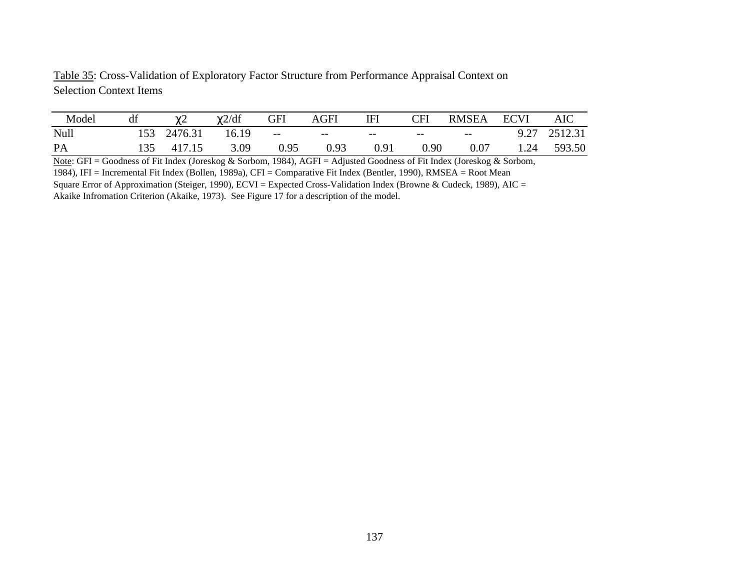Table 35: Cross-Validation of Exploratory Factor Structure from Performance Appraisal Context on Selection Context Items

| Model | df |         | $\chi$ 2/df | GFI  | AGFI  | IFI   | $\mathbb{C}\mathrm{FI}$ | <b>RMSEA</b> | <b>ECVI</b> | <b>AIC</b> |
|-------|----|---------|-------------|------|-------|-------|-------------------------|--------------|-------------|------------|
| Null  |    | 2476.31 | 16.19       | $--$ | $- -$ | $- -$ | $- -$                   | $--$         | 9.27        | 2512.31    |
| PA    |    | 417.15  | 3.09        | 0.95 | 0.93  | 0.91  | 90.ر                    | 0.07         | 1.24        | 593.50     |

Note: GFI = Goodness of Fit Index (Joreskog & Sorbom, 1984), AGFI = Adjusted Goodness of Fit Index (Joreskog & Sorbom, 1984), IFI = Incremental Fit Index (Bollen, 1989a), CFI = Comparative Fit Index (Bentler, 1990), RMSEA = Root Mean Square Error of Approximation (Steiger, 1990), ECVI = Expected Cross-Validation Index (Browne & Cudeck, 1989), AIC = Akaike Infromation Criterion (Akaike, 1973). See Figure 17 for a description of the model.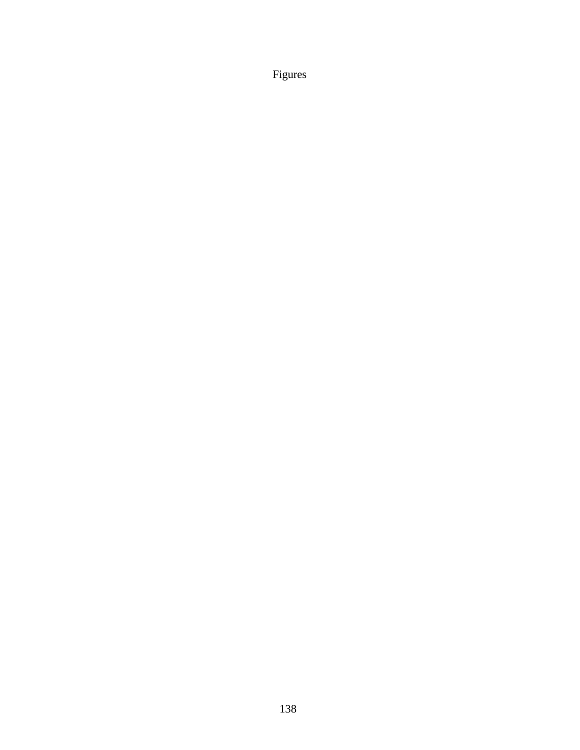Figures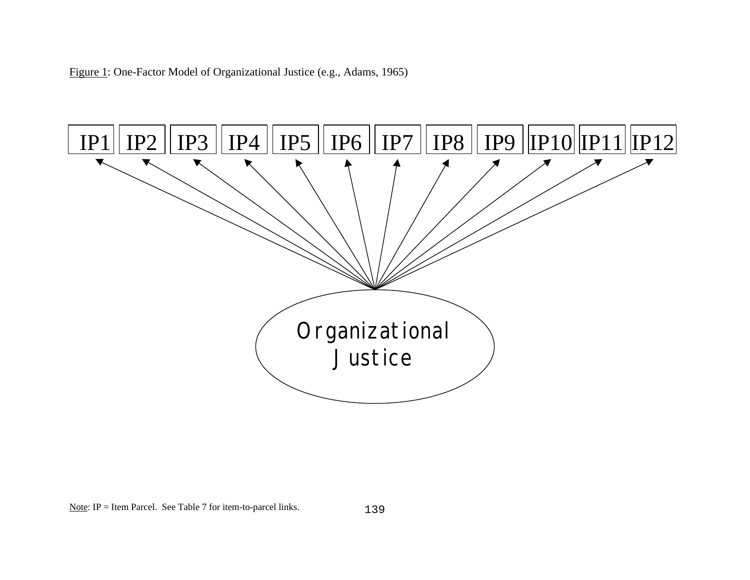Figure 1: One-Factor Model of Organizational Justice (e.g., Adams, 1965)



Note: IP = Item Parcel. See Table 7 for item-to-parcel links.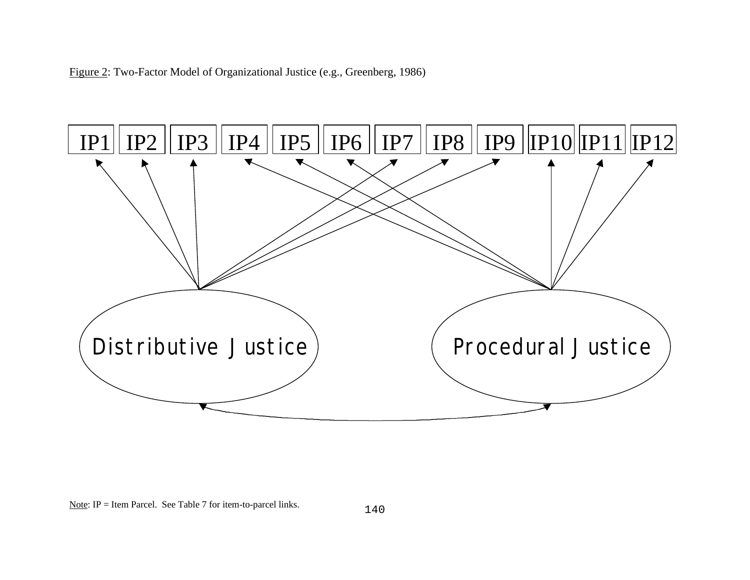



Note: IP = Item Parcel. See Table 7 for item-to-parcel links.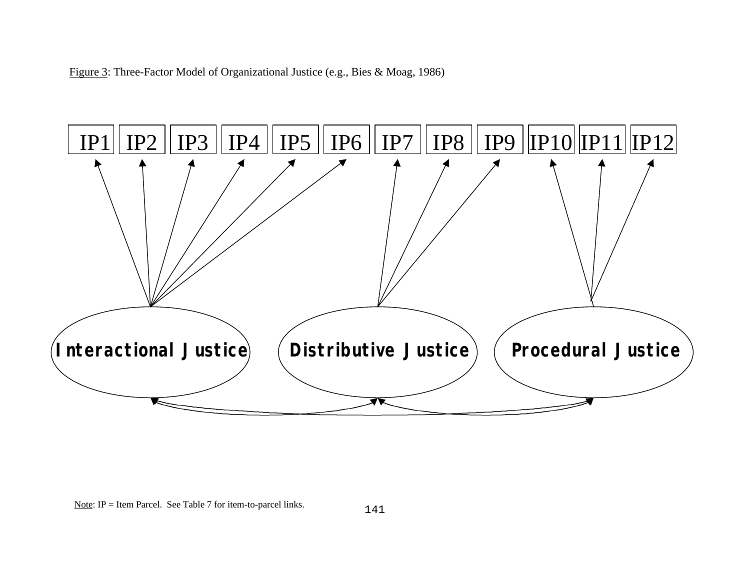Figure 3: Three-Factor Model of Organizational Justice (e.g., Bies & Moag, 1986)



Note: IP = Item Parcel. See Table 7 for item-to-parcel links.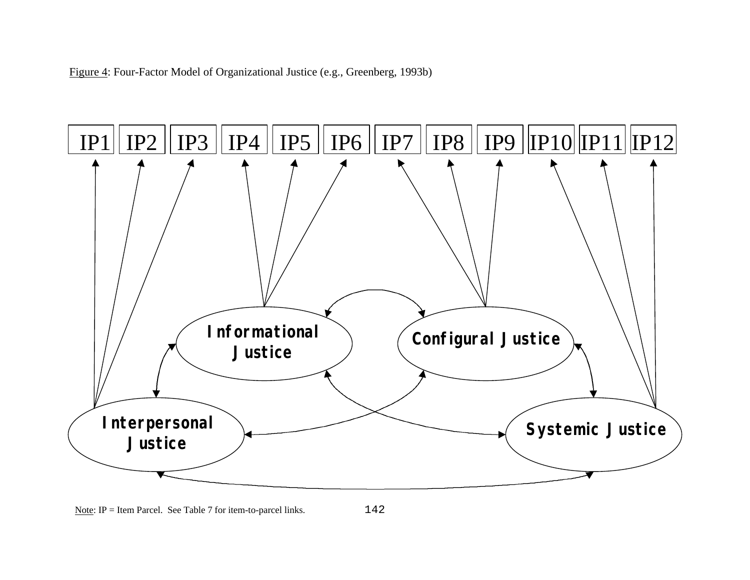Figure 4: Four-Factor Model of Organizational Justice (e.g., Greenberg, 1993b)



Note: IP = Item Parcel. See Table 7 for item-to-parcel links.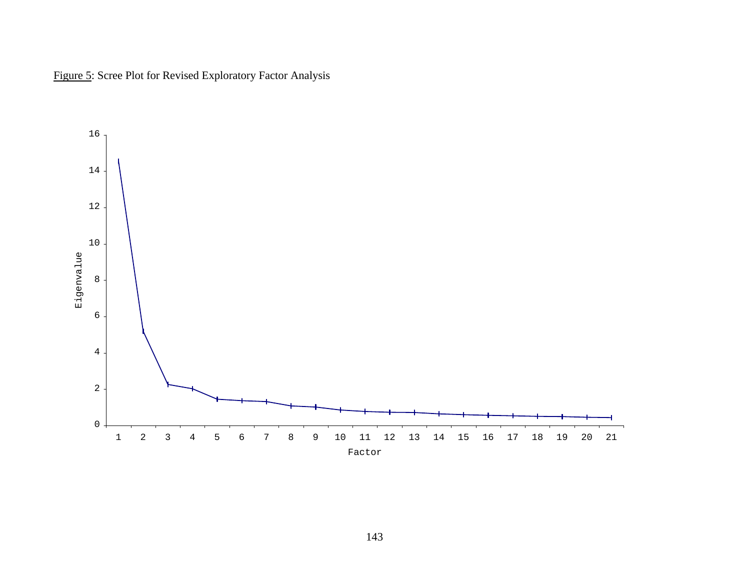

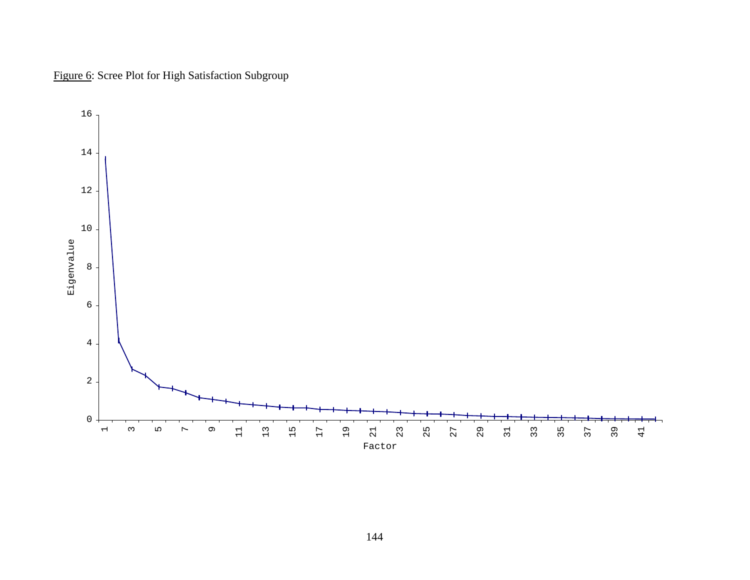Figure 6: Scree Plot for High Satisfaction Subgroup

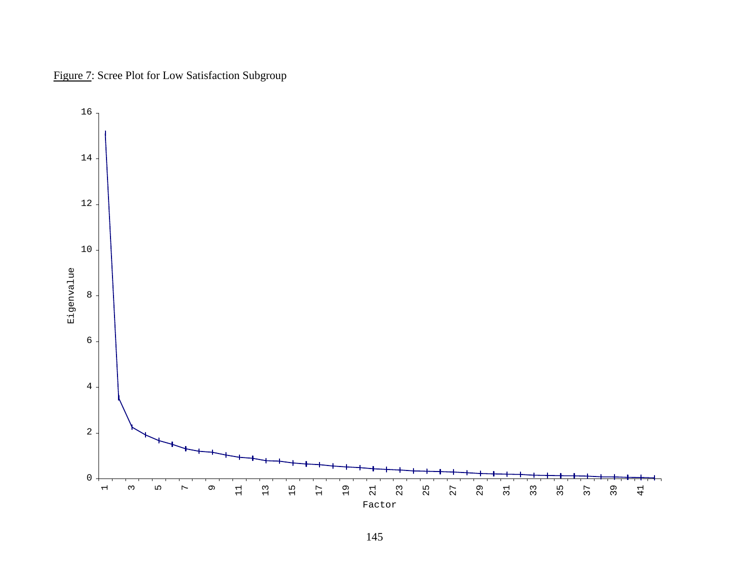

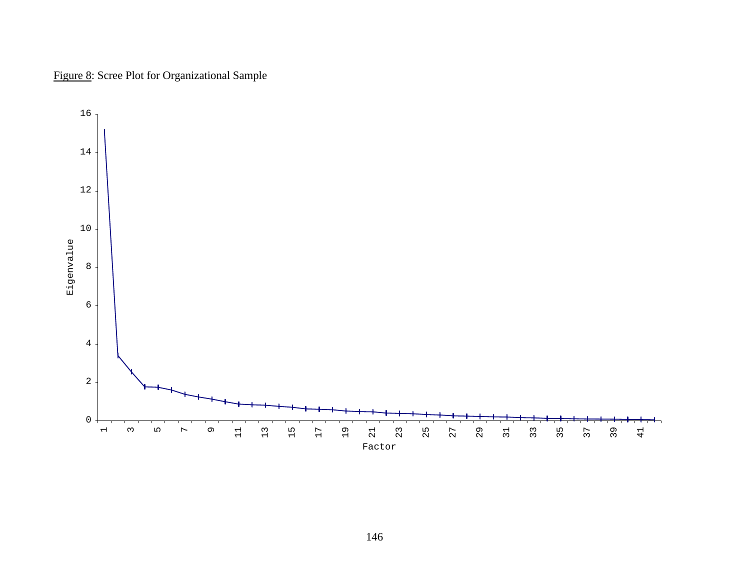

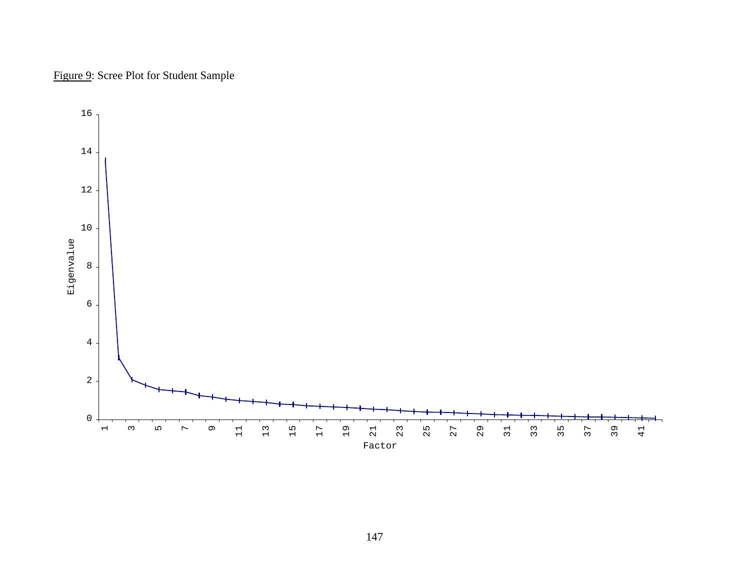

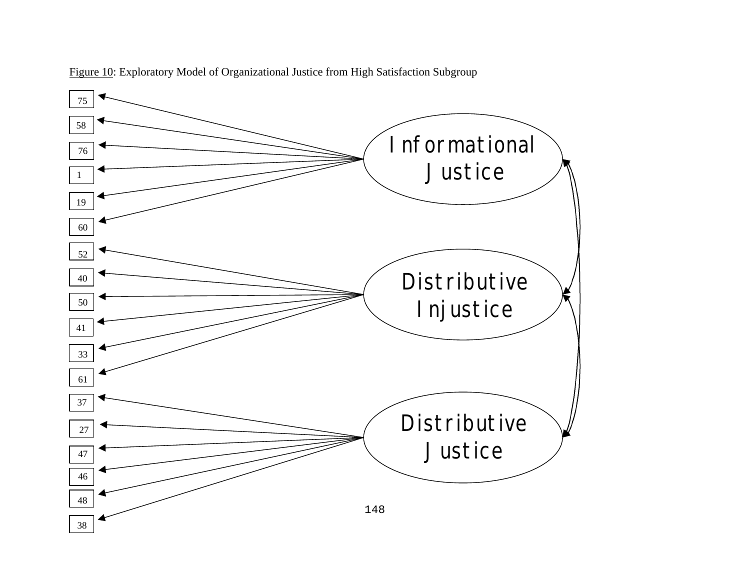

Figure 10: Exploratory Model of Organizational Justice from High Satisfaction Subgroup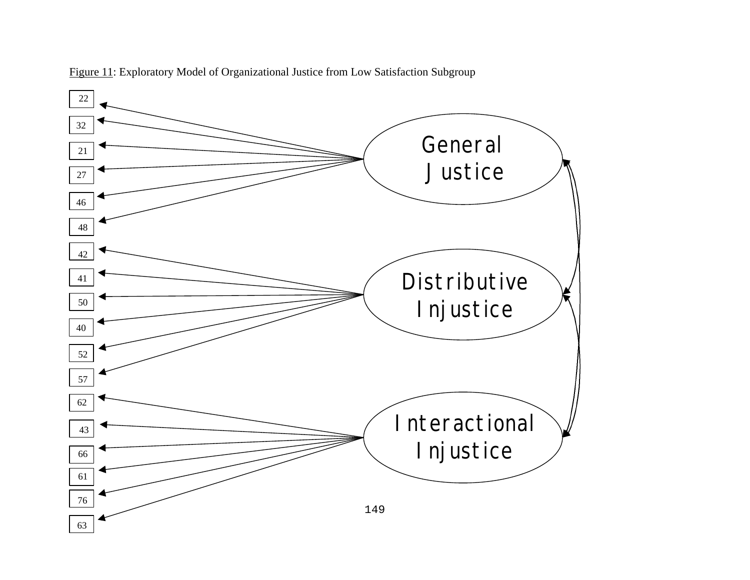

Figure 11: Exploratory Model of Organizational Justice from Low Satisfaction Subgroup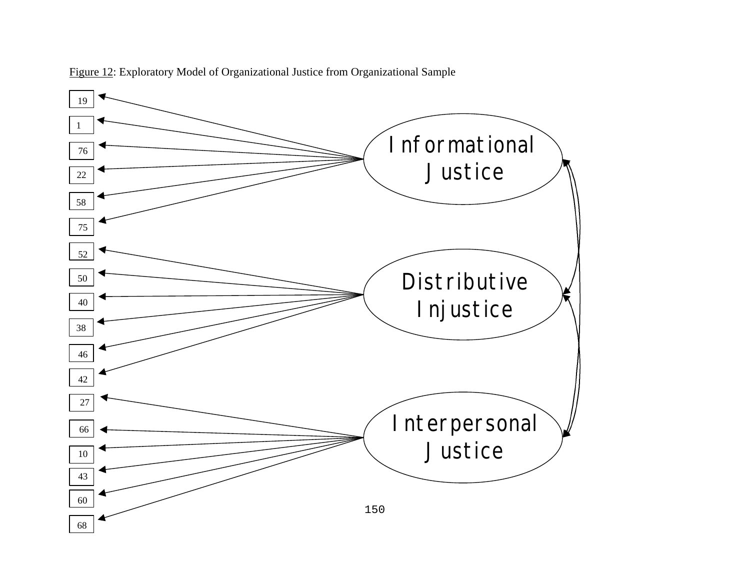

Figure 12: Exploratory Model of Organizational Justice from Organizational Sample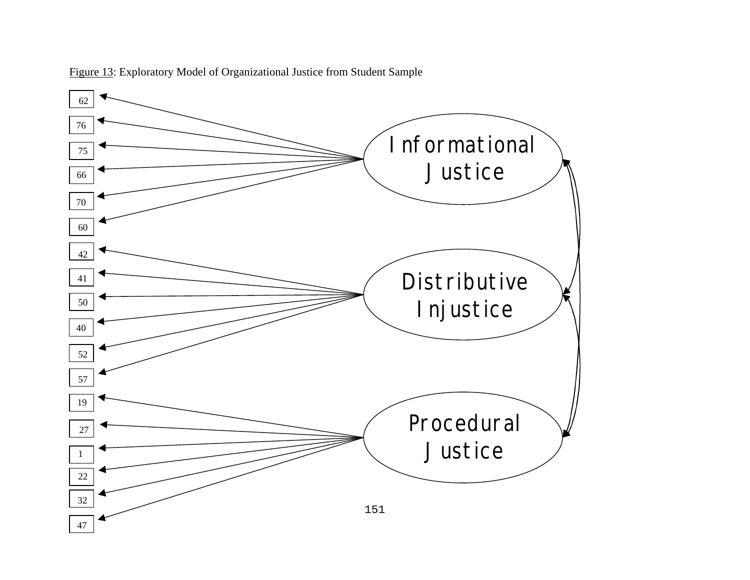

Figure 13: Exploratory Model of Organizational Justice from Student Sample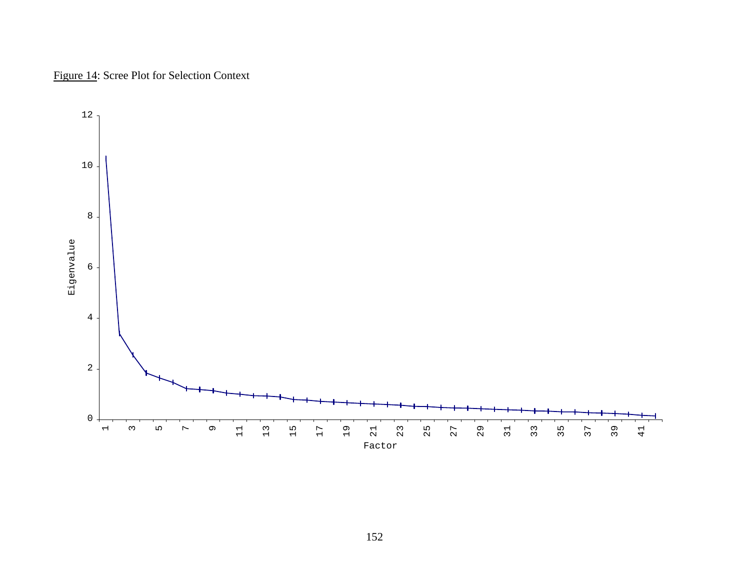## Figure 14: Scree Plot for Selection Context

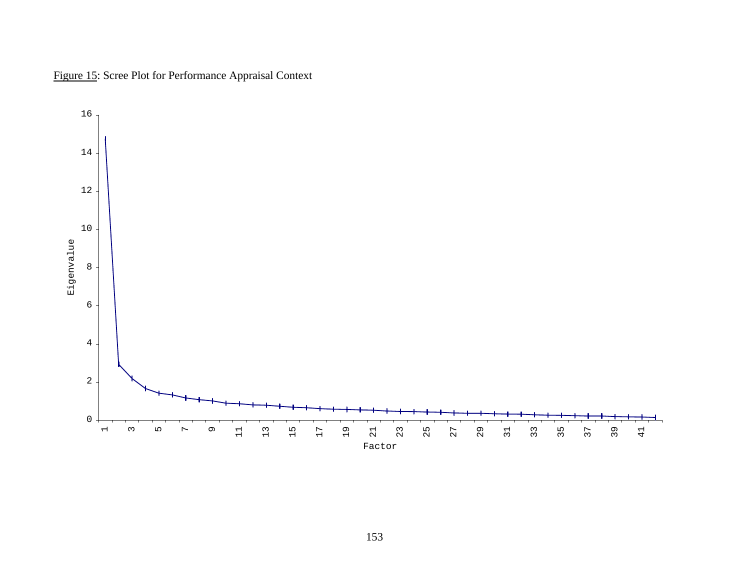

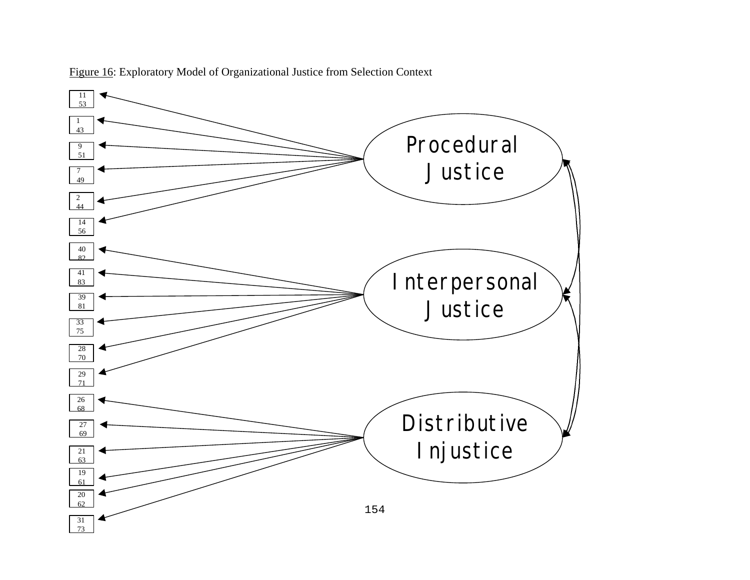

Figure 16: Exploratory Model of Organizational Justice from Selection Context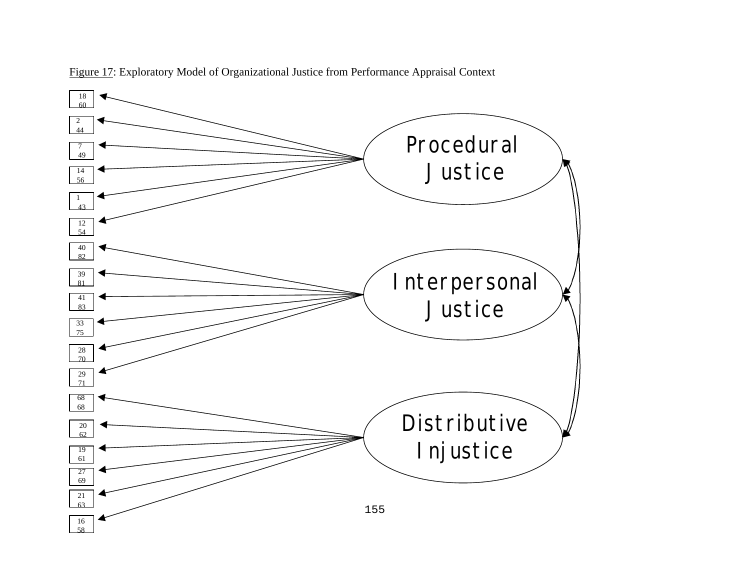

Figure 17: Exploratory Model of Organizational Justice from Performance Appraisal Context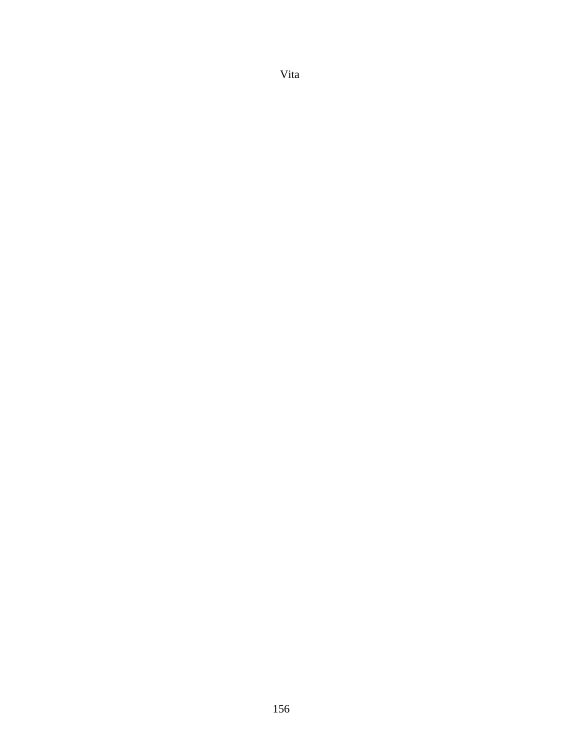## Vita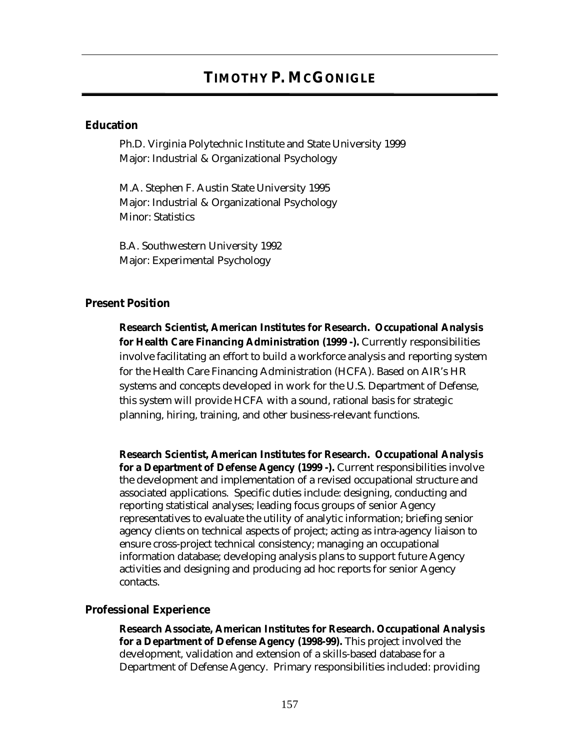# **TIMOTHY P. MCGONIGLE**

### **Education**

Ph.D. Virginia Polytechnic Institute and State University 1999 Major: Industrial & Organizational Psychology

M.A. Stephen F. Austin State University 1995 Major: Industrial & Organizational Psychology Minor: Statistics

B.A. Southwestern University 1992 Major: Experimental Psychology

#### **Present Position**

**Research Scientist, American Institutes for Research. Occupational Analysis for Health Care Financing Administration (1999 -).** Currently responsibilities involve facilitating an effort to build a workforce analysis and reporting system for the Health Care Financing Administration (HCFA). Based on AIR's HR systems and concepts developed in work for the U.S. Department of Defense, this system will provide HCFA with a sound, rational basis for strategic planning, hiring, training, and other business-relevant functions.

**Research Scientist, American Institutes for Research. Occupational Analysis for a Department of Defense Agency (1999 -).** Current responsibilities involve the development and implementation of a revised occupational structure and associated applications. Specific duties include: designing, conducting and reporting statistical analyses; leading focus groups of senior Agency representatives to evaluate the utility of analytic information; briefing senior agency clients on technical aspects of project; acting as intra-agency liaison to ensure cross-project technical consistency; managing an occupational information database; developing analysis plans to support future Agency activities and designing and producing ad hoc reports for senior Agency contacts.

#### **Professional Experience**

**Research Associate, American Institutes for Research. Occupational Analysis for a Department of Defense Agency (1998-99).** This project involved the development, validation and extension of a skills-based database for a Department of Defense Agency. Primary responsibilities included: providing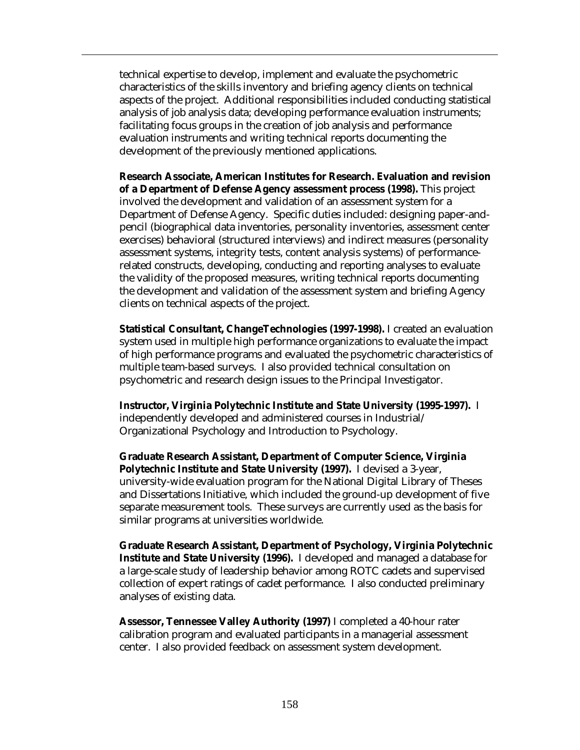technical expertise to develop, implement and evaluate the psychometric characteristics of the skills inventory and briefing agency clients on technical aspects of the project. Additional responsibilities included conducting statistical analysis of job analysis data; developing performance evaluation instruments; facilitating focus groups in the creation of job analysis and performance evaluation instruments and writing technical reports documenting the development of the previously mentioned applications.

**Research Associate, American Institutes for Research. Evaluation and revision of a Department of Defense Agency assessment process (1998).** This project involved the development and validation of an assessment system for a Department of Defense Agency. Specific duties included: designing paper-andpencil (biographical data inventories, personality inventories, assessment center exercises) behavioral (structured interviews) and indirect measures (personality assessment systems, integrity tests, content analysis systems) of performancerelated constructs, developing, conducting and reporting analyses to evaluate the validity of the proposed measures, writing technical reports documenting the development and validation of the assessment system and briefing Agency clients on technical aspects of the project.

**Statistical Consultant, ChangeTechnologies (1997-1998).** I created an evaluation system used in multiple high performance organizations to evaluate the impact of high performance programs and evaluated the psychometric characteristics of multiple team-based surveys. I also provided technical consultation on psychometric and research design issues to the Principal Investigator.

**Instructor, Virginia Polytechnic Institute and State University (1995-1997).** I independently developed and administered courses in Industrial/ Organizational Psychology and Introduction to Psychology.

**Graduate Research Assistant, Department of Computer Science, Virginia Polytechnic Institute and State University (1997).** I devised a 3-year, university-wide evaluation program for the National Digital Library of Theses and Dissertations Initiative, which included the ground-up development of five separate measurement tools. These surveys are currently used as the basis for similar programs at universities worldwide.

**Graduate Research Assistant, Department of Psychology, Virginia Polytechnic Institute and State University (1996).** I developed and managed a database for a large-scale study of leadership behavior among ROTC cadets and supervised collection of expert ratings of cadet performance. I also conducted preliminary analyses of existing data.

**Assessor, Tennessee Valley Authority (1997)** I completed a 40-hour rater calibration program and evaluated participants in a managerial assessment center. I also provided feedback on assessment system development.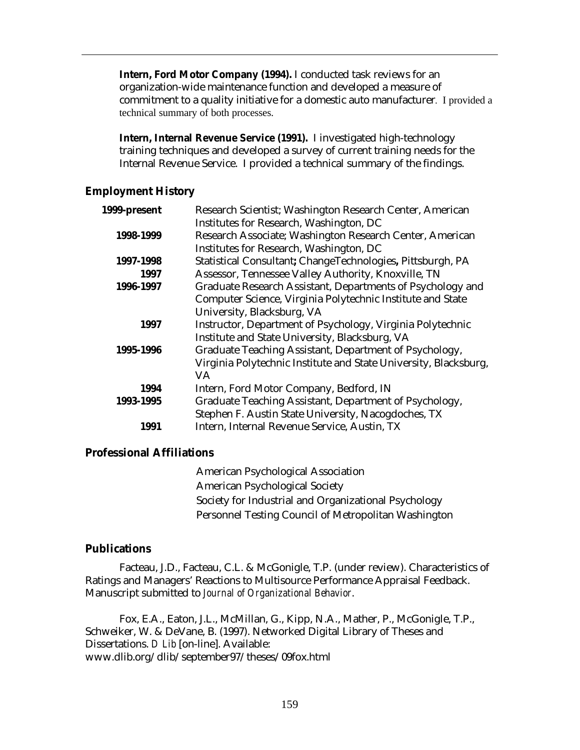**Intern, Ford Motor Company (1994).** I conducted task reviews for an organization-wide maintenance function and developed a measure of commitment to a quality initiative for a domestic auto manufacturer. I provided a technical summary of both processes.

**Intern, Internal Revenue Service (1991).** I investigated high-technology training techniques and developed a survey of current training needs for the Internal Revenue Service. I provided a technical summary of the findings.

## **Employment History**

| 1999-present | Research Scientist; Washington Research Center, American         |
|--------------|------------------------------------------------------------------|
|              | Institutes for Research, Washington, DC                          |
| 1998-1999    | Research Associate; Washington Research Center, American         |
|              | Institutes for Research, Washington, DC                          |
| 1997-1998    | Statistical Consultant; ChangeTechnologies, Pittsburgh, PA       |
| 1997         | Assessor, Tennessee Valley Authority, Knoxville, TN              |
| 1996-1997    | Graduate Research Assistant, Departments of Psychology and       |
|              | Computer Science, Virginia Polytechnic Institute and State       |
|              | University, Blacksburg, VA                                       |
| 1997         | Instructor, Department of Psychology, Virginia Polytechnic       |
|              | Institute and State University, Blacksburg, VA                   |
| 1995-1996    | Graduate Teaching Assistant, Department of Psychology,           |
|              | Virginia Polytechnic Institute and State University, Blacksburg, |
|              | VA.                                                              |
| 1994         | Intern, Ford Motor Company, Bedford, IN                          |
| 1993-1995    | Graduate Teaching Assistant, Department of Psychology,           |
|              | Stephen F. Austin State University, Nacogdoches, TX              |
| 1991         | Intern, Internal Revenue Service, Austin, TX                     |

## **Professional Affiliations**

American Psychological Association American Psychological Society Society for Industrial and Organizational Psychology Personnel Testing Council of Metropolitan Washington

## **Publications**

Facteau, J.D., Facteau, C.L. & McGonigle, T.P. (under review). Characteristics of Ratings and Managers' Reactions to Multisource Performance Appraisal Feedback. Manuscript submitted to *Journal of Organizational Behavior*.

Fox, E.A., Eaton, J.L., McMillan, G., Kipp, N.A., Mather, P., McGonigle, T.P., Schweiker, W. & DeVane, B. (1997). Networked Digital Library of Theses and Dissertations. *D Lib* [on-line]. Available: www.dlib.org/dlib/september97/theses/09fox.html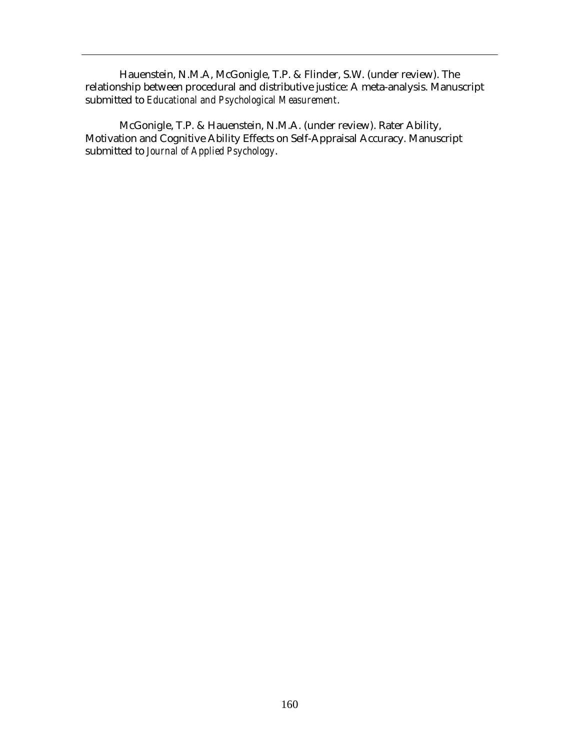Hauenstein, N.M.A, McGonigle, T.P. & Flinder, S.W. (under review). The relationship between procedural and distributive justice: A meta-analysis. Manuscript submitted to *Educational and Psychological Measurement*.

McGonigle, T.P. & Hauenstein, N.M.A. (under review). Rater Ability, Motivation and Cognitive Ability Effects on Self-Appraisal Accuracy. Manuscript submitted to *Journal of Applied Psychology*.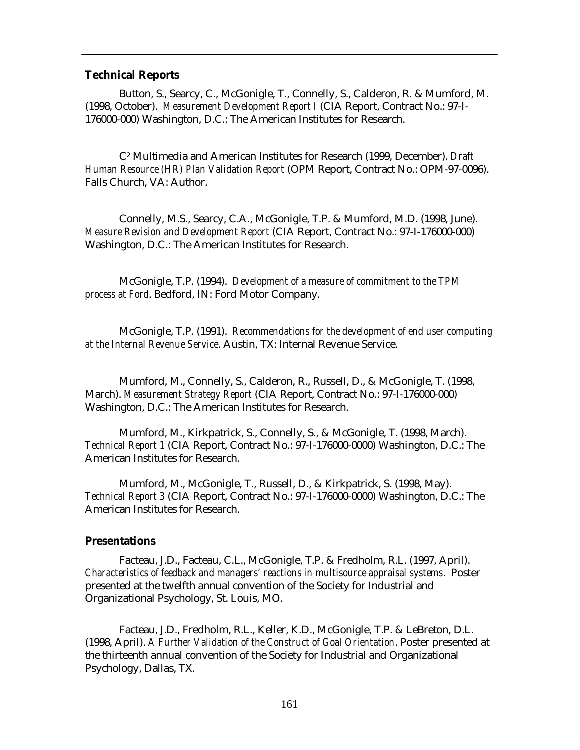#### **Technical Reports**

Button, S., Searcy, C., McGonigle, T., Connelly, S., Calderon, R. & Mumford, M. (1998, October). *Measurement Development Report I* (CIA Report, Contract No.: 97-I-176000-000) Washington, D.C.: The American Institutes for Research.

C2 Multimedia and American Institutes for Research (1999, December). *Draft Human Resource (HR) Plan Validation Report* (OPM Report, Contract No.: OPM-97-0096). Falls Church, VA: Author.

Connelly, M.S., Searcy, C.A., McGonigle, T.P. & Mumford, M.D. (1998, June). *Measure Revision and Development Report* (CIA Report, Contract No.: 97-I-176000-000) Washington, D.C.: The American Institutes for Research.

McGonigle, T.P. (1994). *Development of a measure of commitment to the TPM process at Ford*. Bedford, IN: Ford Motor Company.

McGonigle, T.P. (1991). *Recommendations for the development of end user computing at the Internal Revenue Service*. Austin, TX: Internal Revenue Service.

Mumford, M., Connelly, S., Calderon, R., Russell, D., & McGonigle, T. (1998, March). *Measurement Strategy Report* (CIA Report, Contract No.: 97-I-176000-000) Washington, D.C.: The American Institutes for Research.

Mumford, M., Kirkpatrick, S., Connelly, S., & McGonigle, T. (1998, March). *Technical Report 1* (CIA Report, Contract No.: 97-I-176000-0000) Washington, D.C.: The American Institutes for Research.

Mumford, M., McGonigle, T., Russell, D., & Kirkpatrick, S. (1998, May). *Technical Report 3* (CIA Report, Contract No.: 97-I-176000-0000) Washington, D.C.: The American Institutes for Research.

#### **Presentations**

Facteau, J.D., Facteau, C.L., McGonigle, T.P. & Fredholm, R.L. (1997, April). *Characteristics of feedback and managers' reactions in multisource appraisal systems*. Poster presented at the twelfth annual convention of the Society for Industrial and Organizational Psychology, St. Louis, MO.

Facteau, J.D., Fredholm, R.L., Keller, K.D., McGonigle, T.P. & LeBreton, D.L. (1998, April). *A Further Validation of the Construct of Goal Orientation*. Poster presented at the thirteenth annual convention of the Society for Industrial and Organizational Psychology, Dallas, TX.